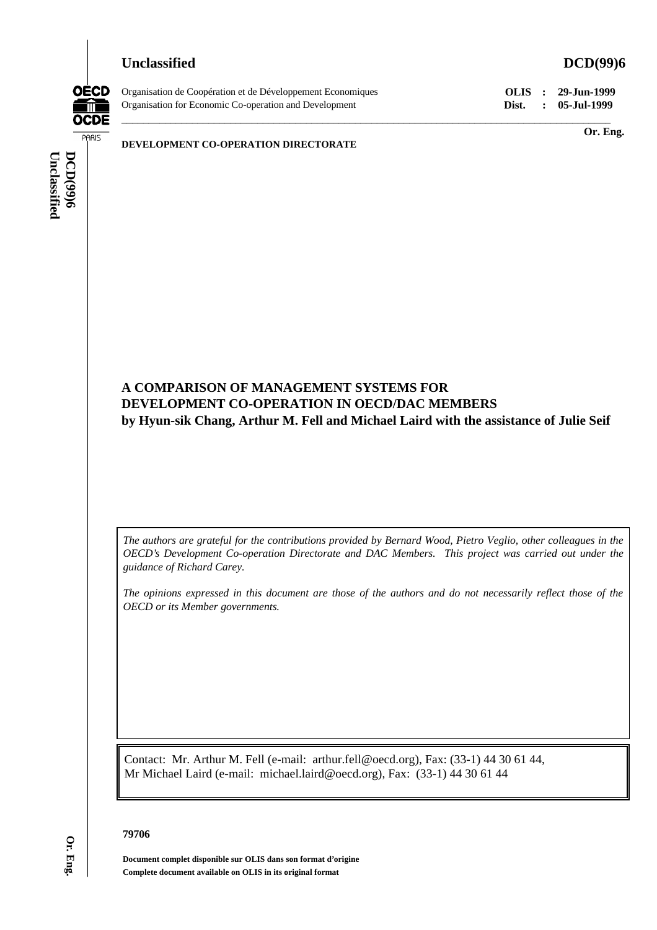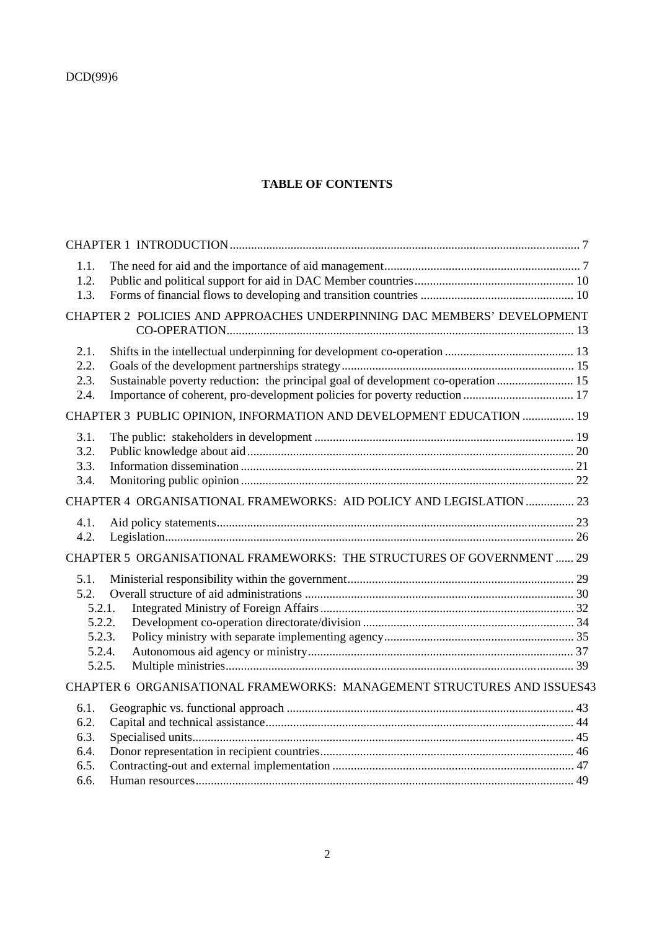## **TABLE OF CONTENTS**

| 1.1.<br>1.2.<br>1.3.                                           |                                                                                                                                                                 |  |
|----------------------------------------------------------------|-----------------------------------------------------------------------------------------------------------------------------------------------------------------|--|
|                                                                | CHAPTER 2 POLICIES AND APPROACHES UNDERPINNING DAC MEMBERS' DEVELOPMENT                                                                                         |  |
| 2.1.<br>2.2.<br>2.3.<br>2.4.                                   | Sustainable poverty reduction: the principal goal of development co-operation  15<br>Importance of coherent, pro-development policies for poverty reduction  17 |  |
|                                                                | CHAPTER 3 PUBLIC OPINION, INFORMATION AND DEVELOPMENT EDUCATION  19                                                                                             |  |
| 3.1.<br>3.2.<br>3.3.<br>3.4.                                   |                                                                                                                                                                 |  |
|                                                                | CHAPTER 4 ORGANISATIONAL FRAMEWORKS: AID POLICY AND LEGISLATION  23                                                                                             |  |
| 4.1.<br>4.2.                                                   |                                                                                                                                                                 |  |
|                                                                | CHAPTER 5 ORGANISATIONAL FRAMEWORKS: THE STRUCTURES OF GOVERNMENT  29                                                                                           |  |
| 5.1.<br>5.2.<br>5.2.1.<br>5.2.2.<br>5.2.3.<br>5.2.4.<br>5.2.5. |                                                                                                                                                                 |  |
|                                                                | CHAPTER 6 ORGANISATIONAL FRAMEWORKS: MANAGEMENT STRUCTURES AND ISSUES43                                                                                         |  |
| 6.1.<br>6.2.<br>6.3.<br>6.4.<br>6.5.                           |                                                                                                                                                                 |  |
| 6.6.                                                           |                                                                                                                                                                 |  |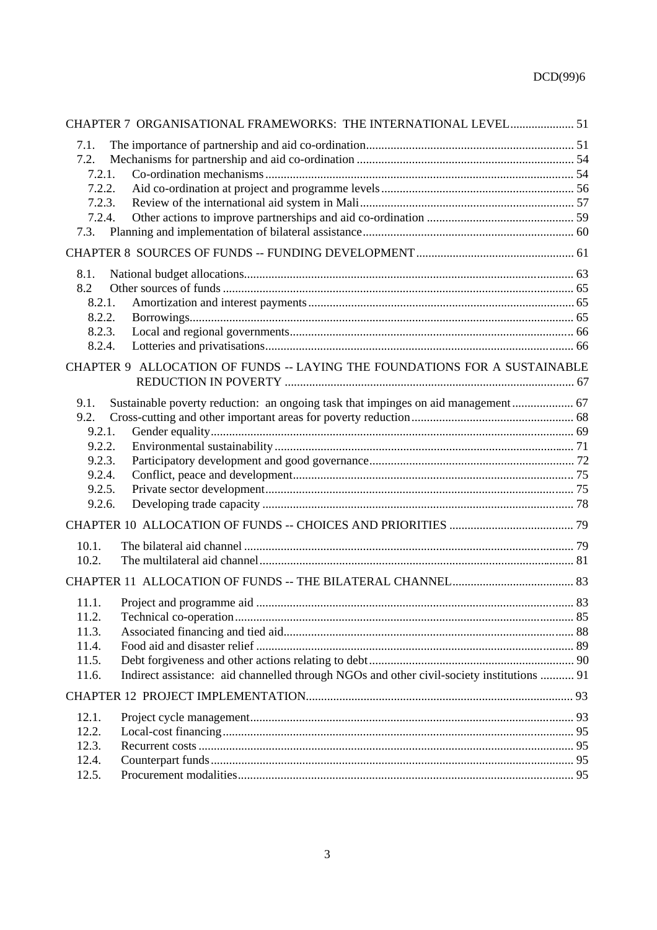| CHAPTER 7 ORGANISATIONAL FRAMEWORKS: THE INTERNATIONAL LEVEL 51                                    |  |
|----------------------------------------------------------------------------------------------------|--|
| 7.1.                                                                                               |  |
| 7.2.                                                                                               |  |
| 7.2.1.                                                                                             |  |
| 7.2.2.                                                                                             |  |
| 7.2.3.                                                                                             |  |
| 7.2.4.                                                                                             |  |
| 7.3.                                                                                               |  |
|                                                                                                    |  |
| 8.1.                                                                                               |  |
| 8.2                                                                                                |  |
| 8.2.1.                                                                                             |  |
| 8.2.2.                                                                                             |  |
| 8.2.3.                                                                                             |  |
| 8.2.4.                                                                                             |  |
| CHAPTER 9 ALLOCATION OF FUNDS -- LAYING THE FOUNDATIONS FOR A SUSTAINABLE                          |  |
| Sustainable poverty reduction: an ongoing task that impinges on aid management 67<br>9.1.          |  |
| 9.2.                                                                                               |  |
| 9.2.1.                                                                                             |  |
| 9.2.2.                                                                                             |  |
| 9.2.3.                                                                                             |  |
| 9.2.4.                                                                                             |  |
| 9.2.5.                                                                                             |  |
| 9.2.6.                                                                                             |  |
|                                                                                                    |  |
| 10.1.                                                                                              |  |
| 10.2.                                                                                              |  |
|                                                                                                    |  |
| 11.1.                                                                                              |  |
| 11.2.                                                                                              |  |
| 11.3.                                                                                              |  |
| 11.4.                                                                                              |  |
| 11.5.                                                                                              |  |
| Indirect assistance: aid channelled through NGOs and other civil-society institutions  91<br>11.6. |  |
|                                                                                                    |  |
| 12.1.                                                                                              |  |
| 12.2.                                                                                              |  |
| 12.3.                                                                                              |  |
| 12.4.                                                                                              |  |
| 12.5.                                                                                              |  |
|                                                                                                    |  |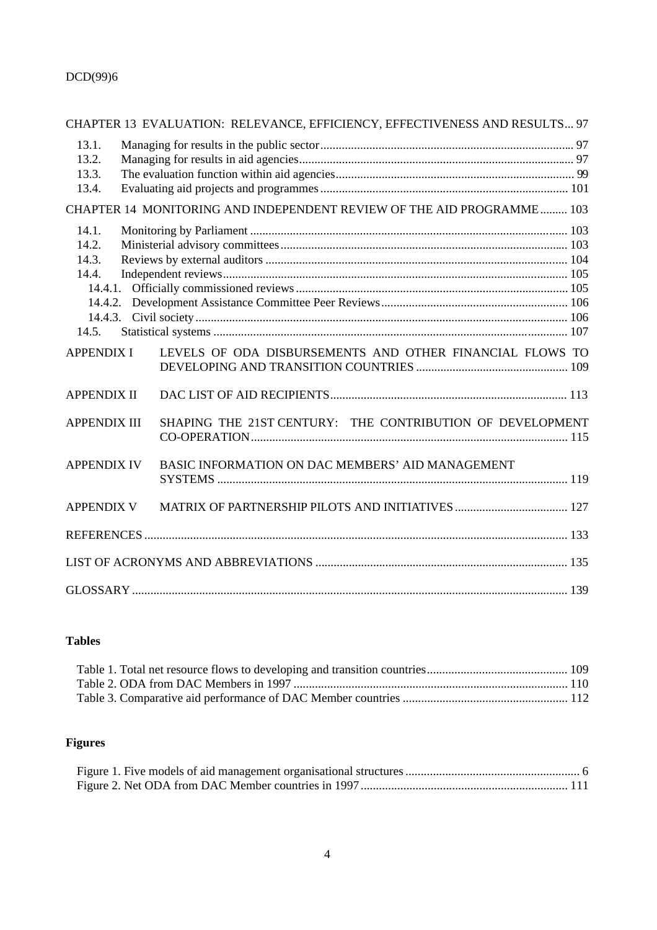|                     | CHAPTER 13 EVALUATION: RELEVANCE, EFFICIENCY, EFFECTIVENESS AND RESULTS 97 |  |
|---------------------|----------------------------------------------------------------------------|--|
| 13.1.<br>13.2.      |                                                                            |  |
| 13.3.               |                                                                            |  |
| 13.4.               |                                                                            |  |
|                     | CHAPTER 14 MONITORING AND INDEPENDENT REVIEW OF THE AID PROGRAMME 103      |  |
| 14.1.               |                                                                            |  |
| 14.2.               |                                                                            |  |
| 14.3.               |                                                                            |  |
| 14.4.               |                                                                            |  |
|                     |                                                                            |  |
|                     |                                                                            |  |
| 14.5.               |                                                                            |  |
|                     |                                                                            |  |
| <b>APPENDIX I</b>   | LEVELS OF ODA DISBURSEMENTS AND OTHER FINANCIAL FLOWS TO                   |  |
|                     |                                                                            |  |
| <b>APPENDIX II</b>  |                                                                            |  |
| <b>APPENDIX III</b> | SHAPING THE 21ST CENTURY: THE CONTRIBUTION OF DEVELOPMENT                  |  |
|                     |                                                                            |  |
| <b>APPENDIX IV</b>  | BASIC INFORMATION ON DAC MEMBERS' AID MANAGEMENT                           |  |
|                     |                                                                            |  |
| <b>APPENDIX V</b>   |                                                                            |  |
|                     |                                                                            |  |
|                     |                                                                            |  |
|                     |                                                                            |  |
|                     |                                                                            |  |

# **Tables**

# **Figures**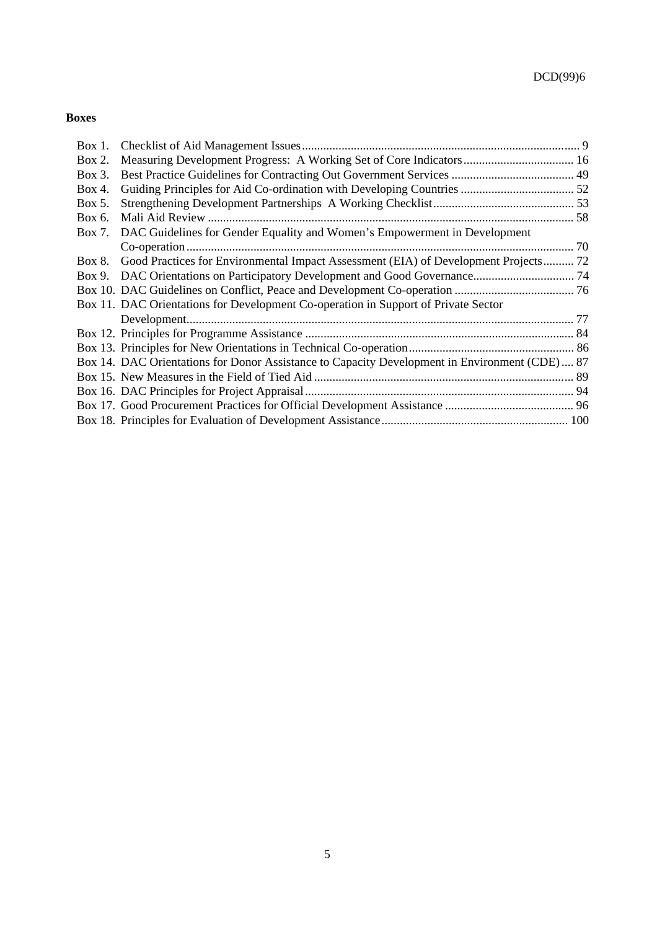## **Boxes**

| $Box 1$ . |                                                                                               |  |
|-----------|-----------------------------------------------------------------------------------------------|--|
| Box 2.    | Measuring Development Progress: A Working Set of Core Indicators  16                          |  |
| Box 3.    |                                                                                               |  |
| Box 4.    |                                                                                               |  |
| Box 5.    |                                                                                               |  |
| Box 6.    |                                                                                               |  |
|           | Box 7. DAC Guidelines for Gender Equality and Women's Empowerment in Development              |  |
|           |                                                                                               |  |
| Box 8.    | Good Practices for Environmental Impact Assessment (EIA) of Development Projects 72           |  |
|           |                                                                                               |  |
|           |                                                                                               |  |
|           | Box 11. DAC Orientations for Development Co-operation in Support of Private Sector            |  |
|           |                                                                                               |  |
|           |                                                                                               |  |
|           |                                                                                               |  |
|           | Box 14. DAC Orientations for Donor Assistance to Capacity Development in Environment (CDE) 87 |  |
|           |                                                                                               |  |
|           |                                                                                               |  |
|           |                                                                                               |  |
|           |                                                                                               |  |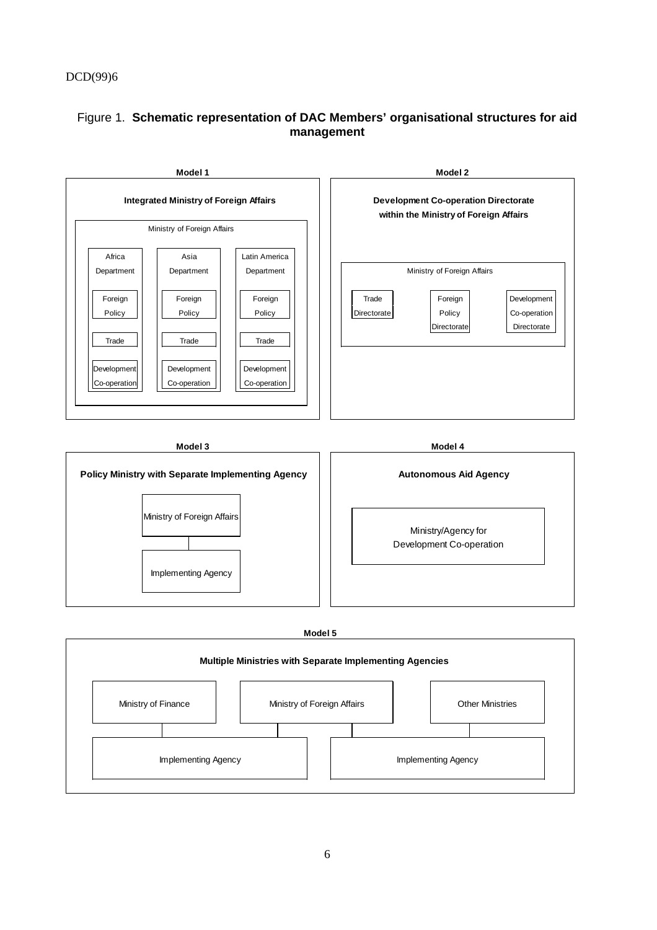## Figure 1. **Schematic representation of DAC Members' organisational structures for aid management**



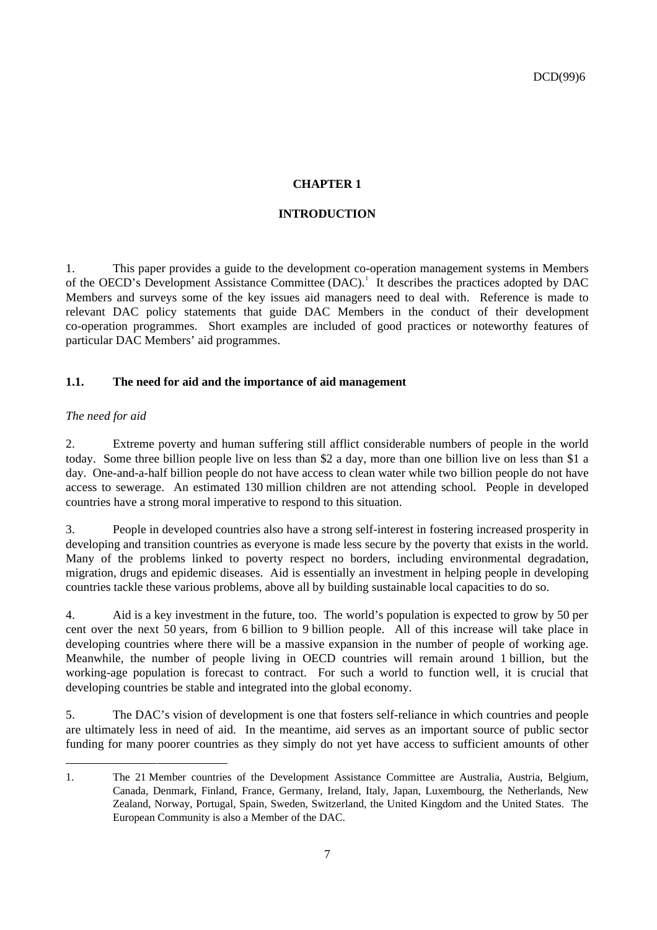## **CHAPTER 1**

### **INTRODUCTION**

1. This paper provides a guide to the development co-operation management systems in Members of the OECD's Development Assistance Committee (DAC).<sup>1</sup> It describes the practices adopted by DAC Members and surveys some of the key issues aid managers need to deal with. Reference is made to relevant DAC policy statements that guide DAC Members in the conduct of their development co-operation programmes. Short examples are included of good practices or noteworthy features of particular DAC Members' aid programmes.

### **1.1. The need for aid and the importance of aid management**

### *The need for aid*

1

2. Extreme poverty and human suffering still afflict considerable numbers of people in the world today. Some three billion people live on less than \$2 a day, more than one billion live on less than \$1 a day. One-and-a-half billion people do not have access to clean water while two billion people do not have access to sewerage. An estimated 130 million children are not attending school. People in developed countries have a strong moral imperative to respond to this situation.

3. People in developed countries also have a strong self-interest in fostering increased prosperity in developing and transition countries as everyone is made less secure by the poverty that exists in the world. Many of the problems linked to poverty respect no borders, including environmental degradation, migration, drugs and epidemic diseases. Aid is essentially an investment in helping people in developing countries tackle these various problems, above all by building sustainable local capacities to do so.

4. Aid is a key investment in the future, too. The world's population is expected to grow by 50 per cent over the next 50 years, from 6 billion to 9 billion people. All of this increase will take place in developing countries where there will be a massive expansion in the number of people of working age. Meanwhile, the number of people living in OECD countries will remain around 1 billion, but the working-age population is forecast to contract. For such a world to function well, it is crucial that developing countries be stable and integrated into the global economy.

5. The DAC's vision of development is one that fosters self-reliance in which countries and people are ultimately less in need of aid. In the meantime, aid serves as an important source of public sector funding for many poorer countries as they simply do not yet have access to sufficient amounts of other

<sup>1.</sup> The 21 Member countries of the Development Assistance Committee are Australia, Austria, Belgium, Canada, Denmark, Finland, France, Germany, Ireland, Italy, Japan, Luxembourg, the Netherlands, New Zealand, Norway, Portugal, Spain, Sweden, Switzerland, the United Kingdom and the United States. The European Community is also a Member of the DAC.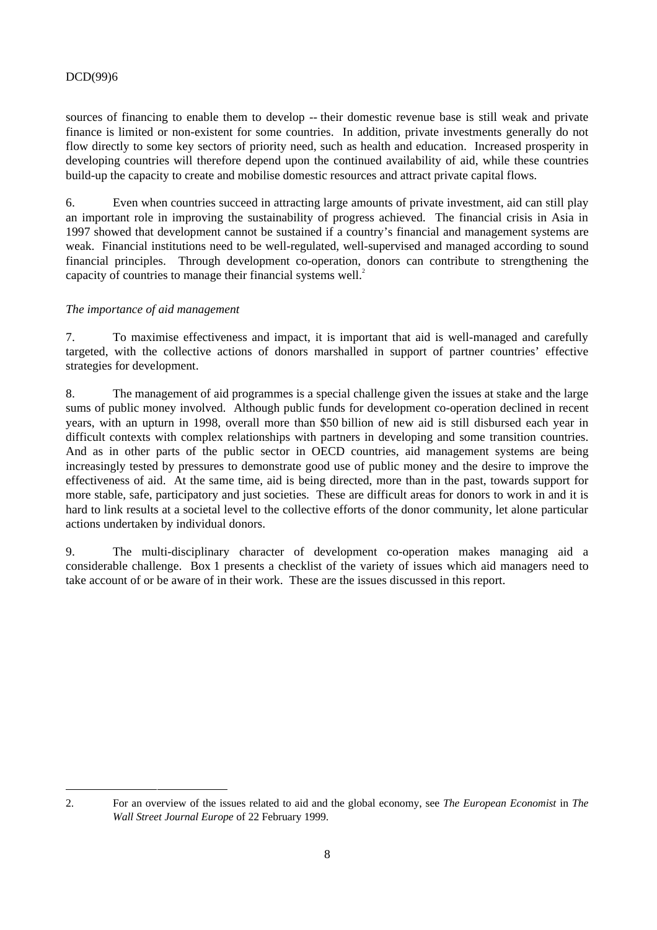-

sources of financing to enable them to develop -- their domestic revenue base is still weak and private finance is limited or non-existent for some countries. In addition, private investments generally do not flow directly to some key sectors of priority need, such as health and education. Increased prosperity in developing countries will therefore depend upon the continued availability of aid, while these countries build-up the capacity to create and mobilise domestic resources and attract private capital flows.

6. Even when countries succeed in attracting large amounts of private investment, aid can still play an important role in improving the sustainability of progress achieved. The financial crisis in Asia in 1997 showed that development cannot be sustained if a country's financial and management systems are weak. Financial institutions need to be well-regulated, well-supervised and managed according to sound financial principles. Through development co-operation, donors can contribute to strengthening the capacity of countries to manage their financial systems well.<sup>2</sup>

## *The importance of aid management*

7. To maximise effectiveness and impact, it is important that aid is well-managed and carefully targeted, with the collective actions of donors marshalled in support of partner countries' effective strategies for development.

8. The management of aid programmes is a special challenge given the issues at stake and the large sums of public money involved. Although public funds for development co-operation declined in recent years, with an upturn in 1998, overall more than \$50 billion of new aid is still disbursed each year in difficult contexts with complex relationships with partners in developing and some transition countries. And as in other parts of the public sector in OECD countries, aid management systems are being increasingly tested by pressures to demonstrate good use of public money and the desire to improve the effectiveness of aid. At the same time, aid is being directed, more than in the past, towards support for more stable, safe, participatory and just societies. These are difficult areas for donors to work in and it is hard to link results at a societal level to the collective efforts of the donor community, let alone particular actions undertaken by individual donors.

9. The multi-disciplinary character of development co-operation makes managing aid a considerable challenge. Box 1 presents a checklist of the variety of issues which aid managers need to take account of or be aware of in their work. These are the issues discussed in this report.

<sup>2.</sup> For an overview of the issues related to aid and the global economy, see *The European Economist* in *The Wall Street Journal Europe* of 22 February 1999.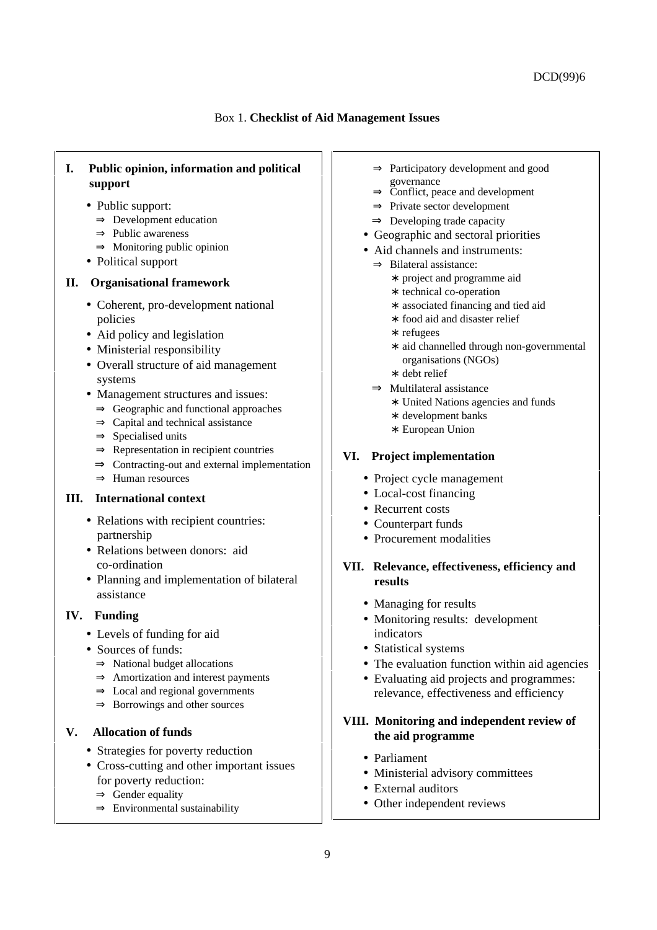### Box 1. **Checklist of Aid Management Issues**

- **I. Public opinion, information and political support**
	- Public support:
		- $\Rightarrow$  Development education
		- $\Rightarrow$  Public awareness
		- $\Rightarrow$  Monitoring public opinion
	- Political support

#### **II. Organisational framework**

- Coherent, pro-development national policies
- Aid policy and legislation
- Ministerial responsibility
- Overall structure of aid management systems
- Management structures and issues:
	- $\Rightarrow$  Geographic and functional approaches
	- $\Rightarrow$  Capital and technical assistance
	- $\Rightarrow$  Specialised units
	- $\Rightarrow$  Representation in recipient countries
	- ⇒ Contracting-out and external implementation
	- ⇒ Human resources

#### **III. International context**

- Relations with recipient countries: partnership
- Relations between donors: aid co-ordination
- Planning and implementation of bilateral assistance

### **IV. Funding**

- Levels of funding for aid
- Sources of funds:
	- ⇒ National budget allocations
	- ⇒ Amortization and interest payments
	- $\Rightarrow$  Local and regional governments
	- ⇒ Borrowings and other sources

## **V. Allocation of funds**

- Strategies for poverty reduction
- Cross-cutting and other important issues for poverty reduction:
	- $\Rightarrow$  Gender equality
	- $\Rightarrow$  Environmental sustainability
- ⇒ Participatory development and good governance
- ⇒ Conflict, peace and development
- $\Rightarrow$  Private sector development
- $\Rightarrow$  Developing trade capacity
- Geographic and sectoral priorities
- Aid channels and instruments:
	- ⇒ Bilateral assistance:
		- ∗ project and programme aid
		- ∗ technical co-operation
		- ∗ associated financing and tied aid
		- ∗ food aid and disaster relief
		- ∗ refugees
		- ∗ aid channelled through non-governmental organisations (NGOs)
		- ∗ debt relief
	- ⇒ Multilateral assistance
		- ∗ United Nations agencies and funds
		- ∗ development banks
		- ∗ European Union

## **VI. Project implementation**

- Project cycle management
- Local-cost financing
- Recurrent costs
- Counterpart funds
- Procurement modalities
- **VII. Relevance, effectiveness, efficiency and results**
	- Managing for results
	- Monitoring results: development indicators
	- Statistical systems
	- The evaluation function within aid agencies
	- Evaluating aid projects and programmes: relevance, effectiveness and efficiency

## **VIII. Monitoring and independent review of the aid programme**

- Parliament
- Ministerial advisory committees
- External auditors
- Other independent reviews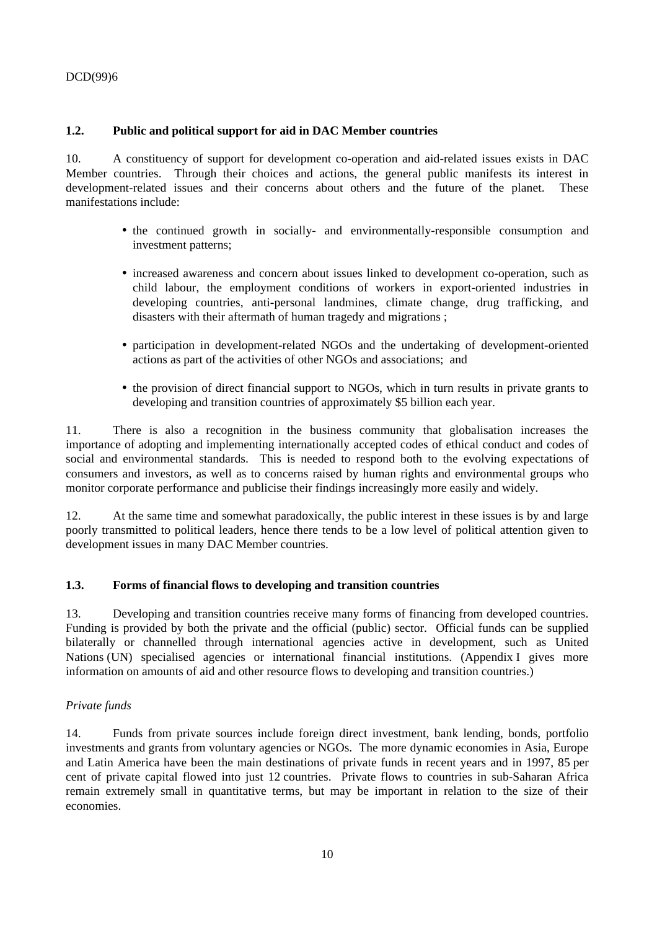## **1.2. Public and political support for aid in DAC Member countries**

10. A constituency of support for development co-operation and aid-related issues exists in DAC Member countries. Through their choices and actions, the general public manifests its interest in development-related issues and their concerns about others and the future of the planet. These manifestations include:

- the continued growth in socially- and environmentally-responsible consumption and investment patterns;
- increased awareness and concern about issues linked to development co-operation, such as child labour, the employment conditions of workers in export-oriented industries in developing countries, anti-personal landmines, climate change, drug trafficking, and disasters with their aftermath of human tragedy and migrations ;
- participation in development-related NGOs and the undertaking of development-oriented actions as part of the activities of other NGOs and associations; and
- the provision of direct financial support to NGOs, which in turn results in private grants to developing and transition countries of approximately \$5 billion each year.

11. There is also a recognition in the business community that globalisation increases the importance of adopting and implementing internationally accepted codes of ethical conduct and codes of social and environmental standards. This is needed to respond both to the evolving expectations of consumers and investors, as well as to concerns raised by human rights and environmental groups who monitor corporate performance and publicise their findings increasingly more easily and widely.

12. At the same time and somewhat paradoxically, the public interest in these issues is by and large poorly transmitted to political leaders, hence there tends to be a low level of political attention given to development issues in many DAC Member countries.

### **1.3. Forms of financial flows to developing and transition countries**

13. Developing and transition countries receive many forms of financing from developed countries. Funding is provided by both the private and the official (public) sector. Official funds can be supplied bilaterally or channelled through international agencies active in development, such as United Nations (UN) specialised agencies or international financial institutions. (Appendix I gives more information on amounts of aid and other resource flows to developing and transition countries.)

### *Private funds*

14. Funds from private sources include foreign direct investment, bank lending, bonds, portfolio investments and grants from voluntary agencies or NGOs. The more dynamic economies in Asia, Europe and Latin America have been the main destinations of private funds in recent years and in 1997, 85 per cent of private capital flowed into just 12 countries. Private flows to countries in sub-Saharan Africa remain extremely small in quantitative terms, but may be important in relation to the size of their economies.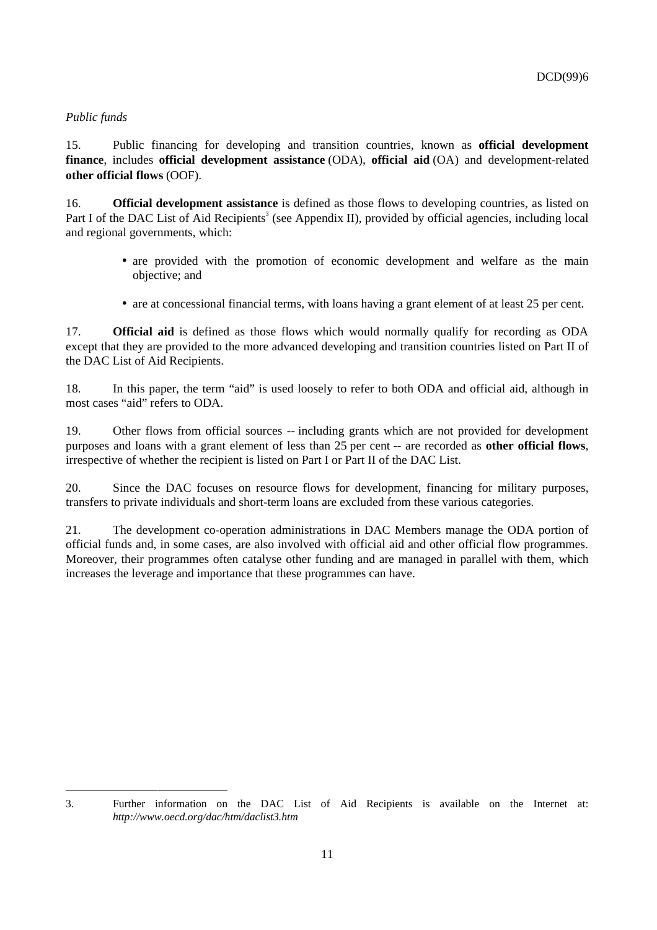## *Public funds*

1

15. Public financing for developing and transition countries, known as **official development finance**, includes **official development assistance** (ODA), **official aid** (OA) and development-related **other official flows** (OOF).

16. **Official development assistance** is defined as those flows to developing countries, as listed on Part I of the DAC List of Aid Recipients<sup>3</sup> (see Appendix II), provided by official agencies, including local and regional governments, which:

- are provided with the promotion of economic development and welfare as the main objective; and
- are at concessional financial terms, with loans having a grant element of at least 25 per cent.

17. **Official aid** is defined as those flows which would normally qualify for recording as ODA except that they are provided to the more advanced developing and transition countries listed on Part II of the DAC List of Aid Recipients.

18. In this paper, the term "aid" is used loosely to refer to both ODA and official aid, although in most cases "aid" refers to ODA.

19. Other flows from official sources -- including grants which are not provided for development purposes and loans with a grant element of less than 25 per cent -- are recorded as **other official flows**, irrespective of whether the recipient is listed on Part I or Part II of the DAC List.

20. Since the DAC focuses on resource flows for development, financing for military purposes, transfers to private individuals and short-term loans are excluded from these various categories.

21. The development co-operation administrations in DAC Members manage the ODA portion of official funds and, in some cases, are also involved with official aid and other official flow programmes. Moreover, their programmes often catalyse other funding and are managed in parallel with them, which increases the leverage and importance that these programmes can have.

<sup>3.</sup> Further information on the DAC List of Aid Recipients is available on the Internet at: *http://www.oecd.org/dac/htm/daclist3.htm*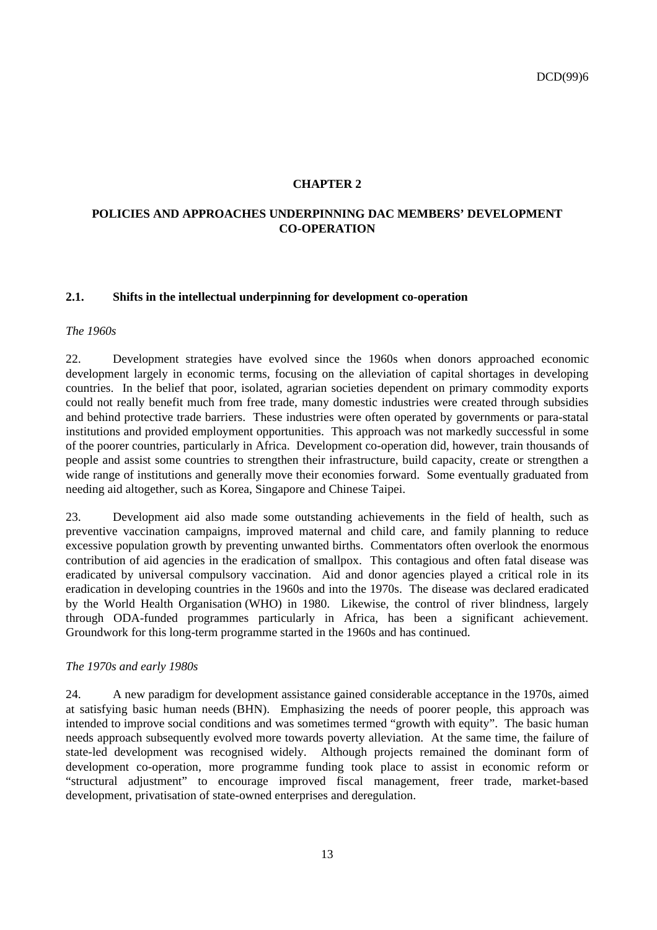### **CHAPTER 2**

## **POLICIES AND APPROACHES UNDERPINNING DAC MEMBERS' DEVELOPMENT CO-OPERATION**

## **2.1. Shifts in the intellectual underpinning for development co-operation**

#### *The 1960s*

22. Development strategies have evolved since the 1960s when donors approached economic development largely in economic terms, focusing on the alleviation of capital shortages in developing countries. In the belief that poor, isolated, agrarian societies dependent on primary commodity exports could not really benefit much from free trade, many domestic industries were created through subsidies and behind protective trade barriers. These industries were often operated by governments or para-statal institutions and provided employment opportunities. This approach was not markedly successful in some of the poorer countries, particularly in Africa. Development co-operation did, however, train thousands of people and assist some countries to strengthen their infrastructure, build capacity, create or strengthen a wide range of institutions and generally move their economies forward. Some eventually graduated from needing aid altogether, such as Korea, Singapore and Chinese Taipei.

23. Development aid also made some outstanding achievements in the field of health, such as preventive vaccination campaigns, improved maternal and child care, and family planning to reduce excessive population growth by preventing unwanted births. Commentators often overlook the enormous contribution of aid agencies in the eradication of smallpox. This contagious and often fatal disease was eradicated by universal compulsory vaccination. Aid and donor agencies played a critical role in its eradication in developing countries in the 1960s and into the 1970s. The disease was declared eradicated by the World Health Organisation (WHO) in 1980. Likewise, the control of river blindness, largely through ODA-funded programmes particularly in Africa, has been a significant achievement. Groundwork for this long-term programme started in the 1960s and has continued.

#### *The 1970s and early 1980s*

24. A new paradigm for development assistance gained considerable acceptance in the 1970s, aimed at satisfying basic human needs (BHN). Emphasizing the needs of poorer people, this approach was intended to improve social conditions and was sometimes termed "growth with equity". The basic human needs approach subsequently evolved more towards poverty alleviation. At the same time, the failure of state-led development was recognised widely. Although projects remained the dominant form of development co-operation, more programme funding took place to assist in economic reform or "structural adjustment" to encourage improved fiscal management, freer trade, market-based development, privatisation of state-owned enterprises and deregulation.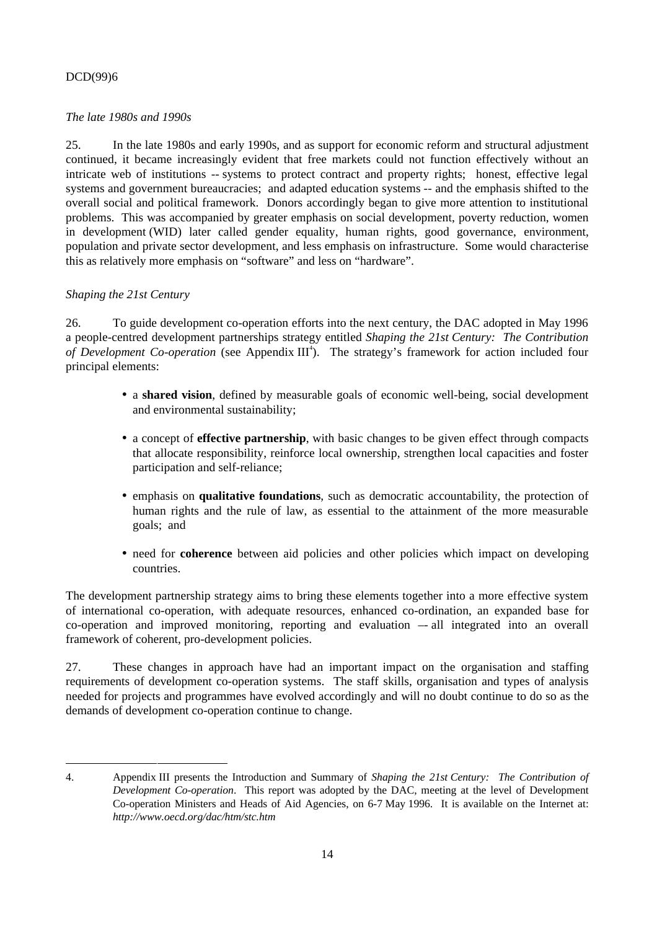## *The late 1980s and 1990s*

25. In the late 1980s and early 1990s, and as support for economic reform and structural adjustment continued, it became increasingly evident that free markets could not function effectively without an intricate web of institutions -- systems to protect contract and property rights; honest, effective legal systems and government bureaucracies; and adapted education systems -- and the emphasis shifted to the overall social and political framework. Donors accordingly began to give more attention to institutional problems. This was accompanied by greater emphasis on social development, poverty reduction, women in development (WID) later called gender equality, human rights, good governance, environment, population and private sector development, and less emphasis on infrastructure. Some would characterise this as relatively more emphasis on "software" and less on "hardware".

## *Shaping the 21st Century*

-

26. To guide development co-operation efforts into the next century, the DAC adopted in May 1996 a people-centred development partnerships strategy entitled *Shaping the 21st Century: The Contribution* of Development Co-operation (see Appendix III<sup>4</sup>). The strategy's framework for action included four principal elements:

- a **shared vision**, defined by measurable goals of economic well-being, social development and environmental sustainability;
- a concept of **effective partnership**, with basic changes to be given effect through compacts that allocate responsibility, reinforce local ownership, strengthen local capacities and foster participation and self-reliance;
- emphasis on **qualitative foundations**, such as democratic accountability, the protection of human rights and the rule of law, as essential to the attainment of the more measurable goals; and
- need for **coherence** between aid policies and other policies which impact on developing countries.

The development partnership strategy aims to bring these elements together into a more effective system of international co-operation, with adequate resources, enhanced co-ordination, an expanded base for co-operation and improved monitoring, reporting and evaluation –- all integrated into an overall framework of coherent, pro-development policies.

27. These changes in approach have had an important impact on the organisation and staffing requirements of development co-operation systems. The staff skills, organisation and types of analysis needed for projects and programmes have evolved accordingly and will no doubt continue to do so as the demands of development co-operation continue to change.

<sup>4.</sup> Appendix III presents the Introduction and Summary of *Shaping the 21st Century: The Contribution of Development Co-operation*. This report was adopted by the DAC, meeting at the level of Development Co-operation Ministers and Heads of Aid Agencies, on 6-7 May 1996. It is available on the Internet at: *http://www.oecd.org/dac/htm/stc.htm*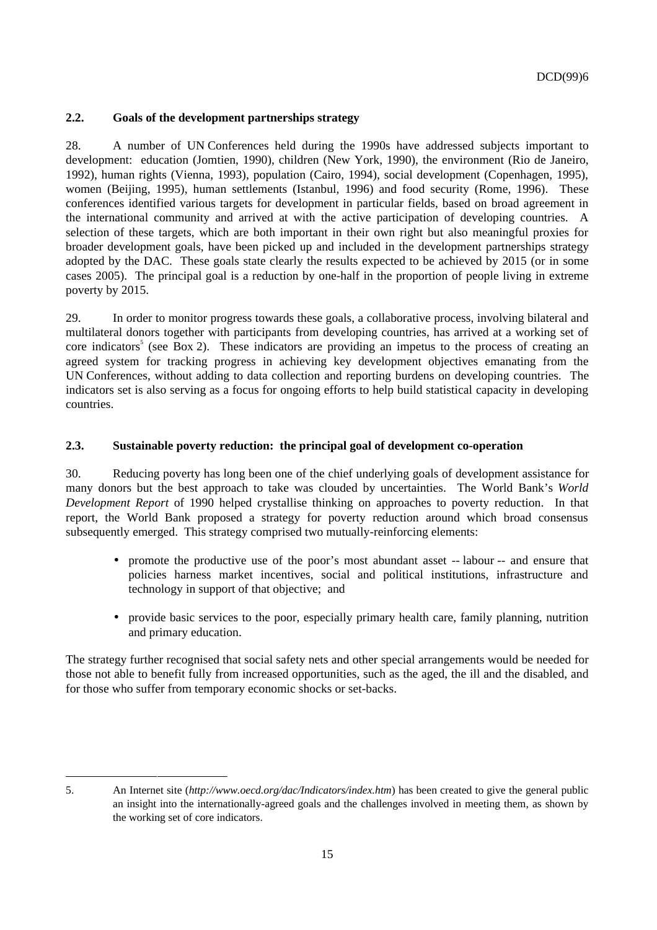## **2.2. Goals of the development partnerships strategy**

28. A number of UN Conferences held during the 1990s have addressed subjects important to development: education (Jomtien, 1990), children (New York, 1990), the environment (Rio de Janeiro, 1992), human rights (Vienna, 1993), population (Cairo, 1994), social development (Copenhagen, 1995), women (Beijing, 1995), human settlements (Istanbul, 1996) and food security (Rome, 1996). These conferences identified various targets for development in particular fields, based on broad agreement in the international community and arrived at with the active participation of developing countries. A selection of these targets, which are both important in their own right but also meaningful proxies for broader development goals, have been picked up and included in the development partnerships strategy adopted by the DAC. These goals state clearly the results expected to be achieved by 2015 (or in some cases 2005). The principal goal is a reduction by one-half in the proportion of people living in extreme poverty by 2015.

29. In order to monitor progress towards these goals, a collaborative process, involving bilateral and multilateral donors together with participants from developing countries, has arrived at a working set of core indicators<sup>5</sup> (see Box 2). These indicators are providing an impetus to the process of creating an agreed system for tracking progress in achieving key development objectives emanating from the UN Conferences, without adding to data collection and reporting burdens on developing countries. The indicators set is also serving as a focus for ongoing efforts to help build statistical capacity in developing countries.

## **2.3. Sustainable poverty reduction: the principal goal of development co-operation**

30. Reducing poverty has long been one of the chief underlying goals of development assistance for many donors but the best approach to take was clouded by uncertainties. The World Bank's *World Development Report* of 1990 helped crystallise thinking on approaches to poverty reduction. In that report, the World Bank proposed a strategy for poverty reduction around which broad consensus subsequently emerged. This strategy comprised two mutually-reinforcing elements:

- promote the productive use of the poor's most abundant asset -- labour -- and ensure that policies harness market incentives, social and political institutions, infrastructure and technology in support of that objective; and
- provide basic services to the poor, especially primary health care, family planning, nutrition and primary education.

The strategy further recognised that social safety nets and other special arrangements would be needed for those not able to benefit fully from increased opportunities, such as the aged, the ill and the disabled, and for those who suffer from temporary economic shocks or set-backs.

<sup>-</sup>

<sup>5.</sup> An Internet site (*http://www.oecd.org/dac/Indicators/index.htm*) has been created to give the general public an insight into the internationally-agreed goals and the challenges involved in meeting them, as shown by the working set of core indicators.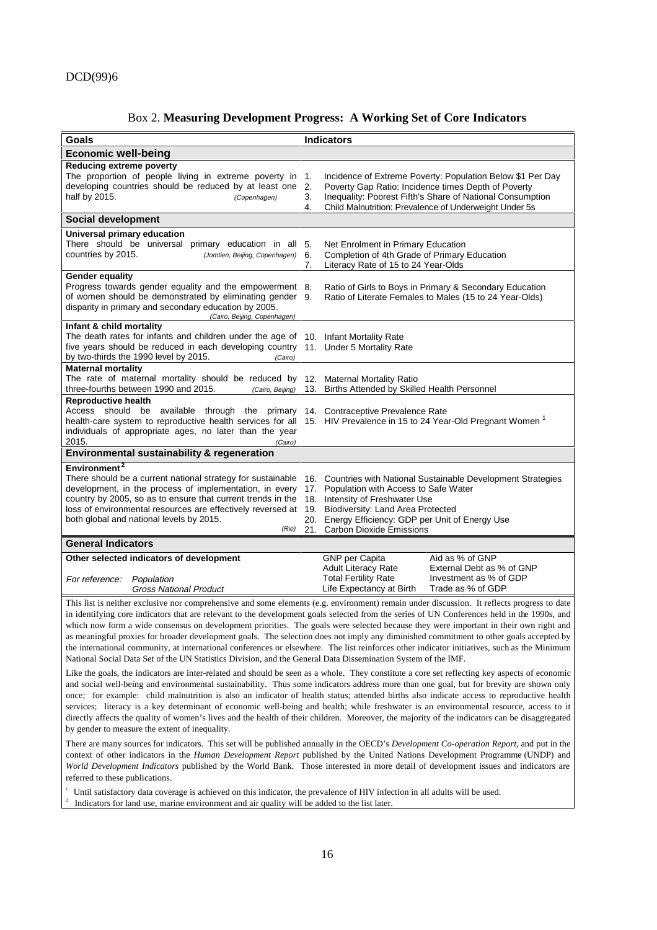# Box 2. **Measuring Development Progress: A Working Set of Core Indicators**

| Goals<br><b>Indicators</b>                                                                                                                                                                                                                                                                                                                                                                                                                                                                                                                                                                                                                                                                                                                                                                                                                     |                   |                                                                                                                                                                                                                                                                 |  |
|------------------------------------------------------------------------------------------------------------------------------------------------------------------------------------------------------------------------------------------------------------------------------------------------------------------------------------------------------------------------------------------------------------------------------------------------------------------------------------------------------------------------------------------------------------------------------------------------------------------------------------------------------------------------------------------------------------------------------------------------------------------------------------------------------------------------------------------------|-------------------|-----------------------------------------------------------------------------------------------------------------------------------------------------------------------------------------------------------------------------------------------------------------|--|
| <b>Economic well-being</b>                                                                                                                                                                                                                                                                                                                                                                                                                                                                                                                                                                                                                                                                                                                                                                                                                     |                   |                                                                                                                                                                                                                                                                 |  |
| <b>Reducing extreme poverty</b><br>The proportion of people living in extreme poverty in 1.<br>developing countries should be reduced by at least one<br>half by 2015.<br>(Copenhagen)                                                                                                                                                                                                                                                                                                                                                                                                                                                                                                                                                                                                                                                         | 2.<br>3.<br>4.    | Incidence of Extreme Poverty: Population Below \$1 Per Day<br>Poverty Gap Ratio: Incidence times Depth of Poverty<br>Inequality: Poorest Fifth's Share of National Consumption<br>Child Malnutrition: Prevalence of Underweight Under 5s                        |  |
| Social development                                                                                                                                                                                                                                                                                                                                                                                                                                                                                                                                                                                                                                                                                                                                                                                                                             |                   |                                                                                                                                                                                                                                                                 |  |
| Universal primary education                                                                                                                                                                                                                                                                                                                                                                                                                                                                                                                                                                                                                                                                                                                                                                                                                    |                   |                                                                                                                                                                                                                                                                 |  |
| There should be universal primary education in all 5.<br>countries by 2015.<br>(Jomtien, Beijing, Copenhagen)                                                                                                                                                                                                                                                                                                                                                                                                                                                                                                                                                                                                                                                                                                                                  | 6.<br>7.          | Net Enrolment in Primary Education<br>Completion of 4th Grade of Primary Education<br>Literacy Rate of 15 to 24 Year-Olds                                                                                                                                       |  |
| <b>Gender equality</b><br>Progress towards gender equality and the empowerment 8.<br>of women should be demonstrated by eliminating gender 9.<br>disparity in primary and secondary education by 2005.<br>(Cairo, Beijing, Copenhagen)                                                                                                                                                                                                                                                                                                                                                                                                                                                                                                                                                                                                         |                   | Ratio of Girls to Boys in Primary & Secondary Education<br>Ratio of Literate Females to Males (15 to 24 Year-Olds)                                                                                                                                              |  |
| Infant & child mortality<br>The death rates for infants and children under the age of 10. Infant Mortality Rate<br>five years should be reduced in each developing country 11. Under 5 Mortality Rate<br>by two-thirds the 1990 level by 2015.<br>(Cairo)                                                                                                                                                                                                                                                                                                                                                                                                                                                                                                                                                                                      |                   |                                                                                                                                                                                                                                                                 |  |
| <b>Maternal mortality</b><br>The rate of maternal mortality should be reduced by 12. Maternal Mortality Ratio<br>three-fourths between 1990 and 2015.<br>(Cairo, Beijing)                                                                                                                                                                                                                                                                                                                                                                                                                                                                                                                                                                                                                                                                      |                   | 13. Births Attended by Skilled Health Personnel                                                                                                                                                                                                                 |  |
| <b>Reproductive health</b><br>Access should be available through the primary 14. Contraceptive Prevalence Rate<br>health-care system to reproductive health services for all 15. HIV Prevalence in 15 to 24 Year-Old Pregnant Women <sup>1</sup><br>individuals of appropriate ages, no later than the year<br>2015.<br>(Cairo)                                                                                                                                                                                                                                                                                                                                                                                                                                                                                                                |                   |                                                                                                                                                                                                                                                                 |  |
| Environmental sustainability & regeneration                                                                                                                                                                                                                                                                                                                                                                                                                                                                                                                                                                                                                                                                                                                                                                                                    |                   |                                                                                                                                                                                                                                                                 |  |
| Environment <sup>2</sup><br>There should be a current national strategy for sustainable<br>development, in the process of implementation, in every<br>country by 2005, so as to ensure that current trends in the<br>loss of environmental resources are effectively reversed at<br>both global and national levels by 2015.<br>(Rio)                                                                                                                                                                                                                                                                                                                                                                                                                                                                                                          | 17.<br>19.<br>20. | 16. Countries with National Sustainable Development Strategies<br>Population with Access to Safe Water<br>18. Intensity of Freshwater Use<br>Biodiversity: Land Area Protected<br>Energy Efficiency: GDP per Unit of Energy Use<br>21. Carbon Dioxide Emissions |  |
| <b>General Indicators</b>                                                                                                                                                                                                                                                                                                                                                                                                                                                                                                                                                                                                                                                                                                                                                                                                                      |                   |                                                                                                                                                                                                                                                                 |  |
| Other selected indicators of development<br>For reference: Population<br><b>Gross National Product</b>                                                                                                                                                                                                                                                                                                                                                                                                                                                                                                                                                                                                                                                                                                                                         |                   | Aid as % of GNP<br>GNP per Capita<br><b>Adult Literacy Rate</b><br>External Debt as % of GNP<br><b>Total Fertility Rate</b><br>Investment as % of GDP<br>Trade as % of GDP<br>Life Expectancy at Birth                                                          |  |
| This list is neither exclusive nor comprehensive and some elements (e.g. environment) remain under discussion. It reflects progress to date<br>in identifying core indicators that are relevant to the development goals selected from the series of UN Conferences held in the 1990s, and<br>which now form a wide consensus on development priorities. The goals were selected because they were important in their own right and<br>as meaningful proxies for broader development goals. The selection does not imply any diminished commitment to other goals accepted by<br>the international community, at international conferences or elsewhere. The list reinforces other indicator initiatives, such as the Minimum<br>National Social Data Set of the UN Statistics Division, and the General Data Dissemination System of the IMF. |                   |                                                                                                                                                                                                                                                                 |  |
| Like the goals, the indicators are inter-related and should be seen as a whole. They constitute a core set reflecting key aspects of economic<br>and social well-being and environmental sustainability. Thus some indicators address more than one goal, but for brevity are shown only<br>once; for example: child malnutrition is also an indicator of health status; attended births also indicate access to reproductive health<br>services; literacy is a key determinant of economic well-being and health; while freshwater is an environmental resource, access to it<br>directly affects the quality of women's lives and the health of their children. Moreover, the majority of the indicators can be disaggregated<br>by gender to measure the extent of inequality.                                                              |                   |                                                                                                                                                                                                                                                                 |  |
| There are many sources for indicators. This set will be published annually in the OECD's <i>Development Co-operation Report</i> , and put in the<br>context of other indicators in the Human Development Report published by the United Nations Development Programme (UNDP) and<br>World Development Indicators published by the World Bank. Those interested in more detail of development issues and indicators are<br>referred to these publications.                                                                                                                                                                                                                                                                                                                                                                                      |                   |                                                                                                                                                                                                                                                                 |  |

<sup>1</sup> Until satisfactory data coverage is achieved on this indicator, the prevalence of HIV infection in all adults will be used.

<sup>2</sup> Indicators for land use, marine environment and air quality will be added to the list later.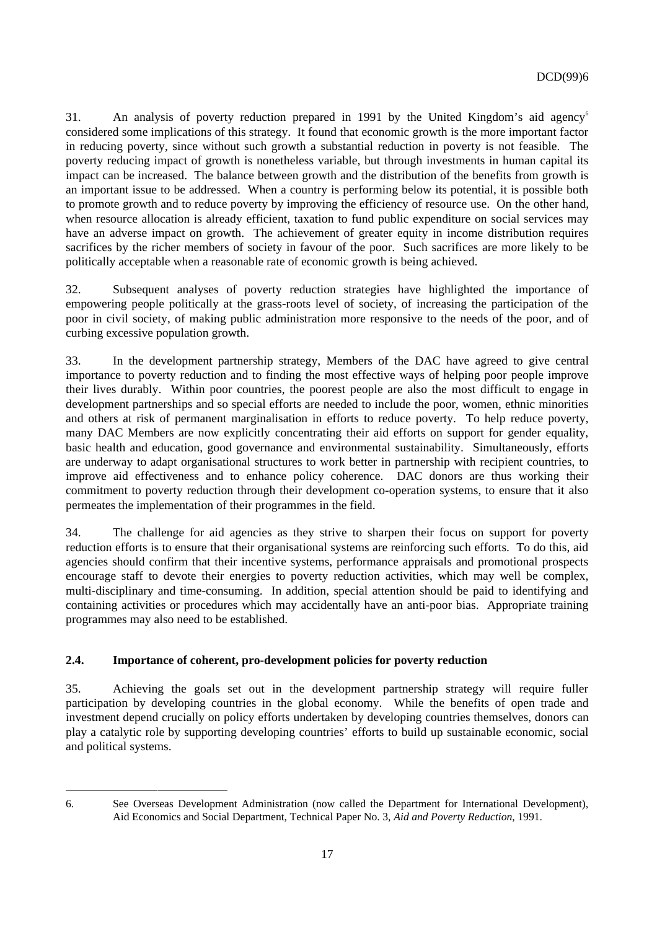31. An analysis of poverty reduction prepared in 1991 by the United Kingdom's aid agency<sup>6</sup> considered some implications of this strategy. It found that economic growth is the more important factor in reducing poverty, since without such growth a substantial reduction in poverty is not feasible. The poverty reducing impact of growth is nonetheless variable, but through investments in human capital its impact can be increased. The balance between growth and the distribution of the benefits from growth is an important issue to be addressed. When a country is performing below its potential, it is possible both to promote growth and to reduce poverty by improving the efficiency of resource use. On the other hand, when resource allocation is already efficient, taxation to fund public expenditure on social services may have an adverse impact on growth. The achievement of greater equity in income distribution requires sacrifices by the richer members of society in favour of the poor. Such sacrifices are more likely to be politically acceptable when a reasonable rate of economic growth is being achieved.

32. Subsequent analyses of poverty reduction strategies have highlighted the importance of empowering people politically at the grass-roots level of society, of increasing the participation of the poor in civil society, of making public administration more responsive to the needs of the poor, and of curbing excessive population growth.

33. In the development partnership strategy, Members of the DAC have agreed to give central importance to poverty reduction and to finding the most effective ways of helping poor people improve their lives durably. Within poor countries, the poorest people are also the most difficult to engage in development partnerships and so special efforts are needed to include the poor, women, ethnic minorities and others at risk of permanent marginalisation in efforts to reduce poverty. To help reduce poverty, many DAC Members are now explicitly concentrating their aid efforts on support for gender equality, basic health and education, good governance and environmental sustainability. Simultaneously, efforts are underway to adapt organisational structures to work better in partnership with recipient countries, to improve aid effectiveness and to enhance policy coherence. DAC donors are thus working their commitment to poverty reduction through their development co-operation systems, to ensure that it also permeates the implementation of their programmes in the field.

34. The challenge for aid agencies as they strive to sharpen their focus on support for poverty reduction efforts is to ensure that their organisational systems are reinforcing such efforts. To do this, aid agencies should confirm that their incentive systems, performance appraisals and promotional prospects encourage staff to devote their energies to poverty reduction activities, which may well be complex, multi-disciplinary and time-consuming. In addition, special attention should be paid to identifying and containing activities or procedures which may accidentally have an anti-poor bias. Appropriate training programmes may also need to be established.

### **2.4. Importance of coherent, pro-development policies for poverty reduction**

35. Achieving the goals set out in the development partnership strategy will require fuller participation by developing countries in the global economy. While the benefits of open trade and investment depend crucially on policy efforts undertaken by developing countries themselves, donors can play a catalytic role by supporting developing countries' efforts to build up sustainable economic, social and political systems.

<sup>-</sup>6. See Overseas Development Administration (now called the Department for International Development), Aid Economics and Social Department, Technical Paper No. 3, *Aid and Poverty Reduction*, 1991.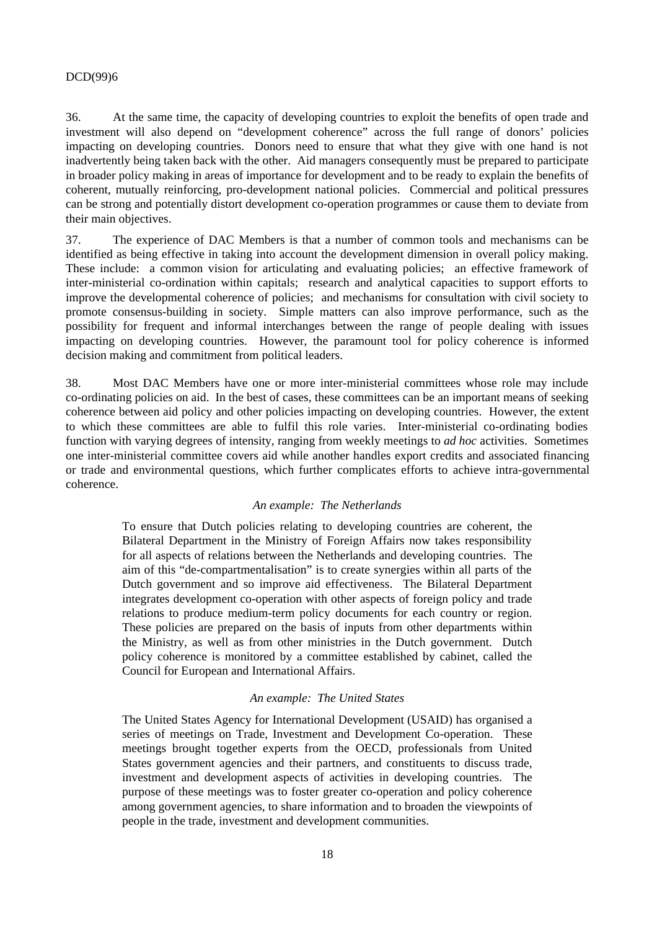36. At the same time, the capacity of developing countries to exploit the benefits of open trade and investment will also depend on "development coherence" across the full range of donors' policies impacting on developing countries. Donors need to ensure that what they give with one hand is not inadvertently being taken back with the other. Aid managers consequently must be prepared to participate in broader policy making in areas of importance for development and to be ready to explain the benefits of coherent, mutually reinforcing, pro-development national policies. Commercial and political pressures can be strong and potentially distort development co-operation programmes or cause them to deviate from their main objectives.

37. The experience of DAC Members is that a number of common tools and mechanisms can be identified as being effective in taking into account the development dimension in overall policy making. These include: a common vision for articulating and evaluating policies; an effective framework of inter-ministerial co-ordination within capitals; research and analytical capacities to support efforts to improve the developmental coherence of policies; and mechanisms for consultation with civil society to promote consensus-building in society. Simple matters can also improve performance, such as the possibility for frequent and informal interchanges between the range of people dealing with issues impacting on developing countries. However, the paramount tool for policy coherence is informed decision making and commitment from political leaders.

38. Most DAC Members have one or more inter-ministerial committees whose role may include co-ordinating policies on aid. In the best of cases, these committees can be an important means of seeking coherence between aid policy and other policies impacting on developing countries. However, the extent to which these committees are able to fulfil this role varies. Inter-ministerial co-ordinating bodies function with varying degrees of intensity, ranging from weekly meetings to *ad hoc* activities. Sometimes one inter-ministerial committee covers aid while another handles export credits and associated financing or trade and environmental questions, which further complicates efforts to achieve intra-governmental coherence.

#### *An example: The Netherlands*

To ensure that Dutch policies relating to developing countries are coherent, the Bilateral Department in the Ministry of Foreign Affairs now takes responsibility for all aspects of relations between the Netherlands and developing countries. The aim of this "de-compartmentalisation" is to create synergies within all parts of the Dutch government and so improve aid effectiveness. The Bilateral Department integrates development co-operation with other aspects of foreign policy and trade relations to produce medium-term policy documents for each country or region. These policies are prepared on the basis of inputs from other departments within the Ministry, as well as from other ministries in the Dutch government. Dutch policy coherence is monitored by a committee established by cabinet, called the Council for European and International Affairs.

### *An example: The United States*

The United States Agency for International Development (USAID) has organised a series of meetings on Trade, Investment and Development Co-operation. These meetings brought together experts from the OECD, professionals from United States government agencies and their partners, and constituents to discuss trade, investment and development aspects of activities in developing countries. The purpose of these meetings was to foster greater co-operation and policy coherence among government agencies, to share information and to broaden the viewpoints of people in the trade, investment and development communities.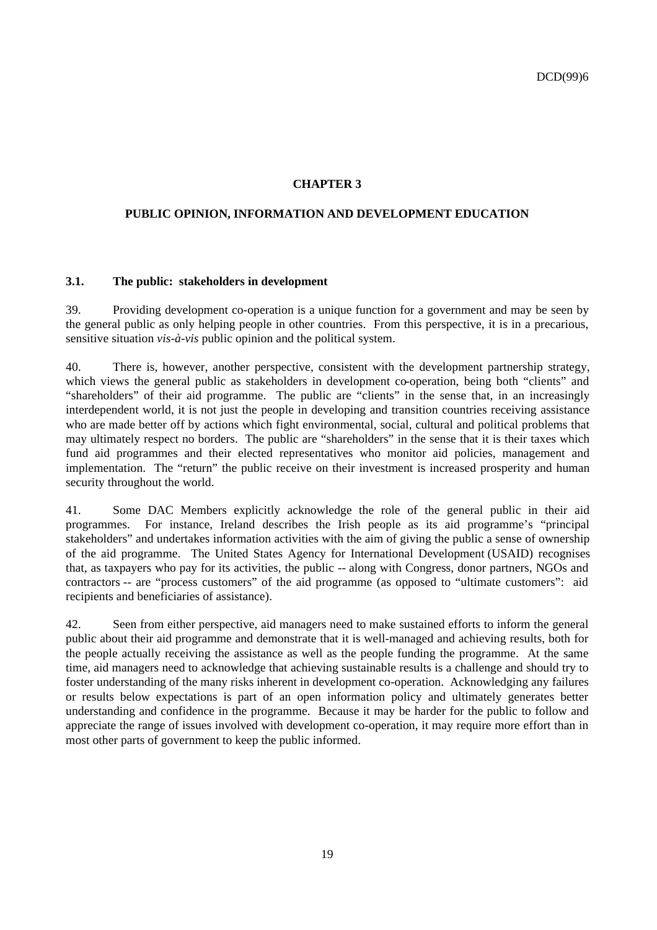## **CHAPTER 3**

### **PUBLIC OPINION, INFORMATION AND DEVELOPMENT EDUCATION**

#### **3.1. The public: stakeholders in development**

39. Providing development co-operation is a unique function for a government and may be seen by the general public as only helping people in other countries. From this perspective, it is in a precarious, sensitive situation *vis-à-vis* public opinion and the political system.

40. There is, however, another perspective, consistent with the development partnership strategy, which views the general public as stakeholders in development co-operation, being both "clients" and "shareholders" of their aid programme. The public are "clients" in the sense that, in an increasingly interdependent world, it is not just the people in developing and transition countries receiving assistance who are made better off by actions which fight environmental, social, cultural and political problems that may ultimately respect no borders. The public are "shareholders" in the sense that it is their taxes which fund aid programmes and their elected representatives who monitor aid policies, management and implementation. The "return" the public receive on their investment is increased prosperity and human security throughout the world.

41. Some DAC Members explicitly acknowledge the role of the general public in their aid programmes. For instance, Ireland describes the Irish people as its aid programme's "principal stakeholders" and undertakes information activities with the aim of giving the public a sense of ownership of the aid programme. The United States Agency for International Development (USAID) recognises that, as taxpayers who pay for its activities, the public -- along with Congress, donor partners, NGOs and contractors -- are "process customers" of the aid programme (as opposed to "ultimate customers": aid recipients and beneficiaries of assistance).

42. Seen from either perspective, aid managers need to make sustained efforts to inform the general public about their aid programme and demonstrate that it is well-managed and achieving results, both for the people actually receiving the assistance as well as the people funding the programme. At the same time, aid managers need to acknowledge that achieving sustainable results is a challenge and should try to foster understanding of the many risks inherent in development co-operation. Acknowledging any failures or results below expectations is part of an open information policy and ultimately generates better understanding and confidence in the programme. Because it may be harder for the public to follow and appreciate the range of issues involved with development co-operation, it may require more effort than in most other parts of government to keep the public informed.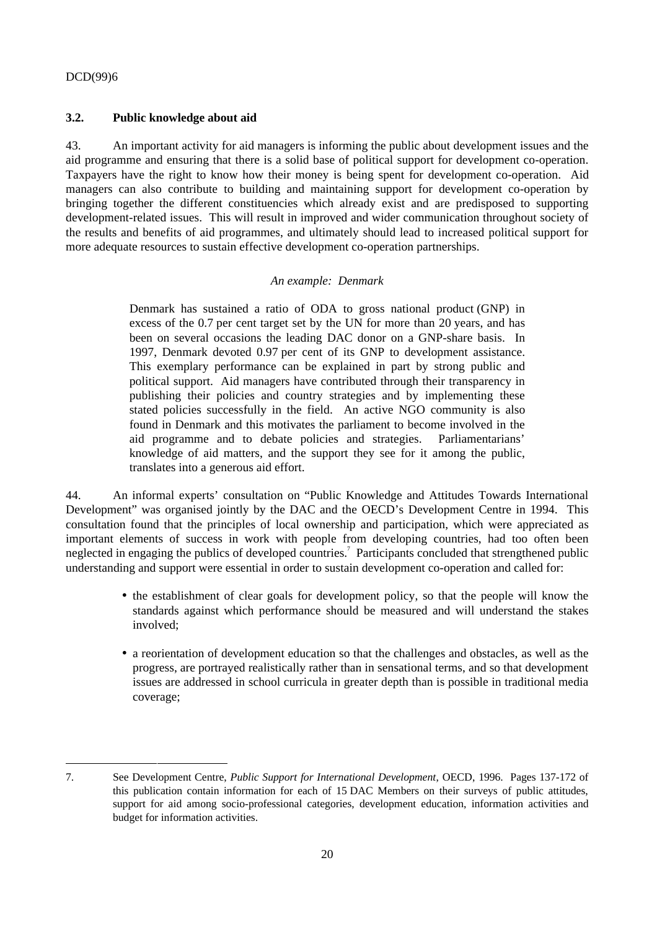## **3.2. Public knowledge about aid**

43. An important activity for aid managers is informing the public about development issues and the aid programme and ensuring that there is a solid base of political support for development co-operation. Taxpayers have the right to know how their money is being spent for development co-operation. Aid managers can also contribute to building and maintaining support for development co-operation by bringing together the different constituencies which already exist and are predisposed to supporting development-related issues. This will result in improved and wider communication throughout society of the results and benefits of aid programmes, and ultimately should lead to increased political support for more adequate resources to sustain effective development co-operation partnerships.

## *An example: Denmark*

Denmark has sustained a ratio of ODA to gross national product (GNP) in excess of the 0.7 per cent target set by the UN for more than 20 years, and has been on several occasions the leading DAC donor on a GNP-share basis. In 1997, Denmark devoted 0.97 per cent of its GNP to development assistance. This exemplary performance can be explained in part by strong public and political support. Aid managers have contributed through their transparency in publishing their policies and country strategies and by implementing these stated policies successfully in the field. An active NGO community is also found in Denmark and this motivates the parliament to become involved in the aid programme and to debate policies and strategies. Parliamentarians' knowledge of aid matters, and the support they see for it among the public, translates into a generous aid effort.

44. An informal experts' consultation on "Public Knowledge and Attitudes Towards International Development" was organised jointly by the DAC and the OECD's Development Centre in 1994. This consultation found that the principles of local ownership and participation, which were appreciated as important elements of success in work with people from developing countries, had too often been neglected in engaging the publics of developed countries.<sup>7</sup> Participants concluded that strengthened public understanding and support were essential in order to sustain development co-operation and called for:

- the establishment of clear goals for development policy, so that the people will know the standards against which performance should be measured and will understand the stakes involved;
- a reorientation of development education so that the challenges and obstacles, as well as the progress, are portrayed realistically rather than in sensational terms, and so that development issues are addressed in school curricula in greater depth than is possible in traditional media coverage;

<sup>-</sup>7. See Development Centre, *Public Support for International Development*, OECD, 1996. Pages 137-172 of this publication contain information for each of 15 DAC Members on their surveys of public attitudes, support for aid among socio-professional categories, development education, information activities and budget for information activities.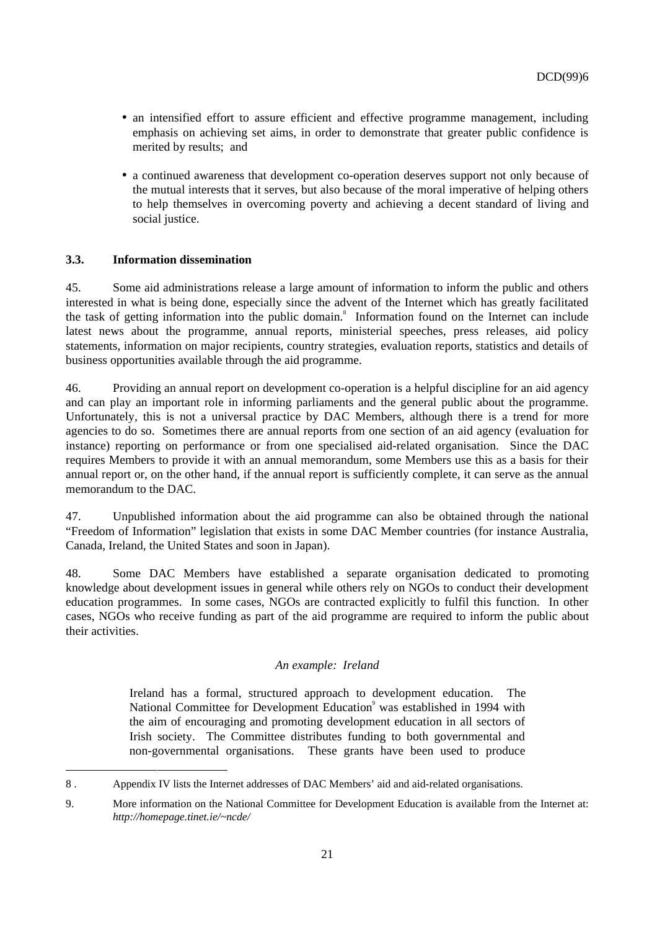- an intensified effort to assure efficient and effective programme management, including emphasis on achieving set aims, in order to demonstrate that greater public confidence is merited by results; and
- a continued awareness that development co-operation deserves support not only because of the mutual interests that it serves, but also because of the moral imperative of helping others to help themselves in overcoming poverty and achieving a decent standard of living and social justice.

## **3.3. Information dissemination**

1

45. Some aid administrations release a large amount of information to inform the public and others interested in what is being done, especially since the advent of the Internet which has greatly facilitated the task of getting information into the public domain.<sup>8</sup> Information found on the Internet can include latest news about the programme, annual reports, ministerial speeches, press releases, aid policy statements, information on major recipients, country strategies, evaluation reports, statistics and details of business opportunities available through the aid programme.

46. Providing an annual report on development co-operation is a helpful discipline for an aid agency and can play an important role in informing parliaments and the general public about the programme. Unfortunately, this is not a universal practice by DAC Members, although there is a trend for more agencies to do so. Sometimes there are annual reports from one section of an aid agency (evaluation for instance) reporting on performance or from one specialised aid-related organisation. Since the DAC requires Members to provide it with an annual memorandum, some Members use this as a basis for their annual report or, on the other hand, if the annual report is sufficiently complete, it can serve as the annual memorandum to the DAC.

47. Unpublished information about the aid programme can also be obtained through the national "Freedom of Information" legislation that exists in some DAC Member countries (for instance Australia, Canada, Ireland, the United States and soon in Japan).

48. Some DAC Members have established a separate organisation dedicated to promoting knowledge about development issues in general while others rely on NGOs to conduct their development education programmes. In some cases, NGOs are contracted explicitly to fulfil this function. In other cases, NGOs who receive funding as part of the aid programme are required to inform the public about their activities.

### *An example: Ireland*

Ireland has a formal, structured approach to development education. The National Committee for Development Education<sup>9</sup> was established in 1994 with the aim of encouraging and promoting development education in all sectors of Irish society. The Committee distributes funding to both governmental and non-governmental organisations. These grants have been used to produce

<sup>8 .</sup> Appendix IV lists the Internet addresses of DAC Members' aid and aid-related organisations.

<sup>9.</sup> More information on the National Committee for Development Education is available from the Internet at: *http://homepage.tinet.ie/~ncde/*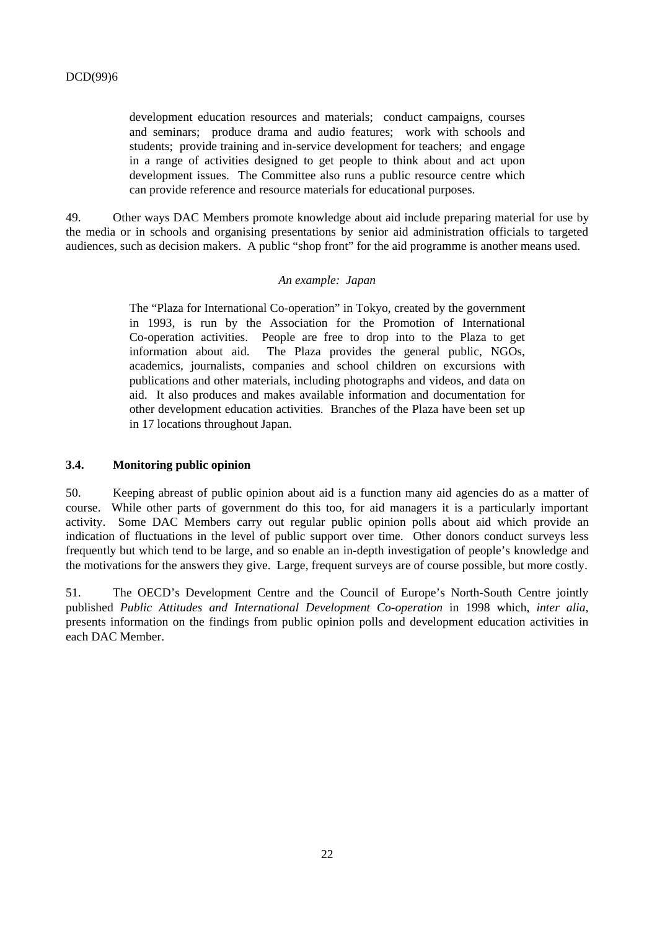development education resources and materials; conduct campaigns, courses and seminars; produce drama and audio features; work with schools and students; provide training and in-service development for teachers; and engage in a range of activities designed to get people to think about and act upon development issues. The Committee also runs a public resource centre which can provide reference and resource materials for educational purposes.

49. Other ways DAC Members promote knowledge about aid include preparing material for use by the media or in schools and organising presentations by senior aid administration officials to targeted audiences, such as decision makers. A public "shop front" for the aid programme is another means used.

#### *An example: Japan*

The "Plaza for International Co-operation" in Tokyo, created by the government in 1993, is run by the Association for the Promotion of International Co-operation activities. People are free to drop into to the Plaza to get information about aid. The Plaza provides the general public, NGOs, academics, journalists, companies and school children on excursions with publications and other materials, including photographs and videos, and data on aid. It also produces and makes available information and documentation for other development education activities. Branches of the Plaza have been set up in 17 locations throughout Japan.

#### **3.4. Monitoring public opinion**

50. Keeping abreast of public opinion about aid is a function many aid agencies do as a matter of course. While other parts of government do this too, for aid managers it is a particularly important activity. Some DAC Members carry out regular public opinion polls about aid which provide an indication of fluctuations in the level of public support over time. Other donors conduct surveys less frequently but which tend to be large, and so enable an in-depth investigation of people's knowledge and the motivations for the answers they give. Large, frequent surveys are of course possible, but more costly.

51. The OECD's Development Centre and the Council of Europe's North-South Centre jointly published *Public Attitudes and International Development Co-operation* in 1998 which, *inter alia*, presents information on the findings from public opinion polls and development education activities in each DAC Member.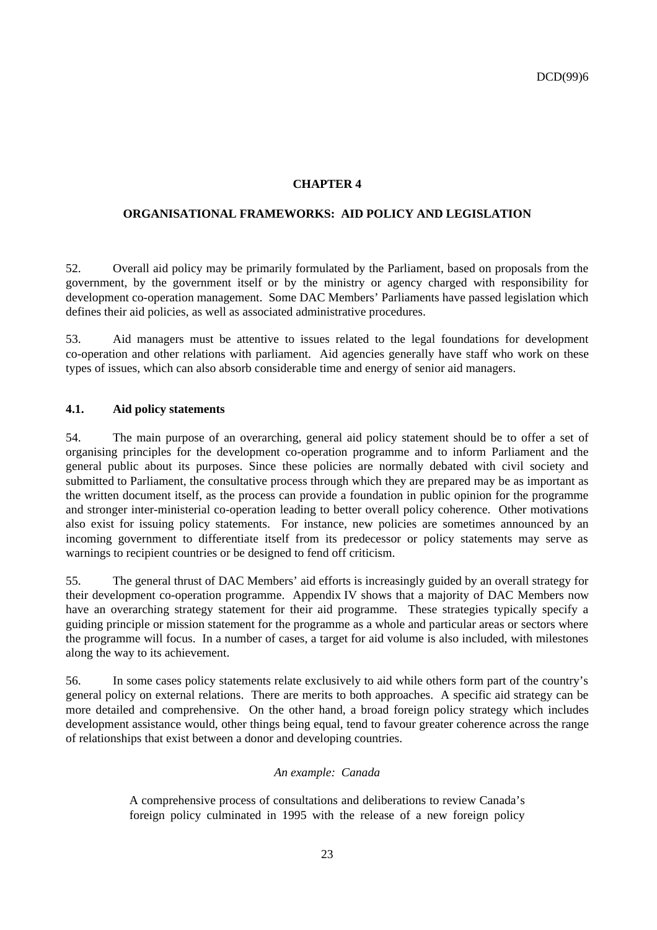## **CHAPTER 4**

## **ORGANISATIONAL FRAMEWORKS: AID POLICY AND LEGISLATION**

52. Overall aid policy may be primarily formulated by the Parliament, based on proposals from the government, by the government itself or by the ministry or agency charged with responsibility for development co-operation management. Some DAC Members' Parliaments have passed legislation which defines their aid policies, as well as associated administrative procedures.

53. Aid managers must be attentive to issues related to the legal foundations for development co-operation and other relations with parliament. Aid agencies generally have staff who work on these types of issues, which can also absorb considerable time and energy of senior aid managers.

#### **4.1. Aid policy statements**

54. The main purpose of an overarching, general aid policy statement should be to offer a set of organising principles for the development co-operation programme and to inform Parliament and the general public about its purposes. Since these policies are normally debated with civil society and submitted to Parliament, the consultative process through which they are prepared may be as important as the written document itself, as the process can provide a foundation in public opinion for the programme and stronger inter-ministerial co-operation leading to better overall policy coherence. Other motivations also exist for issuing policy statements. For instance, new policies are sometimes announced by an incoming government to differentiate itself from its predecessor or policy statements may serve as warnings to recipient countries or be designed to fend off criticism.

55. The general thrust of DAC Members' aid efforts is increasingly guided by an overall strategy for their development co-operation programme. Appendix IV shows that a majority of DAC Members now have an overarching strategy statement for their aid programme. These strategies typically specify a guiding principle or mission statement for the programme as a whole and particular areas or sectors where the programme will focus. In a number of cases, a target for aid volume is also included, with milestones along the way to its achievement.

56. In some cases policy statements relate exclusively to aid while others form part of the country's general policy on external relations. There are merits to both approaches. A specific aid strategy can be more detailed and comprehensive. On the other hand, a broad foreign policy strategy which includes development assistance would, other things being equal, tend to favour greater coherence across the range of relationships that exist between a donor and developing countries.

#### *An example: Canada*

A comprehensive process of consultations and deliberations to review Canada's foreign policy culminated in 1995 with the release of a new foreign policy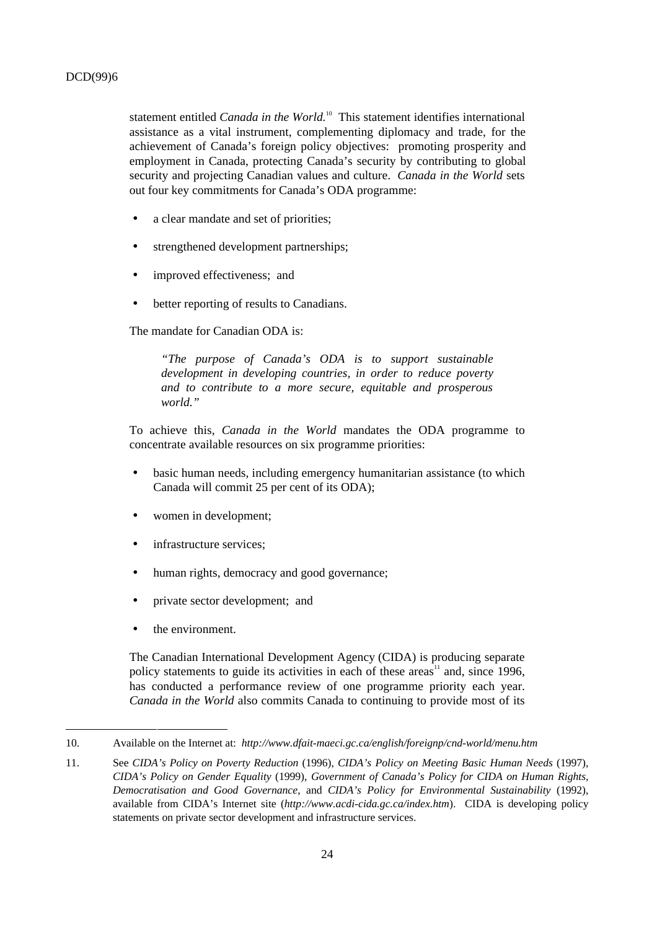statement entitled *Canada in the World*.<sup>10</sup> This statement identifies international assistance as a vital instrument, complementing diplomacy and trade, for the achievement of Canada's foreign policy objectives: promoting prosperity and employment in Canada, protecting Canada's security by contributing to global security and projecting Canadian values and culture. *Canada in the World* sets out four key commitments for Canada's ODA programme:

- a clear mandate and set of priorities;
- strengthened development partnerships;
- improved effectiveness: and
- better reporting of results to Canadians.

The mandate for Canadian ODA is:

*"The purpose of Canada's ODA is to support sustainable development in developing countries, in order to reduce poverty and to contribute to a more secure, equitable and prosperous world."*

To achieve this, *Canada in the World* mandates the ODA programme to concentrate available resources on six programme priorities:

- basic human needs, including emergency humanitarian assistance (to which Canada will commit 25 per cent of its ODA);
- women in development;
- infrastructure services;
- human rights, democracy and good governance;
- private sector development; and
- the environment.

-

The Canadian International Development Agency (CIDA) is producing separate policy statements to guide its activities in each of these  $area<sup>11</sup>$  and, since 1996, has conducted a performance review of one programme priority each year. *Canada in the World* also commits Canada to continuing to provide most of its

<sup>10.</sup> Available on the Internet at: *http://www.dfait-maeci.gc.ca/english/foreignp/cnd-world/menu.htm*

<sup>11.</sup> See *CIDA's Policy on Poverty Reduction* (1996), *CIDA's Policy on Meeting Basic Human Needs* (1997), *CIDA's Policy on Gender Equality* (1999), *Government of Canada's Policy for CIDA on Human Rights, Democratisation and Good Governance*, and *CIDA's Policy for Environmental Sustainability* (1992), available from CIDA's Internet site (*http://www.acdi-cida.gc.ca/index.htm*). CIDA is developing policy statements on private sector development and infrastructure services.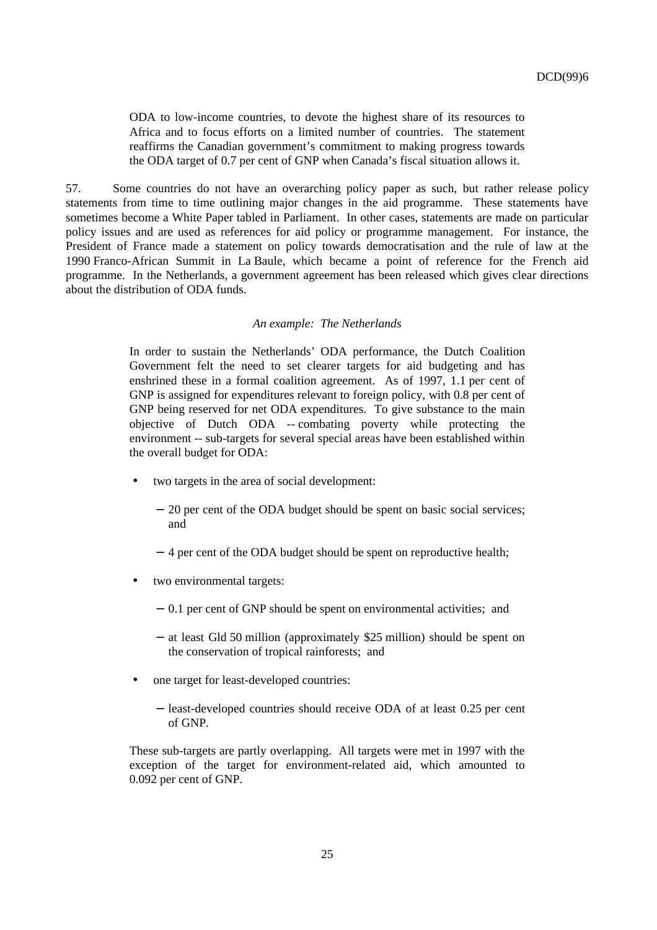ODA to low-income countries, to devote the highest share of its resources to Africa and to focus efforts on a limited number of countries. The statement reaffirms the Canadian government's commitment to making progress towards the ODA target of 0.7 per cent of GNP when Canada's fiscal situation allows it.

57. Some countries do not have an overarching policy paper as such, but rather release policy statements from time to time outlining major changes in the aid programme. These statements have sometimes become a White Paper tabled in Parliament. In other cases, statements are made on particular policy issues and are used as references for aid policy or programme management. For instance, the President of France made a statement on policy towards democratisation and the rule of law at the 1990 Franco-African Summit in La Baule, which became a point of reference for the French aid programme. In the Netherlands, a government agreement has been released which gives clear directions about the distribution of ODA funds.

#### *An example: The Netherlands*

In order to sustain the Netherlands' ODA performance, the Dutch Coalition Government felt the need to set clearer targets for aid budgeting and has enshrined these in a formal coalition agreement. As of 1997, 1.1 per cent of GNP is assigned for expenditures relevant to foreign policy, with 0.8 per cent of GNP being reserved for net ODA expenditures. To give substance to the main objective of Dutch ODA -- combating poverty while protecting the environment -- sub-targets for several special areas have been established within the overall budget for ODA:

- two targets in the area of social development:
	- − 20 per cent of the ODA budget should be spent on basic social services; and
	- − 4 per cent of the ODA budget should be spent on reproductive health;
- two environmental targets:
	- − 0.1 per cent of GNP should be spent on environmental activities; and
	- − at least Gld 50 million (approximately \$25 million) should be spent on the conservation of tropical rainforests; and
- one target for least-developed countries:
	- − least-developed countries should receive ODA of at least 0.25 per cent of GNP.

These sub-targets are partly overlapping. All targets were met in 1997 with the exception of the target for environment-related aid, which amounted to 0.092 per cent of GNP.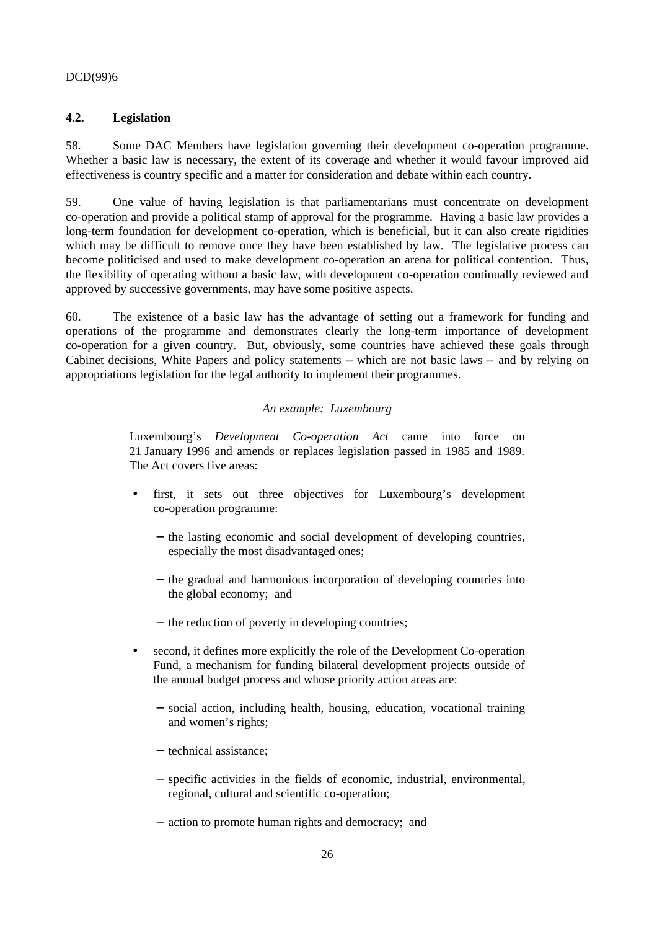## **4.2. Legislation**

58. Some DAC Members have legislation governing their development co-operation programme. Whether a basic law is necessary, the extent of its coverage and whether it would favour improved aid effectiveness is country specific and a matter for consideration and debate within each country.

59. One value of having legislation is that parliamentarians must concentrate on development co-operation and provide a political stamp of approval for the programme. Having a basic law provides a long-term foundation for development co-operation, which is beneficial, but it can also create rigidities which may be difficult to remove once they have been established by law. The legislative process can become politicised and used to make development co-operation an arena for political contention. Thus, the flexibility of operating without a basic law, with development co-operation continually reviewed and approved by successive governments, may have some positive aspects.

60. The existence of a basic law has the advantage of setting out a framework for funding and operations of the programme and demonstrates clearly the long-term importance of development co-operation for a given country. But, obviously, some countries have achieved these goals through Cabinet decisions, White Papers and policy statements -- which are not basic laws -- and by relying on appropriations legislation for the legal authority to implement their programmes.

## *An example: Luxembourg*

Luxembourg's *Development Co-operation Act* came into force on 21 January 1996 and amends or replaces legislation passed in 1985 and 1989. The Act covers five areas:

- first, it sets out three objectives for Luxembourg's development co-operation programme:
	- − the lasting economic and social development of developing countries, especially the most disadvantaged ones;
	- − the gradual and harmonious incorporation of developing countries into the global economy; and
	- − the reduction of poverty in developing countries;
- second, it defines more explicitly the role of the Development Co-operation Fund, a mechanism for funding bilateral development projects outside of the annual budget process and whose priority action areas are:
	- − social action, including health, housing, education, vocational training and women's rights;
	- − technical assistance;
	- − specific activities in the fields of economic, industrial, environmental, regional, cultural and scientific co-operation;
	- − action to promote human rights and democracy; and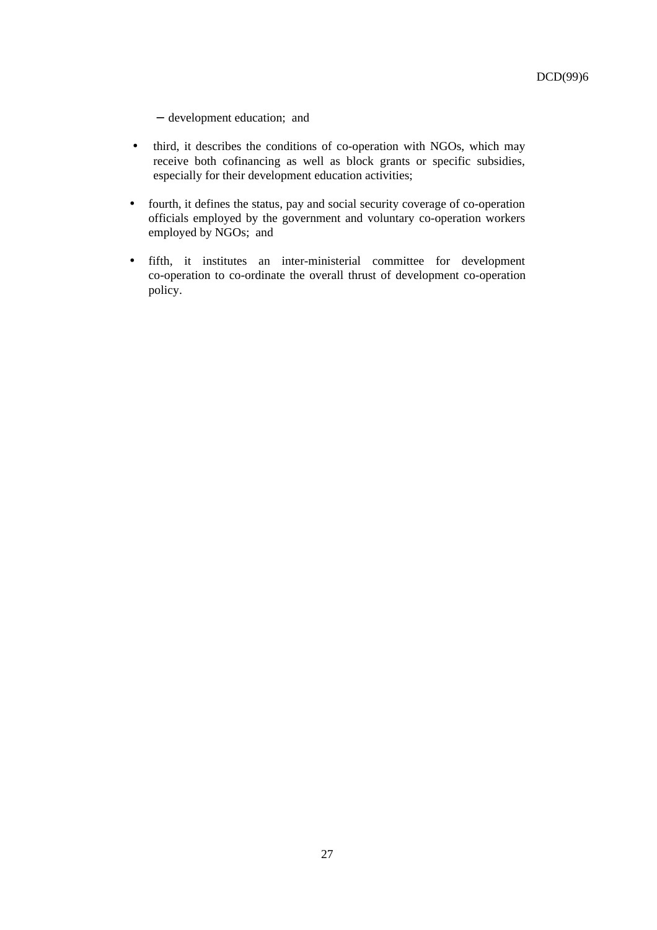- − development education; and
- third, it describes the conditions of co-operation with NGOs, which may receive both cofinancing as well as block grants or specific subsidies, especially for their development education activities;
- fourth, it defines the status, pay and social security coverage of co-operation officials employed by the government and voluntary co-operation workers employed by NGOs; and
- fifth, it institutes an inter-ministerial committee for development co-operation to co-ordinate the overall thrust of development co-operation policy.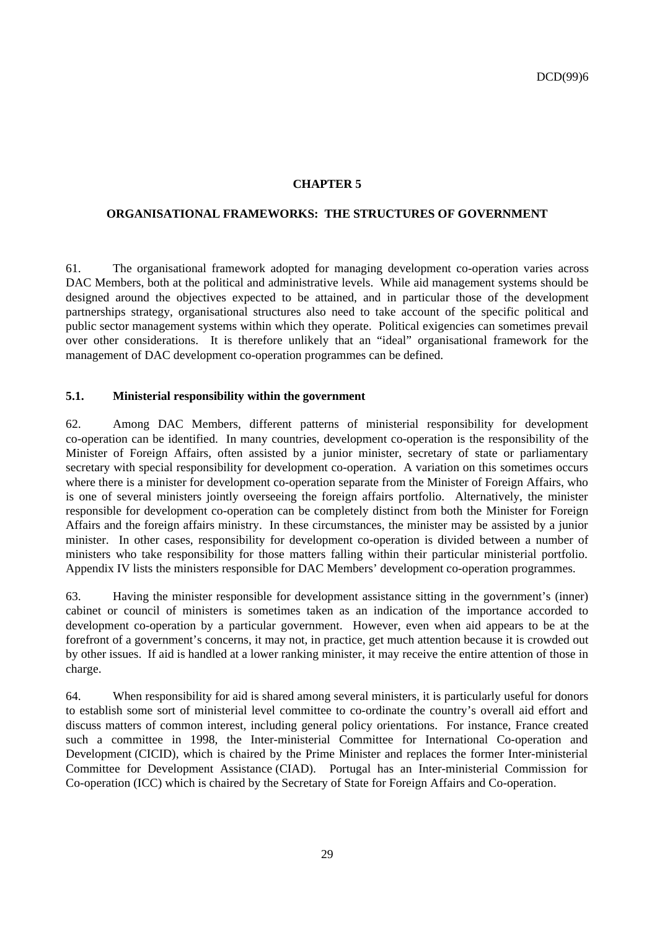### **CHAPTER 5**

## **ORGANISATIONAL FRAMEWORKS: THE STRUCTURES OF GOVERNMENT**

61. The organisational framework adopted for managing development co-operation varies across DAC Members, both at the political and administrative levels. While aid management systems should be designed around the objectives expected to be attained, and in particular those of the development partnerships strategy, organisational structures also need to take account of the specific political and public sector management systems within which they operate. Political exigencies can sometimes prevail over other considerations. It is therefore unlikely that an "ideal" organisational framework for the management of DAC development co-operation programmes can be defined.

## **5.1. Ministerial responsibility within the government**

62. Among DAC Members, different patterns of ministerial responsibility for development co-operation can be identified. In many countries, development co-operation is the responsibility of the Minister of Foreign Affairs, often assisted by a junior minister, secretary of state or parliamentary secretary with special responsibility for development co-operation. A variation on this sometimes occurs where there is a minister for development co-operation separate from the Minister of Foreign Affairs, who is one of several ministers jointly overseeing the foreign affairs portfolio. Alternatively, the minister responsible for development co-operation can be completely distinct from both the Minister for Foreign Affairs and the foreign affairs ministry. In these circumstances, the minister may be assisted by a junior minister. In other cases, responsibility for development co-operation is divided between a number of ministers who take responsibility for those matters falling within their particular ministerial portfolio. Appendix IV lists the ministers responsible for DAC Members' development co-operation programmes.

63. Having the minister responsible for development assistance sitting in the government's (inner) cabinet or council of ministers is sometimes taken as an indication of the importance accorded to development co-operation by a particular government. However, even when aid appears to be at the forefront of a government's concerns, it may not, in practice, get much attention because it is crowded out by other issues. If aid is handled at a lower ranking minister, it may receive the entire attention of those in charge.

64. When responsibility for aid is shared among several ministers, it is particularly useful for donors to establish some sort of ministerial level committee to co-ordinate the country's overall aid effort and discuss matters of common interest, including general policy orientations. For instance, France created such a committee in 1998, the Inter-ministerial Committee for International Co-operation and Development (CICID), which is chaired by the Prime Minister and replaces the former Inter-ministerial Committee for Development Assistance (CIAD). Portugal has an Inter-ministerial Commission for Co-operation (ICC) which is chaired by the Secretary of State for Foreign Affairs and Co-operation.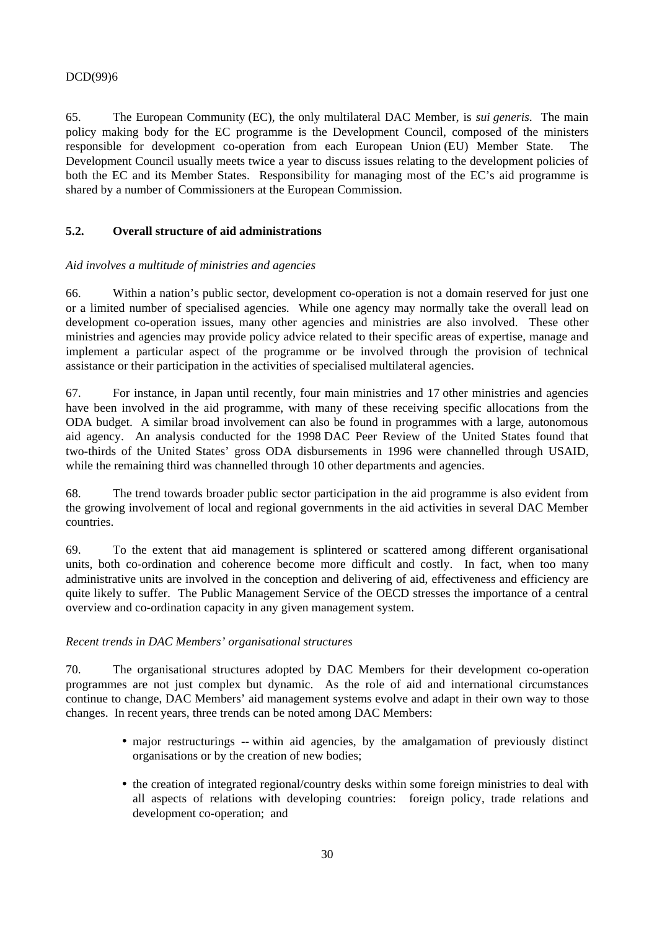65. The European Community (EC), the only multilateral DAC Member, is *sui generis*. The main policy making body for the EC programme is the Development Council, composed of the ministers responsible for development co-operation from each European Union (EU) Member State. The Development Council usually meets twice a year to discuss issues relating to the development policies of both the EC and its Member States. Responsibility for managing most of the EC's aid programme is shared by a number of Commissioners at the European Commission.

## **5.2. Overall structure of aid administrations**

## *Aid involves a multitude of ministries and agencies*

66. Within a nation's public sector, development co-operation is not a domain reserved for just one or a limited number of specialised agencies. While one agency may normally take the overall lead on development co-operation issues, many other agencies and ministries are also involved. These other ministries and agencies may provide policy advice related to their specific areas of expertise, manage and implement a particular aspect of the programme or be involved through the provision of technical assistance or their participation in the activities of specialised multilateral agencies.

67. For instance, in Japan until recently, four main ministries and 17 other ministries and agencies have been involved in the aid programme, with many of these receiving specific allocations from the ODA budget. A similar broad involvement can also be found in programmes with a large, autonomous aid agency. An analysis conducted for the 1998 DAC Peer Review of the United States found that two-thirds of the United States' gross ODA disbursements in 1996 were channelled through USAID, while the remaining third was channelled through 10 other departments and agencies.

68. The trend towards broader public sector participation in the aid programme is also evident from the growing involvement of local and regional governments in the aid activities in several DAC Member countries.

69. To the extent that aid management is splintered or scattered among different organisational units, both co-ordination and coherence become more difficult and costly. In fact, when too many administrative units are involved in the conception and delivering of aid, effectiveness and efficiency are quite likely to suffer. The Public Management Service of the OECD stresses the importance of a central overview and co-ordination capacity in any given management system.

### *Recent trends in DAC Members' organisational structures*

70. The organisational structures adopted by DAC Members for their development co-operation programmes are not just complex but dynamic. As the role of aid and international circumstances continue to change, DAC Members' aid management systems evolve and adapt in their own way to those changes. In recent years, three trends can be noted among DAC Members:

- major restructurings -- within aid agencies, by the amalgamation of previously distinct organisations or by the creation of new bodies;
- the creation of integrated regional/country desks within some foreign ministries to deal with all aspects of relations with developing countries: foreign policy, trade relations and development co-operation; and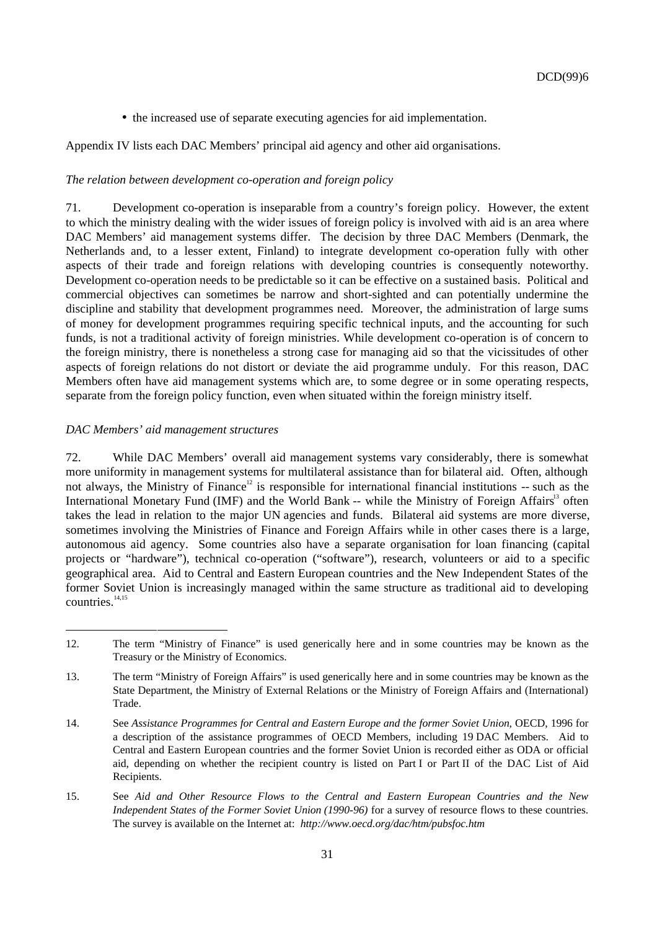• the increased use of separate executing agencies for aid implementation.

Appendix IV lists each DAC Members' principal aid agency and other aid organisations.

#### *The relation between development co-operation and foreign policy*

71. Development co-operation is inseparable from a country's foreign policy. However, the extent to which the ministry dealing with the wider issues of foreign policy is involved with aid is an area where DAC Members' aid management systems differ. The decision by three DAC Members (Denmark, the Netherlands and, to a lesser extent, Finland) to integrate development co-operation fully with other aspects of their trade and foreign relations with developing countries is consequently noteworthy. Development co-operation needs to be predictable so it can be effective on a sustained basis. Political and commercial objectives can sometimes be narrow and short-sighted and can potentially undermine the discipline and stability that development programmes need. Moreover, the administration of large sums of money for development programmes requiring specific technical inputs, and the accounting for such funds, is not a traditional activity of foreign ministries. While development co-operation is of concern to the foreign ministry, there is nonetheless a strong case for managing aid so that the vicissitudes of other aspects of foreign relations do not distort or deviate the aid programme unduly. For this reason, DAC Members often have aid management systems which are, to some degree or in some operating respects, separate from the foreign policy function, even when situated within the foreign ministry itself.

#### *DAC Members' aid management structures*

1

72. While DAC Members' overall aid management systems vary considerably, there is somewhat more uniformity in management systems for multilateral assistance than for bilateral aid. Often, although not always, the Ministry of Finance<sup>12</sup> is responsible for international financial institutions -- such as the International Monetary Fund (IMF) and the World Bank -- while the Ministry of Foreign Affairs<sup>13</sup> often takes the lead in relation to the major UN agencies and funds. Bilateral aid systems are more diverse, sometimes involving the Ministries of Finance and Foreign Affairs while in other cases there is a large, autonomous aid agency. Some countries also have a separate organisation for loan financing (capital projects or "hardware"), technical co-operation ("software"), research, volunteers or aid to a specific geographical area. Aid to Central and Eastern European countries and the New Independent States of the former Soviet Union is increasingly managed within the same structure as traditional aid to developing  $countries$ <sup>14,15</sup>

15. See *Aid and Other Resource Flows to the Central and Eastern European Countries and the New Independent States of the Former Soviet Union (1990-96)* for a survey of resource flows to these countries. The survey is available on the Internet at: *http://www.oecd.org/dac/htm/pubsfoc.htm*

<sup>12.</sup> The term "Ministry of Finance" is used generically here and in some countries may be known as the Treasury or the Ministry of Economics.

<sup>13.</sup> The term "Ministry of Foreign Affairs" is used generically here and in some countries may be known as the State Department, the Ministry of External Relations or the Ministry of Foreign Affairs and (International) Trade.

<sup>14.</sup> See *Assistance Programmes for Central and Eastern Europe and the former Soviet Union*, OECD, 1996 for a description of the assistance programmes of OECD Members, including 19 DAC Members. Aid to Central and Eastern European countries and the former Soviet Union is recorded either as ODA or official aid, depending on whether the recipient country is listed on Part I or Part II of the DAC List of Aid Recipients.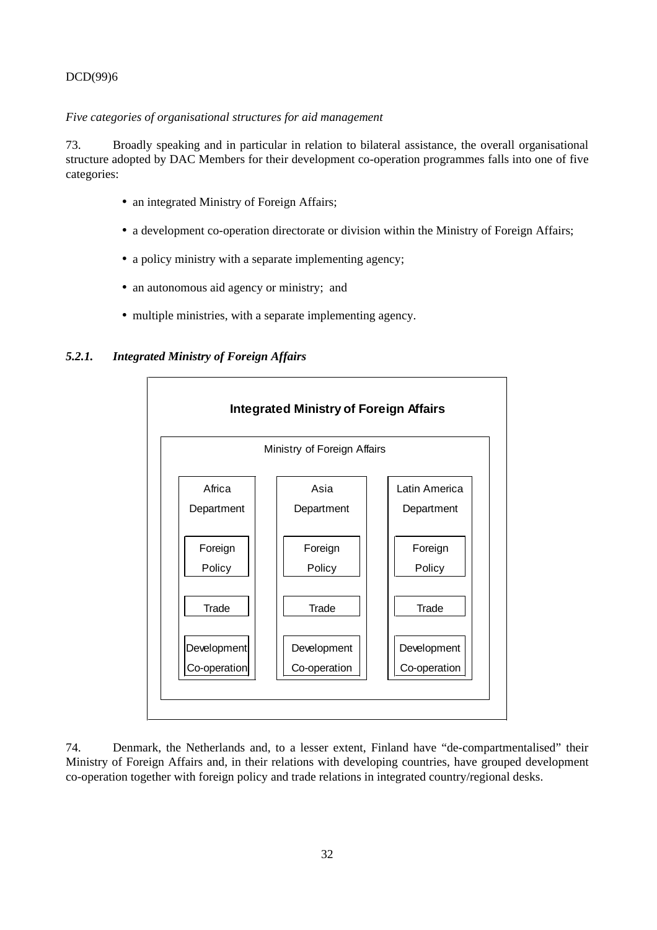### *Five categories of organisational structures for aid management*

73. Broadly speaking and in particular in relation to bilateral assistance, the overall organisational structure adopted by DAC Members for their development co-operation programmes falls into one of five categories:

- an integrated Ministry of Foreign Affairs;
- a development co-operation directorate or division within the Ministry of Foreign Affairs;
- a policy ministry with a separate implementing agency;
- an autonomous aid agency or ministry; and
- multiple ministries, with a separate implementing agency.

## *5.2.1. Integrated Ministry of Foreign Affairs*



74. Denmark, the Netherlands and, to a lesser extent, Finland have "de-compartmentalised" their Ministry of Foreign Affairs and, in their relations with developing countries, have grouped development co-operation together with foreign policy and trade relations in integrated country/regional desks.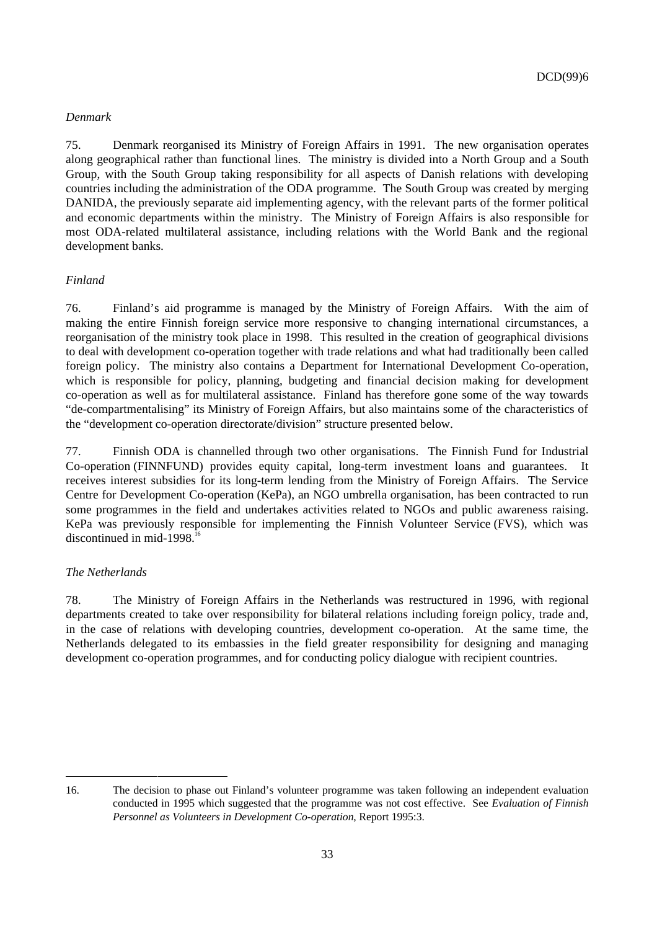## *Denmark*

75. Denmark reorganised its Ministry of Foreign Affairs in 1991. The new organisation operates along geographical rather than functional lines. The ministry is divided into a North Group and a South Group, with the South Group taking responsibility for all aspects of Danish relations with developing countries including the administration of the ODA programme. The South Group was created by merging DANIDA, the previously separate aid implementing agency, with the relevant parts of the former political and economic departments within the ministry. The Ministry of Foreign Affairs is also responsible for most ODA-related multilateral assistance, including relations with the World Bank and the regional development banks.

## *Finland*

76. Finland's aid programme is managed by the Ministry of Foreign Affairs. With the aim of making the entire Finnish foreign service more responsive to changing international circumstances, a reorganisation of the ministry took place in 1998. This resulted in the creation of geographical divisions to deal with development co-operation together with trade relations and what had traditionally been called foreign policy. The ministry also contains a Department for International Development Co-operation, which is responsible for policy, planning, budgeting and financial decision making for development co-operation as well as for multilateral assistance. Finland has therefore gone some of the way towards "de-compartmentalising" its Ministry of Foreign Affairs, but also maintains some of the characteristics of the "development co-operation directorate/division" structure presented below.

77. Finnish ODA is channelled through two other organisations. The Finnish Fund for Industrial Co-operation (FINNFUND) provides equity capital, long-term investment loans and guarantees. It receives interest subsidies for its long-term lending from the Ministry of Foreign Affairs. The Service Centre for Development Co-operation (KePa), an NGO umbrella organisation, has been contracted to run some programmes in the field and undertakes activities related to NGOs and public awareness raising. KePa was previously responsible for implementing the Finnish Volunteer Service (FVS), which was discontinued in mid-1998. $^{16}$ 

## *The Netherlands*

78. The Ministry of Foreign Affairs in the Netherlands was restructured in 1996, with regional departments created to take over responsibility for bilateral relations including foreign policy, trade and, in the case of relations with developing countries, development co-operation. At the same time, the Netherlands delegated to its embassies in the field greater responsibility for designing and managing development co-operation programmes, and for conducting policy dialogue with recipient countries.

-

<sup>16.</sup> The decision to phase out Finland's volunteer programme was taken following an independent evaluation conducted in 1995 which suggested that the programme was not cost effective. See *Evaluation of Finnish Personnel as Volunteers in Development Co-operation*, Report 1995:3.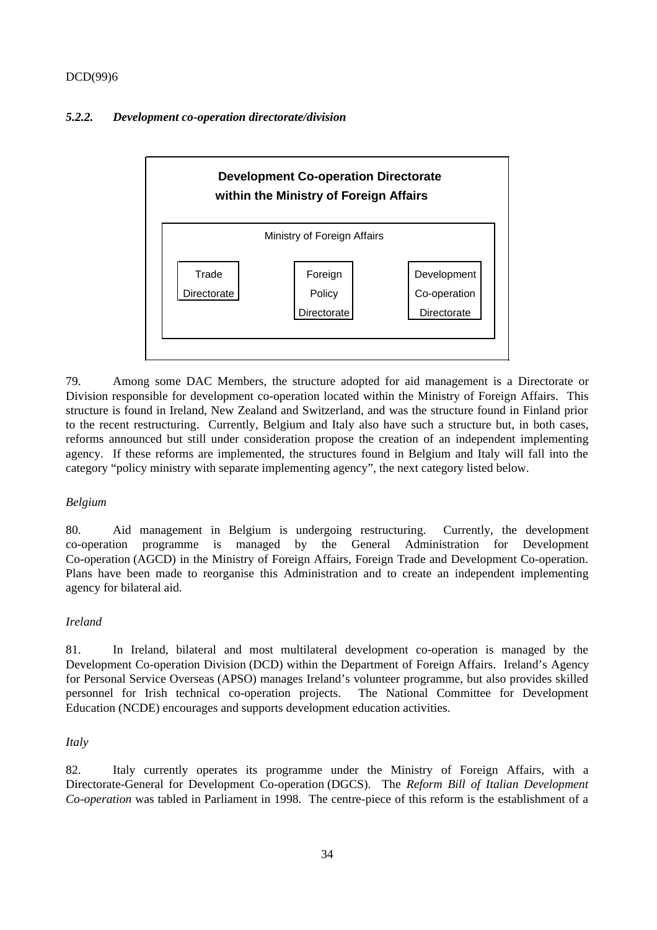## *5.2.2. Development co-operation directorate/division*



79. Among some DAC Members, the structure adopted for aid management is a Directorate or Division responsible for development co-operation located within the Ministry of Foreign Affairs. This structure is found in Ireland, New Zealand and Switzerland, and was the structure found in Finland prior to the recent restructuring. Currently, Belgium and Italy also have such a structure but, in both cases, reforms announced but still under consideration propose the creation of an independent implementing agency. If these reforms are implemented, the structures found in Belgium and Italy will fall into the category "policy ministry with separate implementing agency", the next category listed below.

## *Belgium*

80. Aid management in Belgium is undergoing restructuring. Currently, the development co-operation programme is managed by the General Administration for Development Co-operation (AGCD) in the Ministry of Foreign Affairs, Foreign Trade and Development Co-operation. Plans have been made to reorganise this Administration and to create an independent implementing agency for bilateral aid.

## *Ireland*

81. In Ireland, bilateral and most multilateral development co-operation is managed by the Development Co-operation Division (DCD) within the Department of Foreign Affairs. Ireland's Agency for Personal Service Overseas (APSO) manages Ireland's volunteer programme, but also provides skilled personnel for Irish technical co-operation projects. The National Committee for Development Education (NCDE) encourages and supports development education activities.

## *Italy*

82. Italy currently operates its programme under the Ministry of Foreign Affairs, with a Directorate-General for Development Co-operation (DGCS). The *Reform Bill of Italian Development Co-operation* was tabled in Parliament in 1998. The centre-piece of this reform is the establishment of a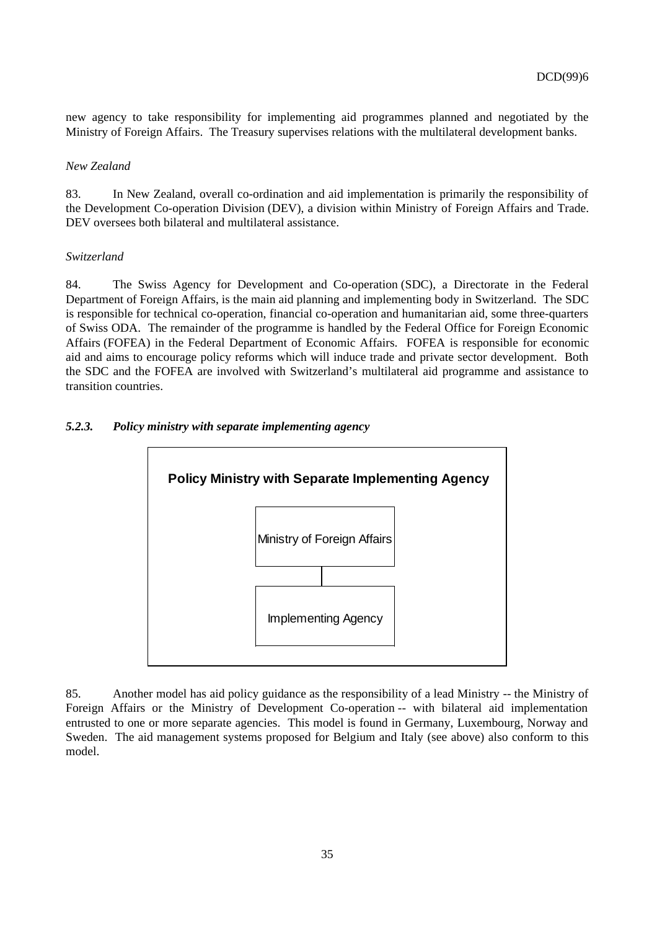new agency to take responsibility for implementing aid programmes planned and negotiated by the Ministry of Foreign Affairs. The Treasury supervises relations with the multilateral development banks.

#### *New Zealand*

83. In New Zealand, overall co-ordination and aid implementation is primarily the responsibility of the Development Co-operation Division (DEV), a division within Ministry of Foreign Affairs and Trade. DEV oversees both bilateral and multilateral assistance.

#### *Switzerland*

84. The Swiss Agency for Development and Co-operation (SDC), a Directorate in the Federal Department of Foreign Affairs, is the main aid planning and implementing body in Switzerland. The SDC is responsible for technical co-operation, financial co-operation and humanitarian aid, some three-quarters of Swiss ODA. The remainder of the programme is handled by the Federal Office for Foreign Economic Affairs (FOFEA) in the Federal Department of Economic Affairs. FOFEA is responsible for economic aid and aims to encourage policy reforms which will induce trade and private sector development. Both the SDC and the FOFEA are involved with Switzerland's multilateral aid programme and assistance to transition countries.

### *5.2.3. Policy ministry with separate implementing agency*



85. Another model has aid policy guidance as the responsibility of a lead Ministry -- the Ministry of Foreign Affairs or the Ministry of Development Co-operation -- with bilateral aid implementation entrusted to one or more separate agencies. This model is found in Germany, Luxembourg, Norway and Sweden. The aid management systems proposed for Belgium and Italy (see above) also conform to this model.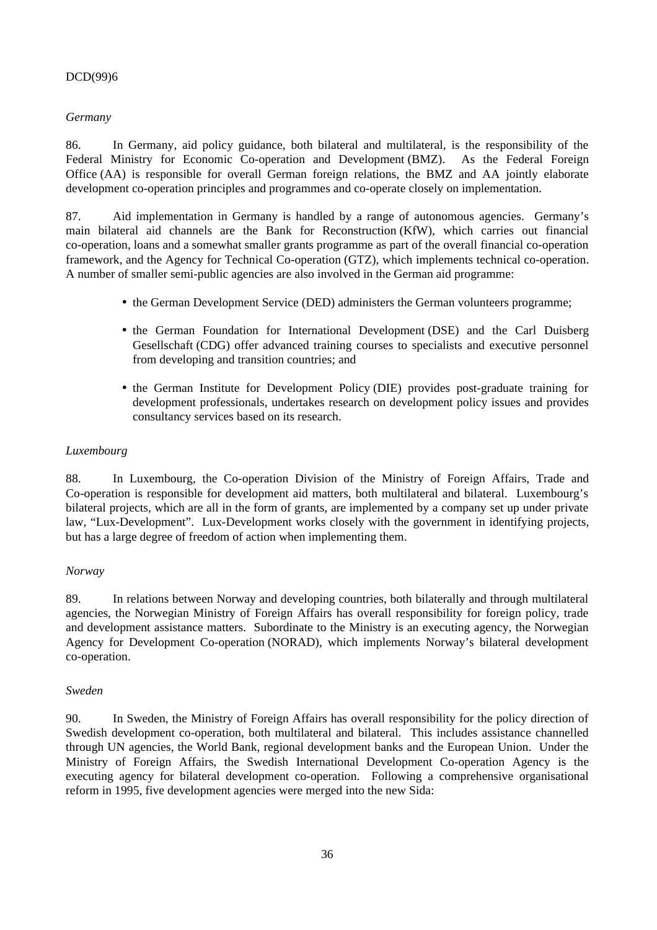## *Germany*

86. In Germany, aid policy guidance, both bilateral and multilateral, is the responsibility of the Federal Ministry for Economic Co-operation and Development (BMZ). As the Federal Foreign Office (AA) is responsible for overall German foreign relations, the BMZ and AA jointly elaborate development co-operation principles and programmes and co-operate closely on implementation.

87. Aid implementation in Germany is handled by a range of autonomous agencies. Germany's main bilateral aid channels are the Bank for Reconstruction (KfW), which carries out financial co-operation, loans and a somewhat smaller grants programme as part of the overall financial co-operation framework, and the Agency for Technical Co-operation (GTZ), which implements technical co-operation. A number of smaller semi-public agencies are also involved in the German aid programme:

- the German Development Service (DED) administers the German volunteers programme;
- the German Foundation for International Development (DSE) and the Carl Duisberg Gesellschaft (CDG) offer advanced training courses to specialists and executive personnel from developing and transition countries; and
- the German Institute for Development Policy (DIE) provides post-graduate training for development professionals, undertakes research on development policy issues and provides consultancy services based on its research.

## *Luxembourg*

88. In Luxembourg, the Co-operation Division of the Ministry of Foreign Affairs, Trade and Co-operation is responsible for development aid matters, both multilateral and bilateral. Luxembourg's bilateral projects, which are all in the form of grants, are implemented by a company set up under private law, "Lux-Development". Lux-Development works closely with the government in identifying projects, but has a large degree of freedom of action when implementing them.

### *Norway*

89. In relations between Norway and developing countries, both bilaterally and through multilateral agencies, the Norwegian Ministry of Foreign Affairs has overall responsibility for foreign policy, trade and development assistance matters. Subordinate to the Ministry is an executing agency, the Norwegian Agency for Development Co-operation (NORAD), which implements Norway's bilateral development co-operation.

### *Sweden*

90. In Sweden, the Ministry of Foreign Affairs has overall responsibility for the policy direction of Swedish development co-operation, both multilateral and bilateral. This includes assistance channelled through UN agencies, the World Bank, regional development banks and the European Union. Under the Ministry of Foreign Affairs, the Swedish International Development Co-operation Agency is the executing agency for bilateral development co-operation. Following a comprehensive organisational reform in 1995, five development agencies were merged into the new Sida: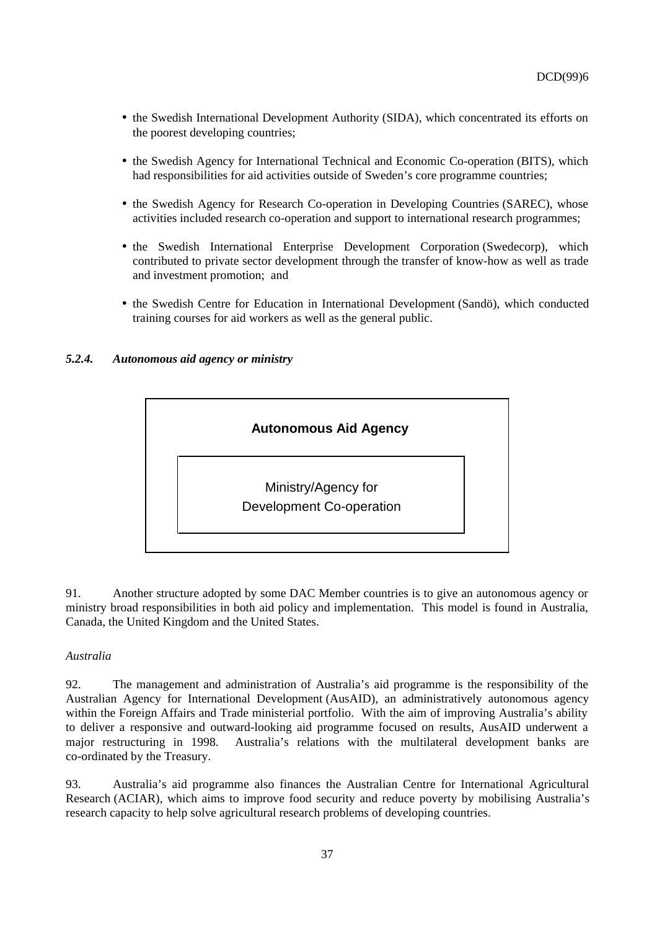- the Swedish International Development Authority (SIDA), which concentrated its efforts on the poorest developing countries;
- the Swedish Agency for International Technical and Economic Co-operation (BITS), which had responsibilities for aid activities outside of Sweden's core programme countries;
- the Swedish Agency for Research Co-operation in Developing Countries (SAREC), whose activities included research co-operation and support to international research programmes;
- the Swedish International Enterprise Development Corporation (Swedecorp), which contributed to private sector development through the transfer of know-how as well as trade and investment promotion; and
- the Swedish Centre for Education in International Development (Sandö), which conducted training courses for aid workers as well as the general public.

# *5.2.4. Autonomous aid agency or ministry*



91. Another structure adopted by some DAC Member countries is to give an autonomous agency or ministry broad responsibilities in both aid policy and implementation. This model is found in Australia, Canada, the United Kingdom and the United States.

### *Australia*

92. The management and administration of Australia's aid programme is the responsibility of the Australian Agency for International Development (AusAID), an administratively autonomous agency within the Foreign Affairs and Trade ministerial portfolio. With the aim of improving Australia's ability to deliver a responsive and outward-looking aid programme focused on results, AusAID underwent a major restructuring in 1998. Australia's relations with the multilateral development banks are co-ordinated by the Treasury.

93. Australia's aid programme also finances the Australian Centre for International Agricultural Research (ACIAR), which aims to improve food security and reduce poverty by mobilising Australia's research capacity to help solve agricultural research problems of developing countries.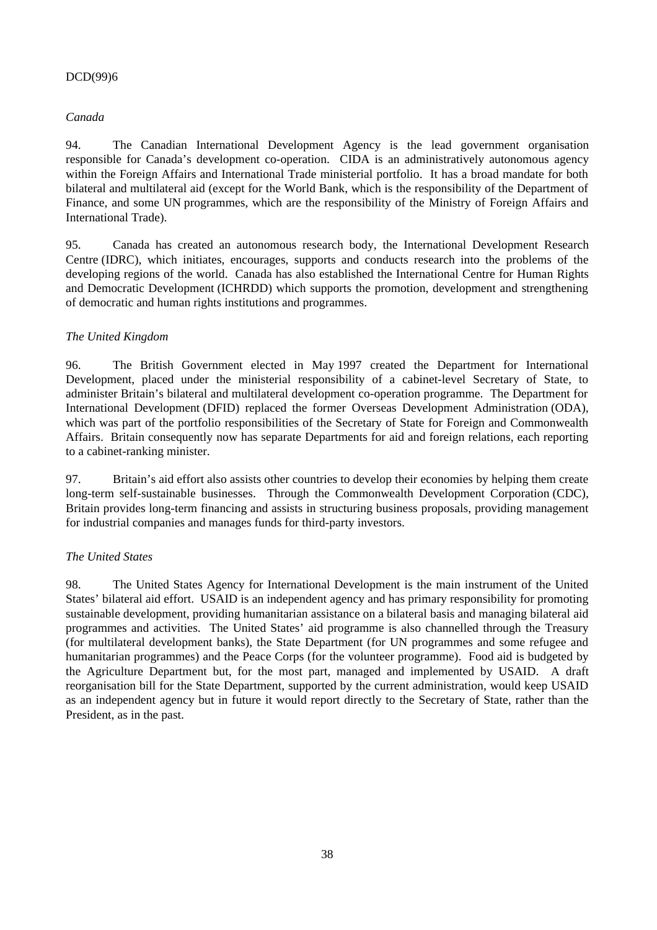## *Canada*

94. The Canadian International Development Agency is the lead government organisation responsible for Canada's development co-operation. CIDA is an administratively autonomous agency within the Foreign Affairs and International Trade ministerial portfolio. It has a broad mandate for both bilateral and multilateral aid (except for the World Bank, which is the responsibility of the Department of Finance, and some UN programmes, which are the responsibility of the Ministry of Foreign Affairs and International Trade).

95. Canada has created an autonomous research body, the International Development Research Centre (IDRC), which initiates, encourages, supports and conducts research into the problems of the developing regions of the world. Canada has also established the International Centre for Human Rights and Democratic Development (ICHRDD) which supports the promotion, development and strengthening of democratic and human rights institutions and programmes.

## *The United Kingdom*

96. The British Government elected in May 1997 created the Department for International Development, placed under the ministerial responsibility of a cabinet-level Secretary of State, to administer Britain's bilateral and multilateral development co-operation programme. The Department for International Development (DFID) replaced the former Overseas Development Administration (ODA), which was part of the portfolio responsibilities of the Secretary of State for Foreign and Commonwealth Affairs. Britain consequently now has separate Departments for aid and foreign relations, each reporting to a cabinet-ranking minister.

97. Britain's aid effort also assists other countries to develop their economies by helping them create long-term self-sustainable businesses. Through the Commonwealth Development Corporation (CDC), Britain provides long-term financing and assists in structuring business proposals, providing management for industrial companies and manages funds for third-party investors.

# *The United States*

98. The United States Agency for International Development is the main instrument of the United States' bilateral aid effort. USAID is an independent agency and has primary responsibility for promoting sustainable development, providing humanitarian assistance on a bilateral basis and managing bilateral aid programmes and activities. The United States' aid programme is also channelled through the Treasury (for multilateral development banks), the State Department (for UN programmes and some refugee and humanitarian programmes) and the Peace Corps (for the volunteer programme). Food aid is budgeted by the Agriculture Department but, for the most part, managed and implemented by USAID. A draft reorganisation bill for the State Department, supported by the current administration, would keep USAID as an independent agency but in future it would report directly to the Secretary of State, rather than the President, as in the past.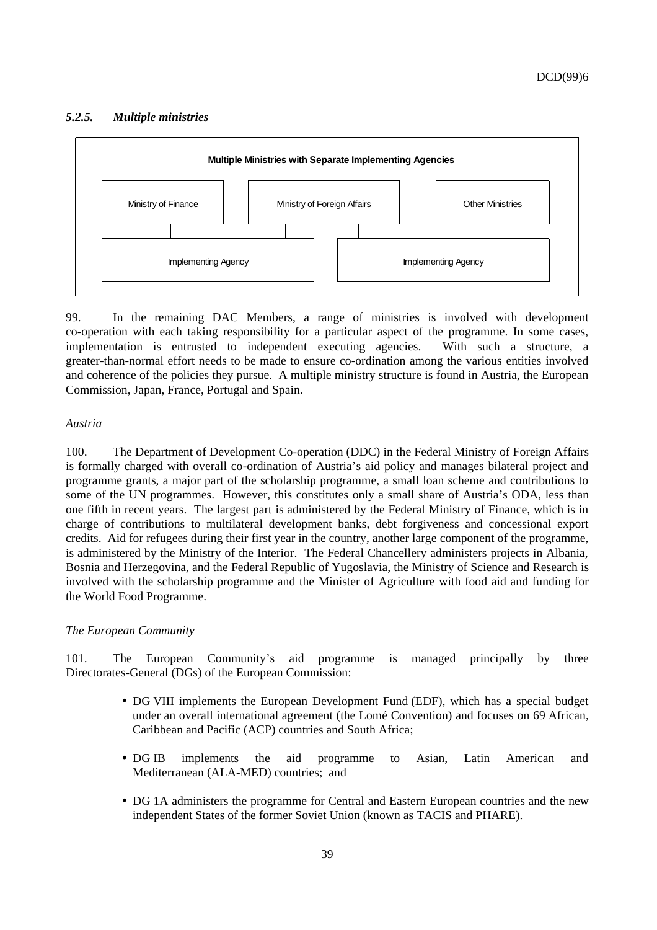## *5.2.5. Multiple ministries*



99. In the remaining DAC Members, a range of ministries is involved with development co-operation with each taking responsibility for a particular aspect of the programme. In some cases, implementation is entrusted to independent executing agencies. With such a structure, a greater-than-normal effort needs to be made to ensure co-ordination among the various entities involved and coherence of the policies they pursue. A multiple ministry structure is found in Austria, the European Commission, Japan, France, Portugal and Spain.

### *Austria*

100. The Department of Development Co-operation (DDC) in the Federal Ministry of Foreign Affairs is formally charged with overall co-ordination of Austria's aid policy and manages bilateral project and programme grants, a major part of the scholarship programme, a small loan scheme and contributions to some of the UN programmes. However, this constitutes only a small share of Austria's ODA, less than one fifth in recent years. The largest part is administered by the Federal Ministry of Finance, which is in charge of contributions to multilateral development banks, debt forgiveness and concessional export credits. Aid for refugees during their first year in the country, another large component of the programme, is administered by the Ministry of the Interior. The Federal Chancellery administers projects in Albania, Bosnia and Herzegovina, and the Federal Republic of Yugoslavia, the Ministry of Science and Research is involved with the scholarship programme and the Minister of Agriculture with food aid and funding for the World Food Programme.

### *The European Community*

101. The European Community's aid programme is managed principally by three Directorates-General (DGs) of the European Commission:

- DG VIII implements the European Development Fund (EDF), which has a special budget under an overall international agreement (the Lomé Convention) and focuses on 69 African, Caribbean and Pacific (ACP) countries and South Africa;
- DG IB implements the aid programme to Asian, Latin American and Mediterranean (ALA-MED) countries; and
- DG 1A administers the programme for Central and Eastern European countries and the new independent States of the former Soviet Union (known as TACIS and PHARE).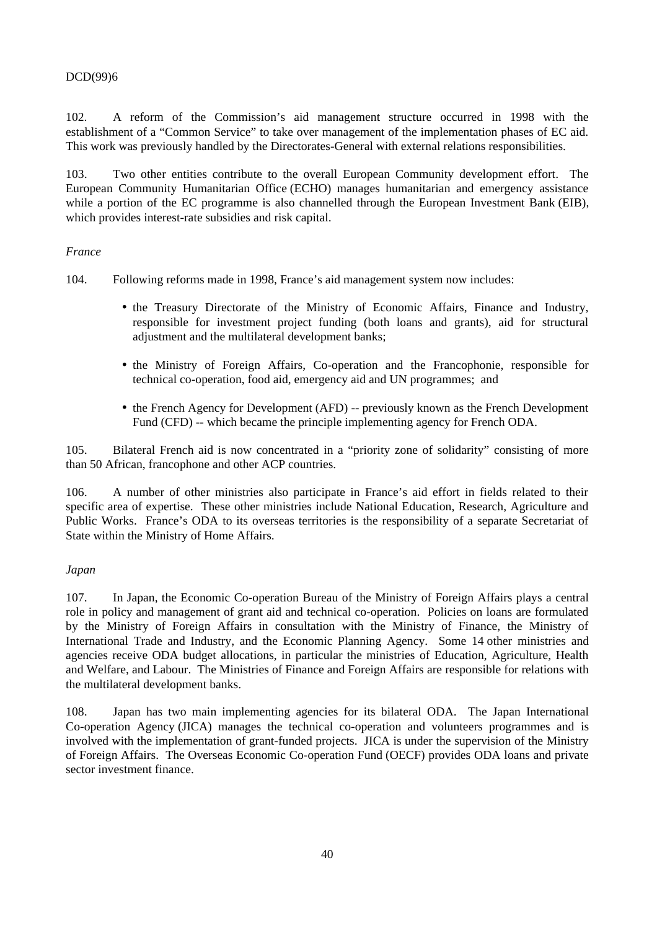102. A reform of the Commission's aid management structure occurred in 1998 with the establishment of a "Common Service" to take over management of the implementation phases of EC aid. This work was previously handled by the Directorates-General with external relations responsibilities.

103. Two other entities contribute to the overall European Community development effort. The European Community Humanitarian Office (ECHO) manages humanitarian and emergency assistance while a portion of the EC programme is also channelled through the European Investment Bank (EIB), which provides interest-rate subsidies and risk capital.

## *France*

104. Following reforms made in 1998, France's aid management system now includes:

- the Treasury Directorate of the Ministry of Economic Affairs, Finance and Industry, responsible for investment project funding (both loans and grants), aid for structural adjustment and the multilateral development banks;
- the Ministry of Foreign Affairs, Co-operation and the Francophonie, responsible for technical co-operation, food aid, emergency aid and UN programmes; and
- the French Agency for Development (AFD) -- previously known as the French Development Fund (CFD) -- which became the principle implementing agency for French ODA.

105. Bilateral French aid is now concentrated in a "priority zone of solidarity" consisting of more than 50 African, francophone and other ACP countries.

106. A number of other ministries also participate in France's aid effort in fields related to their specific area of expertise. These other ministries include National Education, Research, Agriculture and Public Works. France's ODA to its overseas territories is the responsibility of a separate Secretariat of State within the Ministry of Home Affairs.

# *Japan*

107. In Japan, the Economic Co-operation Bureau of the Ministry of Foreign Affairs plays a central role in policy and management of grant aid and technical co-operation. Policies on loans are formulated by the Ministry of Foreign Affairs in consultation with the Ministry of Finance, the Ministry of International Trade and Industry, and the Economic Planning Agency. Some 14 other ministries and agencies receive ODA budget allocations, in particular the ministries of Education, Agriculture, Health and Welfare, and Labour. The Ministries of Finance and Foreign Affairs are responsible for relations with the multilateral development banks.

108. Japan has two main implementing agencies for its bilateral ODA. The Japan International Co-operation Agency (JICA) manages the technical co-operation and volunteers programmes and is involved with the implementation of grant-funded projects. JICA is under the supervision of the Ministry of Foreign Affairs. The Overseas Economic Co-operation Fund (OECF) provides ODA loans and private sector investment finance.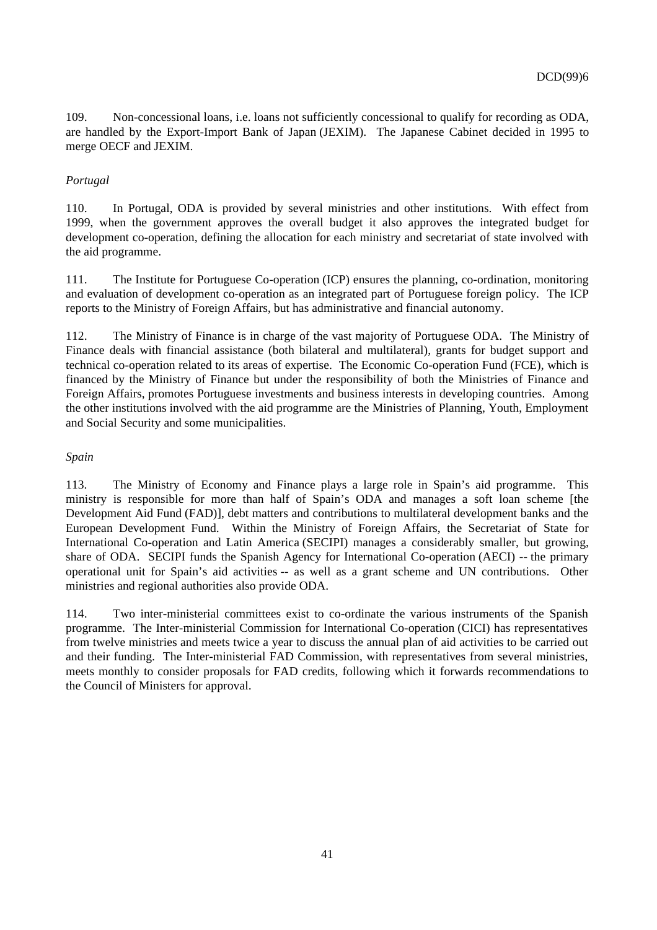109. Non-concessional loans, i.e. loans not sufficiently concessional to qualify for recording as ODA, are handled by the Export-Import Bank of Japan (JEXIM). The Japanese Cabinet decided in 1995 to merge OECF and JEXIM.

# *Portugal*

110. In Portugal, ODA is provided by several ministries and other institutions. With effect from 1999, when the government approves the overall budget it also approves the integrated budget for development co-operation, defining the allocation for each ministry and secretariat of state involved with the aid programme.

111. The Institute for Portuguese Co-operation (ICP) ensures the planning, co-ordination, monitoring and evaluation of development co-operation as an integrated part of Portuguese foreign policy. The ICP reports to the Ministry of Foreign Affairs, but has administrative and financial autonomy.

112. The Ministry of Finance is in charge of the vast majority of Portuguese ODA. The Ministry of Finance deals with financial assistance (both bilateral and multilateral), grants for budget support and technical co-operation related to its areas of expertise. The Economic Co-operation Fund (FCE), which is financed by the Ministry of Finance but under the responsibility of both the Ministries of Finance and Foreign Affairs, promotes Portuguese investments and business interests in developing countries. Among the other institutions involved with the aid programme are the Ministries of Planning, Youth, Employment and Social Security and some municipalities.

## *Spain*

113. The Ministry of Economy and Finance plays a large role in Spain's aid programme. This ministry is responsible for more than half of Spain's ODA and manages a soft loan scheme [the Development Aid Fund (FAD)], debt matters and contributions to multilateral development banks and the European Development Fund. Within the Ministry of Foreign Affairs, the Secretariat of State for International Co-operation and Latin America (SECIPI) manages a considerably smaller, but growing, share of ODA. SECIPI funds the Spanish Agency for International Co-operation (AECI) -- the primary operational unit for Spain's aid activities -- as well as a grant scheme and UN contributions. Other ministries and regional authorities also provide ODA.

114. Two inter-ministerial committees exist to co-ordinate the various instruments of the Spanish programme. The Inter-ministerial Commission for International Co-operation (CICI) has representatives from twelve ministries and meets twice a year to discuss the annual plan of aid activities to be carried out and their funding. The Inter-ministerial FAD Commission, with representatives from several ministries, meets monthly to consider proposals for FAD credits, following which it forwards recommendations to the Council of Ministers for approval.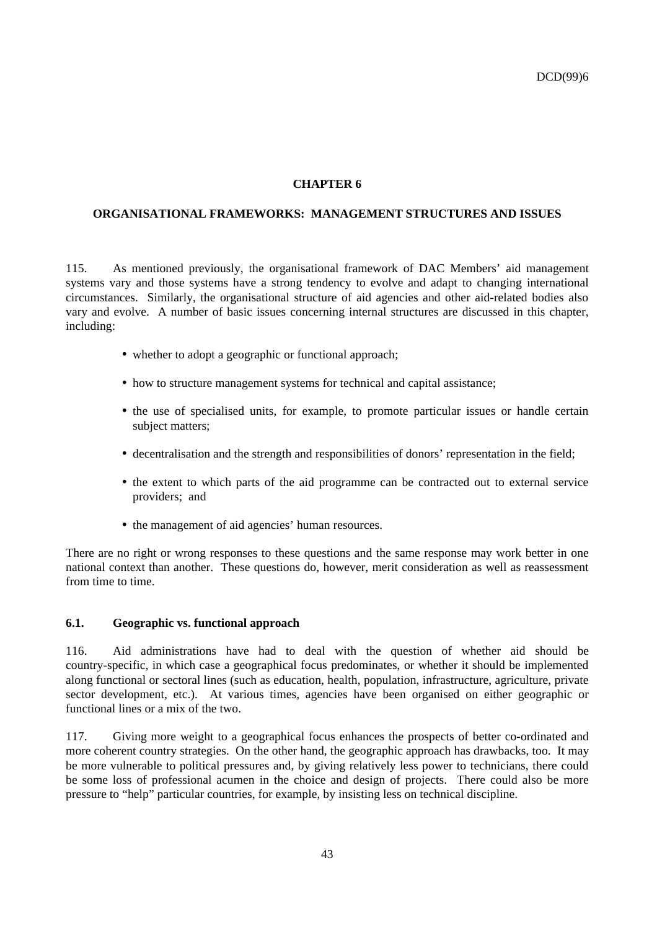## **CHAPTER 6**

#### **ORGANISATIONAL FRAMEWORKS: MANAGEMENT STRUCTURES AND ISSUES**

115. As mentioned previously, the organisational framework of DAC Members' aid management systems vary and those systems have a strong tendency to evolve and adapt to changing international circumstances. Similarly, the organisational structure of aid agencies and other aid-related bodies also vary and evolve. A number of basic issues concerning internal structures are discussed in this chapter, including:

- whether to adopt a geographic or functional approach;
- how to structure management systems for technical and capital assistance;
- the use of specialised units, for example, to promote particular issues or handle certain subject matters;
- decentralisation and the strength and responsibilities of donors' representation in the field;
- the extent to which parts of the aid programme can be contracted out to external service providers; and
- the management of aid agencies' human resources.

There are no right or wrong responses to these questions and the same response may work better in one national context than another. These questions do, however, merit consideration as well as reassessment from time to time.

#### **6.1. Geographic vs. functional approach**

116. Aid administrations have had to deal with the question of whether aid should be country-specific, in which case a geographical focus predominates, or whether it should be implemented along functional or sectoral lines (such as education, health, population, infrastructure, agriculture, private sector development, etc.). At various times, agencies have been organised on either geographic or functional lines or a mix of the two.

117. Giving more weight to a geographical focus enhances the prospects of better co-ordinated and more coherent country strategies. On the other hand, the geographic approach has drawbacks, too. It may be more vulnerable to political pressures and, by giving relatively less power to technicians, there could be some loss of professional acumen in the choice and design of projects. There could also be more pressure to "help" particular countries, for example, by insisting less on technical discipline.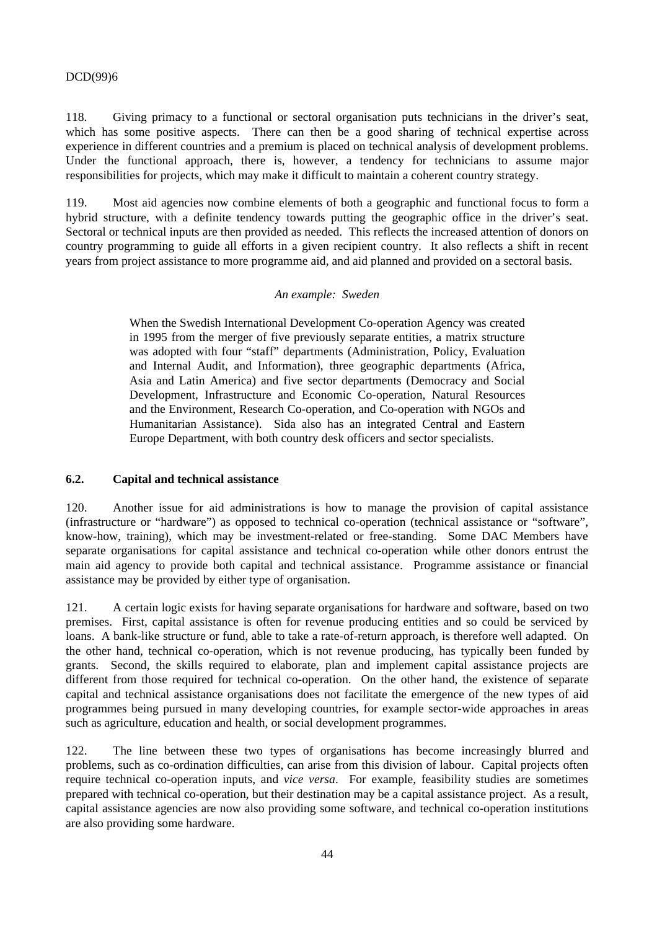118. Giving primacy to a functional or sectoral organisation puts technicians in the driver's seat, which has some positive aspects. There can then be a good sharing of technical expertise across experience in different countries and a premium is placed on technical analysis of development problems. Under the functional approach, there is, however, a tendency for technicians to assume major responsibilities for projects, which may make it difficult to maintain a coherent country strategy.

119. Most aid agencies now combine elements of both a geographic and functional focus to form a hybrid structure, with a definite tendency towards putting the geographic office in the driver's seat. Sectoral or technical inputs are then provided as needed. This reflects the increased attention of donors on country programming to guide all efforts in a given recipient country. It also reflects a shift in recent years from project assistance to more programme aid, and aid planned and provided on a sectoral basis.

#### *An example: Sweden*

When the Swedish International Development Co-operation Agency was created in 1995 from the merger of five previously separate entities, a matrix structure was adopted with four "staff" departments (Administration, Policy, Evaluation and Internal Audit, and Information), three geographic departments (Africa, Asia and Latin America) and five sector departments (Democracy and Social Development, Infrastructure and Economic Co-operation, Natural Resources and the Environment, Research Co-operation, and Co-operation with NGOs and Humanitarian Assistance). Sida also has an integrated Central and Eastern Europe Department, with both country desk officers and sector specialists.

## **6.2. Capital and technical assistance**

120. Another issue for aid administrations is how to manage the provision of capital assistance (infrastructure or "hardware") as opposed to technical co-operation (technical assistance or "software", know-how, training), which may be investment-related or free-standing. Some DAC Members have separate organisations for capital assistance and technical co-operation while other donors entrust the main aid agency to provide both capital and technical assistance. Programme assistance or financial assistance may be provided by either type of organisation.

121. A certain logic exists for having separate organisations for hardware and software, based on two premises. First, capital assistance is often for revenue producing entities and so could be serviced by loans. A bank-like structure or fund, able to take a rate-of-return approach, is therefore well adapted. On the other hand, technical co-operation, which is not revenue producing, has typically been funded by grants. Second, the skills required to elaborate, plan and implement capital assistance projects are different from those required for technical co-operation. On the other hand, the existence of separate capital and technical assistance organisations does not facilitate the emergence of the new types of aid programmes being pursued in many developing countries, for example sector-wide approaches in areas such as agriculture, education and health, or social development programmes.

122. The line between these two types of organisations has become increasingly blurred and problems, such as co-ordination difficulties, can arise from this division of labour. Capital projects often require technical co-operation inputs, and *vice versa*. For example, feasibility studies are sometimes prepared with technical co-operation, but their destination may be a capital assistance project. As a result, capital assistance agencies are now also providing some software, and technical co-operation institutions are also providing some hardware.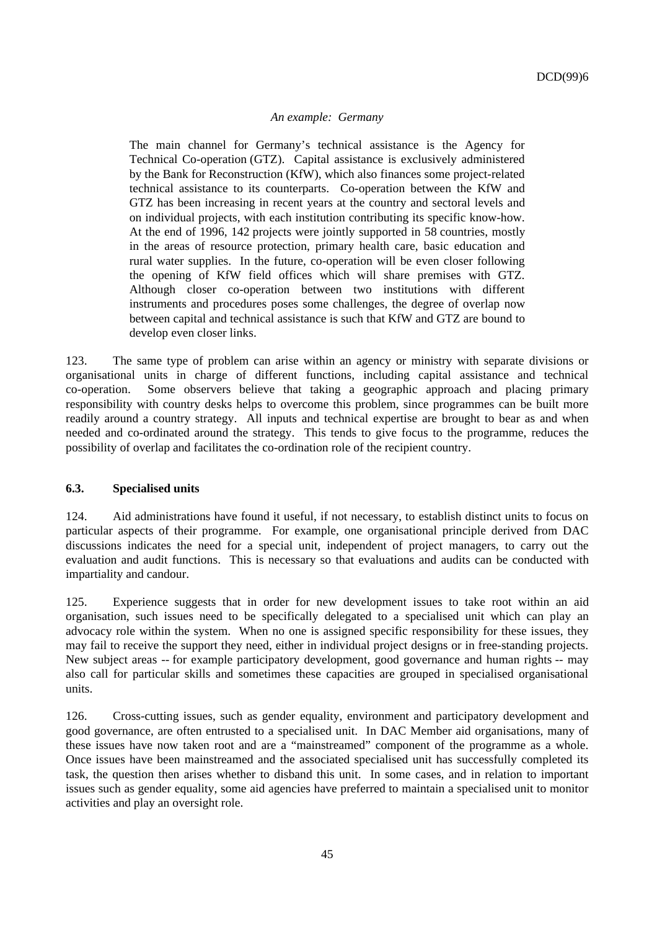## *An example: Germany*

The main channel for Germany's technical assistance is the Agency for Technical Co-operation (GTZ). Capital assistance is exclusively administered by the Bank for Reconstruction (KfW), which also finances some project-related technical assistance to its counterparts. Co-operation between the KfW and GTZ has been increasing in recent years at the country and sectoral levels and on individual projects, with each institution contributing its specific know-how. At the end of 1996, 142 projects were jointly supported in 58 countries, mostly in the areas of resource protection, primary health care, basic education and rural water supplies. In the future, co-operation will be even closer following the opening of KfW field offices which will share premises with GTZ. Although closer co-operation between two institutions with different instruments and procedures poses some challenges, the degree of overlap now between capital and technical assistance is such that KfW and GTZ are bound to develop even closer links.

123. The same type of problem can arise within an agency or ministry with separate divisions or organisational units in charge of different functions, including capital assistance and technical co-operation. Some observers believe that taking a geographic approach and placing primary responsibility with country desks helps to overcome this problem, since programmes can be built more readily around a country strategy. All inputs and technical expertise are brought to bear as and when needed and co-ordinated around the strategy. This tends to give focus to the programme, reduces the possibility of overlap and facilitates the co-ordination role of the recipient country.

### **6.3. Specialised units**

124. Aid administrations have found it useful, if not necessary, to establish distinct units to focus on particular aspects of their programme. For example, one organisational principle derived from DAC discussions indicates the need for a special unit, independent of project managers, to carry out the evaluation and audit functions. This is necessary so that evaluations and audits can be conducted with impartiality and candour.

125. Experience suggests that in order for new development issues to take root within an aid organisation, such issues need to be specifically delegated to a specialised unit which can play an advocacy role within the system. When no one is assigned specific responsibility for these issues, they may fail to receive the support they need, either in individual project designs or in free-standing projects. New subject areas -- for example participatory development, good governance and human rights -- may also call for particular skills and sometimes these capacities are grouped in specialised organisational units.

126. Cross-cutting issues, such as gender equality, environment and participatory development and good governance, are often entrusted to a specialised unit. In DAC Member aid organisations, many of these issues have now taken root and are a "mainstreamed" component of the programme as a whole. Once issues have been mainstreamed and the associated specialised unit has successfully completed its task, the question then arises whether to disband this unit. In some cases, and in relation to important issues such as gender equality, some aid agencies have preferred to maintain a specialised unit to monitor activities and play an oversight role.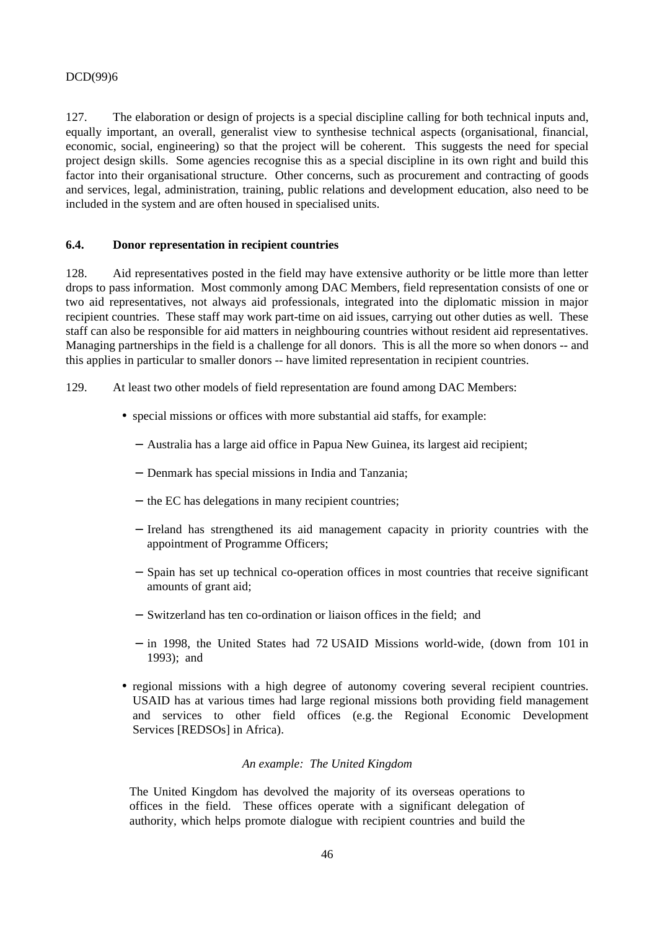127. The elaboration or design of projects is a special discipline calling for both technical inputs and, equally important, an overall, generalist view to synthesise technical aspects (organisational, financial, economic, social, engineering) so that the project will be coherent. This suggests the need for special project design skills. Some agencies recognise this as a special discipline in its own right and build this factor into their organisational structure. Other concerns, such as procurement and contracting of goods and services, legal, administration, training, public relations and development education, also need to be included in the system and are often housed in specialised units.

#### **6.4. Donor representation in recipient countries**

128. Aid representatives posted in the field may have extensive authority or be little more than letter drops to pass information. Most commonly among DAC Members, field representation consists of one or two aid representatives, not always aid professionals, integrated into the diplomatic mission in major recipient countries. These staff may work part-time on aid issues, carrying out other duties as well. These staff can also be responsible for aid matters in neighbouring countries without resident aid representatives. Managing partnerships in the field is a challenge for all donors. This is all the more so when donors -- and this applies in particular to smaller donors -- have limited representation in recipient countries.

- 129. At least two other models of field representation are found among DAC Members:
	- special missions or offices with more substantial aid staffs, for example:
		- − Australia has a large aid office in Papua New Guinea, its largest aid recipient;
		- − Denmark has special missions in India and Tanzania;
		- − the EC has delegations in many recipient countries;
		- − Ireland has strengthened its aid management capacity in priority countries with the appointment of Programme Officers;
		- − Spain has set up technical co-operation offices in most countries that receive significant amounts of grant aid;
		- − Switzerland has ten co-ordination or liaison offices in the field; and
		- − in 1998, the United States had 72 USAID Missions world-wide, (down from 101 in 1993); and
	- regional missions with a high degree of autonomy covering several recipient countries. USAID has at various times had large regional missions both providing field management and services to other field offices (e.g. the Regional Economic Development Services [REDSOs] in Africa).

#### *An example: The United Kingdom*

The United Kingdom has devolved the majority of its overseas operations to offices in the field. These offices operate with a significant delegation of authority, which helps promote dialogue with recipient countries and build the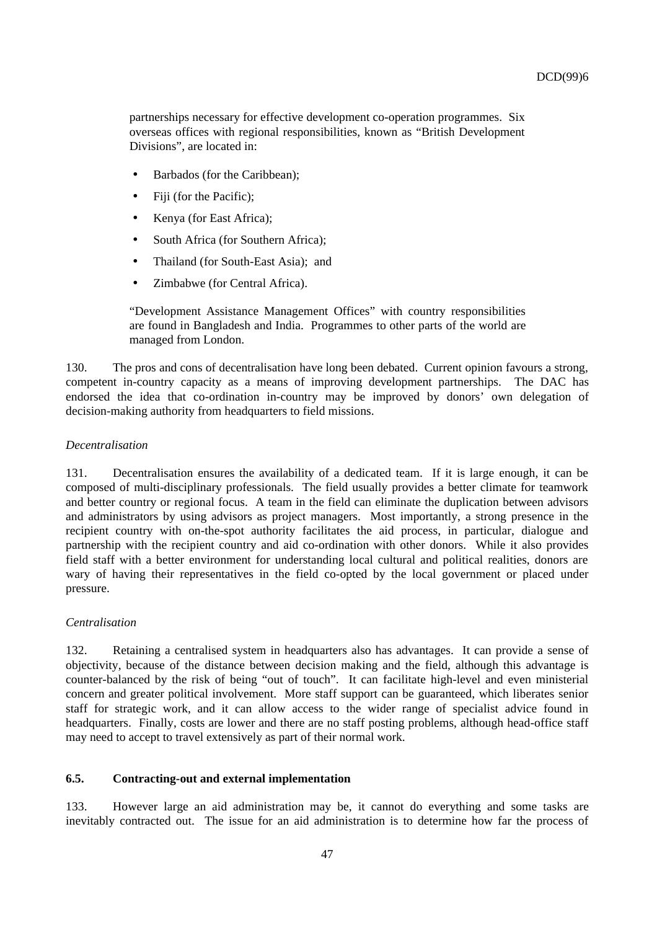partnerships necessary for effective development co-operation programmes. Six overseas offices with regional responsibilities, known as "British Development Divisions", are located in:

- Barbados (for the Caribbean);
- Fiji (for the Pacific);
- Kenya (for East Africa);
- South Africa (for Southern Africa);
- Thailand (for South-East Asia); and
- Zimbabwe (for Central Africa).

"Development Assistance Management Offices" with country responsibilities are found in Bangladesh and India. Programmes to other parts of the world are managed from London.

130. The pros and cons of decentralisation have long been debated. Current opinion favours a strong, competent in-country capacity as a means of improving development partnerships. The DAC has endorsed the idea that co-ordination in-country may be improved by donors' own delegation of decision-making authority from headquarters to field missions.

#### *Decentralisation*

131. Decentralisation ensures the availability of a dedicated team. If it is large enough, it can be composed of multi-disciplinary professionals. The field usually provides a better climate for teamwork and better country or regional focus. A team in the field can eliminate the duplication between advisors and administrators by using advisors as project managers. Most importantly, a strong presence in the recipient country with on-the-spot authority facilitates the aid process, in particular, dialogue and partnership with the recipient country and aid co-ordination with other donors. While it also provides field staff with a better environment for understanding local cultural and political realities, donors are wary of having their representatives in the field co-opted by the local government or placed under pressure.

### *Centralisation*

132. Retaining a centralised system in headquarters also has advantages. It can provide a sense of objectivity, because of the distance between decision making and the field, although this advantage is counter-balanced by the risk of being "out of touch". It can facilitate high-level and even ministerial concern and greater political involvement. More staff support can be guaranteed, which liberates senior staff for strategic work, and it can allow access to the wider range of specialist advice found in headquarters. Finally, costs are lower and there are no staff posting problems, although head-office staff may need to accept to travel extensively as part of their normal work.

#### **6.5. Contracting-out and external implementation**

133. However large an aid administration may be, it cannot do everything and some tasks are inevitably contracted out. The issue for an aid administration is to determine how far the process of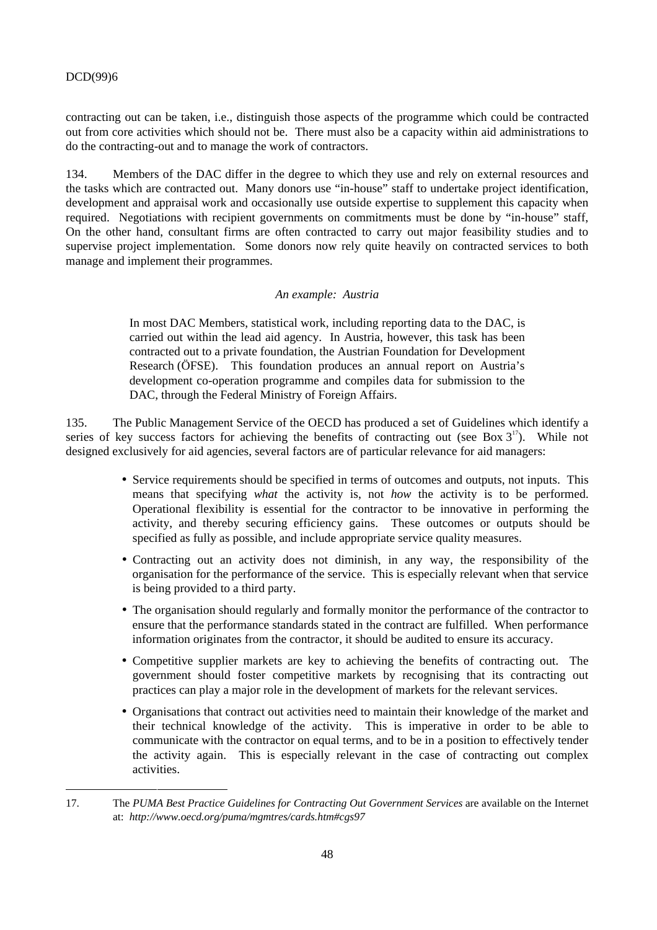-

contracting out can be taken, i.e., distinguish those aspects of the programme which could be contracted out from core activities which should not be. There must also be a capacity within aid administrations to do the contracting-out and to manage the work of contractors.

134. Members of the DAC differ in the degree to which they use and rely on external resources and the tasks which are contracted out. Many donors use "in-house" staff to undertake project identification, development and appraisal work and occasionally use outside expertise to supplement this capacity when required. Negotiations with recipient governments on commitments must be done by "in-house" staff, On the other hand, consultant firms are often contracted to carry out major feasibility studies and to supervise project implementation. Some donors now rely quite heavily on contracted services to both manage and implement their programmes.

### *An example: Austria*

In most DAC Members, statistical work, including reporting data to the DAC, is carried out within the lead aid agency. In Austria, however, this task has been contracted out to a private foundation, the Austrian Foundation for Development Research (ÖFSE). This foundation produces an annual report on Austria's development co-operation programme and compiles data for submission to the DAC, through the Federal Ministry of Foreign Affairs.

135. The Public Management Service of the OECD has produced a set of Guidelines which identify a series of key success factors for achieving the benefits of contracting out (see Box  $3^{17}$ ). While not designed exclusively for aid agencies, several factors are of particular relevance for aid managers:

- Service requirements should be specified in terms of outcomes and outputs, not inputs. This means that specifying *what* the activity is, not *how* the activity is to be performed. Operational flexibility is essential for the contractor to be innovative in performing the activity, and thereby securing efficiency gains. These outcomes or outputs should be specified as fully as possible, and include appropriate service quality measures.
- Contracting out an activity does not diminish, in any way, the responsibility of the organisation for the performance of the service. This is especially relevant when that service is being provided to a third party.
- The organisation should regularly and formally monitor the performance of the contractor to ensure that the performance standards stated in the contract are fulfilled. When performance information originates from the contractor, it should be audited to ensure its accuracy.
- Competitive supplier markets are key to achieving the benefits of contracting out. The government should foster competitive markets by recognising that its contracting out practices can play a major role in the development of markets for the relevant services.
- Organisations that contract out activities need to maintain their knowledge of the market and their technical knowledge of the activity. This is imperative in order to be able to communicate with the contractor on equal terms, and to be in a position to effectively tender the activity again. This is especially relevant in the case of contracting out complex activities.

<sup>17.</sup> The *PUMA Best Practice Guidelines for Contracting Out Government Services* are available on the Internet at: *http://www.oecd.org/puma/mgmtres/cards.htm#cgs97*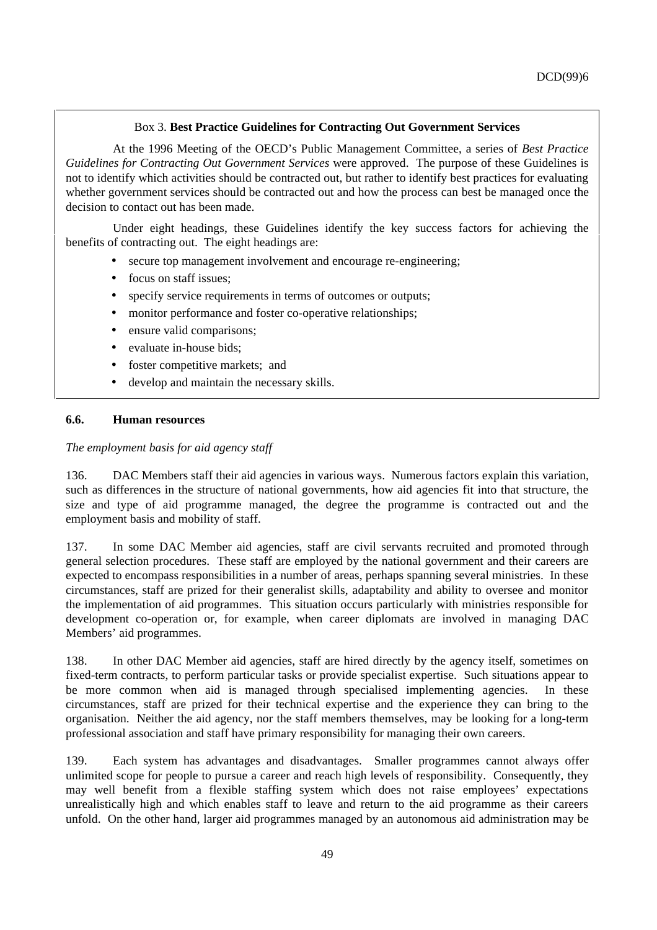## Box 3. **Best Practice Guidelines for Contracting Out Government Services**

At the 1996 Meeting of the OECD's Public Management Committee, a series of *Best Practice Guidelines for Contracting Out Government Services* were approved. The purpose of these Guidelines is not to identify which activities should be contracted out, but rather to identify best practices for evaluating whether government services should be contracted out and how the process can best be managed once the decision to contact out has been made.

Under eight headings, these Guidelines identify the key success factors for achieving the benefits of contracting out. The eight headings are:

- secure top management involvement and encourage re-engineering;
- focus on staff issues;
- specify service requirements in terms of outcomes or outputs;
- monitor performance and foster co-operative relationships;
- ensure valid comparisons;
- evaluate in-house bids:
- foster competitive markets; and
- develop and maintain the necessary skills.

#### **6.6. Human resources**

### *The employment basis for aid agency staff*

136. DAC Members staff their aid agencies in various ways. Numerous factors explain this variation, such as differences in the structure of national governments, how aid agencies fit into that structure, the size and type of aid programme managed, the degree the programme is contracted out and the employment basis and mobility of staff.

137. In some DAC Member aid agencies, staff are civil servants recruited and promoted through general selection procedures. These staff are employed by the national government and their careers are expected to encompass responsibilities in a number of areas, perhaps spanning several ministries. In these circumstances, staff are prized for their generalist skills, adaptability and ability to oversee and monitor the implementation of aid programmes. This situation occurs particularly with ministries responsible for development co-operation or, for example, when career diplomats are involved in managing DAC Members' aid programmes.

138. In other DAC Member aid agencies, staff are hired directly by the agency itself, sometimes on fixed-term contracts, to perform particular tasks or provide specialist expertise. Such situations appear to be more common when aid is managed through specialised implementing agencies. In these circumstances, staff are prized for their technical expertise and the experience they can bring to the organisation. Neither the aid agency, nor the staff members themselves, may be looking for a long-term professional association and staff have primary responsibility for managing their own careers.

139. Each system has advantages and disadvantages. Smaller programmes cannot always offer unlimited scope for people to pursue a career and reach high levels of responsibility. Consequently, they may well benefit from a flexible staffing system which does not raise employees' expectations unrealistically high and which enables staff to leave and return to the aid programme as their careers unfold. On the other hand, larger aid programmes managed by an autonomous aid administration may be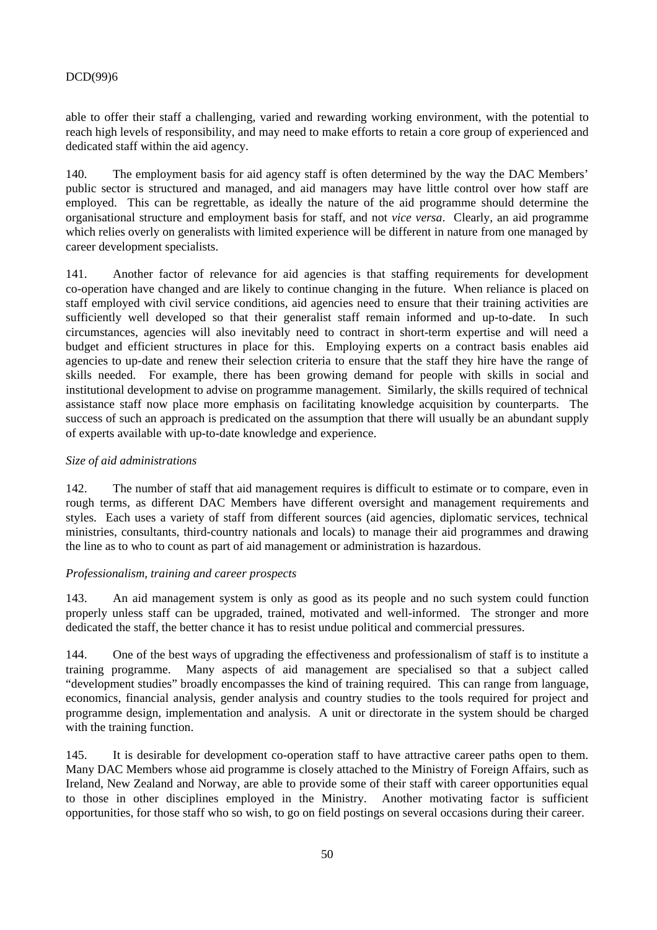able to offer their staff a challenging, varied and rewarding working environment, with the potential to reach high levels of responsibility, and may need to make efforts to retain a core group of experienced and dedicated staff within the aid agency.

140. The employment basis for aid agency staff is often determined by the way the DAC Members' public sector is structured and managed, and aid managers may have little control over how staff are employed. This can be regrettable, as ideally the nature of the aid programme should determine the organisational structure and employment basis for staff, and not *vice versa*. Clearly, an aid programme which relies overly on generalists with limited experience will be different in nature from one managed by career development specialists.

141. Another factor of relevance for aid agencies is that staffing requirements for development co-operation have changed and are likely to continue changing in the future. When reliance is placed on staff employed with civil service conditions, aid agencies need to ensure that their training activities are sufficiently well developed so that their generalist staff remain informed and up-to-date. In such circumstances, agencies will also inevitably need to contract in short-term expertise and will need a budget and efficient structures in place for this. Employing experts on a contract basis enables aid agencies to up-date and renew their selection criteria to ensure that the staff they hire have the range of skills needed. For example, there has been growing demand for people with skills in social and institutional development to advise on programme management. Similarly, the skills required of technical assistance staff now place more emphasis on facilitating knowledge acquisition by counterparts. The success of such an approach is predicated on the assumption that there will usually be an abundant supply of experts available with up-to-date knowledge and experience.

## *Size of aid administrations*

142. The number of staff that aid management requires is difficult to estimate or to compare, even in rough terms, as different DAC Members have different oversight and management requirements and styles. Each uses a variety of staff from different sources (aid agencies, diplomatic services, technical ministries, consultants, third-country nationals and locals) to manage their aid programmes and drawing the line as to who to count as part of aid management or administration is hazardous.

### *Professionalism, training and career prospects*

143. An aid management system is only as good as its people and no such system could function properly unless staff can be upgraded, trained, motivated and well-informed. The stronger and more dedicated the staff, the better chance it has to resist undue political and commercial pressures.

144. One of the best ways of upgrading the effectiveness and professionalism of staff is to institute a training programme. Many aspects of aid management are specialised so that a subject called "development studies" broadly encompasses the kind of training required. This can range from language, economics, financial analysis, gender analysis and country studies to the tools required for project and programme design, implementation and analysis. A unit or directorate in the system should be charged with the training function.

145. It is desirable for development co-operation staff to have attractive career paths open to them. Many DAC Members whose aid programme is closely attached to the Ministry of Foreign Affairs, such as Ireland, New Zealand and Norway, are able to provide some of their staff with career opportunities equal to those in other disciplines employed in the Ministry. Another motivating factor is sufficient opportunities, for those staff who so wish, to go on field postings on several occasions during their career.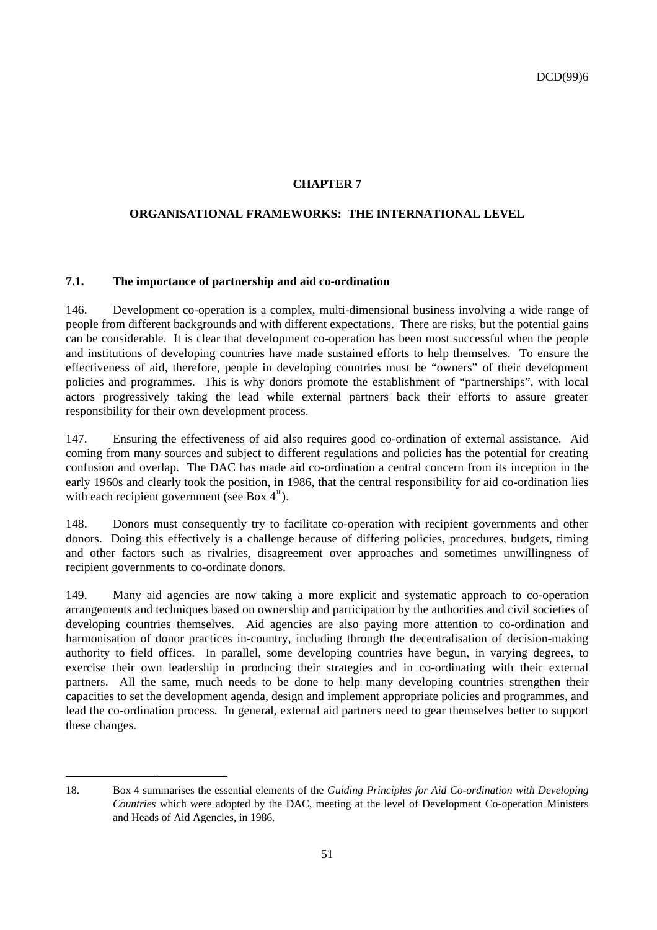# **CHAPTER 7**

# **ORGANISATIONAL FRAMEWORKS: THE INTERNATIONAL LEVEL**

### **7.1. The importance of partnership and aid co-ordination**

-

146. Development co-operation is a complex, multi-dimensional business involving a wide range of people from different backgrounds and with different expectations. There are risks, but the potential gains can be considerable. It is clear that development co-operation has been most successful when the people and institutions of developing countries have made sustained efforts to help themselves. To ensure the effectiveness of aid, therefore, people in developing countries must be "owners" of their development policies and programmes. This is why donors promote the establishment of "partnerships", with local actors progressively taking the lead while external partners back their efforts to assure greater responsibility for their own development process.

147. Ensuring the effectiveness of aid also requires good co-ordination of external assistance. Aid coming from many sources and subject to different regulations and policies has the potential for creating confusion and overlap. The DAC has made aid co-ordination a central concern from its inception in the early 1960s and clearly took the position, in 1986, that the central responsibility for aid co-ordination lies with each recipient government (see Box  $4^{18}$ ).

148. Donors must consequently try to facilitate co-operation with recipient governments and other donors. Doing this effectively is a challenge because of differing policies, procedures, budgets, timing and other factors such as rivalries, disagreement over approaches and sometimes unwillingness of recipient governments to co-ordinate donors.

149. Many aid agencies are now taking a more explicit and systematic approach to co-operation arrangements and techniques based on ownership and participation by the authorities and civil societies of developing countries themselves. Aid agencies are also paying more attention to co-ordination and harmonisation of donor practices in-country, including through the decentralisation of decision-making authority to field offices. In parallel, some developing countries have begun, in varying degrees, to exercise their own leadership in producing their strategies and in co-ordinating with their external partners. All the same, much needs to be done to help many developing countries strengthen their capacities to set the development agenda, design and implement appropriate policies and programmes, and lead the co-ordination process. In general, external aid partners need to gear themselves better to support these changes.

<sup>18.</sup> Box 4 summarises the essential elements of the *Guiding Principles for Aid Co-ordination with Developing Countries* which were adopted by the DAC, meeting at the level of Development Co-operation Ministers and Heads of Aid Agencies, in 1986.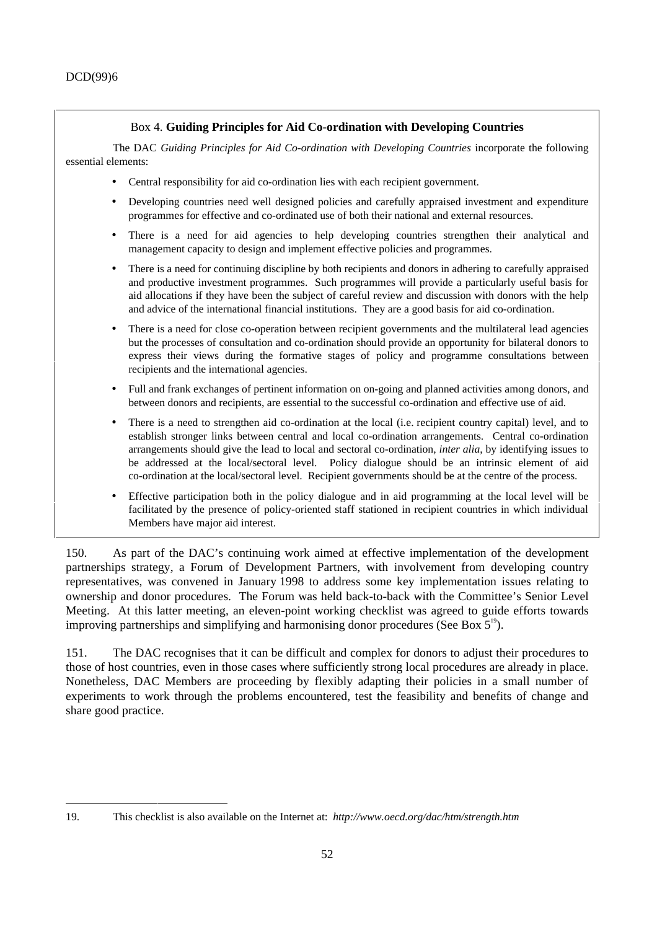-

# Box 4. **Guiding Principles for Aid Co-ordination with Developing Countries**

The DAC *Guiding Principles for Aid Co-ordination with Developing Countries* incorporate the following essential elements:

- Central responsibility for aid co-ordination lies with each recipient government.
- Developing countries need well designed policies and carefully appraised investment and expenditure programmes for effective and co-ordinated use of both their national and external resources.
- There is a need for aid agencies to help developing countries strengthen their analytical and management capacity to design and implement effective policies and programmes.
- There is a need for continuing discipline by both recipients and donors in adhering to carefully appraised and productive investment programmes. Such programmes will provide a particularly useful basis for aid allocations if they have been the subject of careful review and discussion with donors with the help and advice of the international financial institutions. They are a good basis for aid co-ordination.
- There is a need for close co-operation between recipient governments and the multilateral lead agencies but the processes of consultation and co-ordination should provide an opportunity for bilateral donors to express their views during the formative stages of policy and programme consultations between recipients and the international agencies.
- Full and frank exchanges of pertinent information on on-going and planned activities among donors, and between donors and recipients, are essential to the successful co-ordination and effective use of aid.
- There is a need to strengthen aid co-ordination at the local (i.e. recipient country capital) level, and to establish stronger links between central and local co-ordination arrangements. Central co-ordination arrangements should give the lead to local and sectoral co-ordination, *inter alia*, by identifying issues to be addressed at the local/sectoral level. Policy dialogue should be an intrinsic element of aid co-ordination at the local/sectoral level. Recipient governments should be at the centre of the process.
- Effective participation both in the policy dialogue and in aid programming at the local level will be facilitated by the presence of policy-oriented staff stationed in recipient countries in which individual Members have major aid interest.

150. As part of the DAC's continuing work aimed at effective implementation of the development partnerships strategy, a Forum of Development Partners, with involvement from developing country representatives, was convened in January 1998 to address some key implementation issues relating to ownership and donor procedures. The Forum was held back-to-back with the Committee's Senior Level Meeting. At this latter meeting, an eleven-point working checklist was agreed to guide efforts towards improving partnerships and simplifying and harmonising donor procedures (See Box  $5<sup>19</sup>$ ).

151. The DAC recognises that it can be difficult and complex for donors to adjust their procedures to those of host countries, even in those cases where sufficiently strong local procedures are already in place. Nonetheless, DAC Members are proceeding by flexibly adapting their policies in a small number of experiments to work through the problems encountered, test the feasibility and benefits of change and share good practice.

<sup>19.</sup> This checklist is also available on the Internet at: *http://www.oecd.org/dac/htm/strength.htm*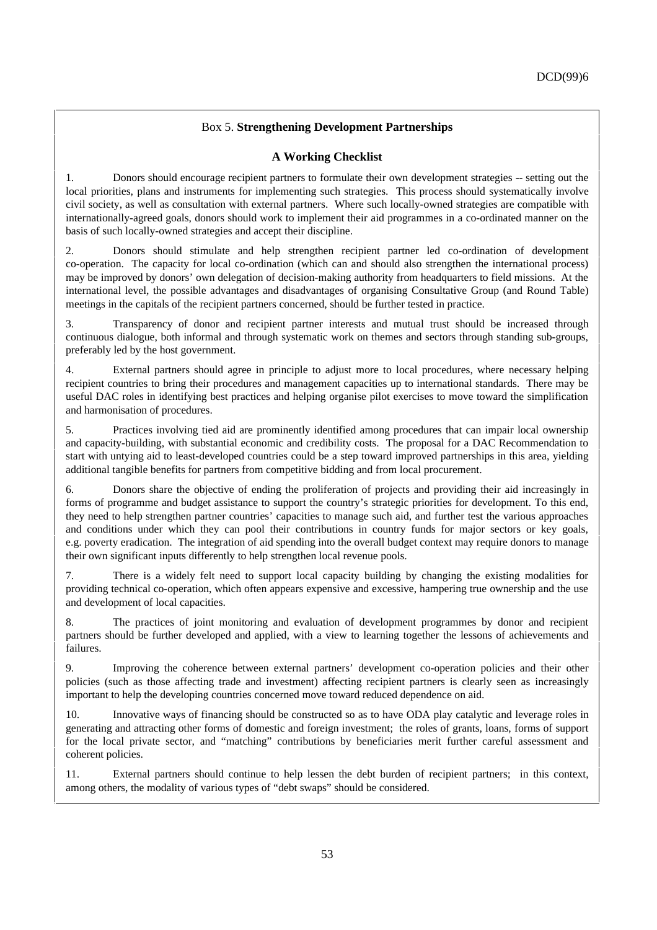# Box 5. **Strengthening Development Partnerships**

#### **A Working Checklist**

1. Donors should encourage recipient partners to formulate their own development strategies -- setting out the local priorities, plans and instruments for implementing such strategies. This process should systematically involve civil society, as well as consultation with external partners. Where such locally-owned strategies are compatible with internationally-agreed goals, donors should work to implement their aid programmes in a co-ordinated manner on the basis of such locally-owned strategies and accept their discipline.

2. Donors should stimulate and help strengthen recipient partner led co-ordination of development co-operation. The capacity for local co-ordination (which can and should also strengthen the international process) may be improved by donors' own delegation of decision-making authority from headquarters to field missions. At the international level, the possible advantages and disadvantages of organising Consultative Group (and Round Table) meetings in the capitals of the recipient partners concerned, should be further tested in practice.

3. Transparency of donor and recipient partner interests and mutual trust should be increased through continuous dialogue, both informal and through systematic work on themes and sectors through standing sub-groups, preferably led by the host government.

4. External partners should agree in principle to adjust more to local procedures, where necessary helping recipient countries to bring their procedures and management capacities up to international standards. There may be useful DAC roles in identifying best practices and helping organise pilot exercises to move toward the simplification and harmonisation of procedures.

5. Practices involving tied aid are prominently identified among procedures that can impair local ownership and capacity-building, with substantial economic and credibility costs. The proposal for a DAC Recommendation to start with untying aid to least-developed countries could be a step toward improved partnerships in this area, yielding additional tangible benefits for partners from competitive bidding and from local procurement.

6. Donors share the objective of ending the proliferation of projects and providing their aid increasingly in forms of programme and budget assistance to support the country's strategic priorities for development. To this end, they need to help strengthen partner countries' capacities to manage such aid, and further test the various approaches and conditions under which they can pool their contributions in country funds for major sectors or key goals, e.g. poverty eradication. The integration of aid spending into the overall budget context may require donors to manage their own significant inputs differently to help strengthen local revenue pools.

7. There is a widely felt need to support local capacity building by changing the existing modalities for providing technical co-operation, which often appears expensive and excessive, hampering true ownership and the use and development of local capacities.

8. The practices of joint monitoring and evaluation of development programmes by donor and recipient partners should be further developed and applied, with a view to learning together the lessons of achievements and failures.

9. Improving the coherence between external partners' development co-operation policies and their other policies (such as those affecting trade and investment) affecting recipient partners is clearly seen as increasingly important to help the developing countries concerned move toward reduced dependence on aid.

10. Innovative ways of financing should be constructed so as to have ODA play catalytic and leverage roles in generating and attracting other forms of domestic and foreign investment; the roles of grants, loans, forms of support for the local private sector, and "matching" contributions by beneficiaries merit further careful assessment and coherent policies.

11. External partners should continue to help lessen the debt burden of recipient partners; in this context, among others, the modality of various types of "debt swaps" should be considered.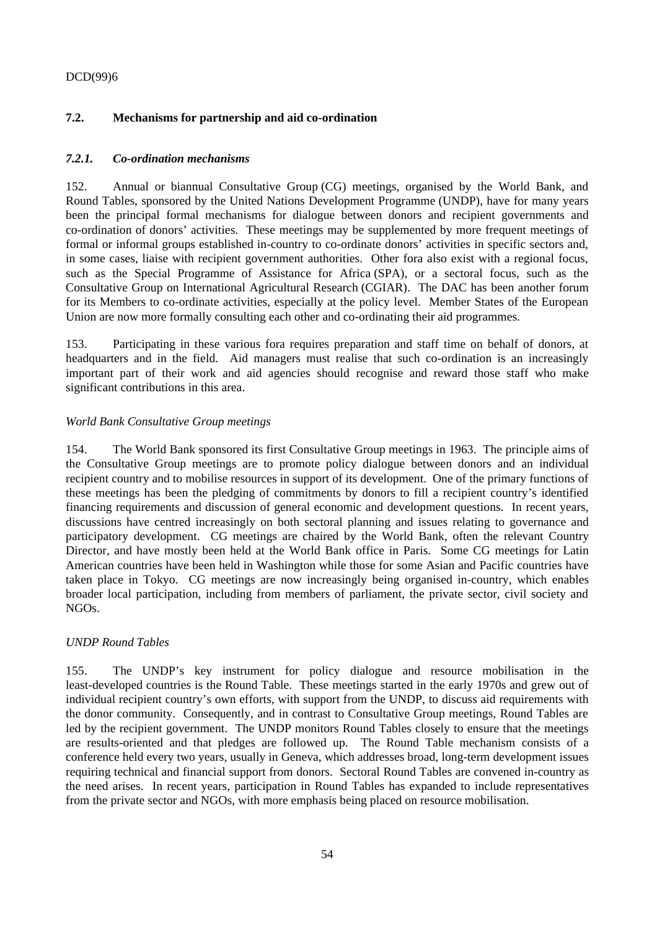# **7.2. Mechanisms for partnership and aid co-ordination**

## *7.2.1. Co-ordination mechanisms*

152. Annual or biannual Consultative Group (CG) meetings, organised by the World Bank, and Round Tables, sponsored by the United Nations Development Programme (UNDP), have for many years been the principal formal mechanisms for dialogue between donors and recipient governments and co-ordination of donors' activities. These meetings may be supplemented by more frequent meetings of formal or informal groups established in-country to co-ordinate donors' activities in specific sectors and, in some cases, liaise with recipient government authorities. Other fora also exist with a regional focus, such as the Special Programme of Assistance for Africa (SPA), or a sectoral focus, such as the Consultative Group on International Agricultural Research (CGIAR). The DAC has been another forum for its Members to co-ordinate activities, especially at the policy level. Member States of the European Union are now more formally consulting each other and co-ordinating their aid programmes.

153. Participating in these various fora requires preparation and staff time on behalf of donors, at headquarters and in the field. Aid managers must realise that such co-ordination is an increasingly important part of their work and aid agencies should recognise and reward those staff who make significant contributions in this area.

## *World Bank Consultative Group meetings*

154. The World Bank sponsored its first Consultative Group meetings in 1963. The principle aims of the Consultative Group meetings are to promote policy dialogue between donors and an individual recipient country and to mobilise resources in support of its development. One of the primary functions of these meetings has been the pledging of commitments by donors to fill a recipient country's identified financing requirements and discussion of general economic and development questions. In recent years, discussions have centred increasingly on both sectoral planning and issues relating to governance and participatory development. CG meetings are chaired by the World Bank, often the relevant Country Director, and have mostly been held at the World Bank office in Paris. Some CG meetings for Latin American countries have been held in Washington while those for some Asian and Pacific countries have taken place in Tokyo. CG meetings are now increasingly being organised in-country, which enables broader local participation, including from members of parliament, the private sector, civil society and NGOs.

### *UNDP Round Tables*

155. The UNDP's key instrument for policy dialogue and resource mobilisation in the least-developed countries is the Round Table. These meetings started in the early 1970s and grew out of individual recipient country's own efforts, with support from the UNDP, to discuss aid requirements with the donor community. Consequently, and in contrast to Consultative Group meetings, Round Tables are led by the recipient government. The UNDP monitors Round Tables closely to ensure that the meetings are results-oriented and that pledges are followed up. The Round Table mechanism consists of a conference held every two years, usually in Geneva, which addresses broad, long-term development issues requiring technical and financial support from donors. Sectoral Round Tables are convened in-country as the need arises. In recent years, participation in Round Tables has expanded to include representatives from the private sector and NGOs, with more emphasis being placed on resource mobilisation.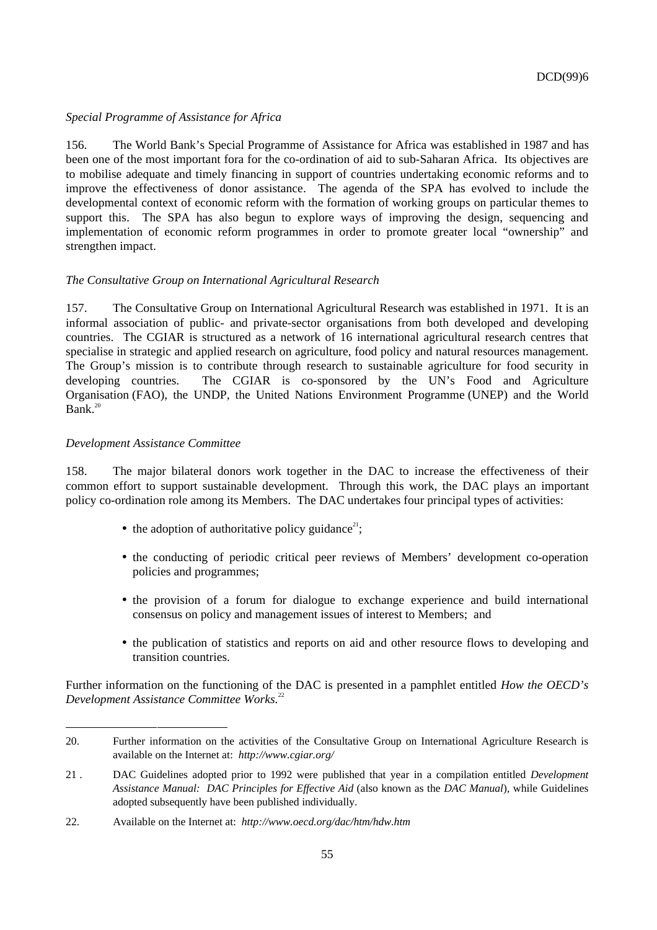# *Special Programme of Assistance for Africa*

156. The World Bank's Special Programme of Assistance for Africa was established in 1987 and has been one of the most important fora for the co-ordination of aid to sub-Saharan Africa. Its objectives are to mobilise adequate and timely financing in support of countries undertaking economic reforms and to improve the effectiveness of donor assistance. The agenda of the SPA has evolved to include the developmental context of economic reform with the formation of working groups on particular themes to support this. The SPA has also begun to explore ways of improving the design, sequencing and implementation of economic reform programmes in order to promote greater local "ownership" and strengthen impact.

## *The Consultative Group on International Agricultural Research*

157. The Consultative Group on International Agricultural Research was established in 1971. It is an informal association of public- and private-sector organisations from both developed and developing countries. The CGIAR is structured as a network of 16 international agricultural research centres that specialise in strategic and applied research on agriculture, food policy and natural resources management. The Group's mission is to contribute through research to sustainable agriculture for food security in developing countries. The CGIAR is co-sponsored by the UN's Food and Agriculture Organisation (FAO), the UNDP, the United Nations Environment Programme (UNEP) and the World  $Rank<sup>20</sup>$ 

## *Development Assistance Committee*

-

158. The major bilateral donors work together in the DAC to increase the effectiveness of their common effort to support sustainable development. Through this work, the DAC plays an important policy co-ordination role among its Members. The DAC undertakes four principal types of activities:

- the adoption of authoritative policy guidance<sup>21</sup>;
- the conducting of periodic critical peer reviews of Members' development co-operation policies and programmes;
- the provision of a forum for dialogue to exchange experience and build international consensus on policy and management issues of interest to Members; and
- the publication of statistics and reports on aid and other resource flows to developing and transition countries.

Further information on the functioning of the DAC is presented in a pamphlet entitled *How the OECD's Development Assistance Committee Works.*<sup>22</sup>

<sup>20.</sup> Further information on the activities of the Consultative Group on International Agriculture Research is available on the Internet at: *http://www.cgiar.org/*

<sup>21 .</sup> DAC Guidelines adopted prior to 1992 were published that year in a compilation entitled *Development Assistance Manual: DAC Principles for Effective Aid* (also known as the *DAC Manual*), while Guidelines adopted subsequently have been published individually.

<sup>22.</sup> Available on the Internet at: *http://www.oecd.org/dac/htm/hdw.htm*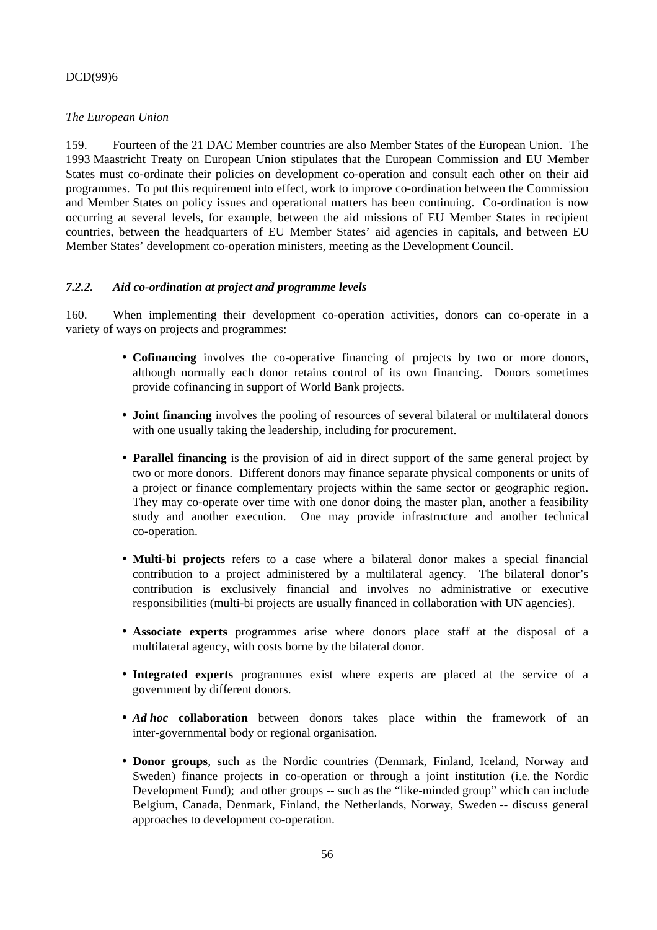## *The European Union*

159. Fourteen of the 21 DAC Member countries are also Member States of the European Union. The 1993 Maastricht Treaty on European Union stipulates that the European Commission and EU Member States must co-ordinate their policies on development co-operation and consult each other on their aid programmes. To put this requirement into effect, work to improve co-ordination between the Commission and Member States on policy issues and operational matters has been continuing. Co-ordination is now occurring at several levels, for example, between the aid missions of EU Member States in recipient countries, between the headquarters of EU Member States' aid agencies in capitals, and between EU Member States' development co-operation ministers, meeting as the Development Council.

## *7.2.2. Aid co-ordination at project and programme levels*

160. When implementing their development co-operation activities, donors can co-operate in a variety of ways on projects and programmes:

- **Cofinancing** involves the co-operative financing of projects by two or more donors, although normally each donor retains control of its own financing. Donors sometimes provide cofinancing in support of World Bank projects.
- **Joint financing** involves the pooling of resources of several bilateral or multilateral donors with one usually taking the leadership, including for procurement.
- **Parallel financing** is the provision of aid in direct support of the same general project by two or more donors. Different donors may finance separate physical components or units of a project or finance complementary projects within the same sector or geographic region. They may co-operate over time with one donor doing the master plan, another a feasibility study and another execution. One may provide infrastructure and another technical co-operation.
- **Multi-bi projects** refers to a case where a bilateral donor makes a special financial contribution to a project administered by a multilateral agency. The bilateral donor's contribution is exclusively financial and involves no administrative or executive responsibilities (multi-bi projects are usually financed in collaboration with UN agencies).
- **Associate experts** programmes arise where donors place staff at the disposal of a multilateral agency, with costs borne by the bilateral donor.
- **Integrated experts** programmes exist where experts are placed at the service of a government by different donors.
- *Ad hoc* **collaboration** between donors takes place within the framework of an inter-governmental body or regional organisation.
- **Donor groups**, such as the Nordic countries (Denmark, Finland, Iceland, Norway and Sweden) finance projects in co-operation or through a joint institution (i.e. the Nordic Development Fund); and other groups -- such as the "like-minded group" which can include Belgium, Canada, Denmark, Finland, the Netherlands, Norway, Sweden -- discuss general approaches to development co-operation.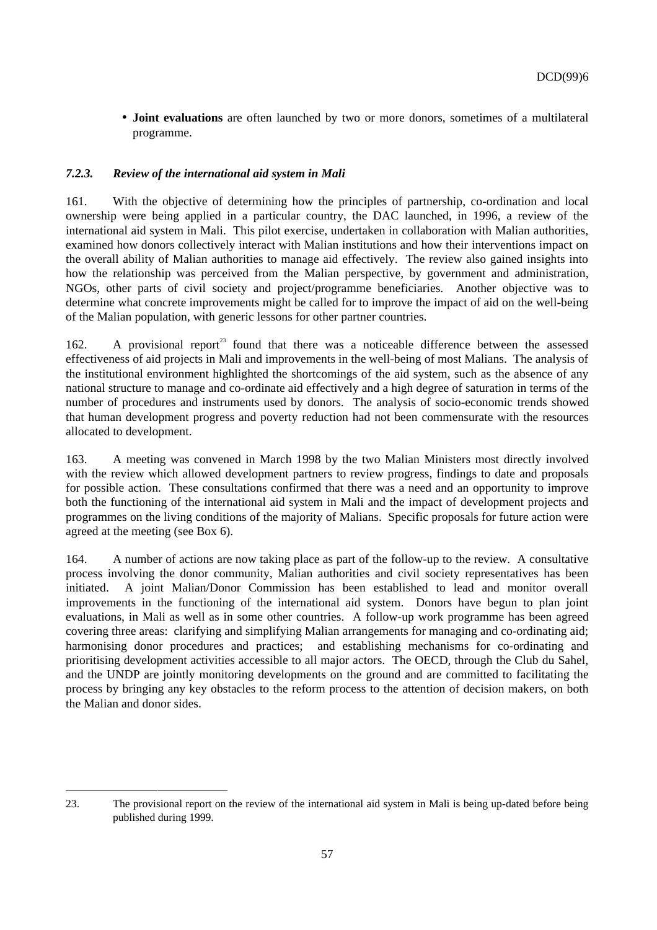• **Joint evaluations** are often launched by two or more donors, sometimes of a multilateral programme.

# *7.2.3. Review of the international aid system in Mali*

-

161. With the objective of determining how the principles of partnership, co-ordination and local ownership were being applied in a particular country, the DAC launched, in 1996, a review of the international aid system in Mali. This pilot exercise, undertaken in collaboration with Malian authorities, examined how donors collectively interact with Malian institutions and how their interventions impact on the overall ability of Malian authorities to manage aid effectively. The review also gained insights into how the relationship was perceived from the Malian perspective, by government and administration, NGOs, other parts of civil society and project/programme beneficiaries. Another objective was to determine what concrete improvements might be called for to improve the impact of aid on the well-being of the Malian population, with generic lessons for other partner countries.

162. A provisional report<sup>23</sup> found that there was a noticeable difference between the assessed effectiveness of aid projects in Mali and improvements in the well-being of most Malians. The analysis of the institutional environment highlighted the shortcomings of the aid system, such as the absence of any national structure to manage and co-ordinate aid effectively and a high degree of saturation in terms of the number of procedures and instruments used by donors. The analysis of socio-economic trends showed that human development progress and poverty reduction had not been commensurate with the resources allocated to development.

163. A meeting was convened in March 1998 by the two Malian Ministers most directly involved with the review which allowed development partners to review progress, findings to date and proposals for possible action. These consultations confirmed that there was a need and an opportunity to improve both the functioning of the international aid system in Mali and the impact of development projects and programmes on the living conditions of the majority of Malians. Specific proposals for future action were agreed at the meeting (see Box 6).

164. A number of actions are now taking place as part of the follow-up to the review. A consultative process involving the donor community, Malian authorities and civil society representatives has been initiated. A joint Malian/Donor Commission has been established to lead and monitor overall improvements in the functioning of the international aid system. Donors have begun to plan joint evaluations, in Mali as well as in some other countries. A follow-up work programme has been agreed covering three areas: clarifying and simplifying Malian arrangements for managing and co-ordinating aid; harmonising donor procedures and practices; and establishing mechanisms for co-ordinating and prioritising development activities accessible to all major actors. The OECD, through the Club du Sahel, and the UNDP are jointly monitoring developments on the ground and are committed to facilitating the process by bringing any key obstacles to the reform process to the attention of decision makers, on both the Malian and donor sides.

<sup>23.</sup> The provisional report on the review of the international aid system in Mali is being up-dated before being published during 1999.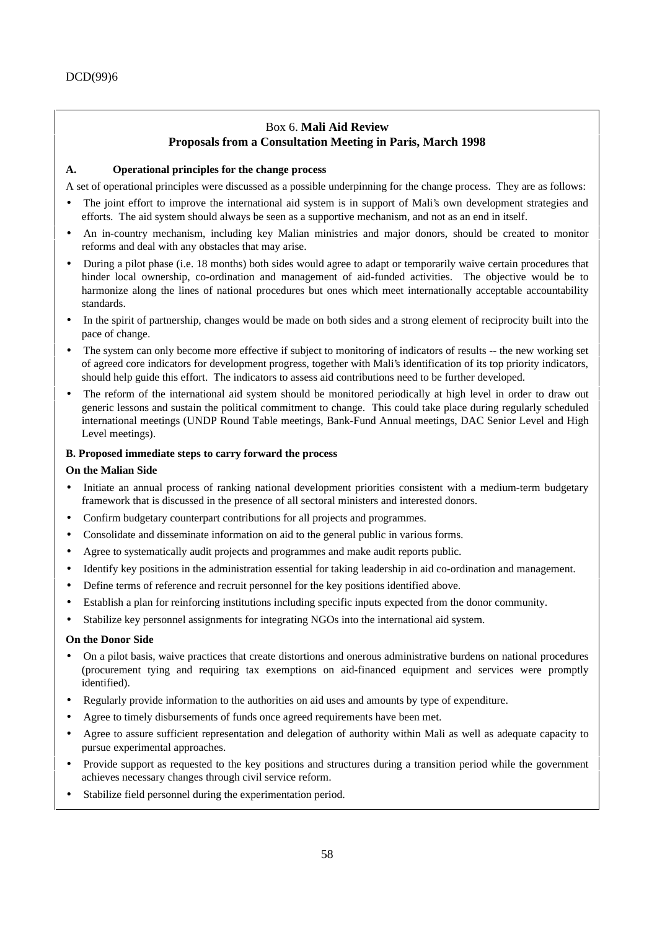# Box 6. **Mali Aid Review Proposals from a Consultation Meeting in Paris, March 1998**

#### **A. Operational principles for the change process**

A set of operational principles were discussed as a possible underpinning for the change process. They are as follows:

- The joint effort to improve the international aid system is in support of Mali's own development strategies and efforts. The aid system should always be seen as a supportive mechanism, and not as an end in itself.
- An in-country mechanism, including key Malian ministries and major donors, should be created to monitor reforms and deal with any obstacles that may arise.
- During a pilot phase (i.e. 18 months) both sides would agree to adapt or temporarily waive certain procedures that hinder local ownership, co-ordination and management of aid-funded activities. The objective would be to harmonize along the lines of national procedures but ones which meet internationally acceptable accountability standards.
- In the spirit of partnership, changes would be made on both sides and a strong element of reciprocity built into the pace of change.
- The system can only become more effective if subject to monitoring of indicators of results -- the new working set of agreed core indicators for development progress, together with Mali's identification of its top priority indicators, should help guide this effort. The indicators to assess aid contributions need to be further developed.
- The reform of the international aid system should be monitored periodically at high level in order to draw out generic lessons and sustain the political commitment to change. This could take place during regularly scheduled international meetings (UNDP Round Table meetings, Bank-Fund Annual meetings, DAC Senior Level and High Level meetings).

#### **B. Proposed immediate steps to carry forward the process**

#### **On the Malian Side**

- Initiate an annual process of ranking national development priorities consistent with a medium-term budgetary framework that is discussed in the presence of all sectoral ministers and interested donors.
- Confirm budgetary counterpart contributions for all projects and programmes.
- Consolidate and disseminate information on aid to the general public in various forms.
- Agree to systematically audit projects and programmes and make audit reports public.
- Identify key positions in the administration essential for taking leadership in aid co-ordination and management.
- Define terms of reference and recruit personnel for the key positions identified above.
- Establish a plan for reinforcing institutions including specific inputs expected from the donor community.
- Stabilize key personnel assignments for integrating NGOs into the international aid system.

#### **On the Donor Side**

- On a pilot basis, waive practices that create distortions and onerous administrative burdens on national procedures (procurement tying and requiring tax exemptions on aid-financed equipment and services were promptly identified).
- Regularly provide information to the authorities on aid uses and amounts by type of expenditure.
- Agree to timely disbursements of funds once agreed requirements have been met.
- Agree to assure sufficient representation and delegation of authority within Mali as well as adequate capacity to pursue experimental approaches.
- Provide support as requested to the key positions and structures during a transition period while the government achieves necessary changes through civil service reform.
- Stabilize field personnel during the experimentation period.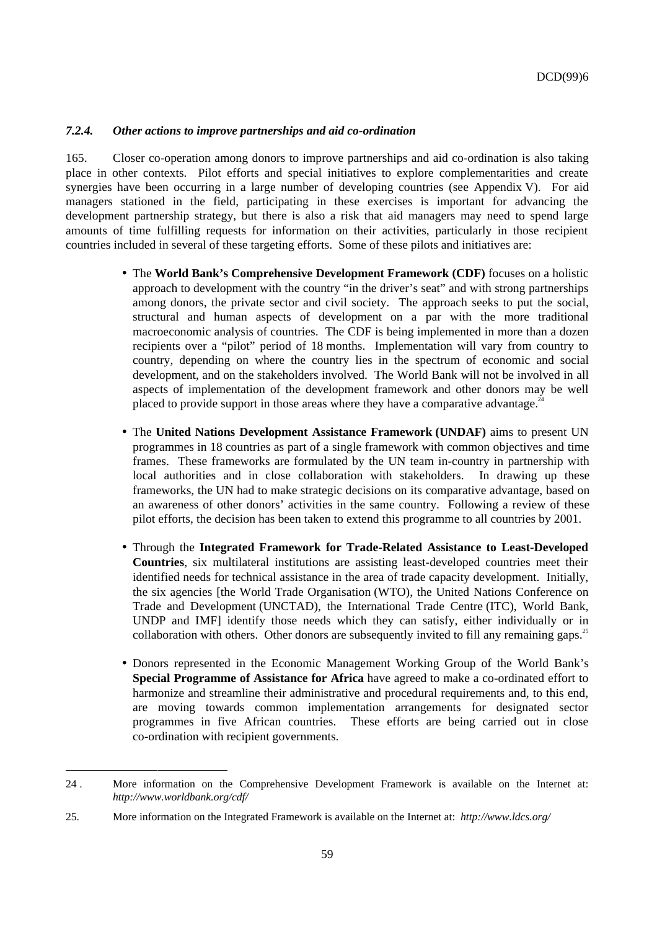### *7.2.4. Other actions to improve partnerships and aid co-ordination*

165. Closer co-operation among donors to improve partnerships and aid co-ordination is also taking place in other contexts. Pilot efforts and special initiatives to explore complementarities and create synergies have been occurring in a large number of developing countries (see Appendix V). For aid managers stationed in the field, participating in these exercises is important for advancing the development partnership strategy, but there is also a risk that aid managers may need to spend large amounts of time fulfilling requests for information on their activities, particularly in those recipient countries included in several of these targeting efforts. Some of these pilots and initiatives are:

- The **World Bank's Comprehensive Development Framework (CDF)** focuses on a holistic approach to development with the country "in the driver's seat" and with strong partnerships among donors, the private sector and civil society. The approach seeks to put the social, structural and human aspects of development on a par with the more traditional macroeconomic analysis of countries. The CDF is being implemented in more than a dozen recipients over a "pilot" period of 18 months. Implementation will vary from country to country, depending on where the country lies in the spectrum of economic and social development, and on the stakeholders involved. The World Bank will not be involved in all aspects of implementation of the development framework and other donors may be well placed to provide support in those areas where they have a comparative advantage.<sup>24</sup>
- The **United Nations Development Assistance Framework (UNDAF)** aims to present UN programmes in 18 countries as part of a single framework with common objectives and time frames. These frameworks are formulated by the UN team in-country in partnership with local authorities and in close collaboration with stakeholders. In drawing up these frameworks, the UN had to make strategic decisions on its comparative advantage, based on an awareness of other donors' activities in the same country. Following a review of these pilot efforts, the decision has been taken to extend this programme to all countries by 2001.
- Through the **Integrated Framework for Trade-Related Assistance to Least-Developed Countries**, six multilateral institutions are assisting least-developed countries meet their identified needs for technical assistance in the area of trade capacity development. Initially, the six agencies [the World Trade Organisation (WTO), the United Nations Conference on Trade and Development (UNCTAD), the International Trade Centre (ITC), World Bank, UNDP and IMF] identify those needs which they can satisfy, either individually or in collaboration with others. Other donors are subsequently invited to fill any remaining gaps.<sup>25</sup>
- Donors represented in the Economic Management Working Group of the World Bank's **Special Programme of Assistance for Africa** have agreed to make a co-ordinated effort to harmonize and streamline their administrative and procedural requirements and, to this end, are moving towards common implementation arrangements for designated sector programmes in five African countries. These efforts are being carried out in close co-ordination with recipient governments.

-

<sup>24 .</sup> More information on the Comprehensive Development Framework is available on the Internet at: *http://www.worldbank.org/cdf/*

<sup>25.</sup> More information on the Integrated Framework is available on the Internet at: *http://www.ldcs.org/*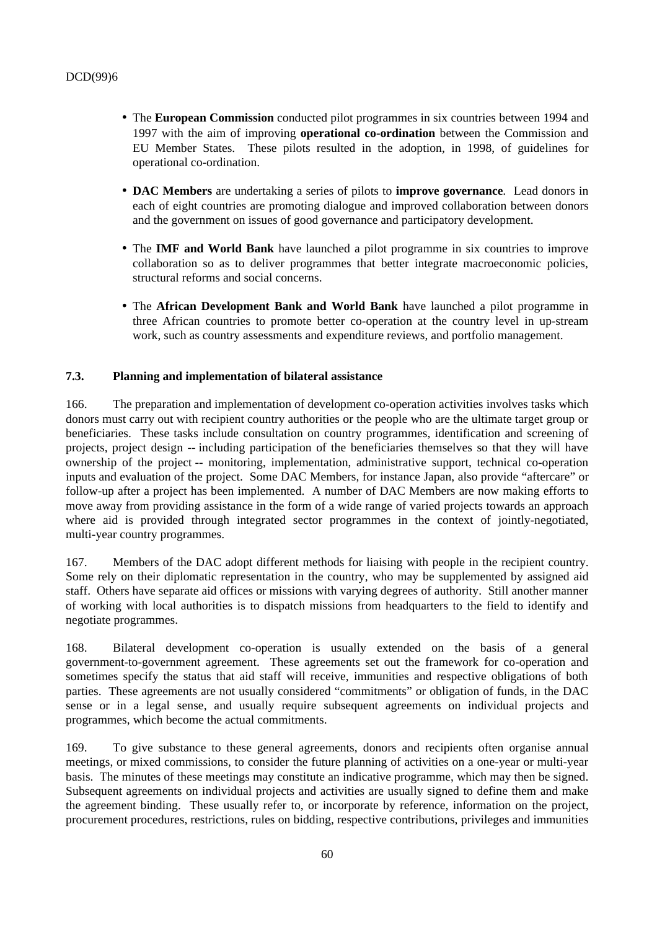- The **European Commission** conducted pilot programmes in six countries between 1994 and 1997 with the aim of improving **operational co-ordination** between the Commission and EU Member States. These pilots resulted in the adoption, in 1998, of guidelines for operational co-ordination.
- **DAC Members** are undertaking a series of pilots to **improve governance**. Lead donors in each of eight countries are promoting dialogue and improved collaboration between donors and the government on issues of good governance and participatory development.
- The **IMF and World Bank** have launched a pilot programme in six countries to improve collaboration so as to deliver programmes that better integrate macroeconomic policies, structural reforms and social concerns.
- The **African Development Bank and World Bank** have launched a pilot programme in three African countries to promote better co-operation at the country level in up-stream work, such as country assessments and expenditure reviews, and portfolio management.

### **7.3. Planning and implementation of bilateral assistance**

166. The preparation and implementation of development co-operation activities involves tasks which donors must carry out with recipient country authorities or the people who are the ultimate target group or beneficiaries. These tasks include consultation on country programmes, identification and screening of projects, project design -- including participation of the beneficiaries themselves so that they will have ownership of the project -- monitoring, implementation, administrative support, technical co-operation inputs and evaluation of the project. Some DAC Members, for instance Japan, also provide "aftercare" or follow-up after a project has been implemented. A number of DAC Members are now making efforts to move away from providing assistance in the form of a wide range of varied projects towards an approach where aid is provided through integrated sector programmes in the context of jointly-negotiated, multi-year country programmes.

167. Members of the DAC adopt different methods for liaising with people in the recipient country. Some rely on their diplomatic representation in the country, who may be supplemented by assigned aid staff. Others have separate aid offices or missions with varying degrees of authority. Still another manner of working with local authorities is to dispatch missions from headquarters to the field to identify and negotiate programmes.

168. Bilateral development co-operation is usually extended on the basis of a general government-to-government agreement. These agreements set out the framework for co-operation and sometimes specify the status that aid staff will receive, immunities and respective obligations of both parties. These agreements are not usually considered "commitments" or obligation of funds, in the DAC sense or in a legal sense, and usually require subsequent agreements on individual projects and programmes, which become the actual commitments.

169. To give substance to these general agreements, donors and recipients often organise annual meetings, or mixed commissions, to consider the future planning of activities on a one-year or multi-year basis. The minutes of these meetings may constitute an indicative programme, which may then be signed. Subsequent agreements on individual projects and activities are usually signed to define them and make the agreement binding. These usually refer to, or incorporate by reference, information on the project, procurement procedures, restrictions, rules on bidding, respective contributions, privileges and immunities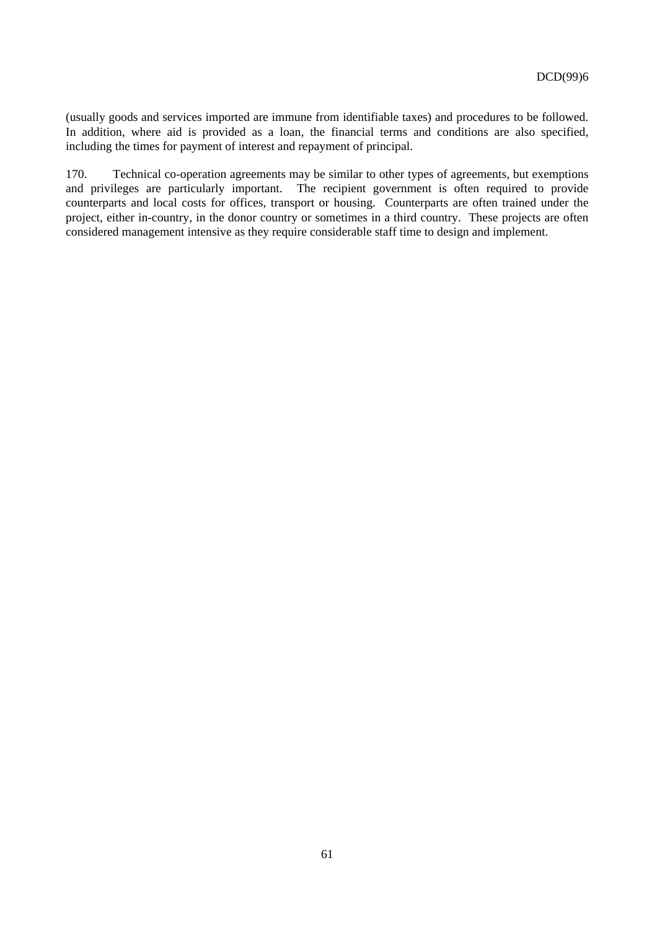(usually goods and services imported are immune from identifiable taxes) and procedures to be followed. In addition, where aid is provided as a loan, the financial terms and conditions are also specified, including the times for payment of interest and repayment of principal.

170. Technical co-operation agreements may be similar to other types of agreements, but exemptions and privileges are particularly important. The recipient government is often required to provide counterparts and local costs for offices, transport or housing. Counterparts are often trained under the project, either in-country, in the donor country or sometimes in a third country. These projects are often considered management intensive as they require considerable staff time to design and implement.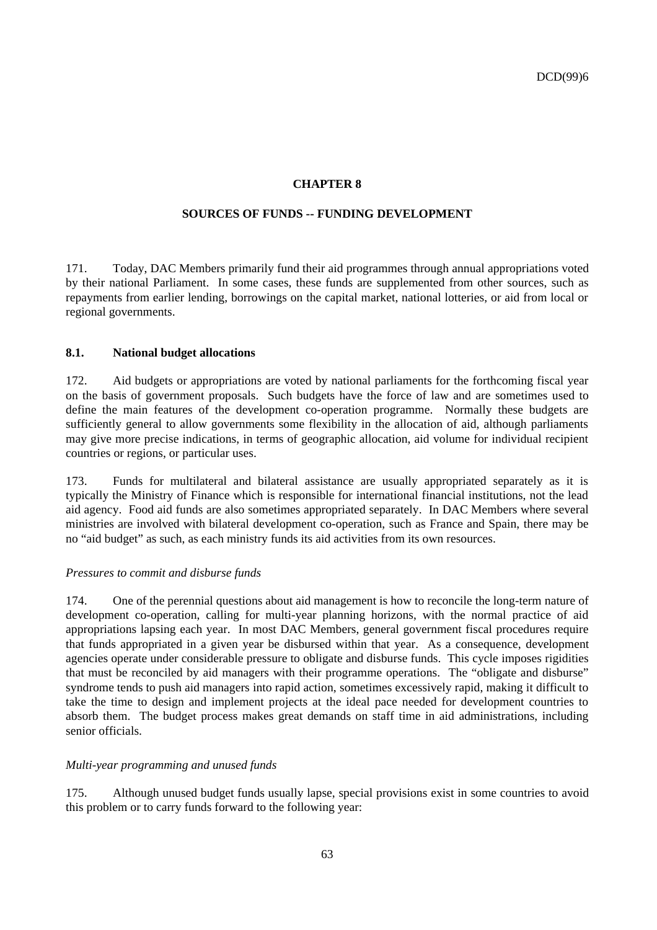## **CHAPTER 8**

#### **SOURCES OF FUNDS -- FUNDING DEVELOPMENT**

171. Today, DAC Members primarily fund their aid programmes through annual appropriations voted by their national Parliament. In some cases, these funds are supplemented from other sources, such as repayments from earlier lending, borrowings on the capital market, national lotteries, or aid from local or regional governments.

#### **8.1. National budget allocations**

172. Aid budgets or appropriations are voted by national parliaments for the forthcoming fiscal year on the basis of government proposals. Such budgets have the force of law and are sometimes used to define the main features of the development co-operation programme. Normally these budgets are sufficiently general to allow governments some flexibility in the allocation of aid, although parliaments may give more precise indications, in terms of geographic allocation, aid volume for individual recipient countries or regions, or particular uses.

173. Funds for multilateral and bilateral assistance are usually appropriated separately as it is typically the Ministry of Finance which is responsible for international financial institutions, not the lead aid agency. Food aid funds are also sometimes appropriated separately. In DAC Members where several ministries are involved with bilateral development co-operation, such as France and Spain, there may be no "aid budget" as such, as each ministry funds its aid activities from its own resources.

#### *Pressures to commit and disburse funds*

174. One of the perennial questions about aid management is how to reconcile the long-term nature of development co-operation, calling for multi-year planning horizons, with the normal practice of aid appropriations lapsing each year. In most DAC Members, general government fiscal procedures require that funds appropriated in a given year be disbursed within that year. As a consequence, development agencies operate under considerable pressure to obligate and disburse funds. This cycle imposes rigidities that must be reconciled by aid managers with their programme operations. The "obligate and disburse" syndrome tends to push aid managers into rapid action, sometimes excessively rapid, making it difficult to take the time to design and implement projects at the ideal pace needed for development countries to absorb them. The budget process makes great demands on staff time in aid administrations, including senior officials.

### *Multi-year programming and unused funds*

175. Although unused budget funds usually lapse, special provisions exist in some countries to avoid this problem or to carry funds forward to the following year: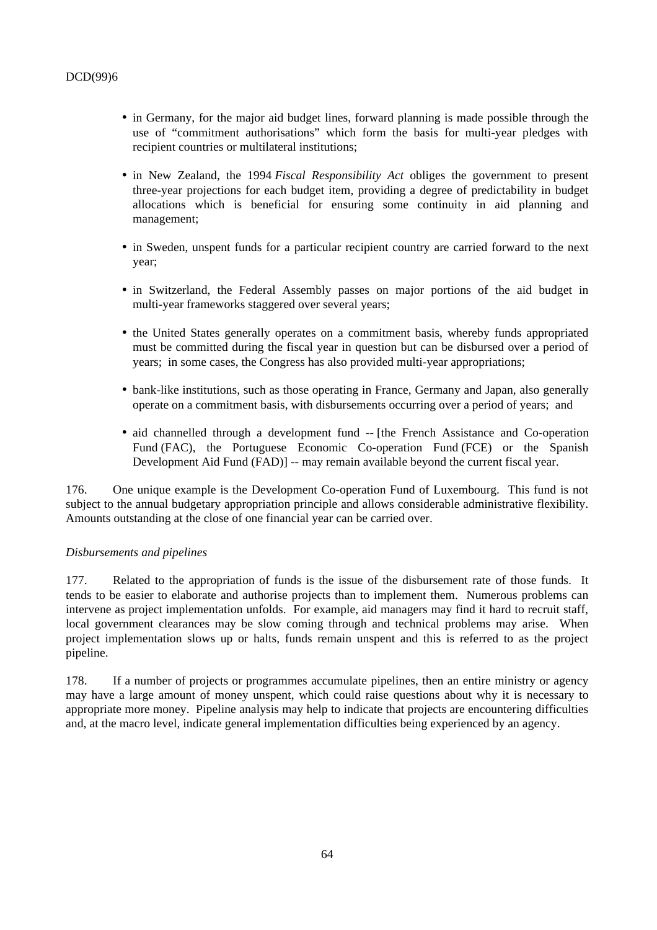- in Germany, for the major aid budget lines, forward planning is made possible through the use of "commitment authorisations" which form the basis for multi-year pledges with recipient countries or multilateral institutions;
- in New Zealand, the 1994 *Fiscal Responsibility Act* obliges the government to present three-year projections for each budget item, providing a degree of predictability in budget allocations which is beneficial for ensuring some continuity in aid planning and management;
- in Sweden, unspent funds for a particular recipient country are carried forward to the next year;
- in Switzerland, the Federal Assembly passes on major portions of the aid budget in multi-year frameworks staggered over several years;
- the United States generally operates on a commitment basis, whereby funds appropriated must be committed during the fiscal year in question but can be disbursed over a period of years; in some cases, the Congress has also provided multi-year appropriations;
- bank-like institutions, such as those operating in France, Germany and Japan, also generally operate on a commitment basis, with disbursements occurring over a period of years; and
- aid channelled through a development fund -- [the French Assistance and Co-operation Fund (FAC), the Portuguese Economic Co-operation Fund (FCE) or the Spanish Development Aid Fund (FAD)] -- may remain available beyond the current fiscal year.

176. One unique example is the Development Co-operation Fund of Luxembourg. This fund is not subject to the annual budgetary appropriation principle and allows considerable administrative flexibility. Amounts outstanding at the close of one financial year can be carried over.

### *Disbursements and pipelines*

177. Related to the appropriation of funds is the issue of the disbursement rate of those funds. It tends to be easier to elaborate and authorise projects than to implement them. Numerous problems can intervene as project implementation unfolds. For example, aid managers may find it hard to recruit staff, local government clearances may be slow coming through and technical problems may arise. When project implementation slows up or halts, funds remain unspent and this is referred to as the project pipeline.

178. If a number of projects or programmes accumulate pipelines, then an entire ministry or agency may have a large amount of money unspent, which could raise questions about why it is necessary to appropriate more money. Pipeline analysis may help to indicate that projects are encountering difficulties and, at the macro level, indicate general implementation difficulties being experienced by an agency.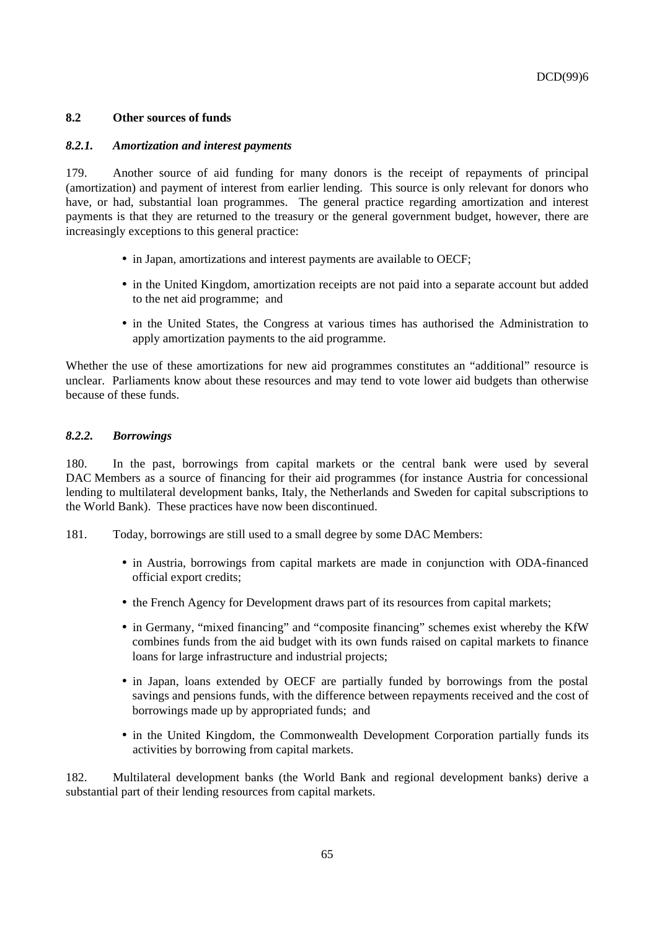## **8.2 Other sources of funds**

### *8.2.1. Amortization and interest payments*

179. Another source of aid funding for many donors is the receipt of repayments of principal (amortization) and payment of interest from earlier lending. This source is only relevant for donors who have, or had, substantial loan programmes. The general practice regarding amortization and interest payments is that they are returned to the treasury or the general government budget, however, there are increasingly exceptions to this general practice:

- in Japan, amortizations and interest payments are available to OECF;
- in the United Kingdom, amortization receipts are not paid into a separate account but added to the net aid programme; and
- in the United States, the Congress at various times has authorised the Administration to apply amortization payments to the aid programme.

Whether the use of these amortizations for new aid programmes constitutes an "additional" resource is unclear. Parliaments know about these resources and may tend to vote lower aid budgets than otherwise because of these funds.

#### *8.2.2. Borrowings*

180. In the past, borrowings from capital markets or the central bank were used by several DAC Members as a source of financing for their aid programmes (for instance Austria for concessional lending to multilateral development banks, Italy, the Netherlands and Sweden for capital subscriptions to the World Bank). These practices have now been discontinued.

181. Today, borrowings are still used to a small degree by some DAC Members:

- in Austria, borrowings from capital markets are made in conjunction with ODA-financed official export credits;
- the French Agency for Development draws part of its resources from capital markets;
- in Germany, "mixed financing" and "composite financing" schemes exist whereby the KfW combines funds from the aid budget with its own funds raised on capital markets to finance loans for large infrastructure and industrial projects;
- in Japan, loans extended by OECF are partially funded by borrowings from the postal savings and pensions funds, with the difference between repayments received and the cost of borrowings made up by appropriated funds; and
- in the United Kingdom, the Commonwealth Development Corporation partially funds its activities by borrowing from capital markets.

182. Multilateral development banks (the World Bank and regional development banks) derive a substantial part of their lending resources from capital markets.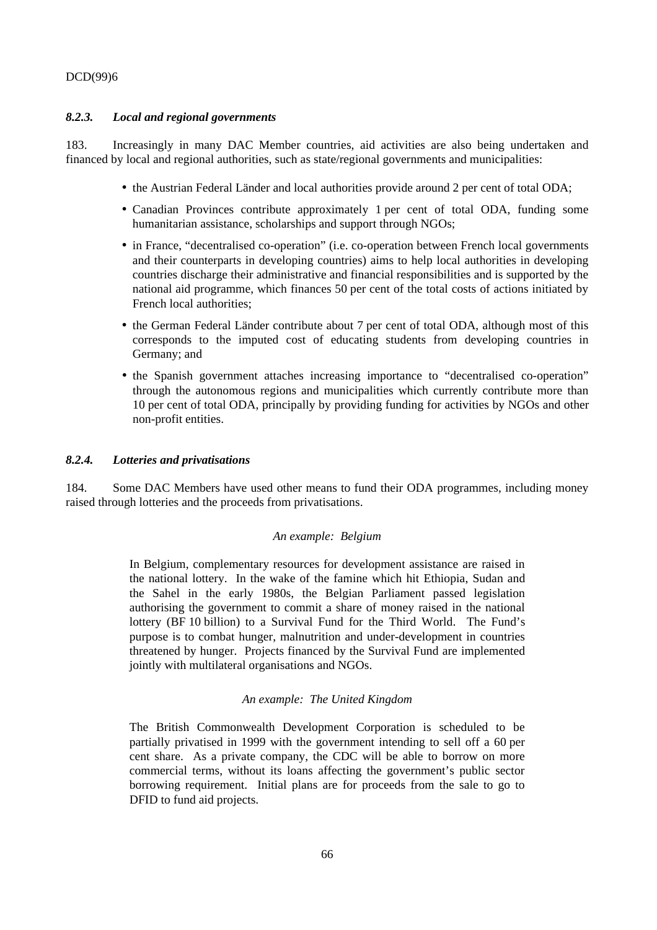## *8.2.3. Local and regional governments*

183. Increasingly in many DAC Member countries, aid activities are also being undertaken and financed by local and regional authorities, such as state/regional governments and municipalities:

- the Austrian Federal Länder and local authorities provide around 2 per cent of total ODA;
- Canadian Provinces contribute approximately 1 per cent of total ODA, funding some humanitarian assistance, scholarships and support through NGOs;
- in France, "decentralised co-operation" (i.e. co-operation between French local governments and their counterparts in developing countries) aims to help local authorities in developing countries discharge their administrative and financial responsibilities and is supported by the national aid programme, which finances 50 per cent of the total costs of actions initiated by French local authorities;
- the German Federal Länder contribute about 7 per cent of total ODA, although most of this corresponds to the imputed cost of educating students from developing countries in Germany; and
- the Spanish government attaches increasing importance to "decentralised co-operation" through the autonomous regions and municipalities which currently contribute more than 10 per cent of total ODA, principally by providing funding for activities by NGOs and other non-profit entities.

## *8.2.4. Lotteries and privatisations*

184. Some DAC Members have used other means to fund their ODA programmes, including money raised through lotteries and the proceeds from privatisations.

### *An example: Belgium*

In Belgium, complementary resources for development assistance are raised in the national lottery. In the wake of the famine which hit Ethiopia, Sudan and the Sahel in the early 1980s, the Belgian Parliament passed legislation authorising the government to commit a share of money raised in the national lottery (BF 10 billion) to a Survival Fund for the Third World. The Fund's purpose is to combat hunger, malnutrition and under-development in countries threatened by hunger. Projects financed by the Survival Fund are implemented jointly with multilateral organisations and NGOs.

# *An example: The United Kingdom*

The British Commonwealth Development Corporation is scheduled to be partially privatised in 1999 with the government intending to sell off a 60 per cent share. As a private company, the CDC will be able to borrow on more commercial terms, without its loans affecting the government's public sector borrowing requirement. Initial plans are for proceeds from the sale to go to DFID to fund aid projects.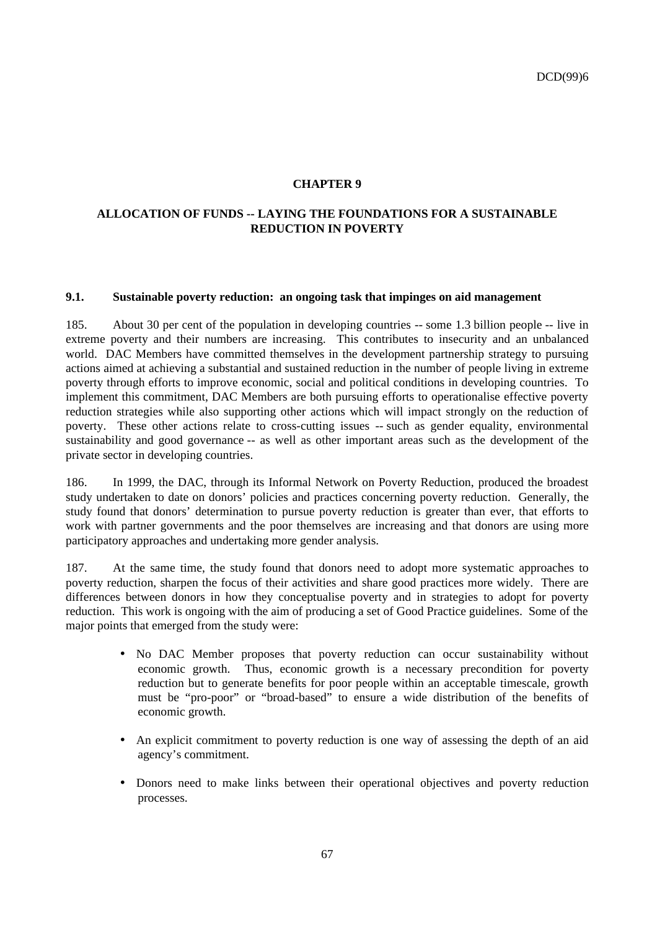## **CHAPTER 9**

# **ALLOCATION OF FUNDS -- LAYING THE FOUNDATIONS FOR A SUSTAINABLE REDUCTION IN POVERTY**

# **9.1. Sustainable poverty reduction: an ongoing task that impinges on aid management**

185. About 30 per cent of the population in developing countries -- some 1.3 billion people -- live in extreme poverty and their numbers are increasing. This contributes to insecurity and an unbalanced world. DAC Members have committed themselves in the development partnership strategy to pursuing actions aimed at achieving a substantial and sustained reduction in the number of people living in extreme poverty through efforts to improve economic, social and political conditions in developing countries. To implement this commitment, DAC Members are both pursuing efforts to operationalise effective poverty reduction strategies while also supporting other actions which will impact strongly on the reduction of poverty. These other actions relate to cross-cutting issues -- such as gender equality, environmental sustainability and good governance -- as well as other important areas such as the development of the private sector in developing countries.

186. In 1999, the DAC, through its Informal Network on Poverty Reduction, produced the broadest study undertaken to date on donors' policies and practices concerning poverty reduction. Generally, the study found that donors' determination to pursue poverty reduction is greater than ever, that efforts to work with partner governments and the poor themselves are increasing and that donors are using more participatory approaches and undertaking more gender analysis.

187. At the same time, the study found that donors need to adopt more systematic approaches to poverty reduction, sharpen the focus of their activities and share good practices more widely. There are differences between donors in how they conceptualise poverty and in strategies to adopt for poverty reduction. This work is ongoing with the aim of producing a set of Good Practice guidelines. Some of the major points that emerged from the study were:

- No DAC Member proposes that poverty reduction can occur sustainability without economic growth. Thus, economic growth is a necessary precondition for poverty reduction but to generate benefits for poor people within an acceptable timescale, growth must be "pro-poor" or "broad-based" to ensure a wide distribution of the benefits of economic growth.
- An explicit commitment to poverty reduction is one way of assessing the depth of an aid agency's commitment.
- Donors need to make links between their operational objectives and poverty reduction processes.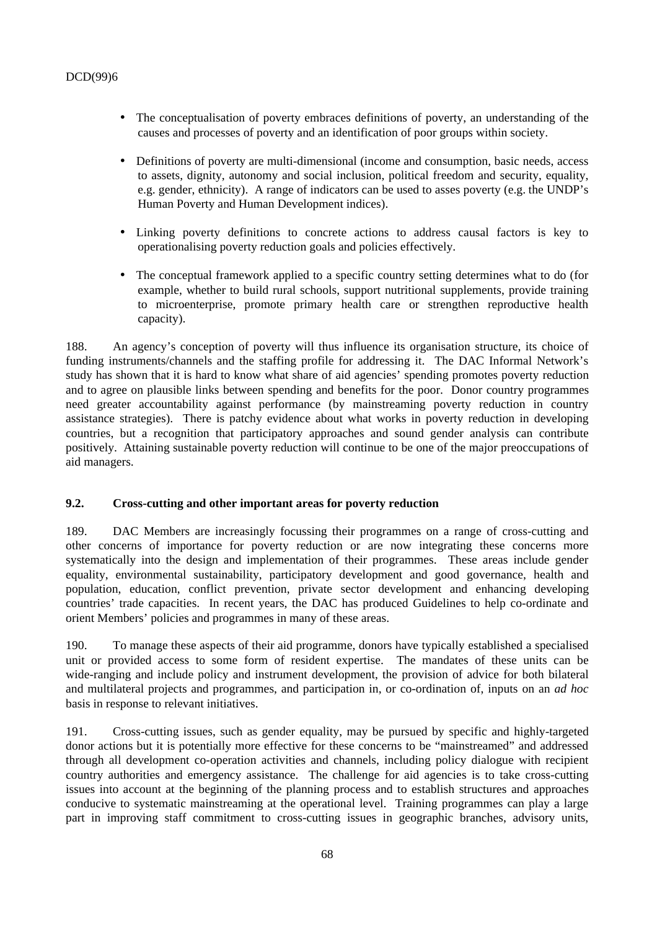- The conceptualisation of poverty embraces definitions of poverty, an understanding of the causes and processes of poverty and an identification of poor groups within society.
- Definitions of poverty are multi-dimensional (income and consumption, basic needs, access to assets, dignity, autonomy and social inclusion, political freedom and security, equality, e.g. gender, ethnicity). A range of indicators can be used to asses poverty (e.g. the UNDP's Human Poverty and Human Development indices).
- Linking poverty definitions to concrete actions to address causal factors is key to operationalising poverty reduction goals and policies effectively.
- The conceptual framework applied to a specific country setting determines what to do (for example, whether to build rural schools, support nutritional supplements, provide training to microenterprise, promote primary health care or strengthen reproductive health capacity).

188. An agency's conception of poverty will thus influence its organisation structure, its choice of funding instruments/channels and the staffing profile for addressing it. The DAC Informal Network's study has shown that it is hard to know what share of aid agencies' spending promotes poverty reduction and to agree on plausible links between spending and benefits for the poor. Donor country programmes need greater accountability against performance (by mainstreaming poverty reduction in country assistance strategies). There is patchy evidence about what works in poverty reduction in developing countries, but a recognition that participatory approaches and sound gender analysis can contribute positively. Attaining sustainable poverty reduction will continue to be one of the major preoccupations of aid managers.

### **9.2. Cross-cutting and other important areas for poverty reduction**

189. DAC Members are increasingly focussing their programmes on a range of cross-cutting and other concerns of importance for poverty reduction or are now integrating these concerns more systematically into the design and implementation of their programmes. These areas include gender equality, environmental sustainability, participatory development and good governance, health and population, education, conflict prevention, private sector development and enhancing developing countries' trade capacities. In recent years, the DAC has produced Guidelines to help co-ordinate and orient Members' policies and programmes in many of these areas.

190. To manage these aspects of their aid programme, donors have typically established a specialised unit or provided access to some form of resident expertise. The mandates of these units can be wide-ranging and include policy and instrument development, the provision of advice for both bilateral and multilateral projects and programmes, and participation in, or co-ordination of, inputs on an *ad hoc* basis in response to relevant initiatives.

191. Cross-cutting issues, such as gender equality, may be pursued by specific and highly-targeted donor actions but it is potentially more effective for these concerns to be "mainstreamed" and addressed through all development co-operation activities and channels, including policy dialogue with recipient country authorities and emergency assistance. The challenge for aid agencies is to take cross-cutting issues into account at the beginning of the planning process and to establish structures and approaches conducive to systematic mainstreaming at the operational level. Training programmes can play a large part in improving staff commitment to cross-cutting issues in geographic branches, advisory units,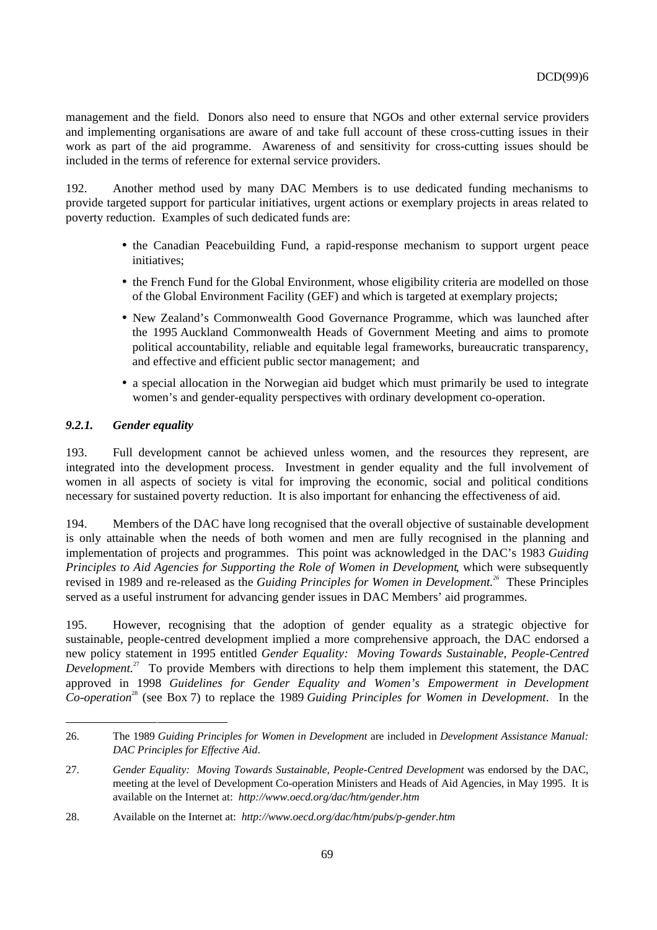management and the field. Donors also need to ensure that NGOs and other external service providers and implementing organisations are aware of and take full account of these cross-cutting issues in their work as part of the aid programme. Awareness of and sensitivity for cross-cutting issues should be included in the terms of reference for external service providers.

192. Another method used by many DAC Members is to use dedicated funding mechanisms to provide targeted support for particular initiatives, urgent actions or exemplary projects in areas related to poverty reduction. Examples of such dedicated funds are:

- the Canadian Peacebuilding Fund, a rapid-response mechanism to support urgent peace initiatives;
- the French Fund for the Global Environment, whose eligibility criteria are modelled on those of the Global Environment Facility (GEF) and which is targeted at exemplary projects;
- New Zealand's Commonwealth Good Governance Programme, which was launched after the 1995 Auckland Commonwealth Heads of Government Meeting and aims to promote political accountability, reliable and equitable legal frameworks, bureaucratic transparency, and effective and efficient public sector management; and
- a special allocation in the Norwegian aid budget which must primarily be used to integrate women's and gender-equality perspectives with ordinary development co-operation.

## *9.2.1. Gender equality*

-

193. Full development cannot be achieved unless women, and the resources they represent, are integrated into the development process. Investment in gender equality and the full involvement of women in all aspects of society is vital for improving the economic, social and political conditions necessary for sustained poverty reduction. It is also important for enhancing the effectiveness of aid.

194. Members of the DAC have long recognised that the overall objective of sustainable development is only attainable when the needs of both women and men are fully recognised in the planning and implementation of projects and programmes. This point was acknowledged in the DAC's 1983 *Guiding Principles to Aid Agencies for Supporting the Role of Women in Development*, which were subsequently revised in 1989 and re-released as the *Guiding Principles for Women in Development.26* These Principles served as a useful instrument for advancing gender issues in DAC Members' aid programmes.

195. However, recognising that the adoption of gender equality as a strategic objective for sustainable, people-centred development implied a more comprehensive approach, the DAC endorsed a new policy statement in 1995 entitled *Gender Equality: Moving Towards Sustainable, People-Centred Development.*<sup>27</sup> To provide Members with directions to help them implement this statement, the DAC approved in 1998 *Guidelines for Gender Equality and Women's Empowerment in Development Co-operation*28 (see Box 7) to replace the 1989 *Guiding Principles for Women in Development*. In the

<sup>26.</sup> The 1989 *Guiding Principles for Women in Development* are included in *Development Assistance Manual: DAC Principles for Effective Aid*.

<sup>27.</sup> *Gender Equality: Moving Towards Sustainable, People-Centred Development* was endorsed by the DAC, meeting at the level of Development Co-operation Ministers and Heads of Aid Agencies, in May 1995. It is available on the Internet at: *http://www.oecd.org/dac/htm/gender.htm*

<sup>28.</sup> Available on the Internet at: *http://www.oecd.org/dac/htm/pubs/p-gender.htm*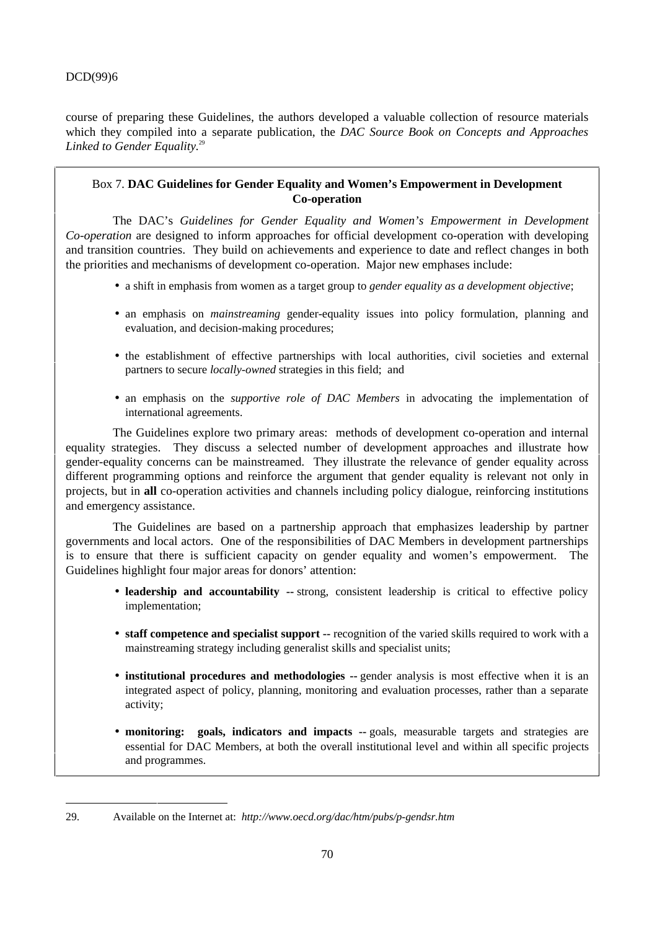-

course of preparing these Guidelines, the authors developed a valuable collection of resource materials which they compiled into a separate publication, the *DAC Source Book on Concepts and Approaches Linked to Gender Equality.*<sup>29</sup>

## Box 7. **DAC Guidelines for Gender Equality and Women's Empowerment in Development Co-operation**

The DAC's *Guidelines for Gender Equality and Women's Empowerment in Development Co-operation* are designed to inform approaches for official development co-operation with developing and transition countries. They build on achievements and experience to date and reflect changes in both the priorities and mechanisms of development co-operation. Major new emphases include:

- a shift in emphasis from women as a target group to *gender equality as a development objective*;
- an emphasis on *mainstreaming* gender-equality issues into policy formulation, planning and evaluation, and decision-making procedures;
- the establishment of effective partnerships with local authorities, civil societies and external partners to secure *locally-owned* strategies in this field; and
- an emphasis on the *supportive role of DAC Members* in advocating the implementation of international agreements.

The Guidelines explore two primary areas: methods of development co-operation and internal equality strategies. They discuss a selected number of development approaches and illustrate how gender-equality concerns can be mainstreamed. They illustrate the relevance of gender equality across different programming options and reinforce the argument that gender equality is relevant not only in projects, but in **all** co-operation activities and channels including policy dialogue, reinforcing institutions and emergency assistance.

The Guidelines are based on a partnership approach that emphasizes leadership by partner governments and local actors. One of the responsibilities of DAC Members in development partnerships is to ensure that there is sufficient capacity on gender equality and women's empowerment. The Guidelines highlight four major areas for donors' attention:

- **leadership and accountability --** strong, consistent leadership is critical to effective policy implementation;
- **staff competence and specialist support --** recognition of the varied skills required to work with a mainstreaming strategy including generalist skills and specialist units;
- **institutional procedures and methodologies --** gender analysis is most effective when it is an integrated aspect of policy, planning, monitoring and evaluation processes, rather than a separate activity;
- **monitoring: goals, indicators and impacts --** goals, measurable targets and strategies are essential for DAC Members, at both the overall institutional level and within all specific projects and programmes.

<sup>29.</sup> Available on the Internet at: *http://www.oecd.org/dac/htm/pubs/p-gendsr.htm*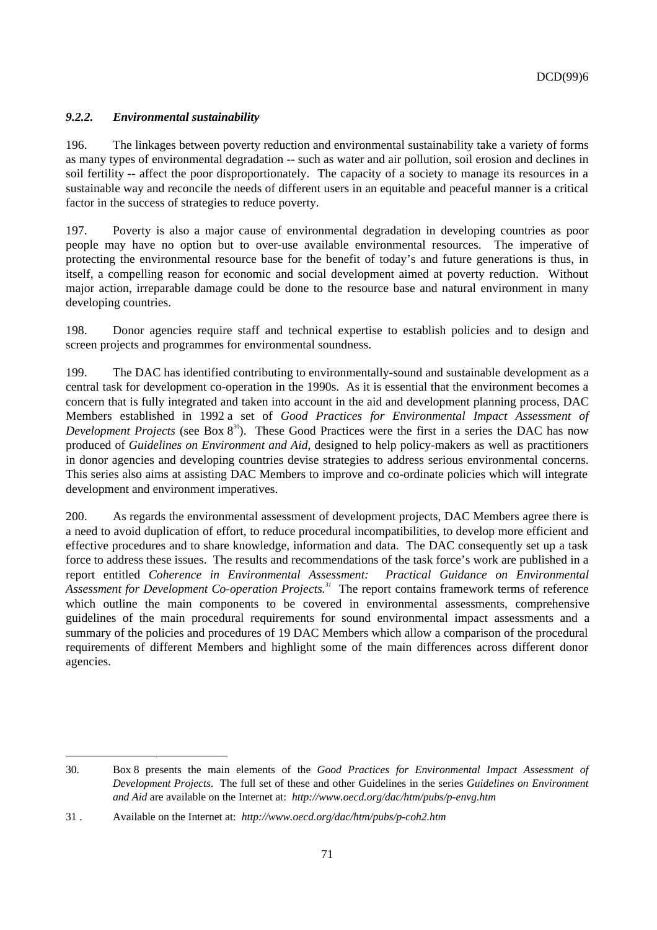# *9.2.2. Environmental sustainability*

196. The linkages between poverty reduction and environmental sustainability take a variety of forms as many types of environmental degradation -- such as water and air pollution, soil erosion and declines in soil fertility -- affect the poor disproportionately. The capacity of a society to manage its resources in a sustainable way and reconcile the needs of different users in an equitable and peaceful manner is a critical factor in the success of strategies to reduce poverty.

197. Poverty is also a major cause of environmental degradation in developing countries as poor people may have no option but to over-use available environmental resources. The imperative of protecting the environmental resource base for the benefit of today's and future generations is thus, in itself, a compelling reason for economic and social development aimed at poverty reduction. Without major action, irreparable damage could be done to the resource base and natural environment in many developing countries.

198. Donor agencies require staff and technical expertise to establish policies and to design and screen projects and programmes for environmental soundness.

199. The DAC has identified contributing to environmentally-sound and sustainable development as a central task for development co-operation in the 1990s. As it is essential that the environment becomes a concern that is fully integrated and taken into account in the aid and development planning process, DAC Members established in 1992 a set of *Good Practices for Environmental Impact Assessment of Development Projects* (see Box 8<sup>30</sup>). These Good Practices were the first in a series the DAC has now produced of *Guidelines on Environment and Aid,* designed to help policy-makers as well as practitioners in donor agencies and developing countries devise strategies to address serious environmental concerns. This series also aims at assisting DAC Members to improve and co-ordinate policies which will integrate development and environment imperatives.

200. As regards the environmental assessment of development projects, DAC Members agree there is a need to avoid duplication of effort, to reduce procedural incompatibilities, to develop more efficient and effective procedures and to share knowledge, information and data. The DAC consequently set up a task force to address these issues. The results and recommendations of the task force's work are published in a report entitled *Coherence in Environmental Assessment: Practical Guidance on Environmental Assessment for Development Co-operation Projects.31* The report contains framework terms of reference which outline the main components to be covered in environmental assessments, comprehensive guidelines of the main procedural requirements for sound environmental impact assessments and a summary of the policies and procedures of 19 DAC Members which allow a comparison of the procedural requirements of different Members and highlight some of the main differences across different donor agencies.

-

<sup>30.</sup> Box 8 presents the main elements of the *Good Practices for Environmental Impact Assessment of Development Projects*. The full set of these and other Guidelines in the series *Guidelines on Environment and Aid* are available on the Internet at: *http://www.oecd.org/dac/htm/pubs/p-envg.htm*

<sup>31 .</sup> Available on the Internet at: *http://www.oecd.org/dac/htm/pubs/p-coh2.htm*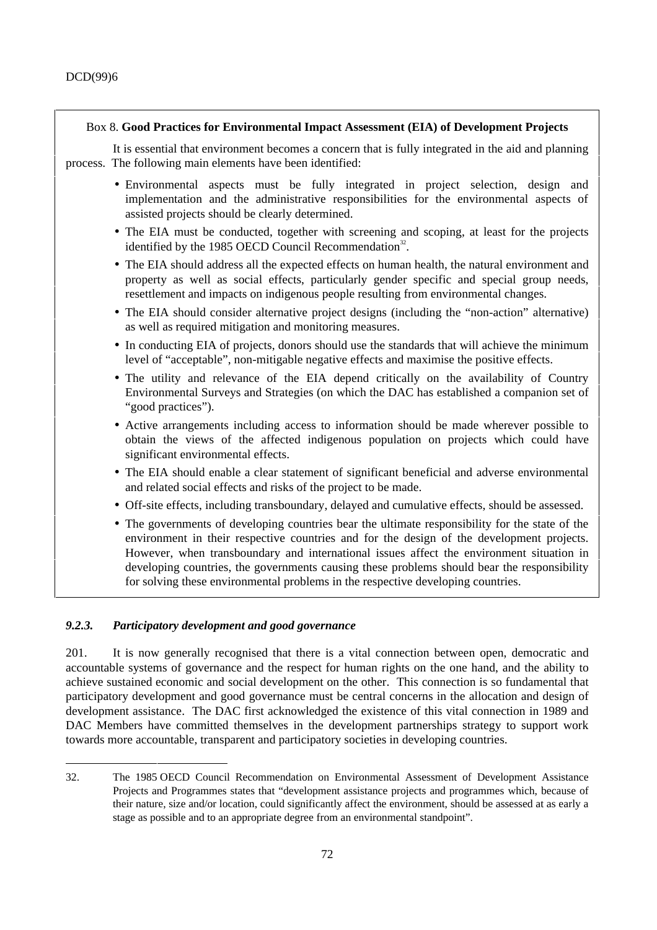-

## Box 8. **Good Practices for Environmental Impact Assessment (EIA) of Development Projects**

It is essential that environment becomes a concern that is fully integrated in the aid and planning process. The following main elements have been identified:

- Environmental aspects must be fully integrated in project selection, design and implementation and the administrative responsibilities for the environmental aspects of assisted projects should be clearly determined.
- The EIA must be conducted, together with screening and scoping, at least for the projects identified by the 1985 OECD Council Recommendation<sup>32</sup>.
- The EIA should address all the expected effects on human health, the natural environment and property as well as social effects, particularly gender specific and special group needs, resettlement and impacts on indigenous people resulting from environmental changes.
- The EIA should consider alternative project designs (including the "non-action" alternative) as well as required mitigation and monitoring measures.
- In conducting EIA of projects, donors should use the standards that will achieve the minimum level of "acceptable", non-mitigable negative effects and maximise the positive effects.
- The utility and relevance of the EIA depend critically on the availability of Country Environmental Surveys and Strategies (on which the DAC has established a companion set of "good practices").
- Active arrangements including access to information should be made wherever possible to obtain the views of the affected indigenous population on projects which could have significant environmental effects.
- The EIA should enable a clear statement of significant beneficial and adverse environmental and related social effects and risks of the project to be made.
- Off-site effects, including transboundary, delayed and cumulative effects, should be assessed.
- The governments of developing countries bear the ultimate responsibility for the state of the environment in their respective countries and for the design of the development projects. However, when transboundary and international issues affect the environment situation in developing countries, the governments causing these problems should bear the responsibility for solving these environmental problems in the respective developing countries.

# *9.2.3. Participatory development and good governance*

201. It is now generally recognised that there is a vital connection between open, democratic and accountable systems of governance and the respect for human rights on the one hand, and the ability to achieve sustained economic and social development on the other. This connection is so fundamental that participatory development and good governance must be central concerns in the allocation and design of development assistance. The DAC first acknowledged the existence of this vital connection in 1989 and DAC Members have committed themselves in the development partnerships strategy to support work towards more accountable, transparent and participatory societies in developing countries.

<sup>32.</sup> The 1985 OECD Council Recommendation on Environmental Assessment of Development Assistance Projects and Programmes states that "development assistance projects and programmes which, because of their nature, size and/or location, could significantly affect the environment, should be assessed at as early a stage as possible and to an appropriate degree from an environmental standpoint".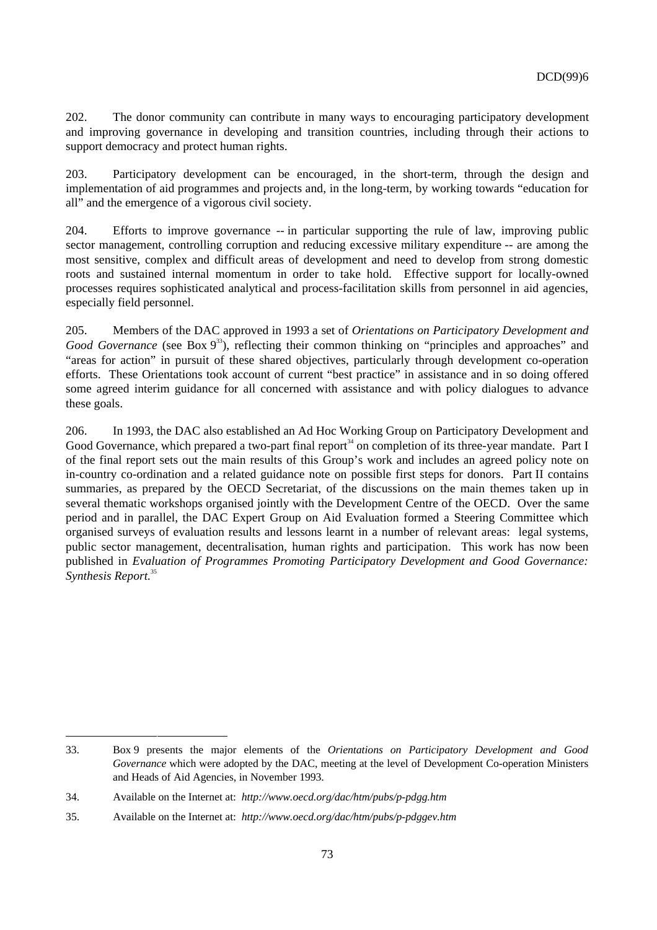202. The donor community can contribute in many ways to encouraging participatory development and improving governance in developing and transition countries, including through their actions to support democracy and protect human rights.

203. Participatory development can be encouraged, in the short-term, through the design and implementation of aid programmes and projects and, in the long-term, by working towards "education for all" and the emergence of a vigorous civil society.

204. Efforts to improve governance -- in particular supporting the rule of law, improving public sector management, controlling corruption and reducing excessive military expenditure -- are among the most sensitive, complex and difficult areas of development and need to develop from strong domestic roots and sustained internal momentum in order to take hold. Effective support for locally-owned processes requires sophisticated analytical and process-facilitation skills from personnel in aid agencies, especially field personnel.

205. Members of the DAC approved in 1993 a set of *Orientations on Participatory Development and Good Governance* (see Box 9<sup>33</sup>), reflecting their common thinking on "principles and approaches" and "areas for action" in pursuit of these shared objectives, particularly through development co-operation efforts. These Orientations took account of current "best practice" in assistance and in so doing offered some agreed interim guidance for all concerned with assistance and with policy dialogues to advance these goals.

206. In 1993, the DAC also established an Ad Hoc Working Group on Participatory Development and Good Governance, which prepared a two-part final report<sup>34</sup> on completion of its three-year mandate. Part I of the final report sets out the main results of this Group's work and includes an agreed policy note on in-country co-ordination and a related guidance note on possible first steps for donors. Part II contains summaries, as prepared by the OECD Secretariat, of the discussions on the main themes taken up in several thematic workshops organised jointly with the Development Centre of the OECD. Over the same period and in parallel, the DAC Expert Group on Aid Evaluation formed a Steering Committee which organised surveys of evaluation results and lessons learnt in a number of relevant areas: legal systems, public sector management, decentralisation, human rights and participation. This work has now been published in *Evaluation of Programmes Promoting Participatory Development and Good Governance: Synthesis Report.*<sup>35</sup>

-

<sup>33.</sup> Box 9 presents the major elements of the *Orientations on Participatory Development and Good Governance* which were adopted by the DAC, meeting at the level of Development Co-operation Ministers and Heads of Aid Agencies, in November 1993.

<sup>34.</sup> Available on the Internet at: *http://www.oecd.org/dac/htm/pubs/p-pdgg.htm*

<sup>35.</sup> Available on the Internet at: *http://www.oecd.org/dac/htm/pubs/p-pdggev.htm*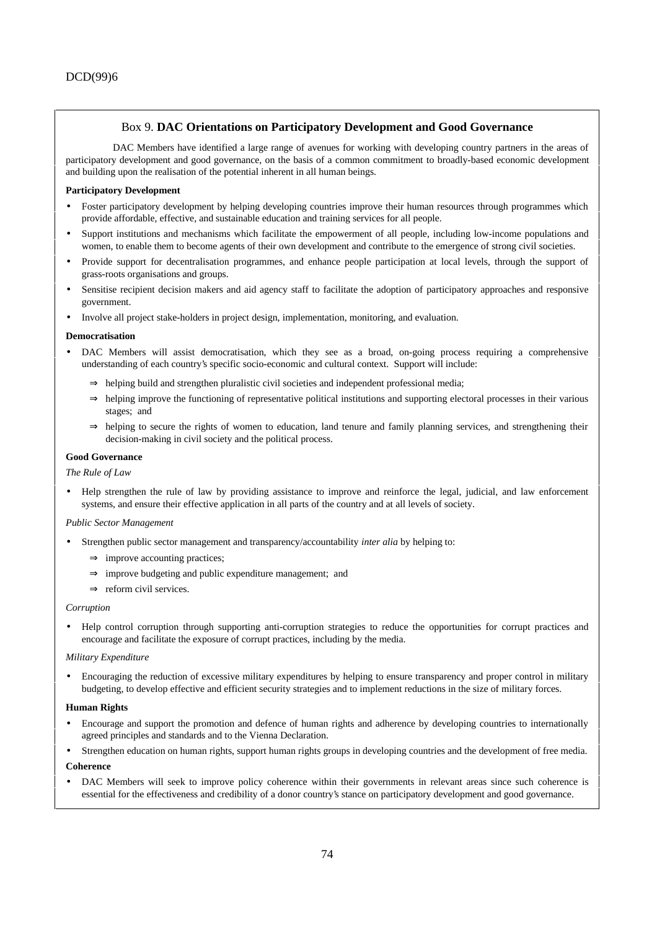#### Box 9. **DAC Orientations on Participatory Development and Good Governance**

DAC Members have identified a large range of avenues for working with developing country partners in the areas of participatory development and good governance, on the basis of a common commitment to broadly-based economic development and building upon the realisation of the potential inherent in all human beings.

#### **Participatory Development**

- Foster participatory development by helping developing countries improve their human resources through programmes which provide affordable, effective, and sustainable education and training services for all people.
- Support institutions and mechanisms which facilitate the empowerment of all people, including low-income populations and women, to enable them to become agents of their own development and contribute to the emergence of strong civil societies.
- Provide support for decentralisation programmes, and enhance people participation at local levels, through the support of grass-roots organisations and groups.
- Sensitise recipient decision makers and aid agency staff to facilitate the adoption of participatory approaches and responsive government.
- Involve all project stake-holders in project design, implementation, monitoring, and evaluation.

#### **Democratisation**

- DAC Members will assist democratisation, which they see as a broad, on-going process requiring a comprehensive understanding of each country's specific socio-economic and cultural context. Support will include:
	- ⇒ helping build and strengthen pluralistic civil societies and independent professional media;
	- $\Rightarrow$  helping improve the functioning of representative political institutions and supporting electoral processes in their various stages; and
	- ⇒ helping to secure the rights of women to education, land tenure and family planning services, and strengthening their decision-making in civil society and the political process.

#### **Good Governance**

#### *The Rule of Law*

• Help strengthen the rule of law by providing assistance to improve and reinforce the legal, judicial, and law enforcement systems, and ensure their effective application in all parts of the country and at all levels of society.

#### *Public Sector Management*

- Strengthen public sector management and transparency/accountability *inter alia* by helping to:
	- $\Rightarrow$  improve accounting practices;
	- ⇒ improve budgeting and public expenditure management; and
	- ⇒ reform civil services.

#### *Corruption*

• Help control corruption through supporting anti-corruption strategies to reduce the opportunities for corrupt practices and encourage and facilitate the exposure of corrupt practices, including by the media.

#### *Military Expenditure*

• Encouraging the reduction of excessive military expenditures by helping to ensure transparency and proper control in military budgeting, to develop effective and efficient security strategies and to implement reductions in the size of military forces.

#### **Human Rights**

- Encourage and support the promotion and defence of human rights and adherence by developing countries to internationally agreed principles and standards and to the Vienna Declaration.
- Strengthen education on human rights, support human rights groups in developing countries and the development of free media.

#### **Coherence**

• DAC Members will seek to improve policy coherence within their governments in relevant areas since such coherence is essential for the effectiveness and credibility of a donor country's stance on participatory development and good governance.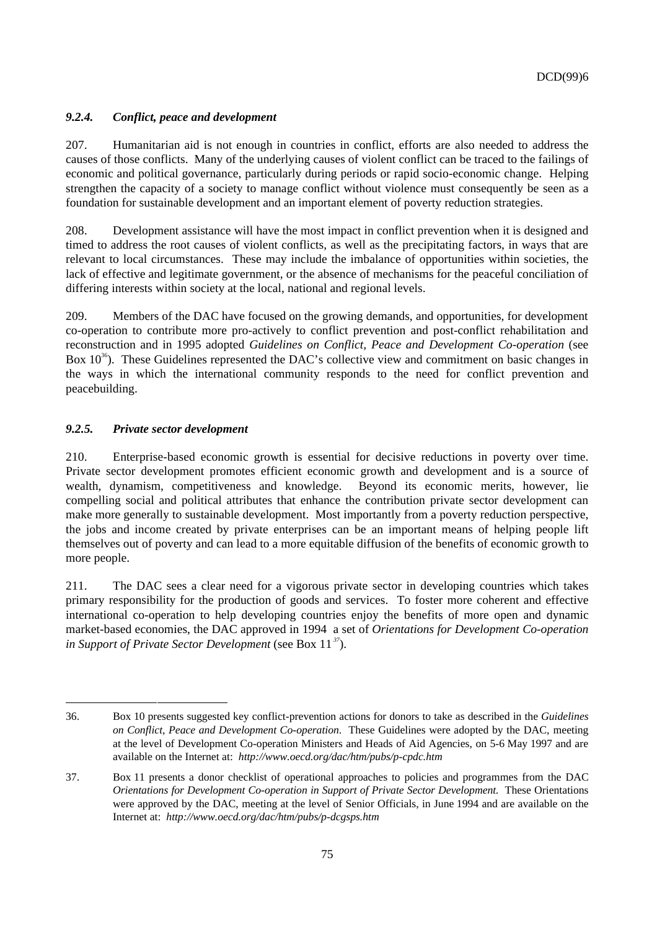# *9.2.4. Conflict, peace and development*

207. Humanitarian aid is not enough in countries in conflict, efforts are also needed to address the causes of those conflicts. Many of the underlying causes of violent conflict can be traced to the failings of economic and political governance, particularly during periods or rapid socio-economic change. Helping strengthen the capacity of a society to manage conflict without violence must consequently be seen as a foundation for sustainable development and an important element of poverty reduction strategies.

208. Development assistance will have the most impact in conflict prevention when it is designed and timed to address the root causes of violent conflicts, as well as the precipitating factors, in ways that are relevant to local circumstances. These may include the imbalance of opportunities within societies, the lack of effective and legitimate government, or the absence of mechanisms for the peaceful conciliation of differing interests within society at the local, national and regional levels.

209. Members of the DAC have focused on the growing demands, and opportunities, for development co-operation to contribute more pro-actively to conflict prevention and post-conflict rehabilitation and reconstruction and in 1995 adopted *Guidelines on Conflict, Peace and Development Co-operation* (see Box 10<sup>36</sup>). These Guidelines represented the DAC's collective view and commitment on basic changes in the ways in which the international community responds to the need for conflict prevention and peacebuilding.

# *9.2.5. Private sector development*

-

210. Enterprise-based economic growth is essential for decisive reductions in poverty over time. Private sector development promotes efficient economic growth and development and is a source of wealth, dynamism, competitiveness and knowledge. Beyond its economic merits, however, lie compelling social and political attributes that enhance the contribution private sector development can make more generally to sustainable development. Most importantly from a poverty reduction perspective, the jobs and income created by private enterprises can be an important means of helping people lift themselves out of poverty and can lead to a more equitable diffusion of the benefits of economic growth to more people.

211. The DAC sees a clear need for a vigorous private sector in developing countries which takes primary responsibility for the production of goods and services. To foster more coherent and effective international co-operation to help developing countries enjoy the benefits of more open and dynamic market-based economies, the DAC approved in 1994 a set of *Orientations for Development Co-operation in Support of Private Sector Development* (see Box 11*<sup>37</sup>*).

<sup>36.</sup> Box 10 presents suggested key conflict-prevention actions for donors to take as described in the *Guidelines on Conflict, Peace and Development Co-operation*. These Guidelines were adopted by the DAC, meeting at the level of Development Co-operation Ministers and Heads of Aid Agencies, on 5-6 May 1997 and are available on the Internet at: *http://www.oecd.org/dac/htm/pubs/p-cpdc.htm*

<sup>37.</sup> Box 11 presents a donor checklist of operational approaches to policies and programmes from the DAC *Orientations for Development Co-operation in Support of Private Sector Development*. These Orientations were approved by the DAC, meeting at the level of Senior Officials, in June 1994 and are available on the Internet at: *http://www.oecd.org/dac/htm/pubs/p-dcgsps.htm*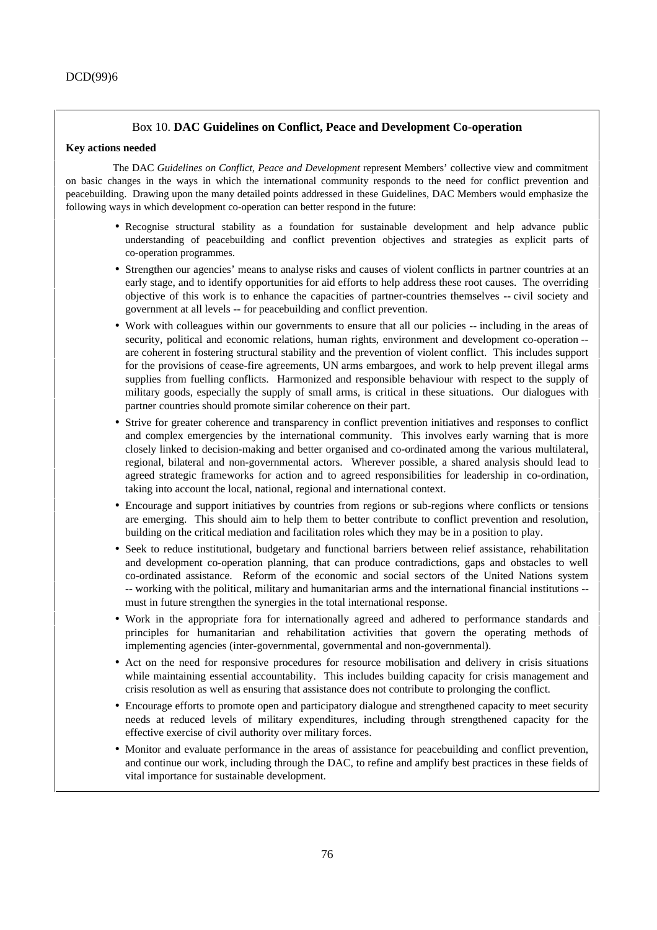## Box 10. **DAC Guidelines on Conflict, Peace and Development Co-operation**

#### **Key actions needed**

The DAC *Guidelines on Conflict, Peace and Development* represent Members' collective view and commitment on basic changes in the ways in which the international community responds to the need for conflict prevention and peacebuilding. Drawing upon the many detailed points addressed in these Guidelines, DAC Members would emphasize the following ways in which development co-operation can better respond in the future:

- Recognise structural stability as a foundation for sustainable development and help advance public understanding of peacebuilding and conflict prevention objectives and strategies as explicit parts of co-operation programmes.
- Strengthen our agencies' means to analyse risks and causes of violent conflicts in partner countries at an early stage, and to identify opportunities for aid efforts to help address these root causes. The overriding objective of this work is to enhance the capacities of partner-countries themselves -- civil society and government at all levels -- for peacebuilding and conflict prevention.
- Work with colleagues within our governments to ensure that all our policies -- including in the areas of security, political and economic relations, human rights, environment and development co-operation -are coherent in fostering structural stability and the prevention of violent conflict. This includes support for the provisions of cease-fire agreements, UN arms embargoes, and work to help prevent illegal arms supplies from fuelling conflicts. Harmonized and responsible behaviour with respect to the supply of military goods, especially the supply of small arms, is critical in these situations. Our dialogues with partner countries should promote similar coherence on their part.
- Strive for greater coherence and transparency in conflict prevention initiatives and responses to conflict and complex emergencies by the international community. This involves early warning that is more closely linked to decision-making and better organised and co-ordinated among the various multilateral, regional, bilateral and non-governmental actors. Wherever possible, a shared analysis should lead to agreed strategic frameworks for action and to agreed responsibilities for leadership in co-ordination, taking into account the local, national, regional and international context.
- Encourage and support initiatives by countries from regions or sub-regions where conflicts or tensions are emerging. This should aim to help them to better contribute to conflict prevention and resolution, building on the critical mediation and facilitation roles which they may be in a position to play.
- Seek to reduce institutional, budgetary and functional barriers between relief assistance, rehabilitation and development co-operation planning, that can produce contradictions, gaps and obstacles to well co-ordinated assistance. Reform of the economic and social sectors of the United Nations system -- working with the political, military and humanitarian arms and the international financial institutions - must in future strengthen the synergies in the total international response.
- Work in the appropriate fora for internationally agreed and adhered to performance standards and principles for humanitarian and rehabilitation activities that govern the operating methods of implementing agencies (inter-governmental, governmental and non-governmental).
- Act on the need for responsive procedures for resource mobilisation and delivery in crisis situations while maintaining essential accountability. This includes building capacity for crisis management and crisis resolution as well as ensuring that assistance does not contribute to prolonging the conflict.
- Encourage efforts to promote open and participatory dialogue and strengthened capacity to meet security needs at reduced levels of military expenditures, including through strengthened capacity for the effective exercise of civil authority over military forces.
- Monitor and evaluate performance in the areas of assistance for peacebuilding and conflict prevention, and continue our work, including through the DAC, to refine and amplify best practices in these fields of vital importance for sustainable development.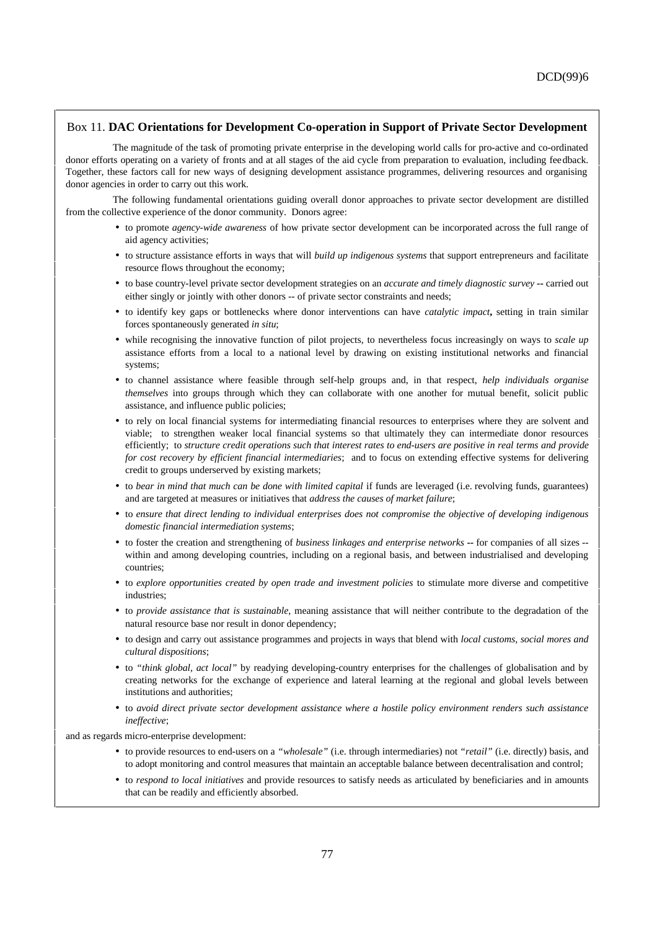#### Box 11. **DAC Orientations for Development Co-operation in Support of Private Sector Development**

The magnitude of the task of promoting private enterprise in the developing world calls for pro-active and co-ordinated donor efforts operating on a variety of fronts and at all stages of the aid cycle from preparation to evaluation, including feedback. Together, these factors call for new ways of designing development assistance programmes, delivering resources and organising donor agencies in order to carry out this work.

The following fundamental orientations guiding overall donor approaches to private sector development are distilled from the collective experience of the donor community. Donors agree:

- to promote *agency-wide awareness* of how private sector development can be incorporated across the full range of aid agency activities;
- to structure assistance efforts in ways that will *build up indigenous systems* that support entrepreneurs and facilitate resource flows throughout the economy;
- to base country-level private sector development strategies on an *accurate and timely diagnostic survey* **--** carried out either singly or jointly with other donors -- of private sector constraints and needs;
- to identify key gaps or bottlenecks where donor interventions can have *catalytic impact***,** setting in train similar forces spontaneously generated *in situ*;
- while recognising the innovative function of pilot projects, to nevertheless focus increasingly on ways to *scale up* assistance efforts from a local to a national level by drawing on existing institutional networks and financial systems;
- to channel assistance where feasible through self-help groups and, in that respect, *help individuals organise themselves* into groups through which they can collaborate with one another for mutual benefit, solicit public assistance, and influence public policies;
- to rely on local financial systems for intermediating financial resources to enterprises where they are solvent and viable; to strengthen weaker local financial systems so that ultimately they can intermediate donor resources efficiently; to *structure credit operations such that interest rates to end-users are positive in real terms and provide for cost recovery by efficient financial intermediaries*;and to focus on extending effective systems for delivering credit to groups underserved by existing markets;
- to *bear in mind that much can be done with limited capital* if funds are leveraged (i.e. revolving funds, guarantees) and are targeted at measures or initiatives that *address the causes of market failure*;
- to *ensure that direct lending to individual enterprises does not compromise the objective of developing indigenous domestic financial intermediation systems*;
- to foster the creation and strengthening of *business linkages and enterprise networks* **--** for companies of all sizes within and among developing countries, including on a regional basis, and between industrialised and developing countries;
- to *explore opportunities created by open trade and investment policies* to stimulate more diverse and competitive industries;
- to *provide assistance that is sustainable*, meaning assistance that will neither contribute to the degradation of the natural resource base nor result in donor dependency;
- to design and carry out assistance programmes and projects in ways that blend with *local customs, social mores and cultural dispositions*;
- to *"think global, act local"* by readying developing-country enterprises for the challenges of globalisation and by creating networks for the exchange of experience and lateral learning at the regional and global levels between institutions and authorities;
- to *avoid direct private sector development assistance where a hostile policy environment renders such assistance ineffective*;

and as regards micro-enterprise development:

- to provide resources to end-users on a *"wholesale"* (i.e. through intermediaries) not *"retail"* (i.e. directly) basis, and to adopt monitoring and control measures that maintain an acceptable balance between decentralisation and control;
- to *respond to local initiatives* and provide resources to satisfy needs as articulated by beneficiaries and in amounts that can be readily and efficiently absorbed.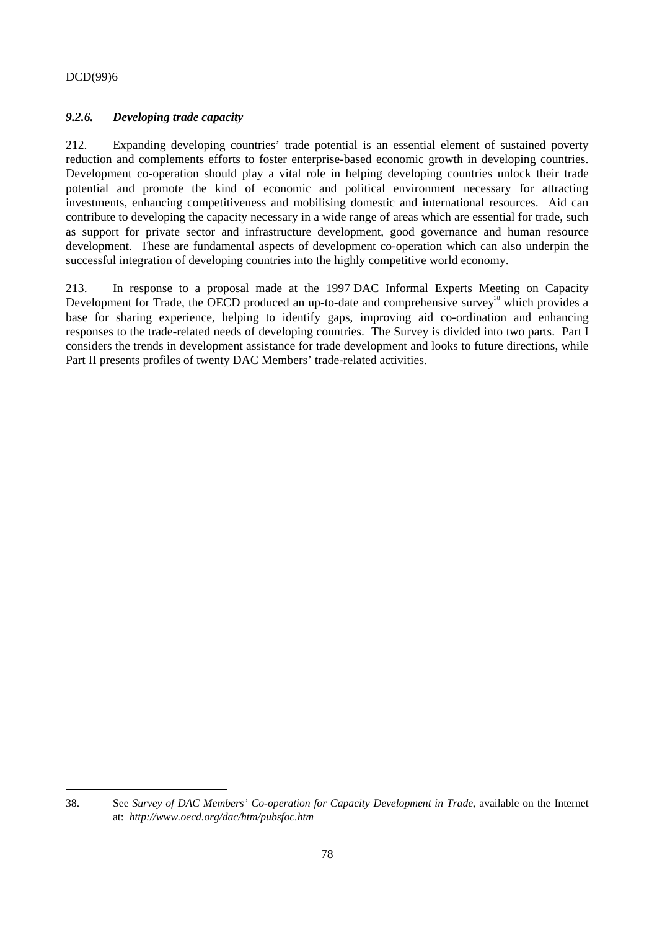-

# *9.2.6. Developing trade capacity*

212. Expanding developing countries' trade potential is an essential element of sustained poverty reduction and complements efforts to foster enterprise-based economic growth in developing countries. Development co-operation should play a vital role in helping developing countries unlock their trade potential and promote the kind of economic and political environment necessary for attracting investments, enhancing competitiveness and mobilising domestic and international resources. Aid can contribute to developing the capacity necessary in a wide range of areas which are essential for trade, such as support for private sector and infrastructure development, good governance and human resource development. These are fundamental aspects of development co-operation which can also underpin the successful integration of developing countries into the highly competitive world economy.

213. In response to a proposal made at the 1997 DAC Informal Experts Meeting on Capacity Development for Trade, the OECD produced an up-to-date and comprehensive survey<sup>38</sup> which provides a base for sharing experience, helping to identify gaps, improving aid co-ordination and enhancing responses to the trade-related needs of developing countries. The Survey is divided into two parts. Part I considers the trends in development assistance for trade development and looks to future directions, while Part II presents profiles of twenty DAC Members' trade-related activities.

<sup>38.</sup> See *Survey of DAC Members' Co-operation for Capacity Development in Trade*, available on the Internet at: *http://www.oecd.org/dac/htm/pubsfoc.htm*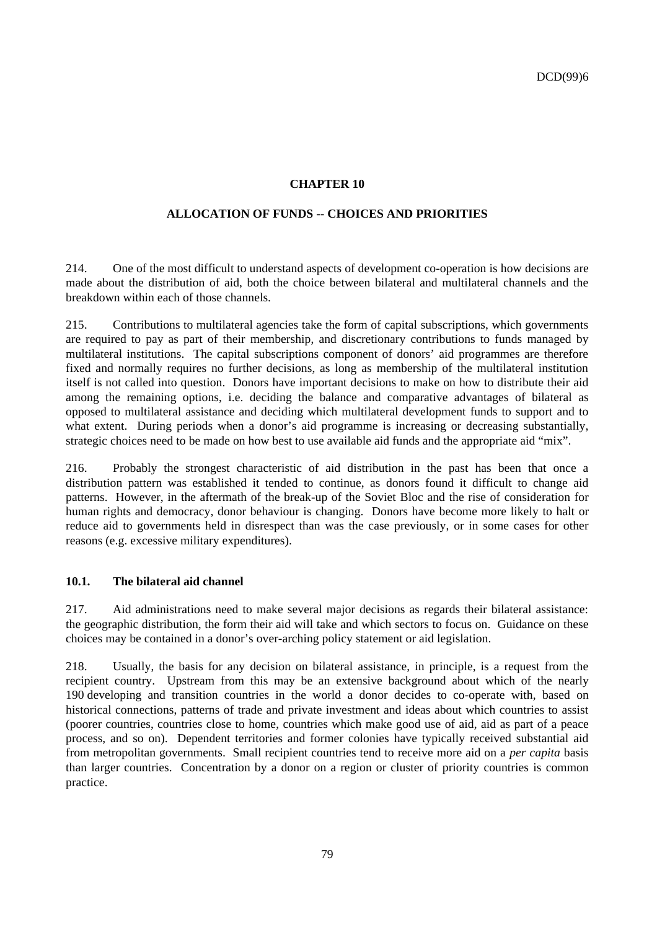# **CHAPTER 10**

# **ALLOCATION OF FUNDS -- CHOICES AND PRIORITIES**

214. One of the most difficult to understand aspects of development co-operation is how decisions are made about the distribution of aid, both the choice between bilateral and multilateral channels and the breakdown within each of those channels.

215. Contributions to multilateral agencies take the form of capital subscriptions, which governments are required to pay as part of their membership, and discretionary contributions to funds managed by multilateral institutions. The capital subscriptions component of donors' aid programmes are therefore fixed and normally requires no further decisions, as long as membership of the multilateral institution itself is not called into question. Donors have important decisions to make on how to distribute their aid among the remaining options, i.e. deciding the balance and comparative advantages of bilateral as opposed to multilateral assistance and deciding which multilateral development funds to support and to what extent. During periods when a donor's aid programme is increasing or decreasing substantially, strategic choices need to be made on how best to use available aid funds and the appropriate aid "mix".

216. Probably the strongest characteristic of aid distribution in the past has been that once a distribution pattern was established it tended to continue, as donors found it difficult to change aid patterns. However, in the aftermath of the break-up of the Soviet Bloc and the rise of consideration for human rights and democracy, donor behaviour is changing. Donors have become more likely to halt or reduce aid to governments held in disrespect than was the case previously, or in some cases for other reasons (e.g. excessive military expenditures).

## **10.1. The bilateral aid channel**

217. Aid administrations need to make several major decisions as regards their bilateral assistance: the geographic distribution, the form their aid will take and which sectors to focus on. Guidance on these choices may be contained in a donor's over-arching policy statement or aid legislation.

218. Usually, the basis for any decision on bilateral assistance, in principle, is a request from the recipient country. Upstream from this may be an extensive background about which of the nearly 190 developing and transition countries in the world a donor decides to co-operate with, based on historical connections, patterns of trade and private investment and ideas about which countries to assist (poorer countries, countries close to home, countries which make good use of aid, aid as part of a peace process, and so on). Dependent territories and former colonies have typically received substantial aid from metropolitan governments. Small recipient countries tend to receive more aid on a *per capita* basis than larger countries. Concentration by a donor on a region or cluster of priority countries is common practice.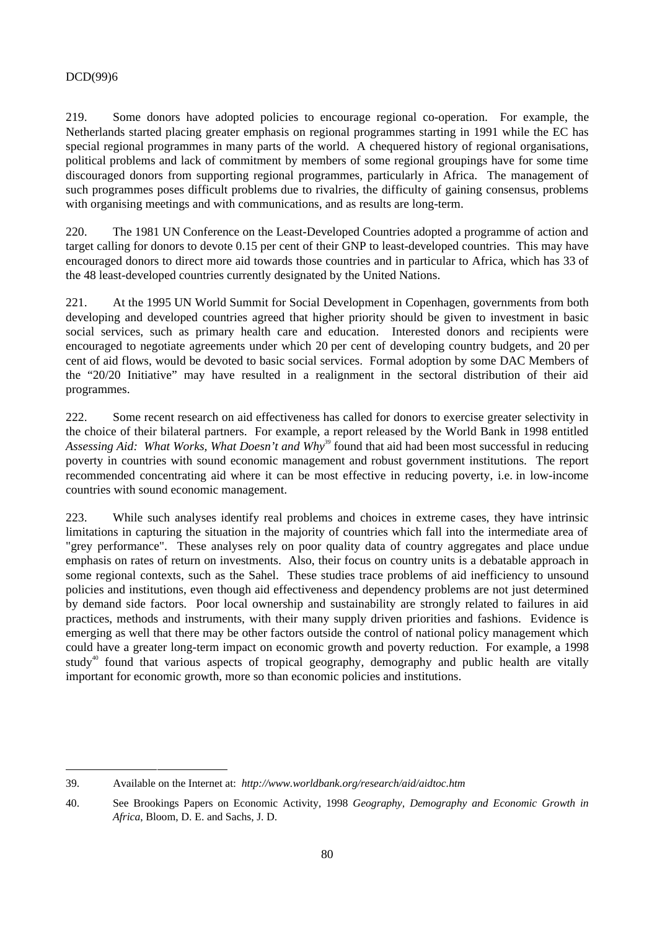1

219. Some donors have adopted policies to encourage regional co-operation. For example, the Netherlands started placing greater emphasis on regional programmes starting in 1991 while the EC has special regional programmes in many parts of the world. A chequered history of regional organisations, political problems and lack of commitment by members of some regional groupings have for some time discouraged donors from supporting regional programmes, particularly in Africa. The management of such programmes poses difficult problems due to rivalries, the difficulty of gaining consensus, problems with organising meetings and with communications, and as results are long-term.

220. The 1981 UN Conference on the Least-Developed Countries adopted a programme of action and target calling for donors to devote 0.15 per cent of their GNP to least-developed countries. This may have encouraged donors to direct more aid towards those countries and in particular to Africa, which has 33 of the 48 least-developed countries currently designated by the United Nations.

221. At the 1995 UN World Summit for Social Development in Copenhagen, governments from both developing and developed countries agreed that higher priority should be given to investment in basic social services, such as primary health care and education. Interested donors and recipients were encouraged to negotiate agreements under which 20 per cent of developing country budgets, and 20 per cent of aid flows, would be devoted to basic social services. Formal adoption by some DAC Members of the "20/20 Initiative" may have resulted in a realignment in the sectoral distribution of their aid programmes.

222. Some recent research on aid effectiveness has called for donors to exercise greater selectivity in the choice of their bilateral partners. For example, a report released by the World Bank in 1998 entitled Assessing Aid: What Works, What Doesn't and Why<sup>39</sup> found that aid had been most successful in reducing poverty in countries with sound economic management and robust government institutions. The report recommended concentrating aid where it can be most effective in reducing poverty, i.e. in low-income countries with sound economic management.

223. While such analyses identify real problems and choices in extreme cases, they have intrinsic limitations in capturing the situation in the majority of countries which fall into the intermediate area of "grey performance". These analyses rely on poor quality data of country aggregates and place undue emphasis on rates of return on investments. Also, their focus on country units is a debatable approach in some regional contexts, such as the Sahel. These studies trace problems of aid inefficiency to unsound policies and institutions, even though aid effectiveness and dependency problems are not just determined by demand side factors. Poor local ownership and sustainability are strongly related to failures in aid practices, methods and instruments, with their many supply driven priorities and fashions. Evidence is emerging as well that there may be other factors outside the control of national policy management which could have a greater long-term impact on economic growth and poverty reduction. For example, a 1998 study<sup>40</sup> found that various aspects of tropical geography, demography and public health are vitally important for economic growth, more so than economic policies and institutions.

<sup>39.</sup> Available on the Internet at: *http://www.worldbank.org/research/aid/aidtoc.htm*

<sup>40.</sup> See Brookings Papers on Economic Activity, 1998 *Geography, Demography and Economic Growth in Africa*, Bloom, D. E. and Sachs, J. D.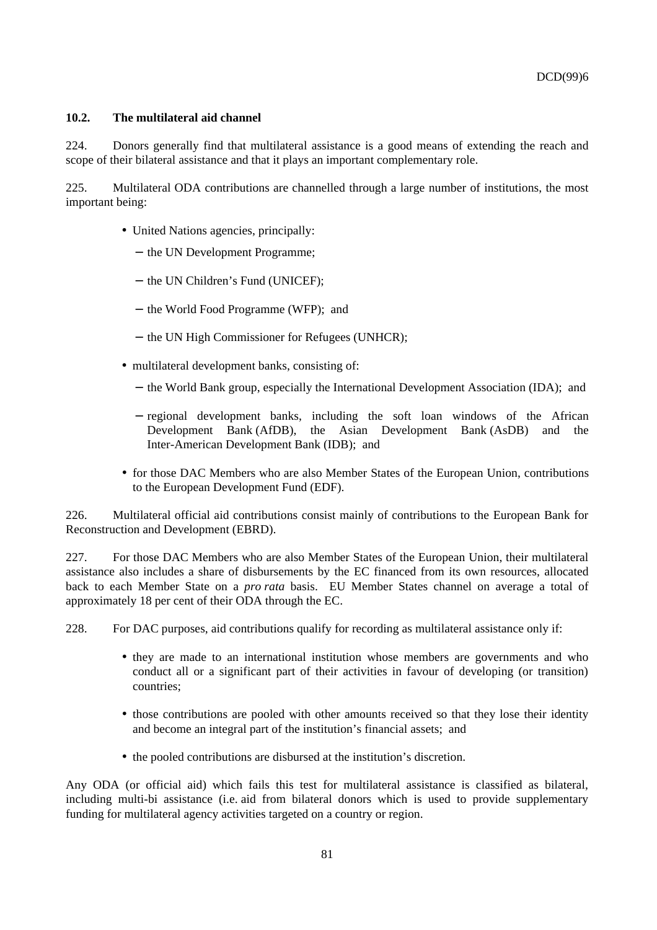## **10.2. The multilateral aid channel**

224. Donors generally find that multilateral assistance is a good means of extending the reach and scope of their bilateral assistance and that it plays an important complementary role.

225. Multilateral ODA contributions are channelled through a large number of institutions, the most important being:

- United Nations agencies, principally:
	- − the UN Development Programme;
	- − the UN Children's Fund (UNICEF);
	- − the World Food Programme (WFP); and
	- − the UN High Commissioner for Refugees (UNHCR);
- multilateral development banks, consisting of:
	- − the World Bank group, especially the International Development Association (IDA); and
	- − regional development banks, including the soft loan windows of the African Development Bank (AfDB), the Asian Development Bank (AsDB) and the Inter-American Development Bank (IDB); and
- for those DAC Members who are also Member States of the European Union, contributions to the European Development Fund (EDF).

226. Multilateral official aid contributions consist mainly of contributions to the European Bank for Reconstruction and Development (EBRD).

227. For those DAC Members who are also Member States of the European Union, their multilateral assistance also includes a share of disbursements by the EC financed from its own resources, allocated back to each Member State on a *pro rata* basis. EU Member States channel on average a total of approximately 18 per cent of their ODA through the EC.

228. For DAC purposes, aid contributions qualify for recording as multilateral assistance only if:

- they are made to an international institution whose members are governments and who conduct all or a significant part of their activities in favour of developing (or transition) countries;
- those contributions are pooled with other amounts received so that they lose their identity and become an integral part of the institution's financial assets; and
- the pooled contributions are disbursed at the institution's discretion.

Any ODA (or official aid) which fails this test for multilateral assistance is classified as bilateral, including multi-bi assistance (i.e. aid from bilateral donors which is used to provide supplementary funding for multilateral agency activities targeted on a country or region.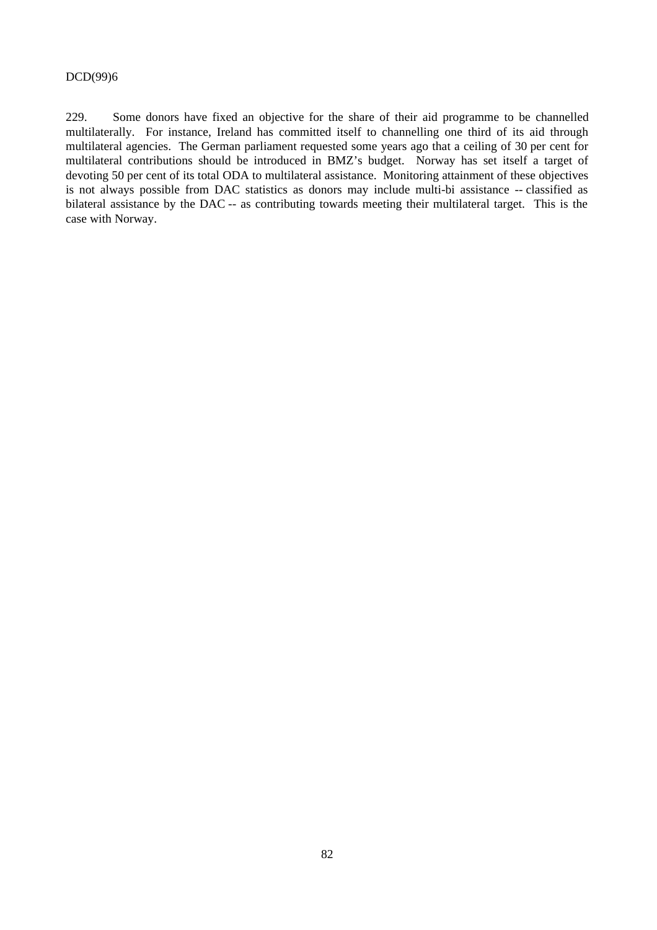229. Some donors have fixed an objective for the share of their aid programme to be channelled multilaterally. For instance, Ireland has committed itself to channelling one third of its aid through multilateral agencies. The German parliament requested some years ago that a ceiling of 30 per cent for multilateral contributions should be introduced in BMZ's budget. Norway has set itself a target of devoting 50 per cent of its total ODA to multilateral assistance. Monitoring attainment of these objectives is not always possible from DAC statistics as donors may include multi-bi assistance -- classified as bilateral assistance by the DAC -- as contributing towards meeting their multilateral target. This is the case with Norway.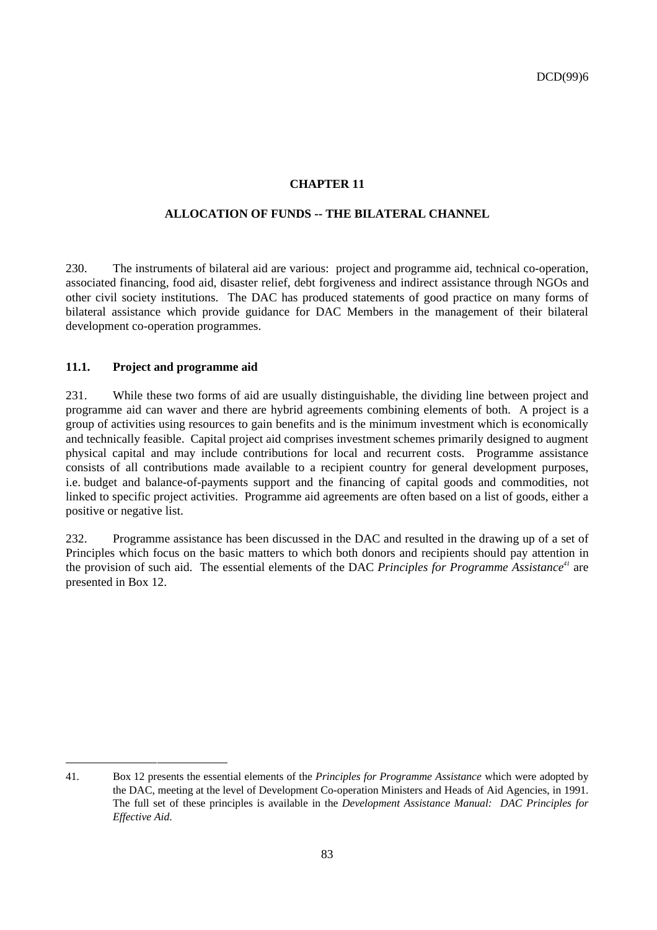# **CHAPTER 11**

# **ALLOCATION OF FUNDS -- THE BILATERAL CHANNEL**

230. The instruments of bilateral aid are various: project and programme aid, technical co-operation, associated financing, food aid, disaster relief, debt forgiveness and indirect assistance through NGOs and other civil society institutions. The DAC has produced statements of good practice on many forms of bilateral assistance which provide guidance for DAC Members in the management of their bilateral development co-operation programmes.

## **11.1. Project and programme aid**

1

231. While these two forms of aid are usually distinguishable, the dividing line between project and programme aid can waver and there are hybrid agreements combining elements of both. A project is a group of activities using resources to gain benefits and is the minimum investment which is economically and technically feasible. Capital project aid comprises investment schemes primarily designed to augment physical capital and may include contributions for local and recurrent costs. Programme assistance consists of all contributions made available to a recipient country for general development purposes, i.e. budget and balance-of-payments support and the financing of capital goods and commodities, not linked to specific project activities. Programme aid agreements are often based on a list of goods, either a positive or negative list.

232. Programme assistance has been discussed in the DAC and resulted in the drawing up of a set of Principles which focus on the basic matters to which both donors and recipients should pay attention in the provision of such aid. The essential elements of the DAC *Principles for Programme Assistance*<sup>41</sup> are presented in Box 12.

<sup>41.</sup> Box 12 presents the essential elements of the *Principles for Programme Assistance* which were adopted by the DAC, meeting at the level of Development Co-operation Ministers and Heads of Aid Agencies, in 1991. The full set of these principles is available in the *Development Assistance Manual: DAC Principles for Effective Aid*.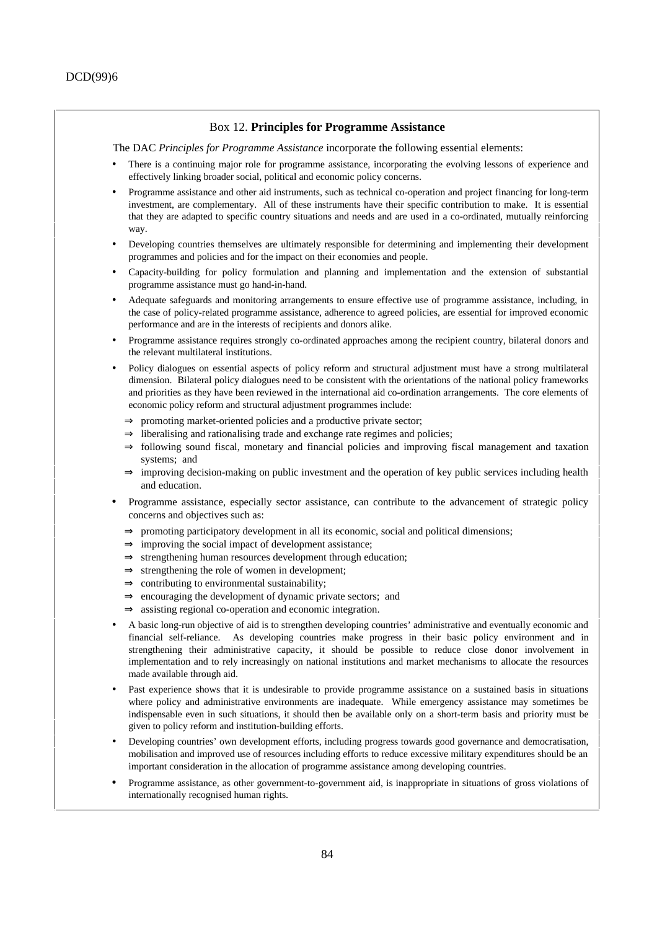#### Box 12. **Principles for Programme Assistance**

The DAC *Principles for Programme Assistance* incorporate the following essential elements:

- There is a continuing major role for programme assistance, incorporating the evolving lessons of experience and effectively linking broader social, political and economic policy concerns.
- Programme assistance and other aid instruments, such as technical co-operation and project financing for long-term investment, are complementary. All of these instruments have their specific contribution to make. It is essential that they are adapted to specific country situations and needs and are used in a co-ordinated, mutually reinforcing way.
- Developing countries themselves are ultimately responsible for determining and implementing their development programmes and policies and for the impact on their economies and people.
- Capacity-building for policy formulation and planning and implementation and the extension of substantial programme assistance must go hand-in-hand.
- Adequate safeguards and monitoring arrangements to ensure effective use of programme assistance, including, in the case of policy-related programme assistance, adherence to agreed policies, are essential for improved economic performance and are in the interests of recipients and donors alike.
- Programme assistance requires strongly co-ordinated approaches among the recipient country, bilateral donors and the relevant multilateral institutions.
- Policy dialogues on essential aspects of policy reform and structural adjustment must have a strong multilateral dimension. Bilateral policy dialogues need to be consistent with the orientations of the national policy frameworks and priorities as they have been reviewed in the international aid co-ordination arrangements. The core elements of economic policy reform and structural adjustment programmes include:
	- $\Rightarrow$  promoting market-oriented policies and a productive private sector;
	- $\Rightarrow$  liberalising and rationalising trade and exchange rate regimes and policies;
	- ⇒ following sound fiscal, monetary and financial policies and improving fiscal management and taxation systems; and
	- $\Rightarrow$  improving decision-making on public investment and the operation of key public services including health and education.
- Programme assistance, especially sector assistance, can contribute to the advancement of strategic policy concerns and objectives such as:
	- ⇒ promoting participatory development in all its economic, social and political dimensions;
	- $\Rightarrow$  improving the social impact of development assistance;
	- ⇒ strengthening human resources development through education;
	- $\Rightarrow$  strengthening the role of women in development;
	- $\Rightarrow$  contributing to environmental sustainability;
	- ⇒ encouraging the development of dynamic private sectors; and
	- ⇒ assisting regional co-operation and economic integration.
- A basic long-run objective of aid is to strengthen developing countries' administrative and eventually economic and financial self-reliance. As developing countries make progress in their basic policy environment and in strengthening their administrative capacity, it should be possible to reduce close donor involvement in implementation and to rely increasingly on national institutions and market mechanisms to allocate the resources made available through aid.
- Past experience shows that it is undesirable to provide programme assistance on a sustained basis in situations where policy and administrative environments are inadequate. While emergency assistance may sometimes be indispensable even in such situations, it should then be available only on a short-term basis and priority must be given to policy reform and institution-building efforts.
- Developing countries' own development efforts, including progress towards good governance and democratisation, mobilisation and improved use of resources including efforts to reduce excessive military expenditures should be an important consideration in the allocation of programme assistance among developing countries.
- Programme assistance, as other government-to-government aid, is inappropriate in situations of gross violations of internationally recognised human rights.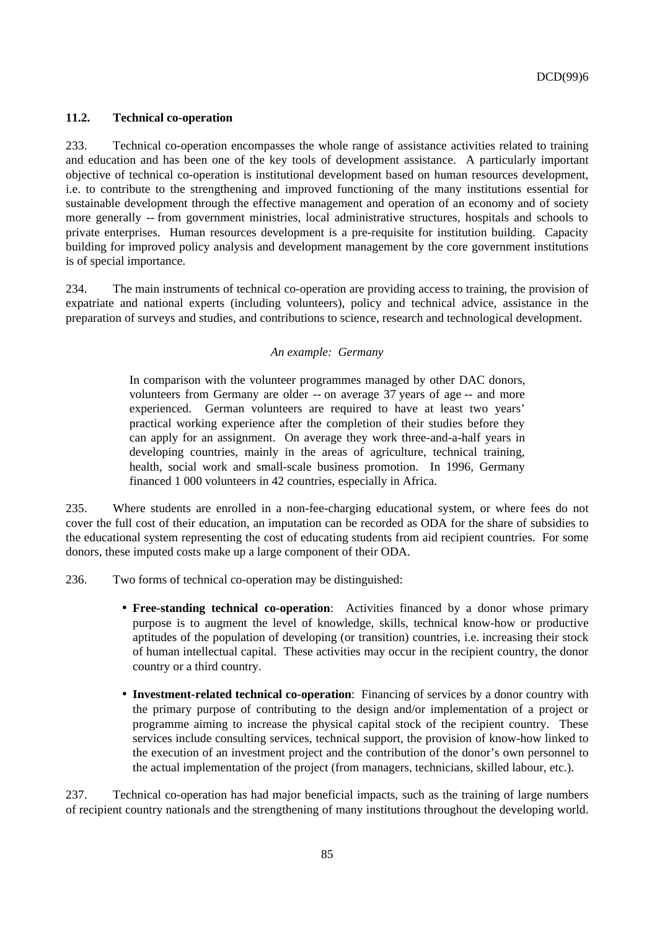# **11.2. Technical co-operation**

233. Technical co-operation encompasses the whole range of assistance activities related to training and education and has been one of the key tools of development assistance. A particularly important objective of technical co-operation is institutional development based on human resources development, i.e. to contribute to the strengthening and improved functioning of the many institutions essential for sustainable development through the effective management and operation of an economy and of society more generally -- from government ministries, local administrative structures, hospitals and schools to private enterprises. Human resources development is a pre-requisite for institution building. Capacity building for improved policy analysis and development management by the core government institutions is of special importance.

234. The main instruments of technical co-operation are providing access to training, the provision of expatriate and national experts (including volunteers), policy and technical advice, assistance in the preparation of surveys and studies, and contributions to science, research and technological development.

## *An example: Germany*

In comparison with the volunteer programmes managed by other DAC donors, volunteers from Germany are older -- on average 37 years of age -- and more experienced. German volunteers are required to have at least two years' practical working experience after the completion of their studies before they can apply for an assignment. On average they work three-and-a-half years in developing countries, mainly in the areas of agriculture, technical training, health, social work and small-scale business promotion. In 1996, Germany financed 1 000 volunteers in 42 countries, especially in Africa.

235. Where students are enrolled in a non-fee-charging educational system, or where fees do not cover the full cost of their education, an imputation can be recorded as ODA for the share of subsidies to the educational system representing the cost of educating students from aid recipient countries. For some donors, these imputed costs make up a large component of their ODA.

236. Two forms of technical co-operation may be distinguished:

- **Free-standing technical co-operation**: Activities financed by a donor whose primary purpose is to augment the level of knowledge, skills, technical know-how or productive aptitudes of the population of developing (or transition) countries, i.e. increasing their stock of human intellectual capital. These activities may occur in the recipient country, the donor country or a third country.
- **Investment-related technical co-operation**: Financing of services by a donor country with the primary purpose of contributing to the design and/or implementation of a project or programme aiming to increase the physical capital stock of the recipient country. These services include consulting services, technical support, the provision of know-how linked to the execution of an investment project and the contribution of the donor's own personnel to the actual implementation of the project (from managers, technicians, skilled labour, etc.).

237. Technical co-operation has had major beneficial impacts, such as the training of large numbers of recipient country nationals and the strengthening of many institutions throughout the developing world.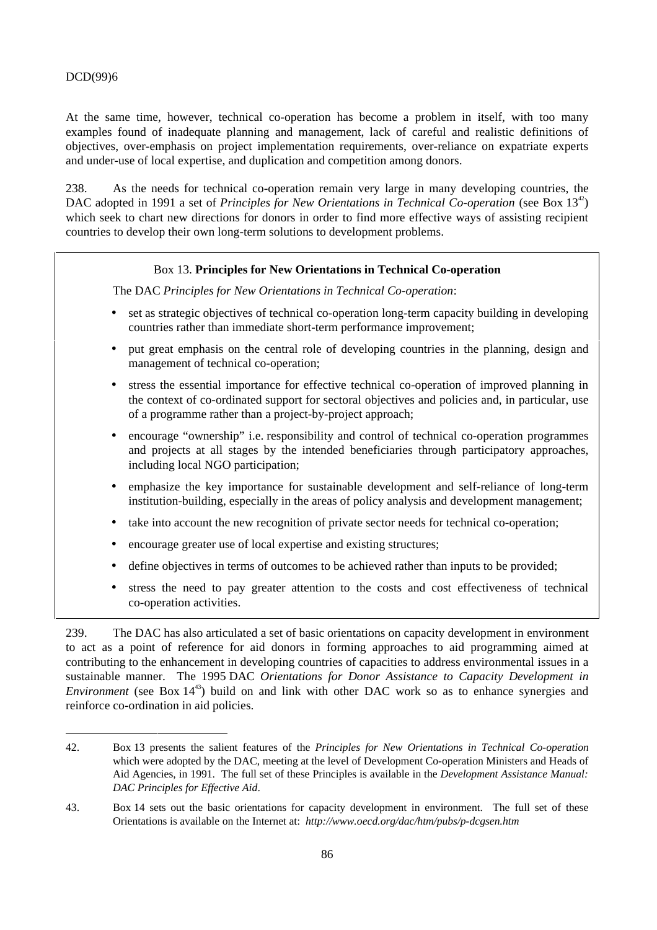-

At the same time, however, technical co-operation has become a problem in itself, with too many examples found of inadequate planning and management, lack of careful and realistic definitions of objectives, over-emphasis on project implementation requirements, over-reliance on expatriate experts and under-use of local expertise, and duplication and competition among donors.

238. As the needs for technical co-operation remain very large in many developing countries, the DAC adopted in 1991 a set of *Principles for New Orientations in Technical Co-operation* (see Box 13<sup>42</sup>) which seek to chart new directions for donors in order to find more effective ways of assisting recipient countries to develop their own long-term solutions to development problems.

## Box 13. **Principles for New Orientations in Technical Co-operation**

The DAC *Principles for New Orientations in Technical Co-operation*:

- set as strategic objectives of technical co-operation long-term capacity building in developing countries rather than immediate short-term performance improvement;
- put great emphasis on the central role of developing countries in the planning, design and management of technical co-operation;
- stress the essential importance for effective technical co-operation of improved planning in the context of co-ordinated support for sectoral objectives and policies and, in particular, use of a programme rather than a project-by-project approach;
- encourage "ownership" i.e. responsibility and control of technical co-operation programmes and projects at all stages by the intended beneficiaries through participatory approaches, including local NGO participation;
- emphasize the key importance for sustainable development and self-reliance of long-term institution-building, especially in the areas of policy analysis and development management;
- take into account the new recognition of private sector needs for technical co-operation;
- encourage greater use of local expertise and existing structures;
- define objectives in terms of outcomes to be achieved rather than inputs to be provided;
- stress the need to pay greater attention to the costs and cost effectiveness of technical co-operation activities.

239. The DAC has also articulated a set of basic orientations on capacity development in environment to act as a point of reference for aid donors in forming approaches to aid programming aimed at contributing to the enhancement in developing countries of capacities to address environmental issues in a sustainable manner. The 1995 DAC *Orientations for Donor Assistance to Capacity Development in Environment* (see Box 14<sup>43</sup>) build on and link with other DAC work so as to enhance synergies and reinforce co-ordination in aid policies.

<sup>42.</sup> Box 13 presents the salient features of the *Principles for New Orientations in Technical Co-operation* which were adopted by the DAC, meeting at the level of Development Co-operation Ministers and Heads of Aid Agencies, in 1991. The full set of these Principles is available in the *Development Assistance Manual: DAC Principles for Effective Aid*.

<sup>43.</sup> Box 14 sets out the basic orientations for capacity development in environment. The full set of these Orientations is available on the Internet at: *http://www.oecd.org/dac/htm/pubs/p-dcgsen.htm*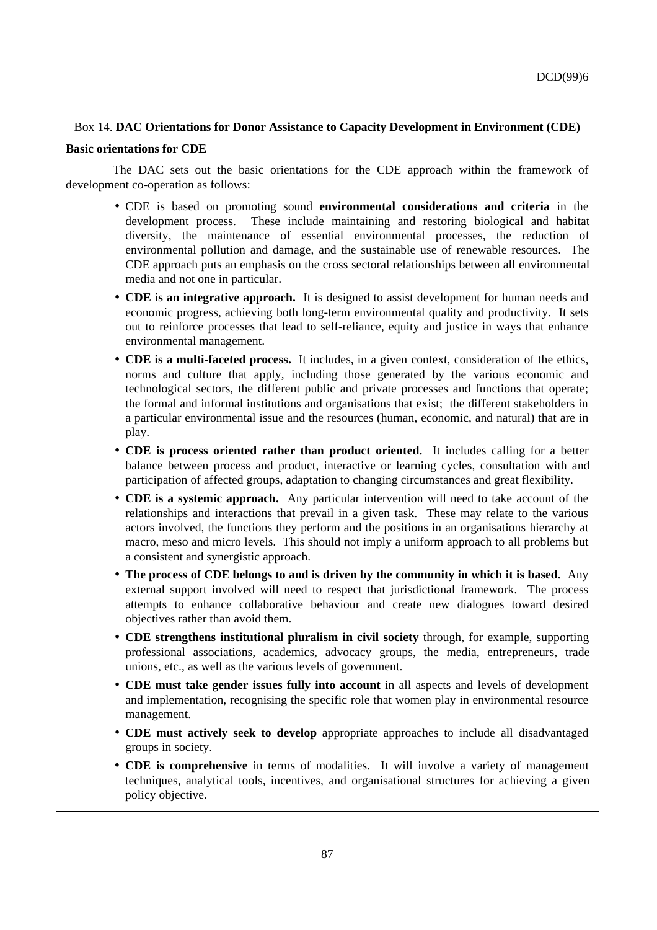# Box 14. **DAC Orientations for Donor Assistance to Capacity Development in Environment (CDE)**

## **Basic orientations for CDE**

The DAC sets out the basic orientations for the CDE approach within the framework of development co-operation as follows:

- CDE is based on promoting sound **environmental considerations and criteria** in the development process. These include maintaining and restoring biological and habitat diversity, the maintenance of essential environmental processes, the reduction of environmental pollution and damage, and the sustainable use of renewable resources. The CDE approach puts an emphasis on the cross sectoral relationships between all environmental media and not one in particular.
- **CDE is an integrative approach.** It is designed to assist development for human needs and economic progress, achieving both long-term environmental quality and productivity. It sets out to reinforce processes that lead to self-reliance, equity and justice in ways that enhance environmental management.
- **CDE is a multi-faceted process.** It includes, in a given context, consideration of the ethics, norms and culture that apply, including those generated by the various economic and technological sectors, the different public and private processes and functions that operate; the formal and informal institutions and organisations that exist; the different stakeholders in a particular environmental issue and the resources (human, economic, and natural) that are in play.
- **CDE is process oriented rather than product oriented.** It includes calling for a better balance between process and product, interactive or learning cycles, consultation with and participation of affected groups, adaptation to changing circumstances and great flexibility.
- **CDE is a systemic approach.** Any particular intervention will need to take account of the relationships and interactions that prevail in a given task. These may relate to the various actors involved, the functions they perform and the positions in an organisations hierarchy at macro, meso and micro levels. This should not imply a uniform approach to all problems but a consistent and synergistic approach.
- **The process of CDE belongs to and is driven by the community in which it is based.** Any external support involved will need to respect that jurisdictional framework. The process attempts to enhance collaborative behaviour and create new dialogues toward desired objectives rather than avoid them.
- **CDE strengthens institutional pluralism in civil society** through, for example, supporting professional associations, academics, advocacy groups, the media, entrepreneurs, trade unions, etc., as well as the various levels of government.
- **CDE must take gender issues fully into account** in all aspects and levels of development and implementation, recognising the specific role that women play in environmental resource management.
- **CDE must actively seek to develop** appropriate approaches to include all disadvantaged groups in society.
- **CDE is comprehensive** in terms of modalities. It will involve a variety of management techniques, analytical tools, incentives, and organisational structures for achieving a given policy objective.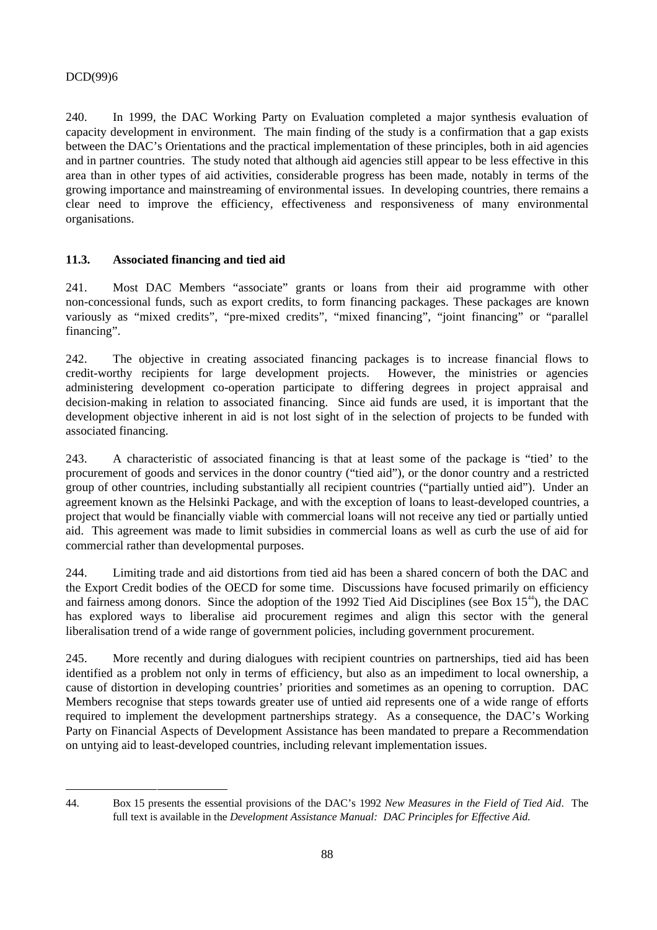-

240. In 1999, the DAC Working Party on Evaluation completed a major synthesis evaluation of capacity development in environment. The main finding of the study is a confirmation that a gap exists between the DAC's Orientations and the practical implementation of these principles, both in aid agencies and in partner countries. The study noted that although aid agencies still appear to be less effective in this area than in other types of aid activities, considerable progress has been made, notably in terms of the growing importance and mainstreaming of environmental issues. In developing countries, there remains a clear need to improve the efficiency, effectiveness and responsiveness of many environmental organisations.

# **11.3. Associated financing and tied aid**

241. Most DAC Members "associate" grants or loans from their aid programme with other non-concessional funds, such as export credits, to form financing packages. These packages are known variously as "mixed credits", "pre-mixed credits", "mixed financing", "joint financing" or "parallel financing".

242. The objective in creating associated financing packages is to increase financial flows to credit-worthy recipients for large development projects. However, the ministries or agencies administering development co-operation participate to differing degrees in project appraisal and decision-making in relation to associated financing. Since aid funds are used, it is important that the development objective inherent in aid is not lost sight of in the selection of projects to be funded with associated financing.

243. A characteristic of associated financing is that at least some of the package is "tied' to the procurement of goods and services in the donor country ("tied aid"), or the donor country and a restricted group of other countries, including substantially all recipient countries ("partially untied aid"). Under an agreement known as the Helsinki Package, and with the exception of loans to least-developed countries, a project that would be financially viable with commercial loans will not receive any tied or partially untied aid. This agreement was made to limit subsidies in commercial loans as well as curb the use of aid for commercial rather than developmental purposes.

244. Limiting trade and aid distortions from tied aid has been a shared concern of both the DAC and the Export Credit bodies of the OECD for some time. Discussions have focused primarily on efficiency and fairness among donors. Since the adoption of the 1992 Tied Aid Disciplines (see Box  $15<sup>44</sup>$ ), the DAC has explored ways to liberalise aid procurement regimes and align this sector with the general liberalisation trend of a wide range of government policies, including government procurement.

245. More recently and during dialogues with recipient countries on partnerships, tied aid has been identified as a problem not only in terms of efficiency, but also as an impediment to local ownership, a cause of distortion in developing countries' priorities and sometimes as an opening to corruption. DAC Members recognise that steps towards greater use of untied aid represents one of a wide range of efforts required to implement the development partnerships strategy. As a consequence, the DAC's Working Party on Financial Aspects of Development Assistance has been mandated to prepare a Recommendation on untying aid to least-developed countries, including relevant implementation issues.

<sup>44.</sup> Box 15 presents the essential provisions of the DAC's 1992 *New Measures in the Field of Tied Aid*. The full text is available in the *Development Assistance Manual: DAC Principles for Effective Aid*.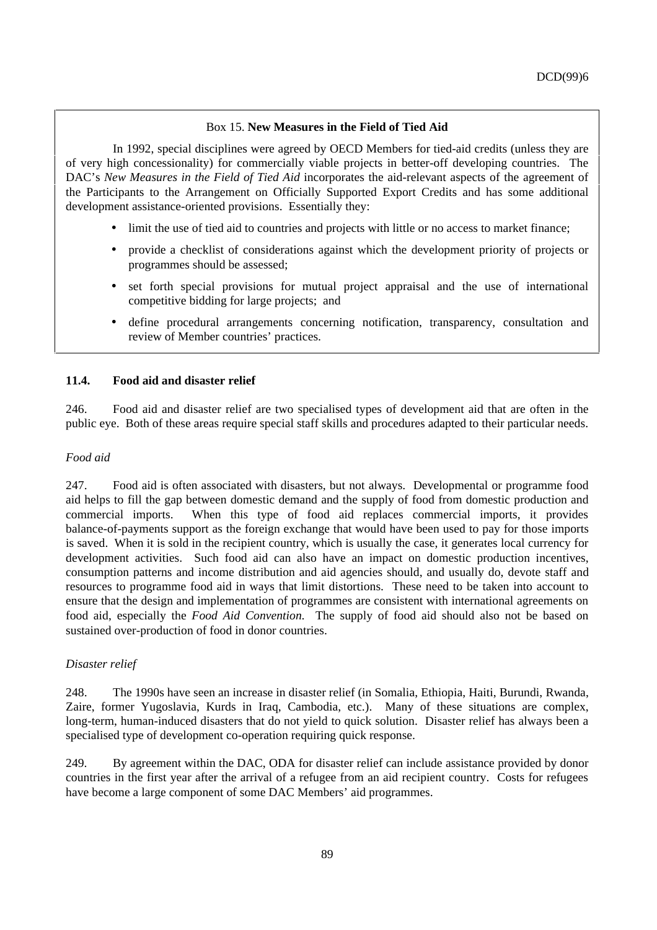# Box 15. **New Measures in the Field of Tied Aid**

In 1992, special disciplines were agreed by OECD Members for tied-aid credits (unless they are of very high concessionality) for commercially viable projects in better-off developing countries. The DAC's *New Measures in the Field of Tied Aid* incorporates the aid-relevant aspects of the agreement of the Participants to the Arrangement on Officially Supported Export Credits and has some additional development assistance-oriented provisions. Essentially they:

- limit the use of tied aid to countries and projects with little or no access to market finance;
- provide a checklist of considerations against which the development priority of projects or programmes should be assessed;
- set forth special provisions for mutual project appraisal and the use of international competitive bidding for large projects; and
- define procedural arrangements concerning notification, transparency, consultation and review of Member countries' practices.

## **11.4. Food aid and disaster relief**

246. Food aid and disaster relief are two specialised types of development aid that are often in the public eye. Both of these areas require special staff skills and procedures adapted to their particular needs.

## *Food aid*

247. Food aid is often associated with disasters, but not always. Developmental or programme food aid helps to fill the gap between domestic demand and the supply of food from domestic production and commercial imports. When this type of food aid replaces commercial imports, it provides balance-of-payments support as the foreign exchange that would have been used to pay for those imports is saved. When it is sold in the recipient country, which is usually the case, it generates local currency for development activities. Such food aid can also have an impact on domestic production incentives, consumption patterns and income distribution and aid agencies should, and usually do, devote staff and resources to programme food aid in ways that limit distortions. These need to be taken into account to ensure that the design and implementation of programmes are consistent with international agreements on food aid, especially the *Food Aid Convention*. The supply of food aid should also not be based on sustained over-production of food in donor countries.

## *Disaster relief*

248. The 1990s have seen an increase in disaster relief (in Somalia, Ethiopia, Haiti, Burundi, Rwanda, Zaire, former Yugoslavia, Kurds in Iraq, Cambodia, etc.). Many of these situations are complex, long-term, human-induced disasters that do not yield to quick solution. Disaster relief has always been a specialised type of development co-operation requiring quick response.

249. By agreement within the DAC, ODA for disaster relief can include assistance provided by donor countries in the first year after the arrival of a refugee from an aid recipient country. Costs for refugees have become a large component of some DAC Members' aid programmes.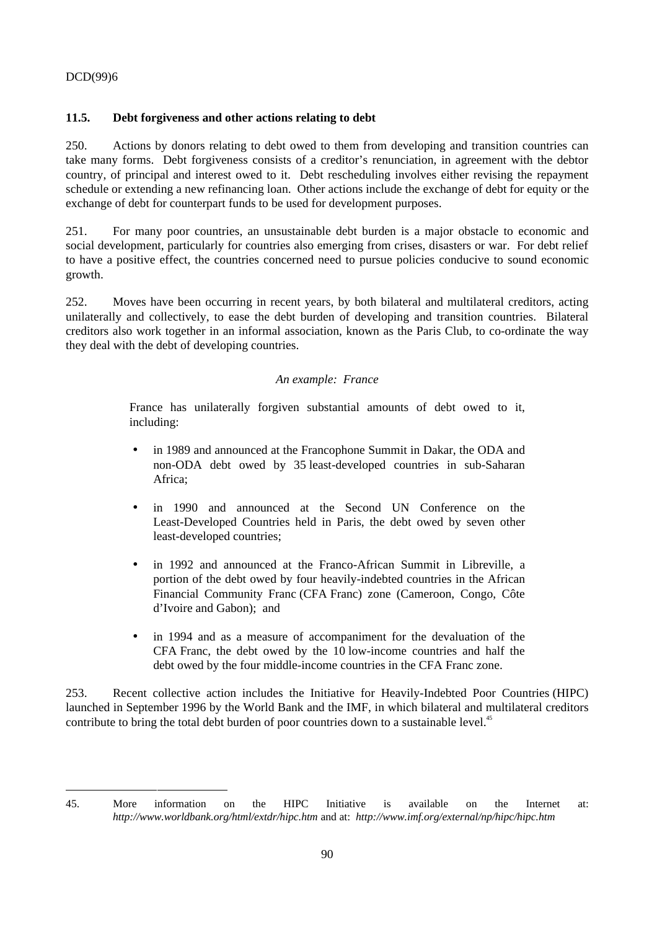-

# **11.5. Debt forgiveness and other actions relating to debt**

250. Actions by donors relating to debt owed to them from developing and transition countries can take many forms. Debt forgiveness consists of a creditor's renunciation, in agreement with the debtor country, of principal and interest owed to it. Debt rescheduling involves either revising the repayment schedule or extending a new refinancing loan. Other actions include the exchange of debt for equity or the exchange of debt for counterpart funds to be used for development purposes.

251. For many poor countries, an unsustainable debt burden is a major obstacle to economic and social development, particularly for countries also emerging from crises, disasters or war. For debt relief to have a positive effect, the countries concerned need to pursue policies conducive to sound economic growth.

252. Moves have been occurring in recent years, by both bilateral and multilateral creditors, acting unilaterally and collectively, to ease the debt burden of developing and transition countries. Bilateral creditors also work together in an informal association, known as the Paris Club, to co-ordinate the way they deal with the debt of developing countries.

## *An example: France*

France has unilaterally forgiven substantial amounts of debt owed to it, including:

- in 1989 and announced at the Francophone Summit in Dakar, the ODA and non-ODA debt owed by 35 least-developed countries in sub-Saharan Africa;
- in 1990 and announced at the Second UN Conference on the Least-Developed Countries held in Paris, the debt owed by seven other least-developed countries;
- in 1992 and announced at the Franco-African Summit in Libreville, a portion of the debt owed by four heavily-indebted countries in the African Financial Community Franc (CFA Franc) zone (Cameroon, Congo, Côte d'Ivoire and Gabon); and
- in 1994 and as a measure of accompaniment for the devaluation of the CFA Franc, the debt owed by the 10 low-income countries and half the debt owed by the four middle-income countries in the CFA Franc zone.

253. Recent collective action includes the Initiative for Heavily-Indebted Poor Countries (HIPC) launched in September 1996 by the World Bank and the IMF, in which bilateral and multilateral creditors contribute to bring the total debt burden of poor countries down to a sustainable level.<sup>45</sup>

<sup>45.</sup> More information on the HIPC Initiative is available on the Internet at: *http://www.worldbank.org/html/extdr/hipc.htm* and at: *http://www.imf.org/external/np/hipc/hipc.htm*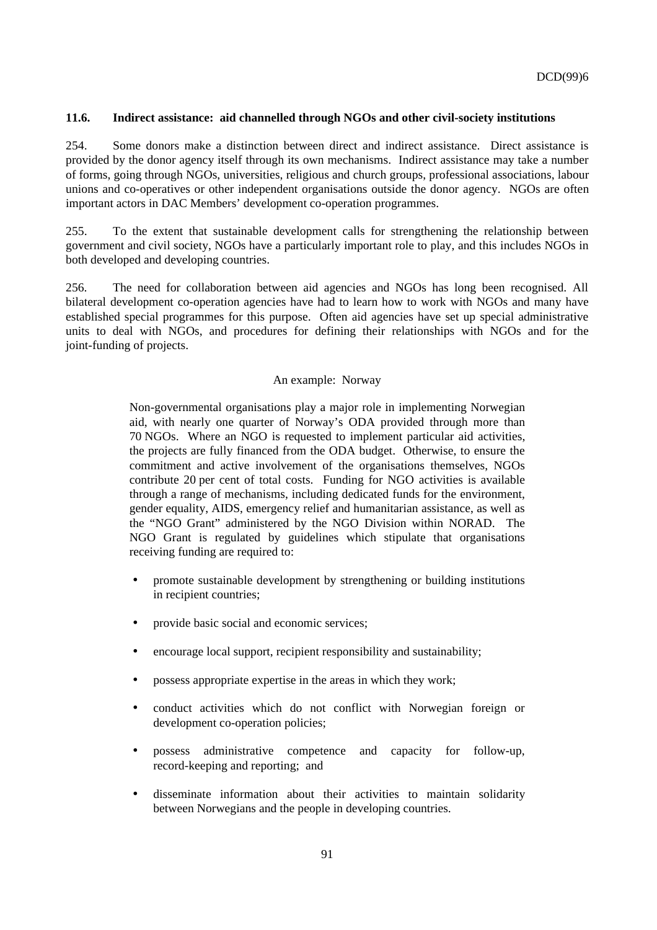#### **11.6. Indirect assistance: aid channelled through NGOs and other civil-society institutions**

254. Some donors make a distinction between direct and indirect assistance. Direct assistance is provided by the donor agency itself through its own mechanisms. Indirect assistance may take a number of forms, going through NGOs, universities, religious and church groups, professional associations, labour unions and co-operatives or other independent organisations outside the donor agency. NGOs are often important actors in DAC Members' development co-operation programmes.

255. To the extent that sustainable development calls for strengthening the relationship between government and civil society, NGOs have a particularly important role to play, and this includes NGOs in both developed and developing countries.

256. The need for collaboration between aid agencies and NGOs has long been recognised. All bilateral development co-operation agencies have had to learn how to work with NGOs and many have established special programmes for this purpose. Often aid agencies have set up special administrative units to deal with NGOs, and procedures for defining their relationships with NGOs and for the joint-funding of projects.

#### An example: Norway

Non-governmental organisations play a major role in implementing Norwegian aid, with nearly one quarter of Norway's ODA provided through more than 70 NGOs. Where an NGO is requested to implement particular aid activities, the projects are fully financed from the ODA budget. Otherwise, to ensure the commitment and active involvement of the organisations themselves, NGOs contribute 20 per cent of total costs. Funding for NGO activities is available through a range of mechanisms, including dedicated funds for the environment, gender equality, AIDS, emergency relief and humanitarian assistance, as well as the "NGO Grant" administered by the NGO Division within NORAD. The NGO Grant is regulated by guidelines which stipulate that organisations receiving funding are required to:

- promote sustainable development by strengthening or building institutions in recipient countries;
- provide basic social and economic services:
- encourage local support, recipient responsibility and sustainability;
- possess appropriate expertise in the areas in which they work;
- conduct activities which do not conflict with Norwegian foreign or development co-operation policies;
- possess administrative competence and capacity for follow-up, record-keeping and reporting; and
- disseminate information about their activities to maintain solidarity between Norwegians and the people in developing countries.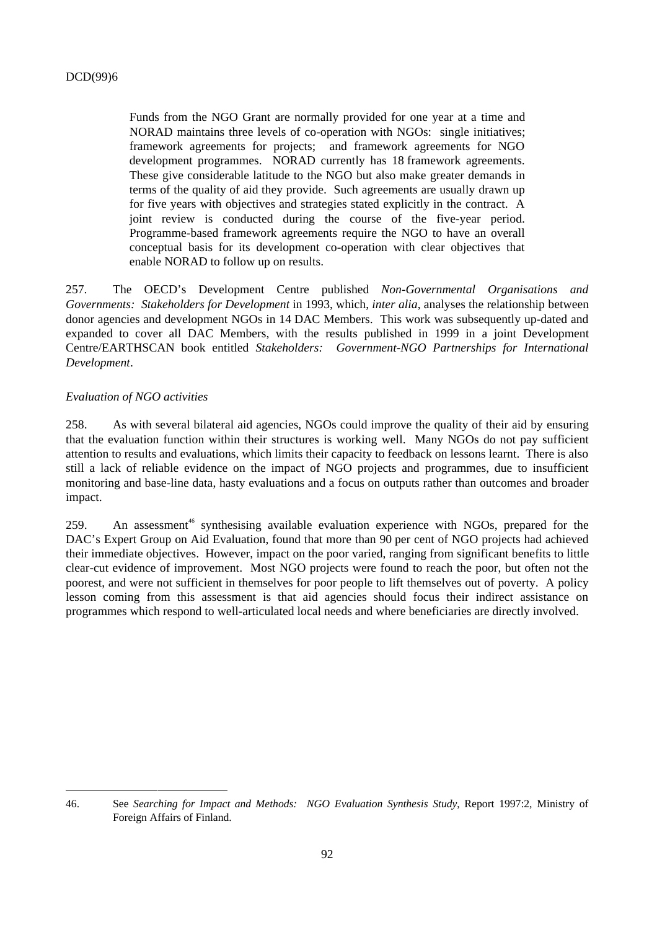Funds from the NGO Grant are normally provided for one year at a time and NORAD maintains three levels of co-operation with NGOs: single initiatives; framework agreements for projects; and framework agreements for NGO development programmes. NORAD currently has 18 framework agreements. These give considerable latitude to the NGO but also make greater demands in terms of the quality of aid they provide. Such agreements are usually drawn up for five years with objectives and strategies stated explicitly in the contract. A joint review is conducted during the course of the five-year period. Programme-based framework agreements require the NGO to have an overall conceptual basis for its development co-operation with clear objectives that enable NORAD to follow up on results.

257. The OECD's Development Centre published *Non-Governmental Organisations and Governments: Stakeholders for Development* in 1993, which, *inter alia*, analyses the relationship between donor agencies and development NGOs in 14 DAC Members. This work was subsequently up-dated and expanded to cover all DAC Members, with the results published in 1999 in a joint Development Centre/EARTHSCAN book entitled *Stakeholders: Government-NGO Partnerships for International Development*.

## *Evaluation of NGO activities*

-

258. As with several bilateral aid agencies, NGOs could improve the quality of their aid by ensuring that the evaluation function within their structures is working well. Many NGOs do not pay sufficient attention to results and evaluations, which limits their capacity to feedback on lessons learnt. There is also still a lack of reliable evidence on the impact of NGO projects and programmes, due to insufficient monitoring and base-line data, hasty evaluations and a focus on outputs rather than outcomes and broader impact.

259. An assessment<sup>46</sup> synthesising available evaluation experience with NGOs, prepared for the DAC's Expert Group on Aid Evaluation, found that more than 90 per cent of NGO projects had achieved their immediate objectives. However, impact on the poor varied, ranging from significant benefits to little clear-cut evidence of improvement. Most NGO projects were found to reach the poor, but often not the poorest, and were not sufficient in themselves for poor people to lift themselves out of poverty. A policy lesson coming from this assessment is that aid agencies should focus their indirect assistance on programmes which respond to well-articulated local needs and where beneficiaries are directly involved.

<sup>46.</sup> See *Searching for Impact and Methods: NGO Evaluation Synthesis Study*, Report 1997:2, Ministry of Foreign Affairs of Finland.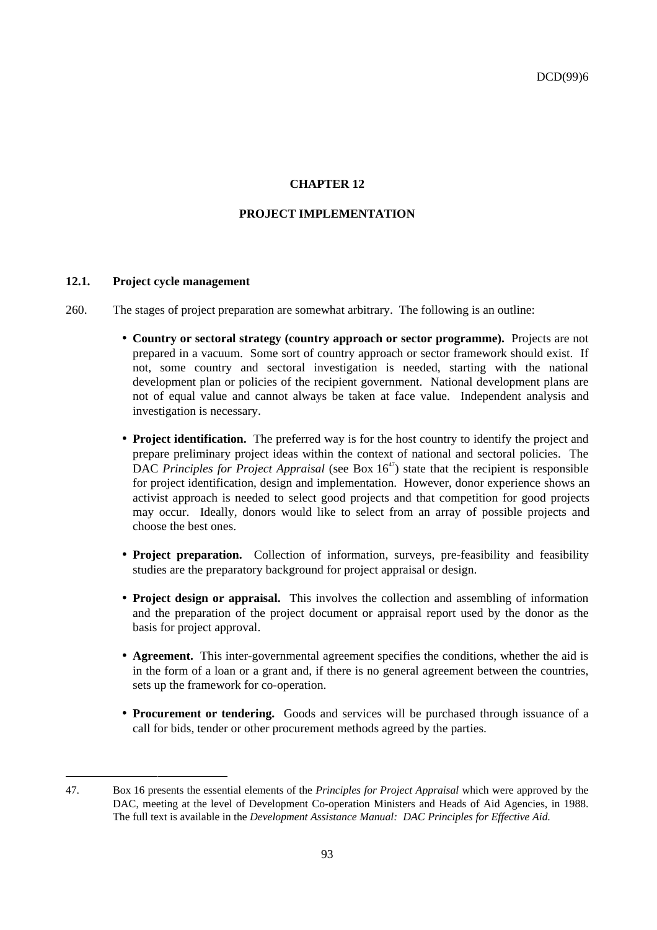## **CHAPTER 12**

## **PROJECT IMPLEMENTATION**

#### **12.1. Project cycle management**

-

260. The stages of project preparation are somewhat arbitrary. The following is an outline:

- **Country or sectoral strategy (country approach or sector programme).** Projects are not prepared in a vacuum. Some sort of country approach or sector framework should exist. If not, some country and sectoral investigation is needed, starting with the national development plan or policies of the recipient government. National development plans are not of equal value and cannot always be taken at face value. Independent analysis and investigation is necessary.
- **Project identification.** The preferred way is for the host country to identify the project and prepare preliminary project ideas within the context of national and sectoral policies. The DAC *Principles for Project Appraisal* (see Box 16<sup>47</sup>) state that the recipient is responsible for project identification, design and implementation. However, donor experience shows an activist approach is needed to select good projects and that competition for good projects may occur. Ideally, donors would like to select from an array of possible projects and choose the best ones.
- **Project preparation.** Collection of information, surveys, pre-feasibility and feasibility studies are the preparatory background for project appraisal or design.
- **Project design or appraisal.** This involves the collection and assembling of information and the preparation of the project document or appraisal report used by the donor as the basis for project approval.
- **Agreement.** This inter-governmental agreement specifies the conditions, whether the aid is in the form of a loan or a grant and, if there is no general agreement between the countries, sets up the framework for co-operation.
- **Procurement or tendering.** Goods and services will be purchased through issuance of a call for bids, tender or other procurement methods agreed by the parties.

<sup>47.</sup> Box 16 presents the essential elements of the *Principles for Project Appraisal* which were approved by the DAC, meeting at the level of Development Co-operation Ministers and Heads of Aid Agencies, in 1988. The full text is available in the *Development Assistance Manual: DAC Principles for Effective Aid*.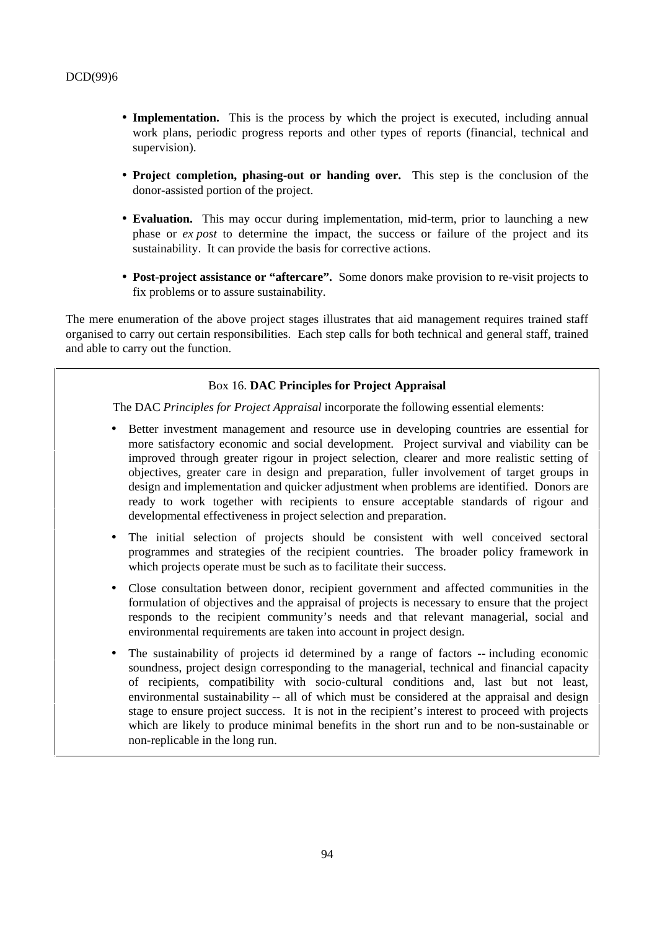- **Implementation.** This is the process by which the project is executed, including annual work plans, periodic progress reports and other types of reports (financial, technical and supervision).
- **Project completion, phasing-out or handing over.** This step is the conclusion of the donor-assisted portion of the project.
- **Evaluation.** This may occur during implementation, mid-term, prior to launching a new phase or *ex post* to determine the impact, the success or failure of the project and its sustainability. It can provide the basis for corrective actions.
- **Post-project assistance or "aftercare".** Some donors make provision to re-visit projects to fix problems or to assure sustainability.

The mere enumeration of the above project stages illustrates that aid management requires trained staff organised to carry out certain responsibilities. Each step calls for both technical and general staff, trained and able to carry out the function.

## Box 16. **DAC Principles for Project Appraisal**

The DAC *Principles for Project Appraisal* incorporate the following essential elements:

- Better investment management and resource use in developing countries are essential for more satisfactory economic and social development. Project survival and viability can be improved through greater rigour in project selection, clearer and more realistic setting of objectives, greater care in design and preparation, fuller involvement of target groups in design and implementation and quicker adjustment when problems are identified. Donors are ready to work together with recipients to ensure acceptable standards of rigour and developmental effectiveness in project selection and preparation.
- The initial selection of projects should be consistent with well conceived sectoral programmes and strategies of the recipient countries. The broader policy framework in which projects operate must be such as to facilitate their success.
- Close consultation between donor, recipient government and affected communities in the formulation of objectives and the appraisal of projects is necessary to ensure that the project responds to the recipient community's needs and that relevant managerial, social and environmental requirements are taken into account in project design.
- The sustainability of projects id determined by a range of factors -- including economic soundness, project design corresponding to the managerial, technical and financial capacity of recipients, compatibility with socio-cultural conditions and, last but not least, environmental sustainability -- all of which must be considered at the appraisal and design stage to ensure project success. It is not in the recipient's interest to proceed with projects which are likely to produce minimal benefits in the short run and to be non-sustainable or non-replicable in the long run.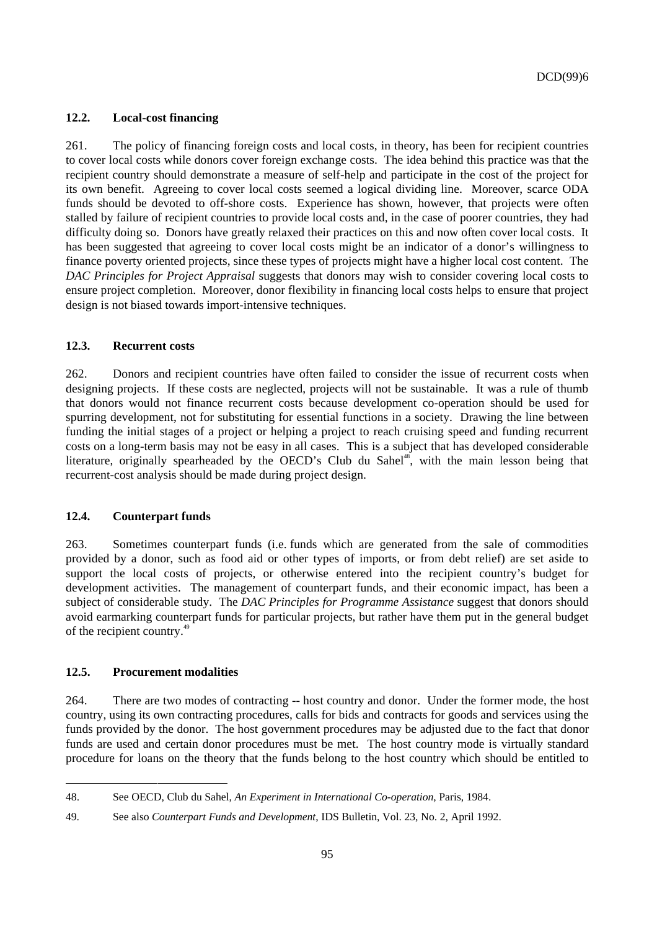# **12.2. Local-cost financing**

261. The policy of financing foreign costs and local costs, in theory, has been for recipient countries to cover local costs while donors cover foreign exchange costs. The idea behind this practice was that the recipient country should demonstrate a measure of self-help and participate in the cost of the project for its own benefit. Agreeing to cover local costs seemed a logical dividing line. Moreover, scarce ODA funds should be devoted to off-shore costs. Experience has shown, however, that projects were often stalled by failure of recipient countries to provide local costs and, in the case of poorer countries, they had difficulty doing so. Donors have greatly relaxed their practices on this and now often cover local costs. It has been suggested that agreeing to cover local costs might be an indicator of a donor's willingness to finance poverty oriented projects, since these types of projects might have a higher local cost content. The *DAC Principles for Project Appraisal* suggests that donors may wish to consider covering local costs to ensure project completion. Moreover, donor flexibility in financing local costs helps to ensure that project design is not biased towards import-intensive techniques.

# **12.3. Recurrent costs**

262. Donors and recipient countries have often failed to consider the issue of recurrent costs when designing projects. If these costs are neglected, projects will not be sustainable. It was a rule of thumb that donors would not finance recurrent costs because development co-operation should be used for spurring development, not for substituting for essential functions in a society. Drawing the line between funding the initial stages of a project or helping a project to reach cruising speed and funding recurrent costs on a long-term basis may not be easy in all cases. This is a subject that has developed considerable literature, originally spearheaded by the OECD's Club du Sahel<sup>48</sup>, with the main lesson being that recurrent-cost analysis should be made during project design.

# **12.4. Counterpart funds**

263. Sometimes counterpart funds (i.e. funds which are generated from the sale of commodities provided by a donor, such as food aid or other types of imports, or from debt relief) are set aside to support the local costs of projects, or otherwise entered into the recipient country's budget for development activities. The management of counterpart funds, and their economic impact, has been a subject of considerable study. The *DAC Principles for Programme Assistance* suggest that donors should avoid earmarking counterpart funds for particular projects, but rather have them put in the general budget of the recipient country.<sup>49</sup>

## **12.5. Procurement modalities**

-

264. There are two modes of contracting -- host country and donor. Under the former mode, the host country, using its own contracting procedures, calls for bids and contracts for goods and services using the funds provided by the donor. The host government procedures may be adjusted due to the fact that donor funds are used and certain donor procedures must be met. The host country mode is virtually standard procedure for loans on the theory that the funds belong to the host country which should be entitled to

<sup>48.</sup> See OECD, Club du Sahel, *An Experiment in International Co-operation*, Paris, 1984.

<sup>49.</sup> See also *Counterpart Funds and Development*, IDS Bulletin, Vol. 23, No. 2, April 1992.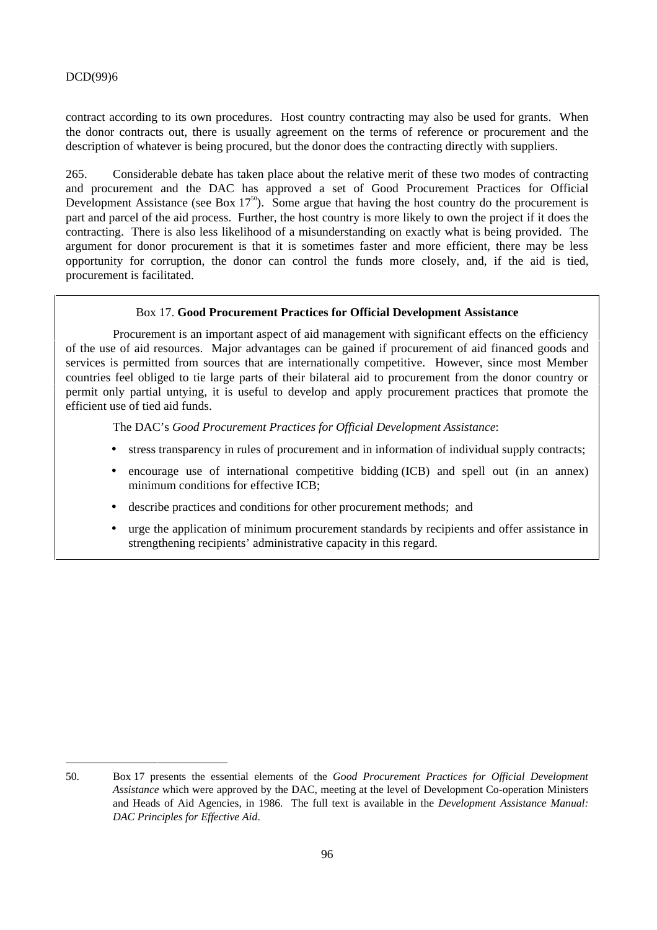-

contract according to its own procedures. Host country contracting may also be used for grants. When the donor contracts out, there is usually agreement on the terms of reference or procurement and the description of whatever is being procured, but the donor does the contracting directly with suppliers.

265. Considerable debate has taken place about the relative merit of these two modes of contracting and procurement and the DAC has approved a set of Good Procurement Practices for Official Development Assistance (see Box  $17^{50}$ ). Some argue that having the host country do the procurement is part and parcel of the aid process. Further, the host country is more likely to own the project if it does the contracting. There is also less likelihood of a misunderstanding on exactly what is being provided. The argument for donor procurement is that it is sometimes faster and more efficient, there may be less opportunity for corruption, the donor can control the funds more closely, and, if the aid is tied, procurement is facilitated.

# Box 17. **Good Procurement Practices for Official Development Assistance**

Procurement is an important aspect of aid management with significant effects on the efficiency of the use of aid resources. Major advantages can be gained if procurement of aid financed goods and services is permitted from sources that are internationally competitive. However, since most Member countries feel obliged to tie large parts of their bilateral aid to procurement from the donor country or permit only partial untying, it is useful to develop and apply procurement practices that promote the efficient use of tied aid funds.

The DAC's *Good Procurement Practices for Official Development Assistance*:

- stress transparency in rules of procurement and in information of individual supply contracts;
- encourage use of international competitive bidding (ICB) and spell out (in an annex) minimum conditions for effective ICB;
- describe practices and conditions for other procurement methods; and
- urge the application of minimum procurement standards by recipients and offer assistance in strengthening recipients' administrative capacity in this regard.

<sup>50.</sup> Box 17 presents the essential elements of the *Good Procurement Practices for Official Development Assistance* which were approved by the DAC, meeting at the level of Development Co-operation Ministers and Heads of Aid Agencies, in 1986. The full text is available in the *Development Assistance Manual: DAC Principles for Effective Aid*.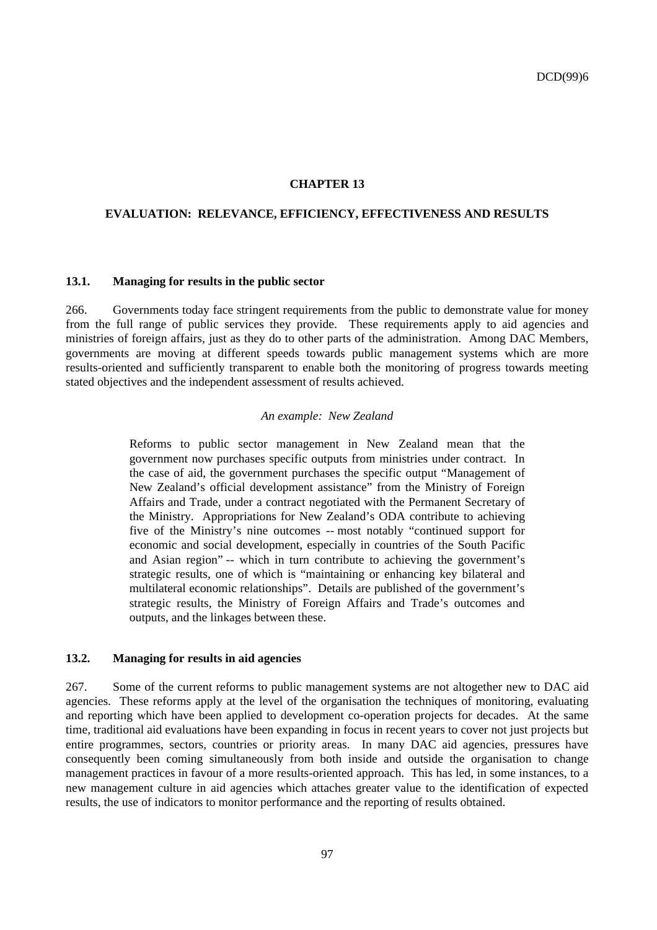#### **CHAPTER 13**

## **EVALUATION: RELEVANCE, EFFICIENCY, EFFECTIVENESS AND RESULTS**

#### **13.1. Managing for results in the public sector**

266. Governments today face stringent requirements from the public to demonstrate value for money from the full range of public services they provide. These requirements apply to aid agencies and ministries of foreign affairs, just as they do to other parts of the administration. Among DAC Members, governments are moving at different speeds towards public management systems which are more results-oriented and sufficiently transparent to enable both the monitoring of progress towards meeting stated objectives and the independent assessment of results achieved.

#### *An example: New Zealand*

Reforms to public sector management in New Zealand mean that the government now purchases specific outputs from ministries under contract. In the case of aid, the government purchases the specific output "Management of New Zealand's official development assistance" from the Ministry of Foreign Affairs and Trade, under a contract negotiated with the Permanent Secretary of the Ministry. Appropriations for New Zealand's ODA contribute to achieving five of the Ministry's nine outcomes -- most notably "continued support for economic and social development, especially in countries of the South Pacific and Asian region" -- which in turn contribute to achieving the government's strategic results, one of which is "maintaining or enhancing key bilateral and multilateral economic relationships". Details are published of the government's strategic results, the Ministry of Foreign Affairs and Trade's outcomes and outputs, and the linkages between these.

#### **13.2. Managing for results in aid agencies**

267. Some of the current reforms to public management systems are not altogether new to DAC aid agencies. These reforms apply at the level of the organisation the techniques of monitoring, evaluating and reporting which have been applied to development co-operation projects for decades. At the same time, traditional aid evaluations have been expanding in focus in recent years to cover not just projects but entire programmes, sectors, countries or priority areas. In many DAC aid agencies, pressures have consequently been coming simultaneously from both inside and outside the organisation to change management practices in favour of a more results-oriented approach. This has led, in some instances, to a new management culture in aid agencies which attaches greater value to the identification of expected results, the use of indicators to monitor performance and the reporting of results obtained.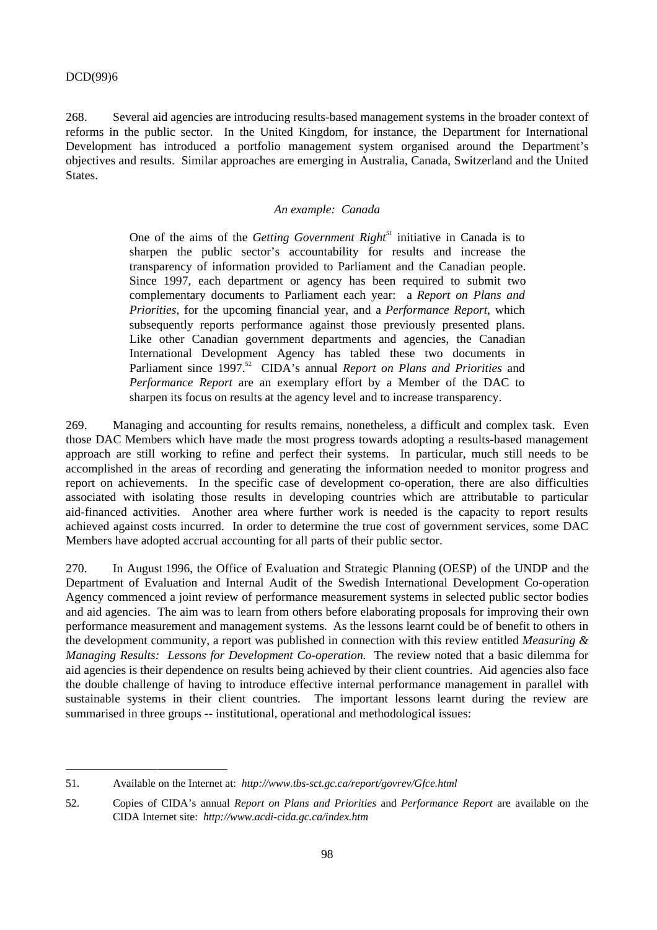1

268. Several aid agencies are introducing results-based management systems in the broader context of reforms in the public sector. In the United Kingdom, for instance, the Department for International Development has introduced a portfolio management system organised around the Department's objectives and results. Similar approaches are emerging in Australia, Canada, Switzerland and the United States.

#### *An example: Canada*

One of the aims of the *Getting Government Right<sup>51</sup>* initiative in Canada is to sharpen the public sector's accountability for results and increase the transparency of information provided to Parliament and the Canadian people. Since 1997, each department or agency has been required to submit two complementary documents to Parliament each year: a *Report on Plans and Priorities*, for the upcoming financial year, and a *Performance Report*, which subsequently reports performance against those previously presented plans. Like other Canadian government departments and agencies, the Canadian International Development Agency has tabled these two documents in Parliament since 1997.<sup>52</sup> CIDA's annual *Report on Plans and Priorities* and *Performance Report* are an exemplary effort by a Member of the DAC to sharpen its focus on results at the agency level and to increase transparency.

269. Managing and accounting for results remains, nonetheless, a difficult and complex task. Even those DAC Members which have made the most progress towards adopting a results-based management approach are still working to refine and perfect their systems. In particular, much still needs to be accomplished in the areas of recording and generating the information needed to monitor progress and report on achievements. In the specific case of development co-operation, there are also difficulties associated with isolating those results in developing countries which are attributable to particular aid-financed activities. Another area where further work is needed is the capacity to report results achieved against costs incurred. In order to determine the true cost of government services, some DAC Members have adopted accrual accounting for all parts of their public sector.

270. In August 1996, the Office of Evaluation and Strategic Planning (OESP) of the UNDP and the Department of Evaluation and Internal Audit of the Swedish International Development Co-operation Agency commenced a joint review of performance measurement systems in selected public sector bodies and aid agencies. The aim was to learn from others before elaborating proposals for improving their own performance measurement and management systems. As the lessons learnt could be of benefit to others in the development community, a report was published in connection with this review entitled *Measuring & Managing Results: Lessons for Development Co-operation*. The review noted that a basic dilemma for aid agencies is their dependence on results being achieved by their client countries. Aid agencies also face the double challenge of having to introduce effective internal performance management in parallel with sustainable systems in their client countries. The important lessons learnt during the review are summarised in three groups -- institutional, operational and methodological issues:

<sup>51.</sup> Available on the Internet at: *http://www.tbs-sct.gc.ca/report/govrev/Gfce.html*

<sup>52.</sup> Copies of CIDA's annual *Report on Plans and Priorities* and *Performance Report* are available on the CIDA Internet site: *http://www.acdi-cida.gc.ca/index.htm*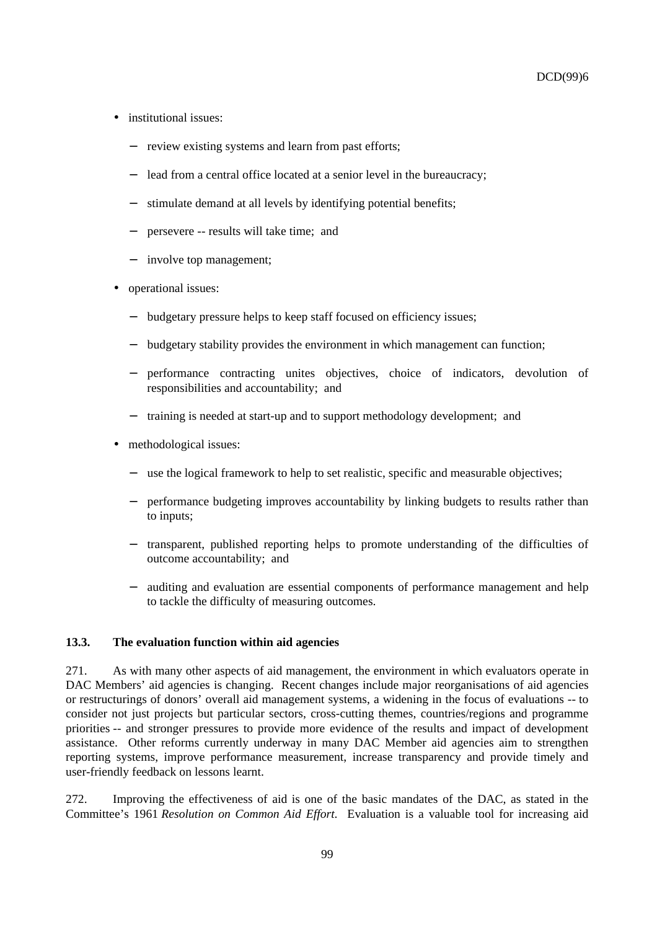- institutional issues:
	- review existing systems and learn from past efforts;
	- lead from a central office located at a senior level in the bureaucracy;
	- stimulate demand at all levels by identifying potential benefits;
	- − persevere -- results will take time; and
	- involve top management;
- operational issues:
	- budgetary pressure helps to keep staff focused on efficiency issues;
	- budgetary stability provides the environment in which management can function;
	- − performance contracting unites objectives, choice of indicators, devolution of responsibilities and accountability; and
	- training is needed at start-up and to support methodology development; and
- methodological issues:
	- use the logical framework to help to set realistic, specific and measurable objectives;
	- − performance budgeting improves accountability by linking budgets to results rather than to inputs;
	- − transparent, published reporting helps to promote understanding of the difficulties of outcome accountability; and
	- auditing and evaluation are essential components of performance management and help to tackle the difficulty of measuring outcomes.

## **13.3. The evaluation function within aid agencies**

271. As with many other aspects of aid management, the environment in which evaluators operate in DAC Members' aid agencies is changing. Recent changes include major reorganisations of aid agencies or restructurings of donors' overall aid management systems, a widening in the focus of evaluations -- to consider not just projects but particular sectors, cross-cutting themes, countries/regions and programme priorities -- and stronger pressures to provide more evidence of the results and impact of development assistance. Other reforms currently underway in many DAC Member aid agencies aim to strengthen reporting systems, improve performance measurement, increase transparency and provide timely and user-friendly feedback on lessons learnt.

272. Improving the effectiveness of aid is one of the basic mandates of the DAC, as stated in the Committee's 1961 *Resolution on Common Aid Effort*. Evaluation is a valuable tool for increasing aid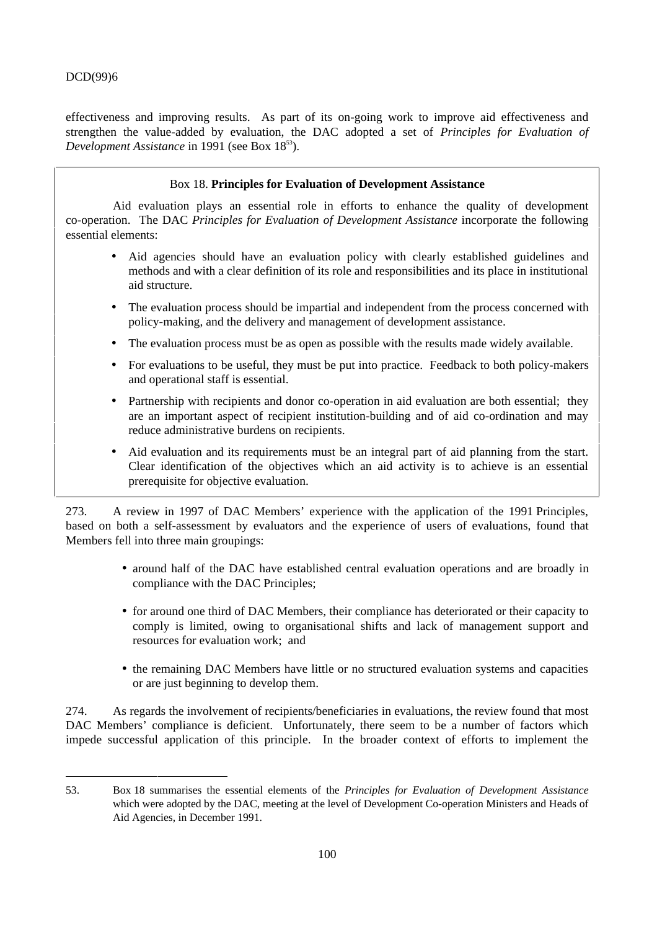effectiveness and improving results. As part of its on-going work to improve aid effectiveness and strengthen the value-added by evaluation, the DAC adopted a set of *Principles for Evaluation of Development Assistance* in 1991 (see Box 18<sup>53</sup>).

# Box 18. **Principles for Evaluation of Development Assistance**

Aid evaluation plays an essential role in efforts to enhance the quality of development co-operation. The DAC *Principles for Evaluation of Development Assistance* incorporate the following essential elements:

- Aid agencies should have an evaluation policy with clearly established guidelines and methods and with a clear definition of its role and responsibilities and its place in institutional aid structure.
- The evaluation process should be impartial and independent from the process concerned with policy-making, and the delivery and management of development assistance.
- The evaluation process must be as open as possible with the results made widely available.
- For evaluations to be useful, they must be put into practice. Feedback to both policy-makers and operational staff is essential.
- Partnership with recipients and donor co-operation in aid evaluation are both essential; they are an important aspect of recipient institution-building and of aid co-ordination and may reduce administrative burdens on recipients.
- Aid evaluation and its requirements must be an integral part of aid planning from the start. Clear identification of the objectives which an aid activity is to achieve is an essential prerequisite for objective evaluation.

273. A review in 1997 of DAC Members' experience with the application of the 1991 Principles, based on both a self-assessment by evaluators and the experience of users of evaluations, found that Members fell into three main groupings:

- around half of the DAC have established central evaluation operations and are broadly in compliance with the DAC Principles;
- for around one third of DAC Members, their compliance has deteriorated or their capacity to comply is limited, owing to organisational shifts and lack of management support and resources for evaluation work; and
- the remaining DAC Members have little or no structured evaluation systems and capacities or are just beginning to develop them.

274. As regards the involvement of recipients/beneficiaries in evaluations, the review found that most DAC Members' compliance is deficient. Unfortunately, there seem to be a number of factors which impede successful application of this principle. In the broader context of efforts to implement the

<sup>-</sup>53. Box 18 summarises the essential elements of the *Principles for Evaluation of Development Assistance* which were adopted by the DAC, meeting at the level of Development Co-operation Ministers and Heads of Aid Agencies, in December 1991.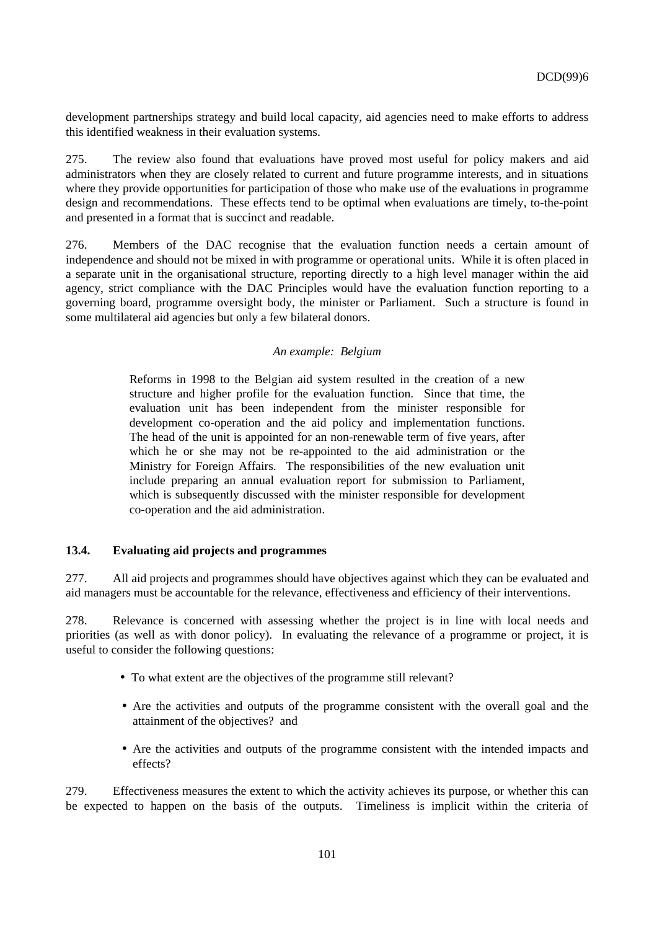development partnerships strategy and build local capacity, aid agencies need to make efforts to address this identified weakness in their evaluation systems.

275. The review also found that evaluations have proved most useful for policy makers and aid administrators when they are closely related to current and future programme interests, and in situations where they provide opportunities for participation of those who make use of the evaluations in programme design and recommendations. These effects tend to be optimal when evaluations are timely, to-the-point and presented in a format that is succinct and readable.

276. Members of the DAC recognise that the evaluation function needs a certain amount of independence and should not be mixed in with programme or operational units. While it is often placed in a separate unit in the organisational structure, reporting directly to a high level manager within the aid agency, strict compliance with the DAC Principles would have the evaluation function reporting to a governing board, programme oversight body, the minister or Parliament. Such a structure is found in some multilateral aid agencies but only a few bilateral donors.

## *An example: Belgium*

Reforms in 1998 to the Belgian aid system resulted in the creation of a new structure and higher profile for the evaluation function. Since that time, the evaluation unit has been independent from the minister responsible for development co-operation and the aid policy and implementation functions. The head of the unit is appointed for an non-renewable term of five years, after which he or she may not be re-appointed to the aid administration or the Ministry for Foreign Affairs. The responsibilities of the new evaluation unit include preparing an annual evaluation report for submission to Parliament, which is subsequently discussed with the minister responsible for development co-operation and the aid administration.

# **13.4. Evaluating aid projects and programmes**

277. All aid projects and programmes should have objectives against which they can be evaluated and aid managers must be accountable for the relevance, effectiveness and efficiency of their interventions.

278. Relevance is concerned with assessing whether the project is in line with local needs and priorities (as well as with donor policy). In evaluating the relevance of a programme or project, it is useful to consider the following questions:

- To what extent are the objectives of the programme still relevant?
- Are the activities and outputs of the programme consistent with the overall goal and the attainment of the objectives? and
- Are the activities and outputs of the programme consistent with the intended impacts and effects?

279. Effectiveness measures the extent to which the activity achieves its purpose, or whether this can be expected to happen on the basis of the outputs. Timeliness is implicit within the criteria of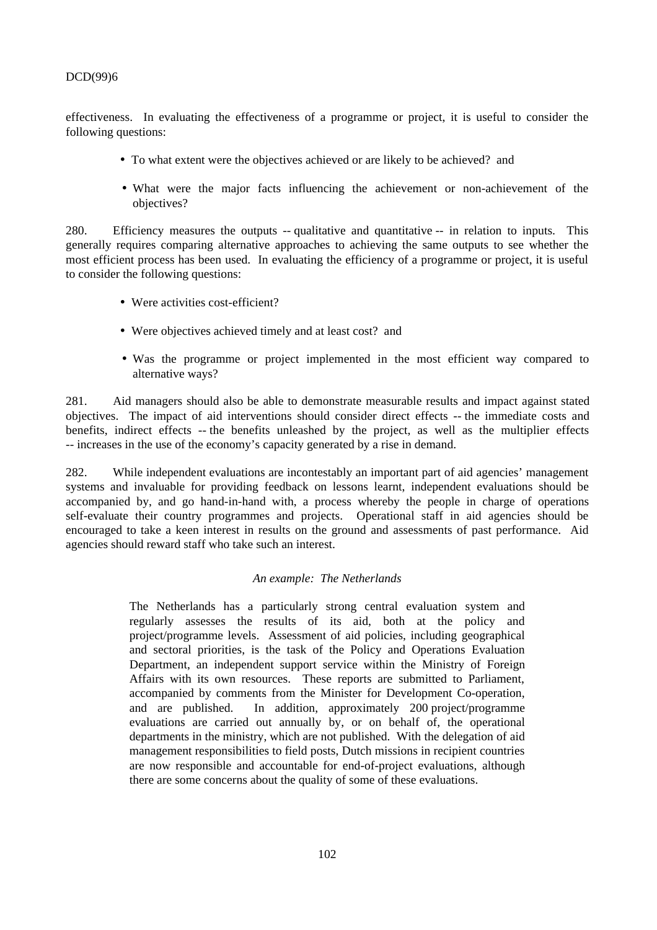effectiveness. In evaluating the effectiveness of a programme or project, it is useful to consider the following questions:

- To what extent were the objectives achieved or are likely to be achieved? and
- What were the major facts influencing the achievement or non-achievement of the objectives?

280. Efficiency measures the outputs -- qualitative and quantitative -- in relation to inputs. This generally requires comparing alternative approaches to achieving the same outputs to see whether the most efficient process has been used. In evaluating the efficiency of a programme or project, it is useful to consider the following questions:

- Were activities cost-efficient?
- Were objectives achieved timely and at least cost? and
- Was the programme or project implemented in the most efficient way compared to alternative ways?

281. Aid managers should also be able to demonstrate measurable results and impact against stated objectives. The impact of aid interventions should consider direct effects -- the immediate costs and benefits, indirect effects -- the benefits unleashed by the project, as well as the multiplier effects -- increases in the use of the economy's capacity generated by a rise in demand.

282. While independent evaluations are incontestably an important part of aid agencies' management systems and invaluable for providing feedback on lessons learnt, independent evaluations should be accompanied by, and go hand-in-hand with, a process whereby the people in charge of operations self-evaluate their country programmes and projects. Operational staff in aid agencies should be encouraged to take a keen interest in results on the ground and assessments of past performance. Aid agencies should reward staff who take such an interest.

## *An example: The Netherlands*

The Netherlands has a particularly strong central evaluation system and regularly assesses the results of its aid, both at the policy and project/programme levels. Assessment of aid policies, including geographical and sectoral priorities, is the task of the Policy and Operations Evaluation Department, an independent support service within the Ministry of Foreign Affairs with its own resources. These reports are submitted to Parliament, accompanied by comments from the Minister for Development Co-operation, and are published. In addition, approximately 200 project/programme evaluations are carried out annually by, or on behalf of, the operational departments in the ministry, which are not published. With the delegation of aid management responsibilities to field posts, Dutch missions in recipient countries are now responsible and accountable for end-of-project evaluations, although there are some concerns about the quality of some of these evaluations.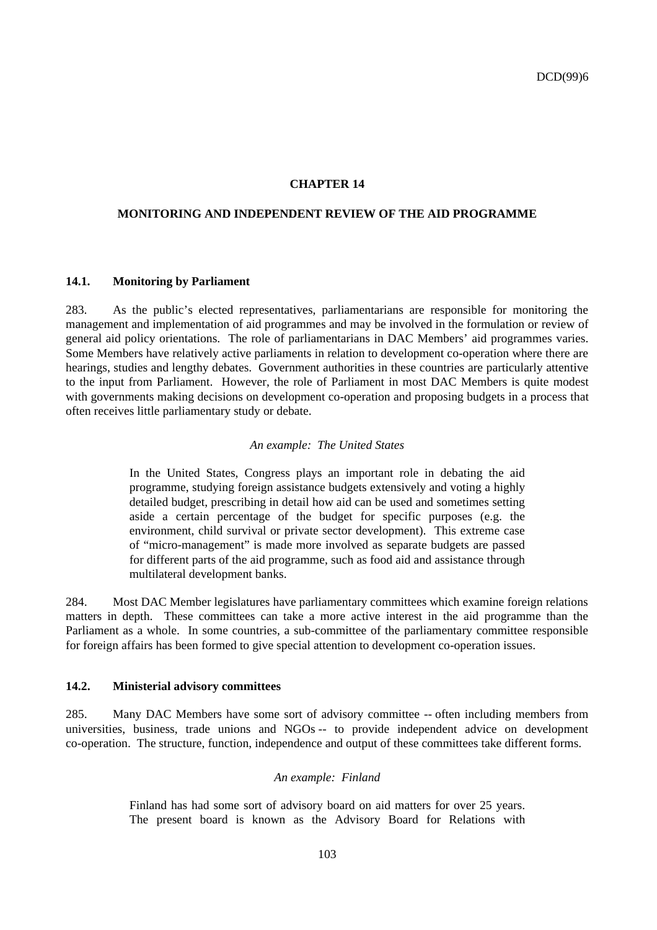#### **CHAPTER 14**

## **MONITORING AND INDEPENDENT REVIEW OF THE AID PROGRAMME**

#### **14.1. Monitoring by Parliament**

283. As the public's elected representatives, parliamentarians are responsible for monitoring the management and implementation of aid programmes and may be involved in the formulation or review of general aid policy orientations. The role of parliamentarians in DAC Members' aid programmes varies. Some Members have relatively active parliaments in relation to development co-operation where there are hearings, studies and lengthy debates. Government authorities in these countries are particularly attentive to the input from Parliament. However, the role of Parliament in most DAC Members is quite modest with governments making decisions on development co-operation and proposing budgets in a process that often receives little parliamentary study or debate.

#### *An example: The United States*

In the United States, Congress plays an important role in debating the aid programme, studying foreign assistance budgets extensively and voting a highly detailed budget, prescribing in detail how aid can be used and sometimes setting aside a certain percentage of the budget for specific purposes (e.g. the environment, child survival or private sector development). This extreme case of "micro-management" is made more involved as separate budgets are passed for different parts of the aid programme, such as food aid and assistance through multilateral development banks.

284. Most DAC Member legislatures have parliamentary committees which examine foreign relations matters in depth. These committees can take a more active interest in the aid programme than the Parliament as a whole. In some countries, a sub-committee of the parliamentary committee responsible for foreign affairs has been formed to give special attention to development co-operation issues.

## **14.2. Ministerial advisory committees**

285. Many DAC Members have some sort of advisory committee -- often including members from universities, business, trade unions and NGOs -- to provide independent advice on development co-operation. The structure, function, independence and output of these committees take different forms.

#### *An example: Finland*

Finland has had some sort of advisory board on aid matters for over 25 years. The present board is known as the Advisory Board for Relations with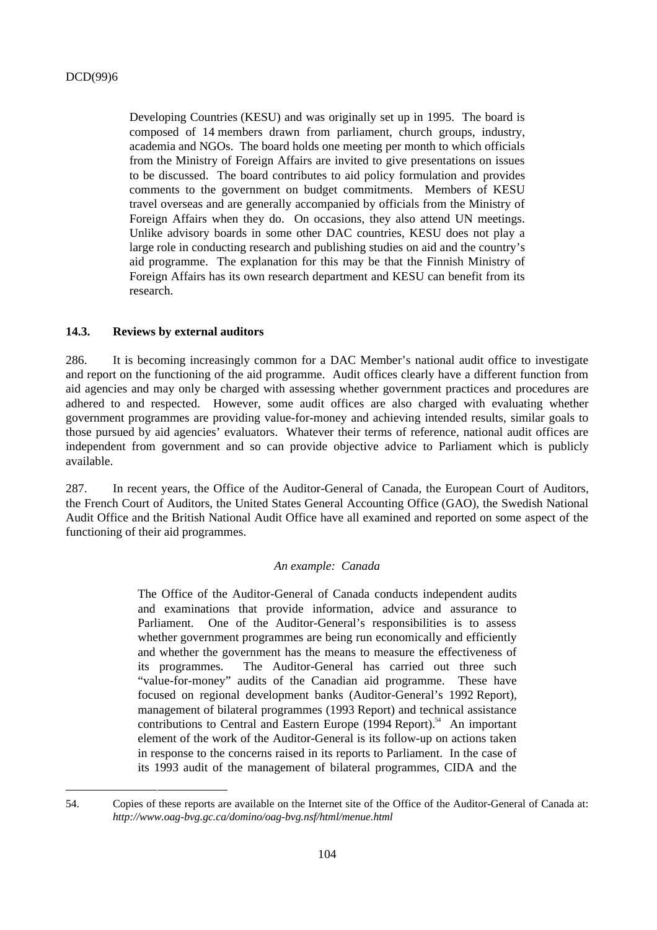1

Developing Countries (KESU) and was originally set up in 1995. The board is composed of 14 members drawn from parliament, church groups, industry, academia and NGOs. The board holds one meeting per month to which officials from the Ministry of Foreign Affairs are invited to give presentations on issues to be discussed. The board contributes to aid policy formulation and provides comments to the government on budget commitments. Members of KESU travel overseas and are generally accompanied by officials from the Ministry of Foreign Affairs when they do. On occasions, they also attend UN meetings. Unlike advisory boards in some other DAC countries, KESU does not play a large role in conducting research and publishing studies on aid and the country's aid programme. The explanation for this may be that the Finnish Ministry of Foreign Affairs has its own research department and KESU can benefit from its research.

#### **14.3. Reviews by external auditors**

286. It is becoming increasingly common for a DAC Member's national audit office to investigate and report on the functioning of the aid programme. Audit offices clearly have a different function from aid agencies and may only be charged with assessing whether government practices and procedures are adhered to and respected. However, some audit offices are also charged with evaluating whether government programmes are providing value-for-money and achieving intended results, similar goals to those pursued by aid agencies' evaluators. Whatever their terms of reference, national audit offices are independent from government and so can provide objective advice to Parliament which is publicly available.

287. In recent years, the Office of the Auditor-General of Canada, the European Court of Auditors, the French Court of Auditors, the United States General Accounting Office (GAO), the Swedish National Audit Office and the British National Audit Office have all examined and reported on some aspect of the functioning of their aid programmes.

#### *An example: Canada*

The Office of the Auditor-General of Canada conducts independent audits and examinations that provide information, advice and assurance to Parliament. One of the Auditor-General's responsibilities is to assess whether government programmes are being run economically and efficiently and whether the government has the means to measure the effectiveness of its programmes. The Auditor-General has carried out three such "value-for-money" audits of the Canadian aid programme. These have focused on regional development banks (Auditor-General's 1992 Report), management of bilateral programmes (1993 Report) and technical assistance contributions to Central and Eastern Europe  $(1994$  Report).<sup>54</sup> An important element of the work of the Auditor-General is its follow-up on actions taken in response to the concerns raised in its reports to Parliament. In the case of its 1993 audit of the management of bilateral programmes, CIDA and the

<sup>54.</sup> Copies of these reports are available on the Internet site of the Office of the Auditor-General of Canada at: *http://www.oag-bvg.gc.ca/domino/oag-bvg.nsf/html/menue.html*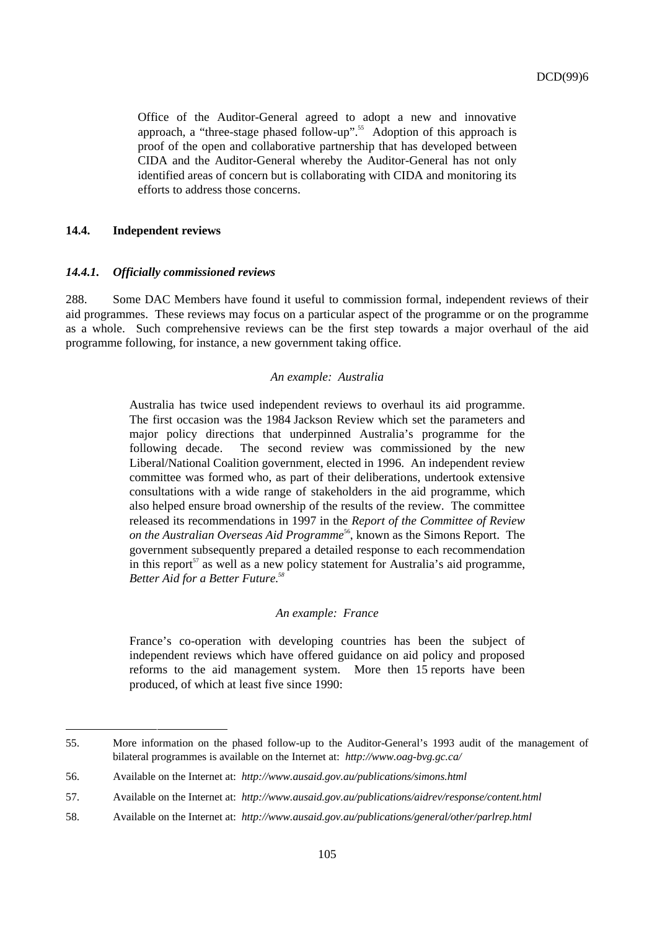Office of the Auditor-General agreed to adopt a new and innovative approach, a "three-stage phased follow-up".<sup>55</sup> Adoption of this approach is proof of the open and collaborative partnership that has developed between CIDA and the Auditor-General whereby the Auditor-General has not only identified areas of concern but is collaborating with CIDA and monitoring its efforts to address those concerns.

#### **14.4. Independent reviews**

-

#### *14.4.1. Officially commissioned reviews*

288. Some DAC Members have found it useful to commission formal, independent reviews of their aid programmes. These reviews may focus on a particular aspect of the programme or on the programme as a whole. Such comprehensive reviews can be the first step towards a major overhaul of the aid programme following, for instance, a new government taking office.

#### *An example: Australia*

Australia has twice used independent reviews to overhaul its aid programme. The first occasion was the 1984 Jackson Review which set the parameters and major policy directions that underpinned Australia's programme for the following decade. The second review was commissioned by the new Liberal/National Coalition government, elected in 1996. An independent review committee was formed who, as part of their deliberations, undertook extensive consultations with a wide range of stakeholders in the aid programme, which also helped ensure broad ownership of the results of the review. The committee released its recommendations in 1997 in the *Report of the Committee of Review on the Australian Overseas Aid Programme*<sup>56</sup>, known as the Simons Report. The government subsequently prepared a detailed response to each recommendation in this report $57$  as well as a new policy statement for Australia's aid programme, *Better Aid for a Better Future.58*

#### *An example: France*

France's co-operation with developing countries has been the subject of independent reviews which have offered guidance on aid policy and proposed reforms to the aid management system. More then 15 reports have been produced, of which at least five since 1990:

<sup>55.</sup> More information on the phased follow-up to the Auditor-General's 1993 audit of the management of bilateral programmes is available on the Internet at: *http://www.oag-bvg.gc.ca/*

<sup>56.</sup> Available on the Internet at: *http://www.ausaid.gov.au/publications/simons.html*

<sup>57.</sup> Available on the Internet at: *http://www.ausaid.gov.au/publications/aidrev/response/content.html*

<sup>58.</sup> Available on the Internet at: *http://www.ausaid.gov.au/publications/general/other/parlrep.html*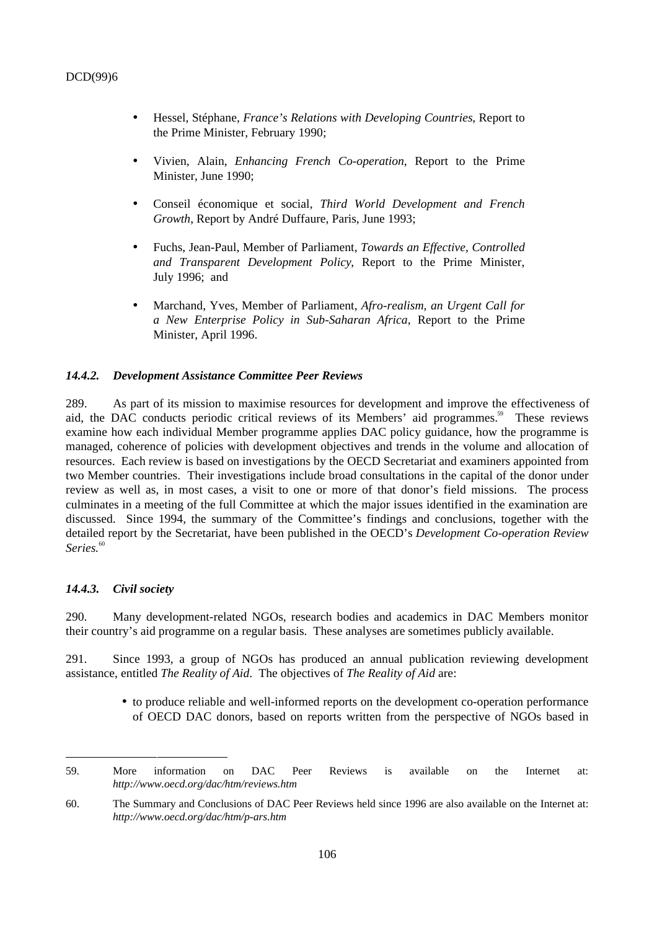- Hessel, Stéphane, *France's Relations with Developing Countries*, Report to the Prime Minister, February 1990;
- Vivien, Alain, *Enhancing French Co-operation*, Report to the Prime Minister, June 1990;
- Conseil économique et social, *Third World Development and French Growth*, Report by André Duffaure, Paris, June 1993;
- Fuchs, Jean-Paul, Member of Parliament, *Towards an Effective, Controlled and Transparent Development Policy*, Report to the Prime Minister, July 1996; and
- Marchand, Yves, Member of Parliament, *Afro-realism, an Urgent Call for a New Enterprise Policy in Sub-Saharan Africa*, Report to the Prime Minister, April 1996.

## *14.4.2. Development Assistance Committee Peer Reviews*

289. As part of its mission to maximise resources for development and improve the effectiveness of aid, the DAC conducts periodic critical reviews of its Members' aid programmes.<sup>59</sup> These reviews examine how each individual Member programme applies DAC policy guidance, how the programme is managed, coherence of policies with development objectives and trends in the volume and allocation of resources. Each review is based on investigations by the OECD Secretariat and examiners appointed from two Member countries. Their investigations include broad consultations in the capital of the donor under review as well as, in most cases, a visit to one or more of that donor's field missions. The process culminates in a meeting of the full Committee at which the major issues identified in the examination are discussed. Since 1994, the summary of the Committee's findings and conclusions, together with the detailed report by the Secretariat, have been published in the OECD's *Development Co-operation Review* Series.<sup>60</sup>

#### *14.4.3. Civil society*

1

290. Many development-related NGOs, research bodies and academics in DAC Members monitor their country's aid programme on a regular basis. These analyses are sometimes publicly available.

291. Since 1993, a group of NGOs has produced an annual publication reviewing development assistance, entitled *The Reality of Aid*. The objectives of *The Reality of Aid* are:

> • to produce reliable and well-informed reports on the development co-operation performance of OECD DAC donors, based on reports written from the perspective of NGOs based in

<sup>59.</sup> More information on DAC Peer Reviews is available on the Internet at: *http://www.oecd.org/dac/htm/reviews.htm*

<sup>60.</sup> The Summary and Conclusions of DAC Peer Reviews held since 1996 are also available on the Internet at: *http://www.oecd.org/dac/htm/p-ars.htm*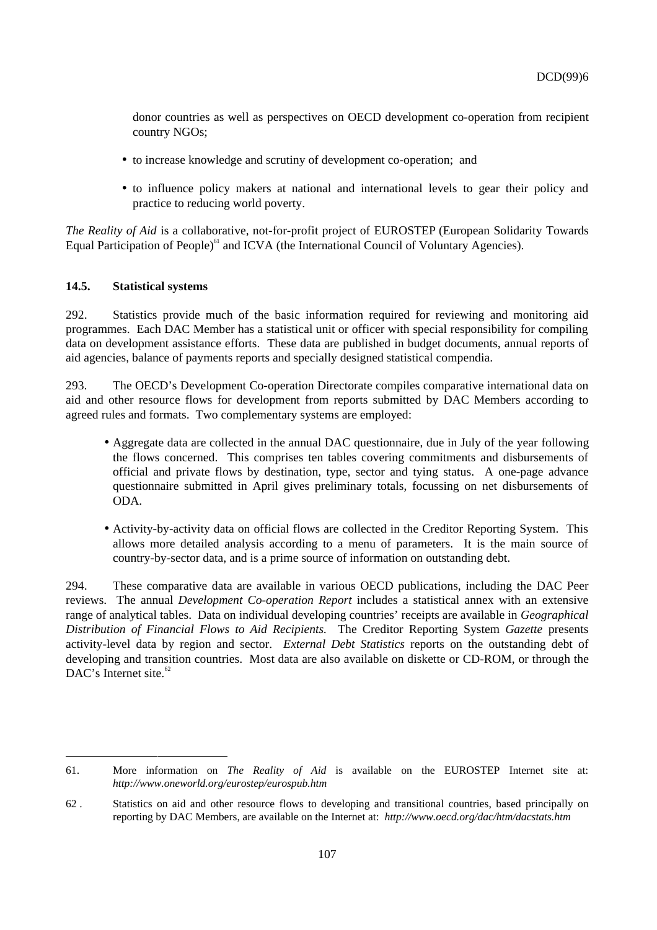donor countries as well as perspectives on OECD development co-operation from recipient country NGOs;

- to increase knowledge and scrutiny of development co-operation; and
- to influence policy makers at national and international levels to gear their policy and practice to reducing world poverty.

*The Reality of Aid* is a collaborative, not-for-profit project of EUROSTEP (European Solidarity Towards Equal Participation of People)<sup>61</sup> and ICVA (the International Council of Voluntary Agencies).

## **14.5. Statistical systems**

-

292. Statistics provide much of the basic information required for reviewing and monitoring aid programmes. Each DAC Member has a statistical unit or officer with special responsibility for compiling data on development assistance efforts. These data are published in budget documents, annual reports of aid agencies, balance of payments reports and specially designed statistical compendia.

293. The OECD's Development Co-operation Directorate compiles comparative international data on aid and other resource flows for development from reports submitted by DAC Members according to agreed rules and formats. Two complementary systems are employed:

- Aggregate data are collected in the annual DAC questionnaire, due in July of the year following the flows concerned. This comprises ten tables covering commitments and disbursements of official and private flows by destination, type, sector and tying status. A one-page advance questionnaire submitted in April gives preliminary totals, focussing on net disbursements of ODA.
- Activity-by-activity data on official flows are collected in the Creditor Reporting System. This allows more detailed analysis according to a menu of parameters. It is the main source of country-by-sector data, and is a prime source of information on outstanding debt.

294. These comparative data are available in various OECD publications, including the DAC Peer reviews. The annual *Development Co-operation Report* includes a statistical annex with an extensive range of analytical tables. Data on individual developing countries' receipts are available in *Geographical Distribution of Financial Flows to Aid Recipients.* The Creditor Reporting System *Gazette* presents activity-level data by region and sector. *External Debt Statistics* reports on the outstanding debt of developing and transition countries. Most data are also available on diskette or CD-ROM, or through the DAC's Internet site. $62$ 

<sup>61.</sup> More information on *The Reality of Aid* is available on the EUROSTEP Internet site at: *http://www.oneworld.org/eurostep/eurospub.htm*

<sup>62 .</sup> Statistics on aid and other resource flows to developing and transitional countries, based principally on reporting by DAC Members, are available on the Internet at: *http://www.oecd.org/dac/htm/dacstats.htm*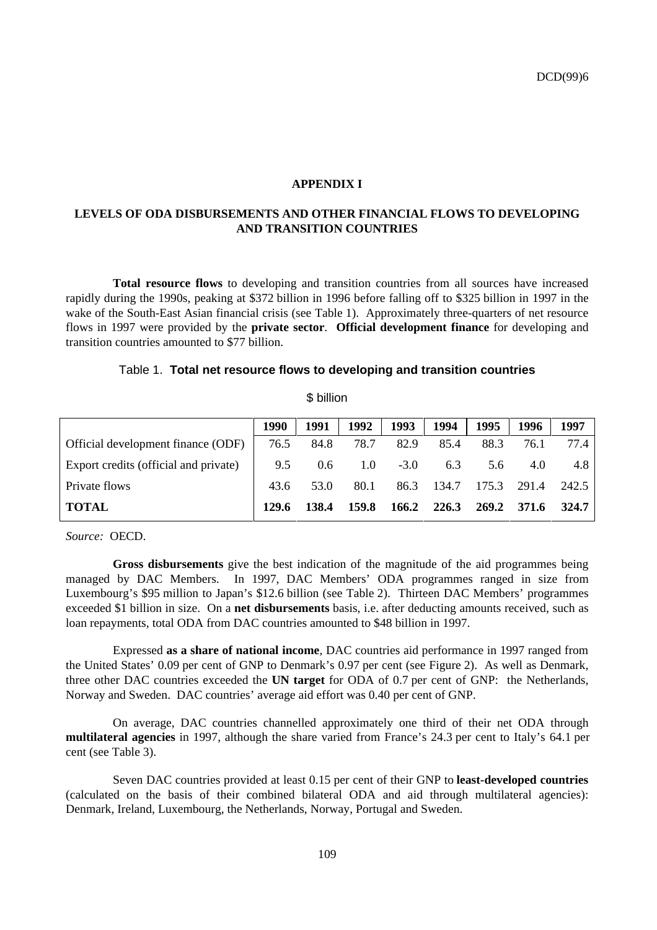#### **APPENDIX I**

## **LEVELS OF ODA DISBURSEMENTS AND OTHER FINANCIAL FLOWS TO DEVELOPING AND TRANSITION COUNTRIES**

**Total resource flows** to developing and transition countries from all sources have increased rapidly during the 1990s, peaking at \$372 billion in 1996 before falling off to \$325 billion in 1997 in the wake of the South-East Asian financial crisis (see Table 1). Approximately three-quarters of net resource flows in 1997 were provided by the **private sector**. **Official development finance** for developing and transition countries amounted to \$77 billion.

#### Table 1. **Total net resource flows to developing and transition countries**

\$ billion

|                                       | 1990  | 1991          | 1992          | 1993   | 1994  | 1995  | 1996  | 1997  |
|---------------------------------------|-------|---------------|---------------|--------|-------|-------|-------|-------|
| Official development finance (ODF)    | 76.5  | 84.8          | 78.7          | 82.9   | 85.4  | 88.3  | 76.1  | 77.4  |
| Export credits (official and private) | 9.5   | $0.6^{\circ}$ | $1.0^{\circ}$ | $-3.0$ | 6.3   | 5.6   | 4.0   | 4.8   |
| Private flows                         | 43.6  | 53.0          | 80.1          | 86.3   | 134.7 | 175.3 | 291.4 | 242.5 |
| <b>TOTAL</b>                          | 129.6 | 138.4         | 159.8         | 166.2  | 226.3 | 269.2 | 371.6 | 324.7 |

*Source:* OECD.

**Gross disbursements** give the best indication of the magnitude of the aid programmes being managed by DAC Members. In 1997, DAC Members' ODA programmes ranged in size from Luxembourg's \$95 million to Japan's \$12.6 billion (see Table 2). Thirteen DAC Members' programmes exceeded \$1 billion in size. On a **net disbursements** basis, i.e. after deducting amounts received, such as loan repayments, total ODA from DAC countries amounted to \$48 billion in 1997.

Expressed **as a share of national income**, DAC countries aid performance in 1997 ranged from the United States' 0.09 per cent of GNP to Denmark's 0.97 per cent (see Figure 2). As well as Denmark, three other DAC countries exceeded the **UN target** for ODA of 0.7 per cent of GNP: the Netherlands, Norway and Sweden. DAC countries' average aid effort was 0.40 per cent of GNP.

On average, DAC countries channelled approximately one third of their net ODA through **multilateral agencies** in 1997, although the share varied from France's 24.3 per cent to Italy's 64.1 per cent (see Table 3).

Seven DAC countries provided at least 0.15 per cent of their GNP to **least-developed countries** (calculated on the basis of their combined bilateral ODA and aid through multilateral agencies): Denmark, Ireland, Luxembourg, the Netherlands, Norway, Portugal and Sweden.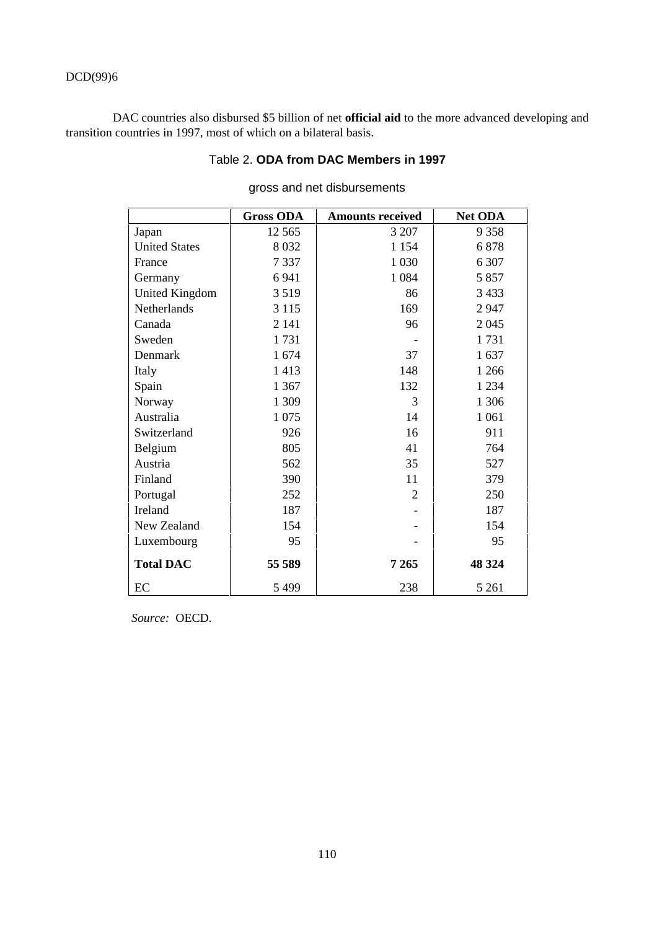DAC countries also disbursed \$5 billion of net **official aid** to the more advanced developing and transition countries in 1997, most of which on a bilateral basis.

### Table 2. **ODA from DAC Members in 1997**

|                       | <b>Gross ODA</b> | <b>Amounts received</b> | <b>Net ODA</b> |
|-----------------------|------------------|-------------------------|----------------|
| Japan                 | 12 5 6 5         | 3 207                   | 9 3 5 8        |
| <b>United States</b>  | 8032             | 1 1 5 4                 | 6878           |
| France                | 7337             | 1 0 3 0                 | 6 307          |
| Germany               | 6941             | 1 0 8 4                 | 5 8 5 7        |
| <b>United Kingdom</b> | 3519             | 86                      | 3 4 3 3        |
| <b>Netherlands</b>    | 3 1 1 5          | 169                     | 2947           |
| Canada                | 2 1 4 1          | 96                      | 2 0 4 5        |
| Sweden                | 1731             |                         | 1731           |
| Denmark               | 1674             | 37                      | 1637           |
| Italy                 | 1413             | 148                     | 1 2 6 6        |
| Spain                 | 1 3 6 7          | 132                     | 1 2 3 4        |
| Norway                | 1 309            | 3                       | 1 306          |
| Australia             | 1 0 7 5          | 14                      | 1 0 6 1        |
| Switzerland           | 926              | 16                      | 911            |
| Belgium               | 805              | 41                      | 764            |
| Austria               | 562              | 35                      | 527            |
| Finland               | 390              | 11                      | 379            |
| Portugal              | 252              | 2                       | 250            |
| Ireland               | 187              |                         | 187            |
| New Zealand           | 154              |                         | 154            |
| Luxembourg            | 95               |                         | 95             |
| <b>Total DAC</b>      | 55 589           | 7 2 6 5                 | 48 324         |
| EC                    | 5 4 9 9          | 238                     | 5 2 6 1        |

## gross and net disbursements

*Source:* OECD.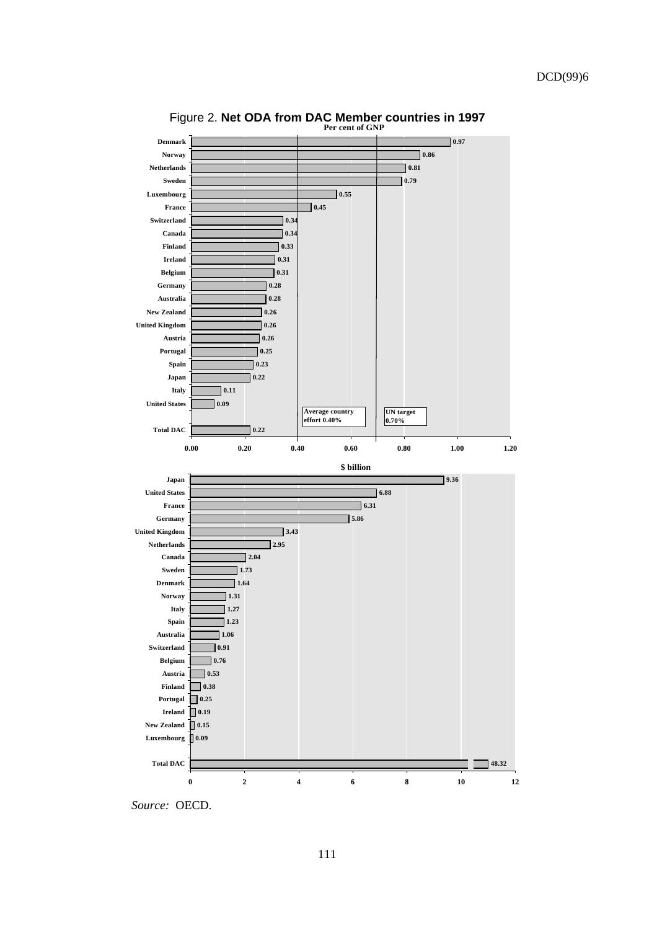

## Figure 2. **Net ODA from DAC Member countries in 1997 Per cent of GNP**

*Source:* OECD.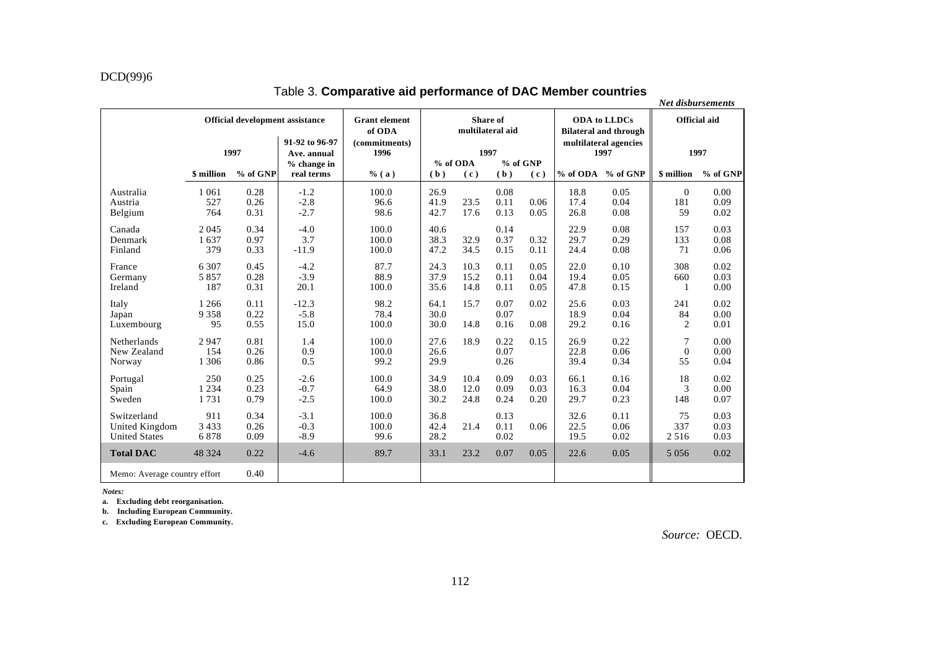Table 3. **Comparative aid performance of DAC Member countries**

|                              |            |                                 |                                                        |                                                                       |                              |      |                                                     |                               |                     |      | Net disbursements |            |
|------------------------------|------------|---------------------------------|--------------------------------------------------------|-----------------------------------------------------------------------|------------------------------|------|-----------------------------------------------------|-------------------------------|---------------------|------|-------------------|------------|
|                              |            | Official development assistance |                                                        | <b>Share of</b><br><b>Grant</b> element<br>multilateral aid<br>of ODA |                              |      | <b>ODA</b> to LLDCs<br><b>Bilateral and through</b> |                               | <b>Official</b> aid |      |                   |            |
|                              |            | 1997                            | 91-92 to 96-97<br>(commitments)<br>1996<br>Ave. annual |                                                                       | 1997<br>% of ODA<br>% of GNP |      |                                                     | multilateral agencies<br>1997 |                     | 1997 |                   |            |
|                              | \$ million | % of GNP                        | % change in<br>real terms                              | $%$ (a)                                                               | (b)                          | (c)  | (b)                                                 | (c)                           | % of ODA % of GNP   |      | \$ million        | $%$ of GNP |
| Australia                    | 1 0 6 1    | 0.28                            | $-1.2$                                                 | 100.0                                                                 | 26.9                         |      | 0.08                                                |                               | 18.8                | 0.05 | $\overline{0}$    | 0.00       |
| Austria                      | 527        | 0.26                            | $-2.8$                                                 | 96.6                                                                  | 41.9                         | 23.5 | 0.11                                                | 0.06                          | 17.4                | 0.04 | 181               | 0.09       |
| Belgium                      | 764        | 0.31                            | $-2.7$                                                 | 98.6                                                                  | 42.7                         | 17.6 | 0.13                                                | 0.05                          | 26.8                | 0.08 | 59                | 0.02       |
| Canada                       | 2 0 4 5    | 0.34                            | $-4.0$                                                 | 100.0                                                                 | 40.6                         |      | 0.14                                                |                               | 22.9                | 0.08 | 157               | 0.03       |
| Denmark                      | 1637       | 0.97                            | 3.7                                                    | 100.0                                                                 | 38.3                         | 32.9 | 0.37                                                | 0.32                          | 29.7                | 0.29 | 133               | 0.08       |
| Finland                      | 379        | 0.33                            | $-11.9$                                                | 100.0                                                                 | 47.2                         | 34.5 | 0.15                                                | 0.11                          | 24.4                | 0.08 | 71                | 0.06       |
| France                       | 6 3 0 7    | 0.45                            | $-4.2$                                                 | 87.7                                                                  | 24.3                         | 10.3 | 0.11                                                | 0.05                          | 22.0                | 0.10 | 308               | 0.02       |
| Germany                      | 5857       | 0.28                            | $-3.9$                                                 | 88.9                                                                  | 37.9                         | 15.2 | 0.11                                                | 0.04                          | 19.4                | 0.05 | 660               | 0.03       |
| Ireland                      | 187        | 0.31                            | 20.1                                                   | 100.0                                                                 | 35.6                         | 14.8 | 0.11                                                | 0.05                          | 47.8                | 0.15 | -1                | 0.00       |
| Italy                        | 1 2 6 6    | 0.11                            | $-12.3$                                                | 98.2                                                                  | 64.1                         | 15.7 | 0.07                                                | 0.02                          | 25.6                | 0.03 | 241               | 0.02       |
| Japan                        | 9 3 5 8    | 0.22                            | $-5.8$                                                 | 78.4                                                                  | 30.0                         |      | 0.07                                                |                               | 18.9                | 0.04 | 84                | 0.00       |
| Luxembourg                   | 95         | 0.55                            | 15.0                                                   | 100.0                                                                 | 30.0                         | 14.8 | 0.16                                                | 0.08                          | 29.2                | 0.16 | $\overline{2}$    | 0.01       |
| Netherlands                  | 2947       | 0.81                            | 1.4                                                    | 100.0                                                                 | 27.6                         | 18.9 | 0.22                                                | 0.15                          | 26.9                | 0.22 | $\overline{7}$    | 0.00       |
| New Zealand                  | 154        | 0.26                            | 0.9                                                    | 100.0                                                                 | 26.6                         |      | 0.07                                                |                               | 22.8                | 0.06 | $\theta$          | 0.00       |
| Norway                       | 1 3 0 6    | 0.86                            | 0.5                                                    | 99.2                                                                  | 29.9                         |      | 0.26                                                |                               | 39.4                | 0.34 | 55                | 0.04       |
| Portugal                     | 250        | 0.25                            | $-2.6$                                                 | 100.0                                                                 | 34.9                         | 10.4 | 0.09                                                | 0.03                          | 66.1                | 0.16 | 18                | 0.02       |
| Spain                        | 1 2 3 4    | 0.23                            | $-0.7$                                                 | 64.9                                                                  | 38.0                         | 12.0 | 0.09                                                | 0.03                          | 16.3                | 0.04 | 3                 | 0.00       |
| Sweden                       | 1731       | 0.79                            | $-2.5$                                                 | 100.0                                                                 | 30.2                         | 24.8 | 0.24                                                | 0.20                          | 29.7                | 0.23 | 148               | 0.07       |
| Switzerland                  | 911        | 0.34                            | $-3.1$                                                 | 100.0                                                                 | 36.8                         |      | 0.13                                                |                               | 32.6                | 0.11 | 75                | 0.03       |
| United Kingdom               | 3 4 3 3    | 0.26                            | $-0.3$                                                 | 100.0                                                                 | 42.4                         | 21.4 | 0.11                                                | 0.06                          | 22.5                | 0.06 | 337               | 0.03       |
| <b>United States</b>         | 6878       | 0.09                            | $-8.9$                                                 | 99.6                                                                  | 28.2                         |      | 0.02                                                |                               | 19.5                | 0.02 | 2516              | 0.03       |
| <b>Total DAC</b>             | 48 3 24    | 0.22                            | $-4.6$                                                 | 89.7                                                                  | 33.1                         | 23.2 | 0.07                                                | 0.05                          | 22.6                | 0.05 | 5 0 5 6           | 0.02       |
| Memo: Average country effort |            | 0.40                            |                                                        |                                                                       |                              |      |                                                     |                               |                     |      |                   |            |

*Notes:*

**a. Excluding debt reorganisation.**

**b. Including European Community.**

**c. Excluding European Community.**

*Source:* OECD.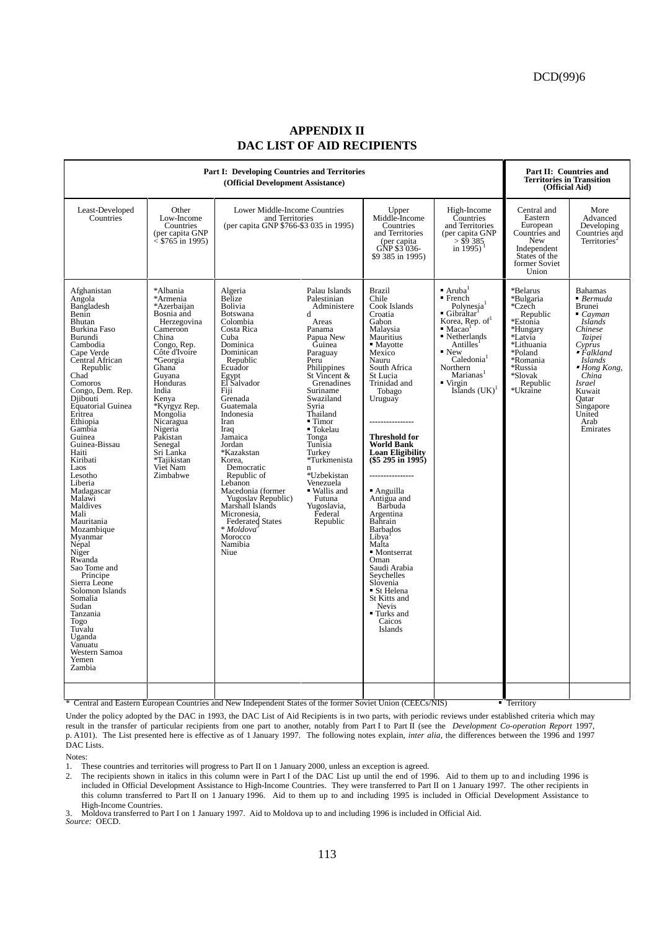#### **APPENDIX II DAC LIST OF AID RECIPIENTS**

| <b>Part I: Developing Countries and Territories</b><br>(Official Development Assistance)                                                                                                                                                                                                                                                                                                                                                                                                                                                                                                                                          |                                                                                                                                                                                                                                                                                                                   |                                                                                                                                                                                                                                                                                                                                                                                                                                                                       |                                                                                                                                                                                                                                                                                                                                                                                                                   |                                                                                                                                                                                                                                                                                                                                                                                                                                                                                                                                                                   |                                                                                                                                                                                                                                                              | Part II: Countries and<br><b>Territories in Transition</b><br>(Official Aid)                                                                                      |                                                                                                                                                                                                                                                  |
|-----------------------------------------------------------------------------------------------------------------------------------------------------------------------------------------------------------------------------------------------------------------------------------------------------------------------------------------------------------------------------------------------------------------------------------------------------------------------------------------------------------------------------------------------------------------------------------------------------------------------------------|-------------------------------------------------------------------------------------------------------------------------------------------------------------------------------------------------------------------------------------------------------------------------------------------------------------------|-----------------------------------------------------------------------------------------------------------------------------------------------------------------------------------------------------------------------------------------------------------------------------------------------------------------------------------------------------------------------------------------------------------------------------------------------------------------------|-------------------------------------------------------------------------------------------------------------------------------------------------------------------------------------------------------------------------------------------------------------------------------------------------------------------------------------------------------------------------------------------------------------------|-------------------------------------------------------------------------------------------------------------------------------------------------------------------------------------------------------------------------------------------------------------------------------------------------------------------------------------------------------------------------------------------------------------------------------------------------------------------------------------------------------------------------------------------------------------------|--------------------------------------------------------------------------------------------------------------------------------------------------------------------------------------------------------------------------------------------------------------|-------------------------------------------------------------------------------------------------------------------------------------------------------------------|--------------------------------------------------------------------------------------------------------------------------------------------------------------------------------------------------------------------------------------------------|
| Least-Developed<br>Countries <sup>®</sup>                                                                                                                                                                                                                                                                                                                                                                                                                                                                                                                                                                                         | Other<br>Low-Income<br>Countries<br>(per capita GNP<br>$\frac{2}{5}$ \$765 in 1995)                                                                                                                                                                                                                               | Lower Middle-Income Countries<br>and Territories<br>(per capita GNP \$766-\$3 035 in 1995)                                                                                                                                                                                                                                                                                                                                                                            |                                                                                                                                                                                                                                                                                                                                                                                                                   | Upper<br>Middle-Income<br>Countries<br>and Territories<br>(per capita)<br>GNP \$3 036-<br>\$9 385 in 1995)                                                                                                                                                                                                                                                                                                                                                                                                                                                        | High-Income<br>Countries<br>and Territories<br>(per capita GNP<br>$>$ \$9 385<br>in 1995)                                                                                                                                                                    | Central and<br>Eastern<br>European<br>Countries and<br>New<br>Independent<br>States of the<br>former Soviet<br>Union                                              | More<br>Advanced<br>Developing<br>Countries and<br>Territories <sup>2</sup>                                                                                                                                                                      |
| Afghanistan<br>Angola<br>Bangladesh<br>Benin<br>Bhutan<br><b>Burkina Faso</b><br>Burundi<br>Cambodia<br>Cape Verde<br>Central African<br>Republic<br>Chad<br>Comoros<br>Congo, Dem. Rep.<br>Diibouti<br>Equatorial Guinea<br>Eritrea<br>Ethiopia<br>Gambia<br>Guinea<br>Guinea-Bissau<br>Haiti<br>Kiribati<br>Laos<br>Lesotho<br>Liberia<br>Madagascar<br>Malawi<br>Maldives<br>Mali<br>Mauritania<br>Mozambique<br>Myanmar<br>Nepal<br>Niger<br>Rwanda<br>Sao Tome and<br>Principe<br>Sierra Leone<br>Solomon Islands<br>Somalia<br>Sudan<br>Tanzania<br>Togo<br>Tuvalu<br>Uganda<br>Vanuatu<br>Western Samoa<br>Yemen<br>Zambia | *Albania<br>*Armenia<br>*Azerbaijan<br>Bosnia and<br>Herzegovina<br>Cameroon<br>China<br>Congo, Rep.<br>Côte d'Ivoire<br>*Georgia<br>Ghana<br>Guyana<br>Honduras<br>India<br>Kenya<br>*Kyrgyz Rep.<br>Mongolia<br>Nicaragua<br>Nigeria<br>Pakistan<br>Senegal<br>Sri Lanka<br>*Tajikistan<br>Viet Nam<br>Zimbabwe | Algeria<br>Belize<br>Bolivia<br>Botswana<br>Colombia<br>Costa Rica<br>Cuba<br>Dominica<br>Dominican<br>Republic<br>Ecuador<br>Egypt<br>El Salvador<br>Fiji<br>Grenada<br>Guatemala<br>Indonesia<br>Iran<br>Iraq<br>Jamaica<br>Jordan<br>*Kazakstan<br>Korea,<br>Democratic<br>Republic of<br>Lebanon<br>Macedonia (former<br>Yugoslav Republic)<br>Marshall Islands<br>Micronesia,<br><b>Federated States</b><br>* Moldova <sup>3</sup><br>Morocco<br>Namibia<br>Niue | Palau Islands<br>Palestinian<br>Administere<br>d<br>Areas<br>Panama<br>Papua New<br>Guinea<br>Paraguay<br>Peru<br>Philippines<br>St Vincent &<br>Grenadines<br>Suriname<br>Swaziland<br>Syria<br>Thailand<br>$\blacksquare$ Timor<br><b>Tokelau</b><br>Tonga<br>Tunisia<br>Turkey<br>*Turkmenista<br>$\mathbf n$<br>*Uzbekistan<br>Venezuela<br><b>Wallis</b> and<br>Futuna<br>Yugoslavia,<br>Federal<br>Republic | <b>Brazil</b><br>Chile<br>Cook Islands<br>Croatia<br>Gabon<br>Malaysia<br>Mauritius<br>• Mayotte<br>Mexico<br>Nauru<br>South Africa<br>St Lucia<br>Trinidad and<br>Tobago<br>Uruguay<br><br><b>Threshold for</b><br><b>World Bank</b><br><b>Loan Eligibility</b><br>$(\$5\ 295\ \text{in}\ 1995)$<br><br>• Anguilla<br>Antigua and<br>Barbuda<br>Argentina<br>Bahrain<br><b>Barbados</b><br>Libya <sup>1</sup><br>Malta<br>• Montserrat<br>Oman<br>Saudi Arabia<br>Seychelles<br>Slovenia<br>St Helena<br>St Kitts and<br>Nevis<br>Turks and<br>Caicos<br>Islands | Aruba <sup>1</sup><br>- French<br>Polynesia <sup>1</sup><br>Gibraltar<br>Korea, Rep. of <sup>1</sup><br>Macao'<br>• Netherlands<br>Antilles <sup>1</sup><br>• New<br>Caledonia <sup>1</sup><br>Northern<br>$\rm{Marianas}^1$<br>- Virgin<br>Islands $(UK)^1$ | *Belarus<br>*Bulgaria<br>*Czech<br>Republic<br>*Estonia<br>*Hungary<br>*Latvia<br>*Lithuania<br>*Poland<br>*Romania<br>*Russia<br>*Slovak<br>Republic<br>*Ukraine | <b>Bahamas</b><br><b>Bermuda</b><br>Brunei<br>Cayman<br>Islands<br>Chinese<br>Taipei<br>Cyprus<br>$\mathbf{F}$ alkland<br><i>Islands</i><br>• Hong Kong,<br>China<br><b>Israel</b><br>Kuwait<br>Qatar<br>Singapore<br>United<br>Arab<br>Emirates |
|                                                                                                                                                                                                                                                                                                                                                                                                                                                                                                                                                                                                                                   |                                                                                                                                                                                                                                                                                                                   |                                                                                                                                                                                                                                                                                                                                                                                                                                                                       |                                                                                                                                                                                                                                                                                                                                                                                                                   |                                                                                                                                                                                                                                                                                                                                                                                                                                                                                                                                                                   |                                                                                                                                                                                                                                                              |                                                                                                                                                                   |                                                                                                                                                                                                                                                  |

\* Central and Eastern European Countries and New Independent States of the former Soviet Union (CEECs/NIS) Territory

Under the policy adopted by the DAC in 1993, the DAC List of Aid Recipients is in two parts, with periodic reviews under established criteria which may result in the transfer of particular recipients from one part to another, notably from Part I to Part II (see the *Development Co-operation Report* 1997, p. A101). The List presented here is effective as of 1 January 1997. The following notes explain, *inter alia*, the differences between the 1996 and 1997 DAC Lists.

Notes:

1. These countries and territories will progress to Part II on 1 January 2000, unless an exception is agreed.

2. The recipients shown in italics in this column were in Part I of the DAC List up until the end of 1996. Aid to them up to and including 1996 is included in Official Development Assistance to High-Income Countries. They were transferred to Part II on 1 January 1997. The other recipients in included in Official Development Assistance to High-Income Countries. They w this column transferred to Part II on 1 January 1996. Aid to them up to and including 1995 is included in Official Development Assistance to

High-Income Countries. 3. Moldova transferred to Part I on 1 January 1997. Aid to Moldova up to and including 1996 is included in Official Aid. *Source:* OECD.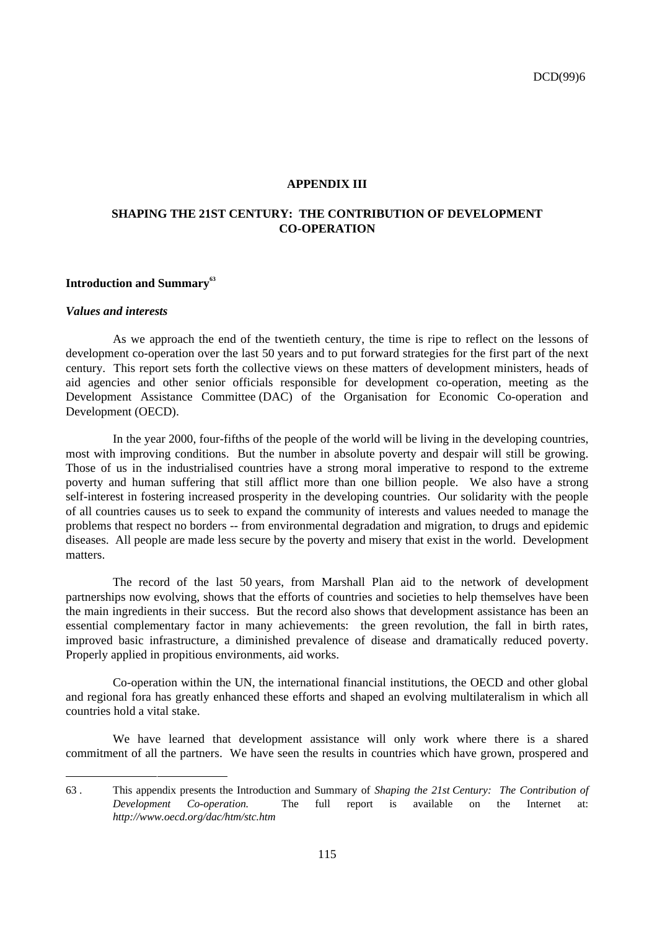#### **APPENDIX III**

## **SHAPING THE 21ST CENTURY: THE CONTRIBUTION OF DEVELOPMENT CO-OPERATION**

#### **Introduction and Summary<sup>63</sup>**

#### *Values and interests*

-

As we approach the end of the twentieth century, the time is ripe to reflect on the lessons of development co-operation over the last 50 years and to put forward strategies for the first part of the next century. This report sets forth the collective views on these matters of development ministers, heads of aid agencies and other senior officials responsible for development co-operation, meeting as the Development Assistance Committee (DAC) of the Organisation for Economic Co-operation and Development (OECD).

In the year 2000, four-fifths of the people of the world will be living in the developing countries, most with improving conditions. But the number in absolute poverty and despair will still be growing. Those of us in the industrialised countries have a strong moral imperative to respond to the extreme poverty and human suffering that still afflict more than one billion people. We also have a strong self-interest in fostering increased prosperity in the developing countries. Our solidarity with the people of all countries causes us to seek to expand the community of interests and values needed to manage the problems that respect no borders -- from environmental degradation and migration, to drugs and epidemic diseases. All people are made less secure by the poverty and misery that exist in the world. Development matters.

The record of the last 50 years, from Marshall Plan aid to the network of development partnerships now evolving, shows that the efforts of countries and societies to help themselves have been the main ingredients in their success. But the record also shows that development assistance has been an essential complementary factor in many achievements: the green revolution, the fall in birth rates, improved basic infrastructure, a diminished prevalence of disease and dramatically reduced poverty. Properly applied in propitious environments, aid works.

Co-operation within the UN, the international financial institutions, the OECD and other global and regional fora has greatly enhanced these efforts and shaped an evolving multilateralism in which all countries hold a vital stake.

We have learned that development assistance will only work where there is a shared commitment of all the partners. We have seen the results in countries which have grown, prospered and

<sup>63 .</sup> This appendix presents the Introduction and Summary of *Shaping the 21st Century: The Contribution of Development Co-operation.* The full report is available on the Internet at: *http://www.oecd.org/dac/htm/stc.htm*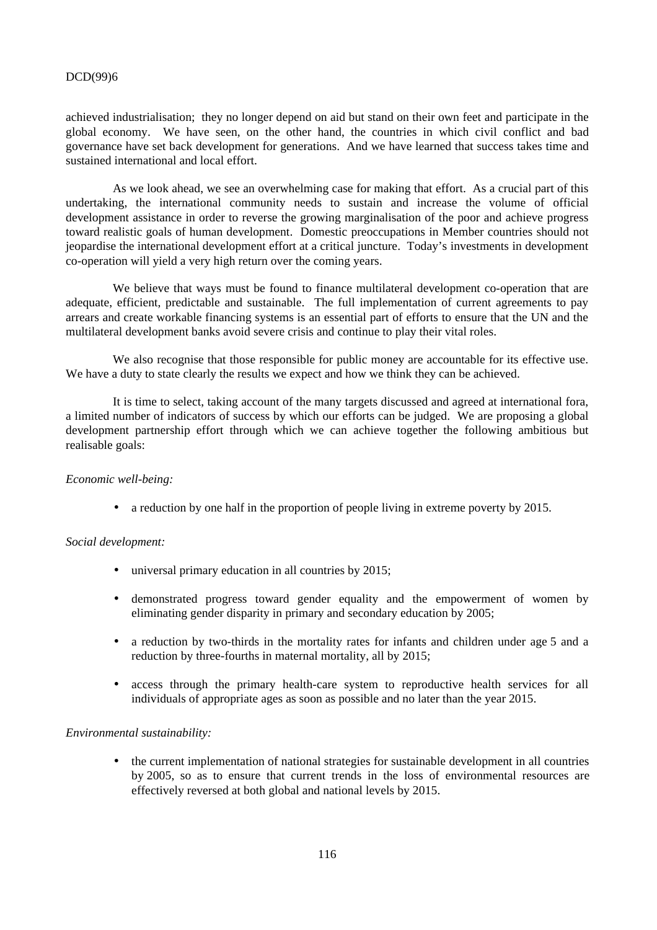achieved industrialisation; they no longer depend on aid but stand on their own feet and participate in the global economy. We have seen, on the other hand, the countries in which civil conflict and bad governance have set back development for generations. And we have learned that success takes time and sustained international and local effort.

As we look ahead, we see an overwhelming case for making that effort. As a crucial part of this undertaking, the international community needs to sustain and increase the volume of official development assistance in order to reverse the growing marginalisation of the poor and achieve progress toward realistic goals of human development. Domestic preoccupations in Member countries should not jeopardise the international development effort at a critical juncture. Today's investments in development co-operation will yield a very high return over the coming years.

We believe that ways must be found to finance multilateral development co-operation that are adequate, efficient, predictable and sustainable. The full implementation of current agreements to pay arrears and create workable financing systems is an essential part of efforts to ensure that the UN and the multilateral development banks avoid severe crisis and continue to play their vital roles.

We also recognise that those responsible for public money are accountable for its effective use. We have a duty to state clearly the results we expect and how we think they can be achieved.

It is time to select, taking account of the many targets discussed and agreed at international fora, a limited number of indicators of success by which our efforts can be judged. We are proposing a global development partnership effort through which we can achieve together the following ambitious but realisable goals:

#### *Economic well-being:*

• a reduction by one half in the proportion of people living in extreme poverty by 2015.

#### *Social development:*

- universal primary education in all countries by 2015;
- demonstrated progress toward gender equality and the empowerment of women by eliminating gender disparity in primary and secondary education by 2005;
- a reduction by two-thirds in the mortality rates for infants and children under age 5 and a reduction by three-fourths in maternal mortality, all by 2015;
- access through the primary health-care system to reproductive health services for all individuals of appropriate ages as soon as possible and no later than the year 2015.

#### *Environmental sustainability:*

• the current implementation of national strategies for sustainable development in all countries by 2005, so as to ensure that current trends in the loss of environmental resources are effectively reversed at both global and national levels by 2015.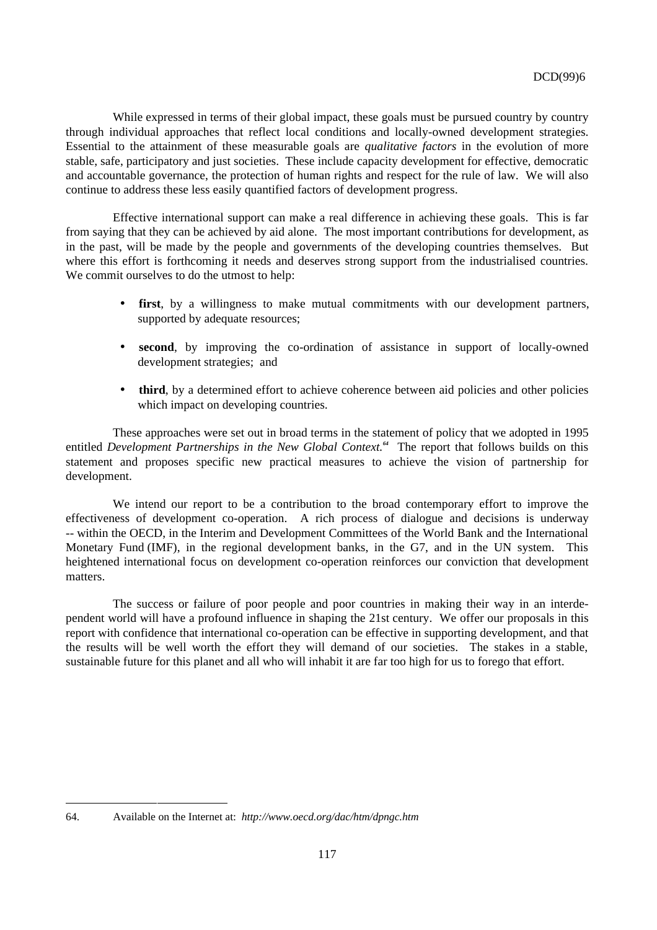While expressed in terms of their global impact, these goals must be pursued country by country through individual approaches that reflect local conditions and locally-owned development strategies. Essential to the attainment of these measurable goals are *qualitative factors* in the evolution of more stable, safe, participatory and just societies. These include capacity development for effective, democratic and accountable governance, the protection of human rights and respect for the rule of law. We will also continue to address these less easily quantified factors of development progress.

Effective international support can make a real difference in achieving these goals. This is far from saying that they can be achieved by aid alone. The most important contributions for development, as in the past, will be made by the people and governments of the developing countries themselves. But where this effort is forthcoming it needs and deserves strong support from the industrialised countries. We commit ourselves to do the utmost to help:

- **first**, by a willingness to make mutual commitments with our development partners, supported by adequate resources;
- **second**, by improving the co-ordination of assistance in support of locally-owned development strategies; and
- **third**, by a determined effort to achieve coherence between aid policies and other policies which impact on developing countries.

These approaches were set out in broad terms in the statement of policy that we adopted in 1995 entitled *Development Partnerships in the New Global Context.<sup>64</sup>* The report that follows builds on this statement and proposes specific new practical measures to achieve the vision of partnership for development.

We intend our report to be a contribution to the broad contemporary effort to improve the effectiveness of development co-operation. A rich process of dialogue and decisions is underway -- within the OECD, in the Interim and Development Committees of the World Bank and the International Monetary Fund (IMF), in the regional development banks, in the G7, and in the UN system. This heightened international focus on development co-operation reinforces our conviction that development matters.

The success or failure of poor people and poor countries in making their way in an interdependent world will have a profound influence in shaping the 21st century. We offer our proposals in this report with confidence that international co-operation can be effective in supporting development, and that the results will be well worth the effort they will demand of our societies. The stakes in a stable, sustainable future for this planet and all who will inhabit it are far too high for us to forego that effort.

-

<sup>64.</sup> Available on the Internet at: *http://www.oecd.org/dac/htm/dpngc.htm*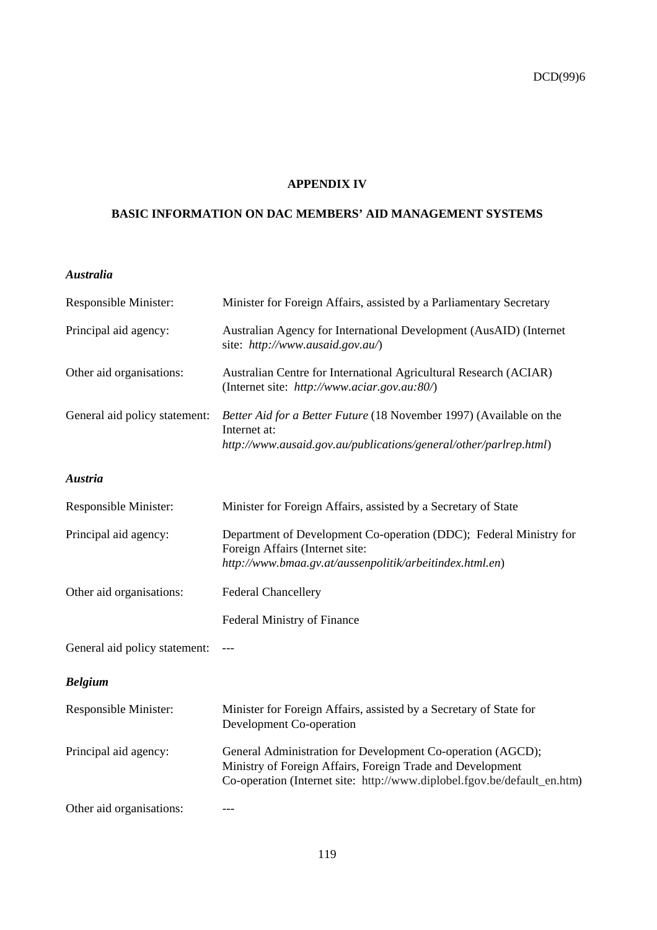## **APPENDIX IV**

## **BASIC INFORMATION ON DAC MEMBERS' AID MANAGEMENT SYSTEMS**

## *Australia*

| Responsible Minister:         | Minister for Foreign Affairs, assisted by a Parliamentary Secretary                                                                                                                                   |
|-------------------------------|-------------------------------------------------------------------------------------------------------------------------------------------------------------------------------------------------------|
| Principal aid agency:         | Australian Agency for International Development (AusAID) (Internet<br>site: http://www.ausaid.gov.au/)                                                                                                |
| Other aid organisations:      | Australian Centre for International Agricultural Research (ACIAR)<br>(Internet site: http://www.aciar.gov.au:80/)                                                                                     |
| General aid policy statement: | Better Aid for a Better Future (18 November 1997) (Available on the<br>Internet at:<br>http://www.ausaid.gov.au/publications/general/other/parlrep.html)                                              |
| <b>Austria</b>                |                                                                                                                                                                                                       |
| Responsible Minister:         | Minister for Foreign Affairs, assisted by a Secretary of State                                                                                                                                        |
| Principal aid agency:         | Department of Development Co-operation (DDC); Federal Ministry for<br>Foreign Affairs (Internet site:<br>http://www.bmaa.gv.at/aussenpolitik/arbeitindex.html.en)                                     |
| Other aid organisations:      | <b>Federal Chancellery</b>                                                                                                                                                                            |
|                               | Federal Ministry of Finance                                                                                                                                                                           |
| General aid policy statement: | $---$                                                                                                                                                                                                 |
| <b>Belgium</b>                |                                                                                                                                                                                                       |
| <b>Responsible Minister:</b>  | Minister for Foreign Affairs, assisted by a Secretary of State for<br>Development Co-operation                                                                                                        |
| Principal aid agency:         | General Administration for Development Co-operation (AGCD);<br>Ministry of Foreign Affairs, Foreign Trade and Development<br>Co-operation (Internet site: http://www.diplobel.fgov.be/default_en.htm) |
| Other aid organisations:      | ---                                                                                                                                                                                                   |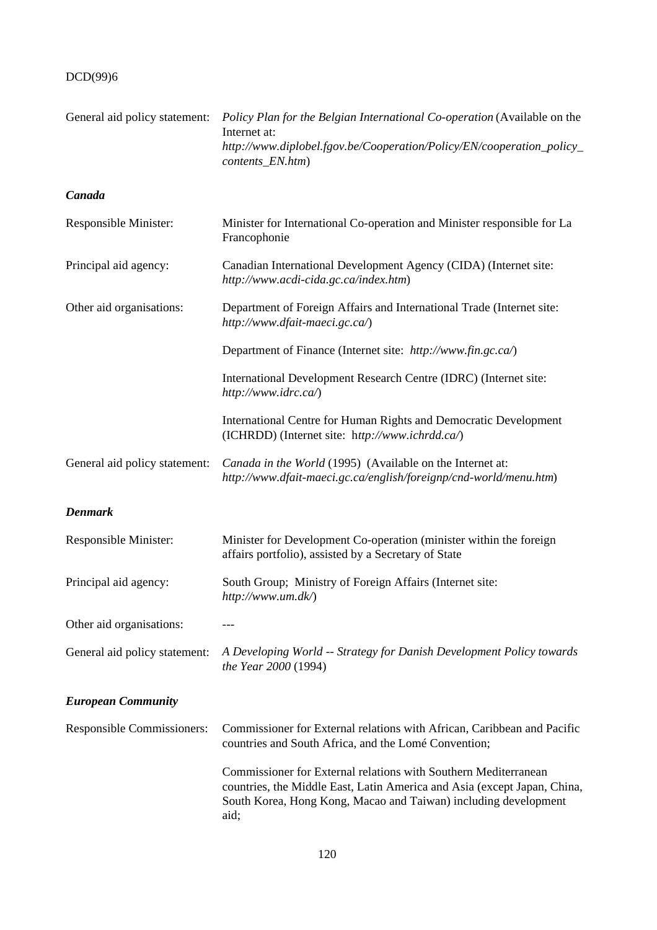| General aid policy statement: | Policy Plan for the Belgian International Co-operation (Available on the<br>Internet at:<br>http://www.diplobel.fgov.be/Cooperation/Policy/EN/cooperation_policy_<br>contents_EN.htm)                                  |
|-------------------------------|------------------------------------------------------------------------------------------------------------------------------------------------------------------------------------------------------------------------|
| Canada                        |                                                                                                                                                                                                                        |
| <b>Responsible Minister:</b>  | Minister for International Co-operation and Minister responsible for La<br>Francophonie                                                                                                                                |
| Principal aid agency:         | Canadian International Development Agency (CIDA) (Internet site:<br>http://www.acdi-cida.gc.ca/index.htm)                                                                                                              |
| Other aid organisations:      | Department of Foreign Affairs and International Trade (Internet site:<br>http://www.dfait-maeci.gc.ca/)                                                                                                                |
|                               | Department of Finance (Internet site: http://www.fin.gc.ca/)                                                                                                                                                           |
|                               | International Development Research Centre (IDRC) (Internet site:<br>http://www.idrc.ca/)                                                                                                                               |
|                               | International Centre for Human Rights and Democratic Development<br>(ICHRDD) (Internet site: http://www.ichrdd.ca/)                                                                                                    |
| General aid policy statement: | Canada in the World (1995) (Available on the Internet at:<br>http://www.dfait-maeci.gc.ca/english/foreignp/cnd-world/menu.htm)                                                                                         |
| <b>Denmark</b>                |                                                                                                                                                                                                                        |
| <b>Responsible Minister:</b>  | Minister for Development Co-operation (minister within the foreign<br>affairs portfolio), assisted by a Secretary of State                                                                                             |
| Principal aid agency:         | South Group; Ministry of Foreign Affairs (Internet site:<br>http://www.um.dk/)                                                                                                                                         |
| Other aid organisations:      |                                                                                                                                                                                                                        |
| General aid policy statement: | A Developing World -- Strategy for Danish Development Policy towards<br>the Year 2000 (1994)                                                                                                                           |
| <b>European Community</b>     |                                                                                                                                                                                                                        |
| Responsible Commissioners:    | Commissioner for External relations with African, Caribbean and Pacific<br>countries and South Africa, and the Lomé Convention;                                                                                        |
|                               | Commissioner for External relations with Southern Mediterranean<br>countries, the Middle East, Latin America and Asia (except Japan, China,<br>South Korea, Hong Kong, Macao and Taiwan) including development<br>aid; |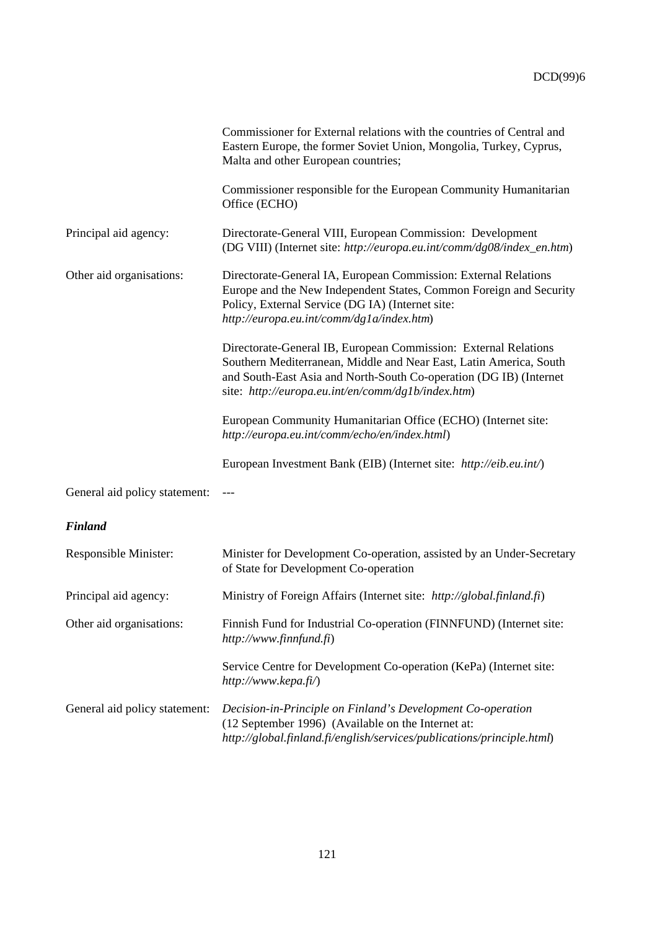|                               | Commissioner for External relations with the countries of Central and<br>Eastern Europe, the former Soviet Union, Mongolia, Turkey, Cyprus,<br>Malta and other European countries;                                                                                |
|-------------------------------|-------------------------------------------------------------------------------------------------------------------------------------------------------------------------------------------------------------------------------------------------------------------|
|                               | Commissioner responsible for the European Community Humanitarian<br>Office (ECHO)                                                                                                                                                                                 |
| Principal aid agency:         | Directorate-General VIII, European Commission: Development<br>(DG VIII) (Internet site: http://europa.eu.int/comm/dg08/index_en.htm)                                                                                                                              |
| Other aid organisations:      | Directorate-General IA, European Commission: External Relations<br>Europe and the New Independent States, Common Foreign and Security<br>Policy, External Service (DG IA) (Internet site:<br>http://europa.eu.int/comm/dgla/index.htm)                            |
|                               | Directorate-General IB, European Commission: External Relations<br>Southern Mediterranean, Middle and Near East, Latin America, South<br>and South-East Asia and North-South Co-operation (DG IB) (Internet<br>site: http://europa.eu.int/en/comm/dg1b/index.htm) |
|                               | European Community Humanitarian Office (ECHO) (Internet site:<br>http://europa.eu.int/comm/echo/en/index.html)                                                                                                                                                    |
|                               | European Investment Bank (EIB) (Internet site: http://eib.eu.int/)                                                                                                                                                                                                |
| General aid policy statement: |                                                                                                                                                                                                                                                                   |
| <b>Finland</b>                |                                                                                                                                                                                                                                                                   |
| Responsible Minister:         | Minister for Development Co-operation, assisted by an Under-Secretary<br>of State for Development Co-operation                                                                                                                                                    |
| Principal aid agency:         | Ministry of Foreign Affairs (Internet site: http://global.finland.fi)                                                                                                                                                                                             |
| Other aid organisations:      | Finnish Fund for Industrial Co-operation (FINNFUND) (Internet site:<br>http://www.finnfund.fi)                                                                                                                                                                    |
|                               | Service Centre for Development Co-operation (KePa) (Internet site:<br>http://www.kepa.fi/)                                                                                                                                                                        |
| General aid policy statement: | Decision-in-Principle on Finland's Development Co-operation<br>(12 September 1996) (Available on the Internet at:<br>http://global.finland.fi/english/services/publications/principle.html)                                                                       |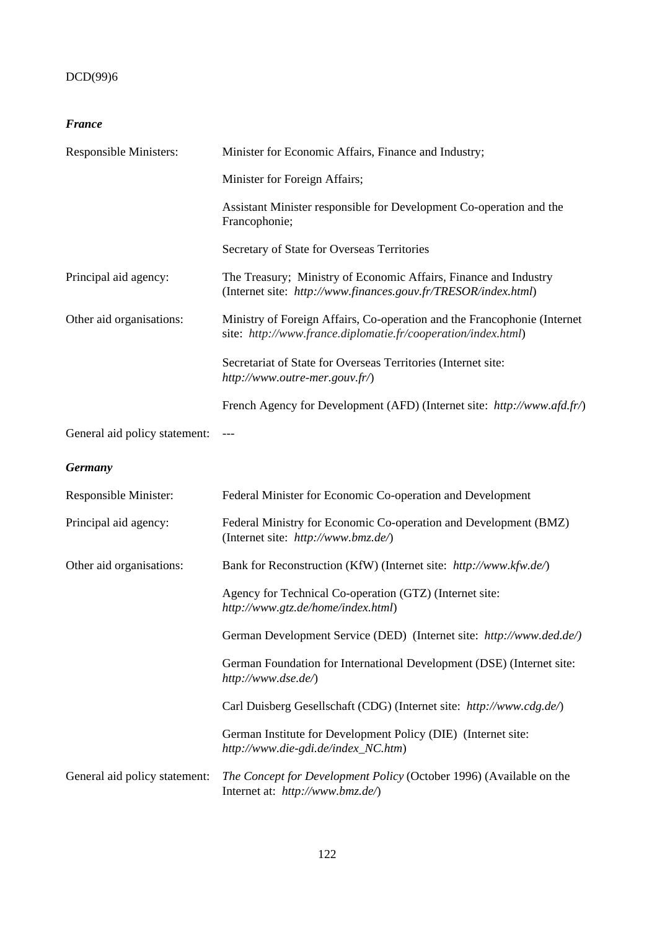### *France*

| <b>Responsible Ministers:</b> | Minister for Economic Affairs, Finance and Industry;                                                                                      |  |  |  |  |
|-------------------------------|-------------------------------------------------------------------------------------------------------------------------------------------|--|--|--|--|
|                               | Minister for Foreign Affairs;                                                                                                             |  |  |  |  |
|                               | Assistant Minister responsible for Development Co-operation and the<br>Francophonie;                                                      |  |  |  |  |
|                               | Secretary of State for Overseas Territories                                                                                               |  |  |  |  |
| Principal aid agency:         | The Treasury; Ministry of Economic Affairs, Finance and Industry<br>(Internet site: http://www.finances.gouv.fr/TRESOR/index.html)        |  |  |  |  |
| Other aid organisations:      | Ministry of Foreign Affairs, Co-operation and the Francophonie (Internet<br>site: http://www.france.diplomatie.fr/cooperation/index.html) |  |  |  |  |
|                               | Secretariat of State for Overseas Territories (Internet site:<br>http://www.outre-mer.gouv.fr/)                                           |  |  |  |  |
|                               | French Agency for Development (AFD) (Internet site: http://www.afd.fr/)                                                                   |  |  |  |  |
| General aid policy statement: |                                                                                                                                           |  |  |  |  |
| <b>Germany</b>                |                                                                                                                                           |  |  |  |  |
| Responsible Minister:         | Federal Minister for Economic Co-operation and Development                                                                                |  |  |  |  |
| Principal aid agency:         | Federal Ministry for Economic Co-operation and Development (BMZ)<br>(Internet site: http://www.bmz.de/)                                   |  |  |  |  |
| Other aid organisations:      | Bank for Reconstruction (KfW) (Internet site: http://www.kfw.de/)                                                                         |  |  |  |  |
|                               | Agency for Technical Co-operation (GTZ) (Internet site:<br>http://www.gtz.de/home/index.html)                                             |  |  |  |  |
|                               | German Development Service (DED) (Internet site: http://www.ded.de/)                                                                      |  |  |  |  |
|                               | German Foundation for International Development (DSE) (Internet site:<br>http://www.dse.de/)                                              |  |  |  |  |
|                               | Carl Duisberg Gesellschaft (CDG) (Internet site: http://www.cdg.de/)                                                                      |  |  |  |  |
|                               | German Institute for Development Policy (DIE) (Internet site:<br>http://www.die-gdi.de/index_NC.htm)                                      |  |  |  |  |
| General aid policy statement: | The Concept for Development Policy (October 1996) (Available on the<br>Internet at: http://www.bmz.de/)                                   |  |  |  |  |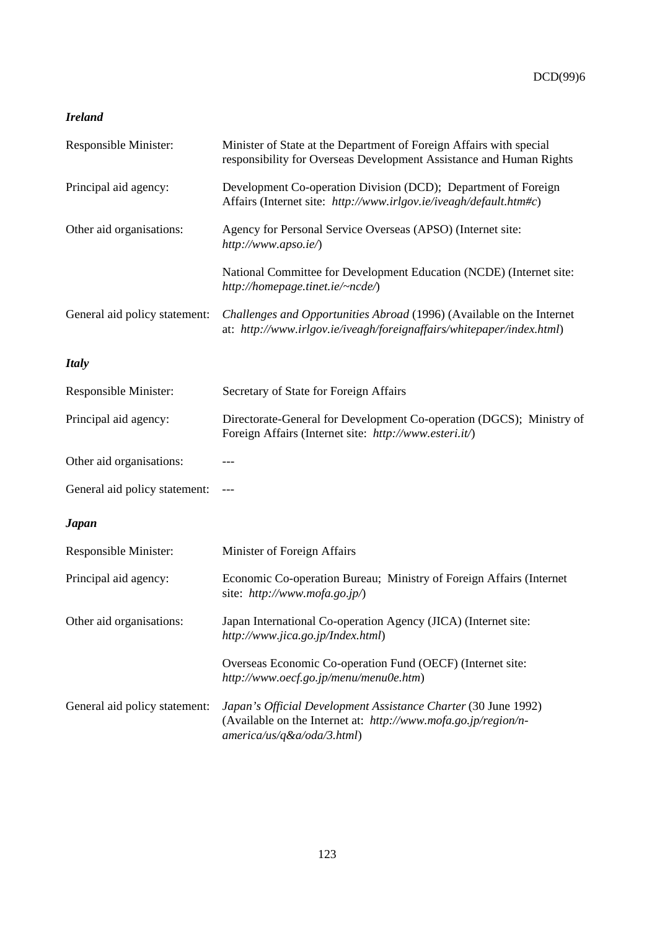## *Ireland*

| <b>Responsible Minister:</b>  | Minister of State at the Department of Foreign Affairs with special<br>responsibility for Overseas Development Assistance and Human Rights                     |
|-------------------------------|----------------------------------------------------------------------------------------------------------------------------------------------------------------|
| Principal aid agency:         | Development Co-operation Division (DCD); Department of Foreign<br>Affairs (Internet site: http://www.irlgov.ie/iveagh/default.htm#c)                           |
| Other aid organisations:      | Agency for Personal Service Overseas (APSO) (Internet site:<br>http://www.apso.ie/)                                                                            |
|                               | National Committee for Development Education (NCDE) (Internet site:<br>http://homepage.tinet.ie/~ncde/)                                                        |
| General aid policy statement: | Challenges and Opportunities Abroad (1996) (Available on the Internet<br>at: http://www.irlgov.ie/iveagh/foreignaffairs/whitepaper/index.html)                 |
| <b>Italy</b>                  |                                                                                                                                                                |
| Responsible Minister:         | Secretary of State for Foreign Affairs                                                                                                                         |
| Principal aid agency:         | Directorate-General for Development Co-operation (DGCS); Ministry of<br>Foreign Affairs (Internet site: http://www.esteri.it/)                                 |
| Other aid organisations:      |                                                                                                                                                                |
| General aid policy statement: | ---                                                                                                                                                            |
| <b>Japan</b>                  |                                                                                                                                                                |
| Responsible Minister:         | Minister of Foreign Affairs                                                                                                                                    |
| Principal aid agency:         | Economic Co-operation Bureau; Ministry of Foreign Affairs (Internet<br>site: http://www.mofa.go.jp/)                                                           |
| Other aid organisations:      | Japan International Co-operation Agency (JICA) (Internet site:<br>http://www.jica.go.jp/Index.html)                                                            |
|                               | Overseas Economic Co-operation Fund (OECF) (Internet site:<br>http://www.oecf.go.jp/menu/menu0e.htm)                                                           |
| General aid policy statement: | Japan's Official Development Assistance Charter (30 June 1992)<br>(Available on the Internet at: http://www.mofa.go.jp/region/n-<br>america/us/q&a/oda/3.html) |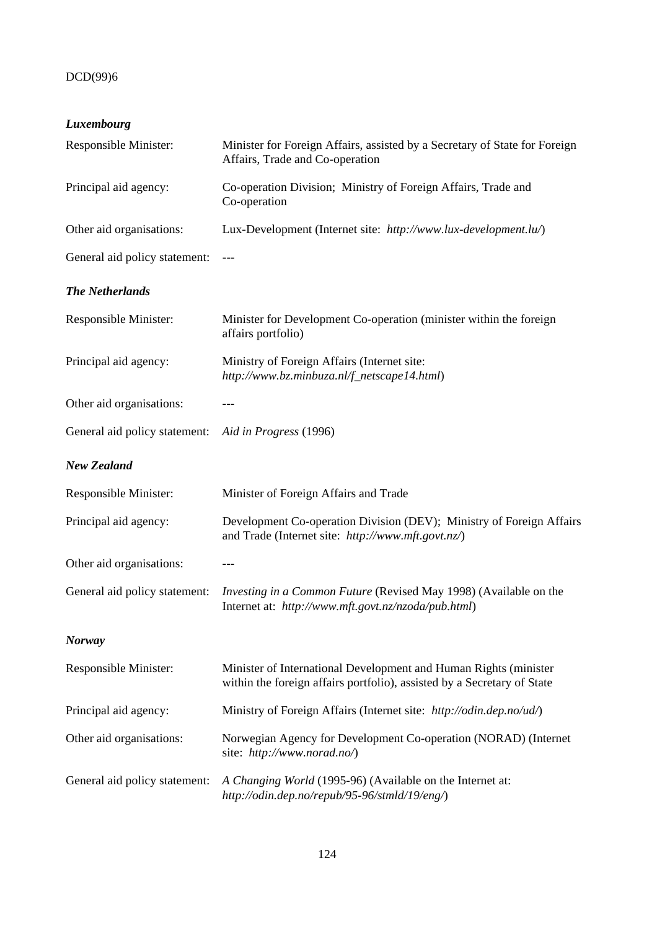## *Luxembourg*

| Responsible Minister:         | Minister for Foreign Affairs, assisted by a Secretary of State for Foreign<br>Affairs, Trade and Co-operation                               |
|-------------------------------|---------------------------------------------------------------------------------------------------------------------------------------------|
| Principal aid agency:         | Co-operation Division; Ministry of Foreign Affairs, Trade and<br>Co-operation                                                               |
| Other aid organisations:      | Lux-Development (Internet site: http://www.lux-development.lu/)                                                                             |
| General aid policy statement: | $---$                                                                                                                                       |
| <b>The Netherlands</b>        |                                                                                                                                             |
| Responsible Minister:         | Minister for Development Co-operation (minister within the foreign<br>affairs portfolio)                                                    |
| Principal aid agency:         | Ministry of Foreign Affairs (Internet site:<br>http://www.bz.minbuza.nl/f_netscape14.html)                                                  |
| Other aid organisations:      | ---                                                                                                                                         |
| General aid policy statement: | Aid in Progress (1996)                                                                                                                      |
| <b>New Zealand</b>            |                                                                                                                                             |
| Responsible Minister:         | Minister of Foreign Affairs and Trade                                                                                                       |
| Principal aid agency:         | Development Co-operation Division (DEV); Ministry of Foreign Affairs<br>and Trade (Internet site: http://www.mft.govt.nz/)                  |
| Other aid organisations:      | ---                                                                                                                                         |
| General aid policy statement: | Investing in a Common Future (Revised May 1998) (Available on the<br>Internet at: http://www.mft.govt.nz/nzoda/pub.html)                    |
| <b>Norway</b>                 |                                                                                                                                             |
| <b>Responsible Minister:</b>  | Minister of International Development and Human Rights (minister<br>within the foreign affairs portfolio), assisted by a Secretary of State |
| Principal aid agency:         | Ministry of Foreign Affairs (Internet site: http://odin.dep.no/ud/)                                                                         |
| Other aid organisations:      | Norwegian Agency for Development Co-operation (NORAD) (Internet<br>site: http://www.norad.no/)                                              |
| General aid policy statement: | A Changing World (1995-96) (Available on the Internet at:<br>http://odin.dep.no/repub/95-96/stmld/19/eng/)                                  |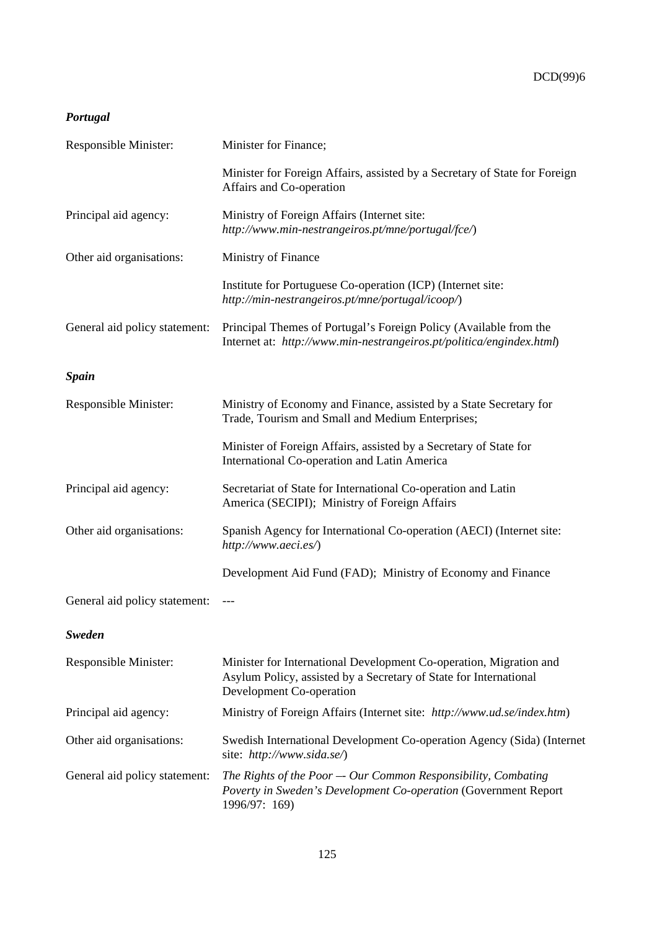## *Portugal*

| <b>Responsible Minister:</b>  | Minister for Finance;                                                                                                                                               |
|-------------------------------|---------------------------------------------------------------------------------------------------------------------------------------------------------------------|
|                               | Minister for Foreign Affairs, assisted by a Secretary of State for Foreign<br>Affairs and Co-operation                                                              |
| Principal aid agency:         | Ministry of Foreign Affairs (Internet site:<br>http://www.min-nestrangeiros.pt/mne/portugal/fce/)                                                                   |
| Other aid organisations:      | Ministry of Finance                                                                                                                                                 |
|                               | Institute for Portuguese Co-operation (ICP) (Internet site:<br>http://min-nestrangeiros.pt/mne/portugal/icoop/)                                                     |
| General aid policy statement: | Principal Themes of Portugal's Foreign Policy (Available from the<br>Internet at: http://www.min-nestrangeiros.pt/politica/engindex.html)                           |
| <b>Spain</b>                  |                                                                                                                                                                     |
| Responsible Minister:         | Ministry of Economy and Finance, assisted by a State Secretary for<br>Trade, Tourism and Small and Medium Enterprises;                                              |
|                               | Minister of Foreign Affairs, assisted by a Secretary of State for<br>International Co-operation and Latin America                                                   |
| Principal aid agency:         | Secretariat of State for International Co-operation and Latin<br>America (SECIPI); Ministry of Foreign Affairs                                                      |
| Other aid organisations:      | Spanish Agency for International Co-operation (AECI) (Internet site:<br>http://www.aeci.es/)                                                                        |
|                               | Development Aid Fund (FAD); Ministry of Economy and Finance                                                                                                         |
| General aid policy statement: |                                                                                                                                                                     |
| <b>Sweden</b>                 |                                                                                                                                                                     |
| <b>Responsible Minister:</b>  | Minister for International Development Co-operation, Migration and<br>Asylum Policy, assisted by a Secretary of State for International<br>Development Co-operation |
| Principal aid agency:         | Ministry of Foreign Affairs (Internet site: http://www.ud.se/index.htm)                                                                                             |
| Other aid organisations:      | Swedish International Development Co-operation Agency (Sida) (Internet<br>site: http://www.sida.se/)                                                                |
| General aid policy statement: | The Rights of the Poor -- Our Common Responsibility, Combating<br>Poverty in Sweden's Development Co-operation (Government Report<br>1996/97: 169)                  |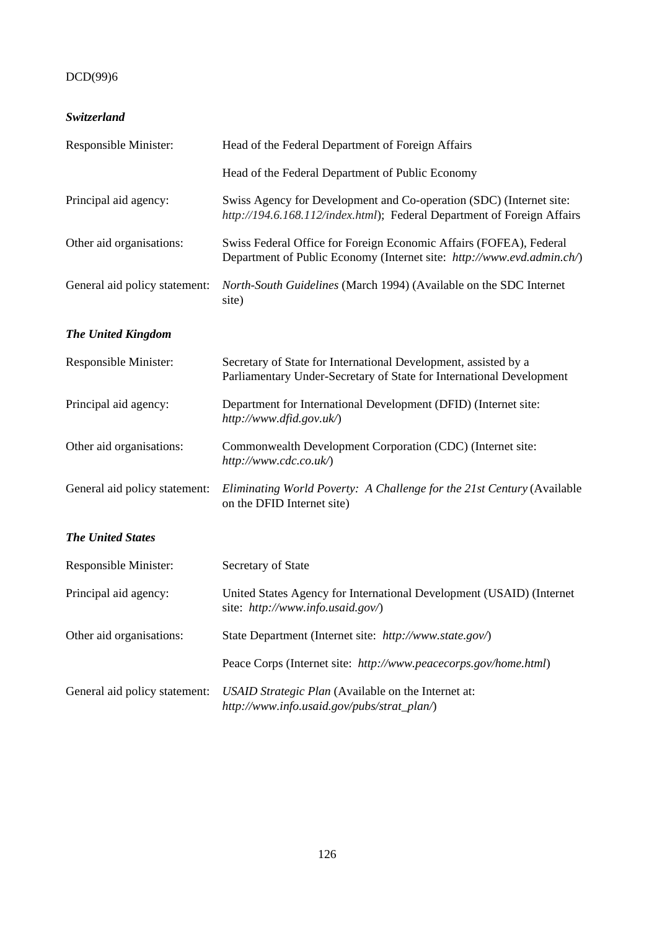## *Switzerland*

| <b>Responsible Minister:</b>  | Head of the Federal Department of Foreign Affairs                                                                                              |
|-------------------------------|------------------------------------------------------------------------------------------------------------------------------------------------|
|                               | Head of the Federal Department of Public Economy                                                                                               |
| Principal aid agency:         | Swiss Agency for Development and Co-operation (SDC) (Internet site:<br>http://194.6.168.112/index.html); Federal Department of Foreign Affairs |
| Other aid organisations:      | Swiss Federal Office for Foreign Economic Affairs (FOFEA), Federal<br>Department of Public Economy (Internet site: http://www.evd.admin.ch/)   |
| General aid policy statement: | North-South Guidelines (March 1994) (Available on the SDC Internet<br>site)                                                                    |
| <b>The United Kingdom</b>     |                                                                                                                                                |
| Responsible Minister:         | Secretary of State for International Development, assisted by a<br>Parliamentary Under-Secretary of State for International Development        |
| Principal aid agency:         | Department for International Development (DFID) (Internet site:<br>http://www.dfid.gov.uk/)                                                    |
| Other aid organisations:      | Commonwealth Development Corporation (CDC) (Internet site:<br>http://www.cdc.co.uk/)                                                           |
| General aid policy statement: | Eliminating World Poverty: A Challenge for the 21st Century (Available<br>on the DFID Internet site)                                           |
| <b>The United States</b>      |                                                                                                                                                |
| Responsible Minister:         | Secretary of State                                                                                                                             |
| Principal aid agency:         | United States Agency for International Development (USAID) (Internet<br>site: http://www.info.usaid.gov/)                                      |
| Other aid organisations:      | State Department (Internet site: http://www.state.gov/)                                                                                        |
|                               | Peace Corps (Internet site: http://www.peacecorps.gov/home.html)                                                                               |
| General aid policy statement: | USAID Strategic Plan (Available on the Internet at:<br>http://www.info.usaid.gov/pubs/strat_plan/)                                             |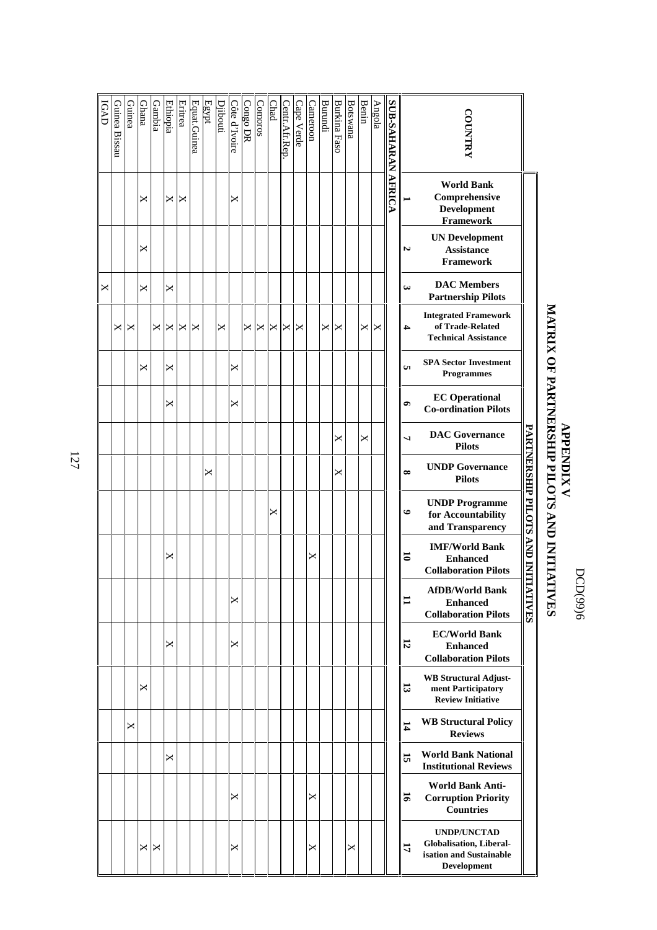| Eritrea<br>SUB-SAHARAN AFRICA<br><b>Ethiopia</b><br>Equat.Guinea<br>Egypt<br><b>Djibouti</b><br><b>Burundi</b><br><b>Burkina Faso</b><br>Botswana<br><b>Benin</b><br>Côte d'Ivoire<br><b>Congo DR</b><br><b>Comoros</b><br>Angola<br>Guinea Bissau<br>Guinea<br>Ghana<br>Gambia<br>Chad<br>Centr.Afr.Rep.<br>Cape Verde<br><b>Cameroon</b><br><b>COUNTRY</b><br><b>World Bank</b><br>Comprehensive<br>×<br>×<br>$\times$<br>×<br><b>Development</b><br>Framework<br><b>UN Development</b><br>×<br><b>Assistance</b><br>N<br><b>Framework</b><br><b>DAC Members</b><br>×<br>X<br>$\ddot{\phantom{0}}$<br><b>Partnership Pilots</b><br><b>Integrated Framework</b><br>of Trade-Related<br>$\times$ $\times$<br>$\times$<br>×<br>×<br>×<br>×<br>×<br>×<br>×<br>×<br>×<br>$\times$<br>×<br>4<br>×<br>×<br><b>Technical Assistance</b><br><b>SPA Sector Investment</b><br>×<br>×<br><b>u</b><br>×<br><b>Programmes</b><br><b>EC</b> Operational<br>X<br>×<br>$\bullet$<br><b>Co-ordination Pilots</b><br><b>DAC</b> Governance<br>×<br>4<br>×<br><b>Pilots</b><br><b>UNDP Governance</b><br>$\infty$<br>×<br>×<br><b>Pilots</b><br><b>UNDP Programme</b><br>×<br>$\bullet$<br>for Accountability<br>and Transparency<br><b>IMF/World Bank</b><br>$\overline{5}$<br>×<br>×<br><b>Enhanced</b><br><b>Collaboration Pilots</b><br><b>AfDB/World Bank</b><br>$\overline{\mathbf{u}}$<br>×<br><b>Enhanced</b><br><b>Collaboration Pilots</b><br><b>EC/World Bank</b><br>$\overline{12}$<br>×<br>×<br><b>Enhanced</b><br><b>Collaboration Pilots</b><br><b>WB Structural Adjust-</b> |  |  | MATRIX OF PARTNERSHIP PILOTS AND INITAT |  |  | PARTNERSHIP PILOTS AND INITI | <b>ATIVES</b><br><b>IVES</b> |   |                                                |                                               |                                                            |                                                                           |
|---------------------------------------------------------------------------------------------------------------------------------------------------------------------------------------------------------------------------------------------------------------------------------------------------------------------------------------------------------------------------------------------------------------------------------------------------------------------------------------------------------------------------------------------------------------------------------------------------------------------------------------------------------------------------------------------------------------------------------------------------------------------------------------------------------------------------------------------------------------------------------------------------------------------------------------------------------------------------------------------------------------------------------------------------------------------------------------------------------------------------------------------------------------------------------------------------------------------------------------------------------------------------------------------------------------------------------------------------------------------------------------------------------------------------------------------------------------------------------------------------------------------------------------------------------------------------|--|--|-----------------------------------------|--|--|------------------------------|------------------------------|---|------------------------------------------------|-----------------------------------------------|------------------------------------------------------------|---------------------------------------------------------------------------|
|                                                                                                                                                                                                                                                                                                                                                                                                                                                                                                                                                                                                                                                                                                                                                                                                                                                                                                                                                                                                                                                                                                                                                                                                                                                                                                                                                                                                                                                                                                                                                                           |  |  |                                         |  |  |                              |                              |   | ment Participatory<br><b>Review Initiative</b> | <b>WB Structural Policy</b><br><b>Reviews</b> | <b>World Bank National</b><br><b>Institutional Reviews</b> | <b>World Bank Anti-</b><br><b>Corruption Priority</b><br><b>Countries</b> |
|                                                                                                                                                                                                                                                                                                                                                                                                                                                                                                                                                                                                                                                                                                                                                                                                                                                                                                                                                                                                                                                                                                                                                                                                                                                                                                                                                                                                                                                                                                                                                                           |  |  |                                         |  |  |                              |                              |   | $\mathbf{a}$                                   | 14                                            | 51                                                         | $\overline{9}$                                                            |
|                                                                                                                                                                                                                                                                                                                                                                                                                                                                                                                                                                                                                                                                                                                                                                                                                                                                                                                                                                                                                                                                                                                                                                                                                                                                                                                                                                                                                                                                                                                                                                           |  |  |                                         |  |  |                              |                              |   |                                                |                                               |                                                            |                                                                           |
|                                                                                                                                                                                                                                                                                                                                                                                                                                                                                                                                                                                                                                                                                                                                                                                                                                                                                                                                                                                                                                                                                                                                                                                                                                                                                                                                                                                                                                                                                                                                                                           |  |  |                                         |  |  |                              |                              |   |                                                |                                               |                                                            |                                                                           |
|                                                                                                                                                                                                                                                                                                                                                                                                                                                                                                                                                                                                                                                                                                                                                                                                                                                                                                                                                                                                                                                                                                                                                                                                                                                                                                                                                                                                                                                                                                                                                                           |  |  |                                         |  |  |                              |                              |   |                                                |                                               |                                                            |                                                                           |
|                                                                                                                                                                                                                                                                                                                                                                                                                                                                                                                                                                                                                                                                                                                                                                                                                                                                                                                                                                                                                                                                                                                                                                                                                                                                                                                                                                                                                                                                                                                                                                           |  |  |                                         |  |  |                              |                              |   |                                                |                                               |                                                            |                                                                           |
|                                                                                                                                                                                                                                                                                                                                                                                                                                                                                                                                                                                                                                                                                                                                                                                                                                                                                                                                                                                                                                                                                                                                                                                                                                                                                                                                                                                                                                                                                                                                                                           |  |  |                                         |  |  |                              |                              |   |                                                |                                               |                                                            |                                                                           |
|                                                                                                                                                                                                                                                                                                                                                                                                                                                                                                                                                                                                                                                                                                                                                                                                                                                                                                                                                                                                                                                                                                                                                                                                                                                                                                                                                                                                                                                                                                                                                                           |  |  |                                         |  |  |                              |                              |   |                                                |                                               |                                                            |                                                                           |
|                                                                                                                                                                                                                                                                                                                                                                                                                                                                                                                                                                                                                                                                                                                                                                                                                                                                                                                                                                                                                                                                                                                                                                                                                                                                                                                                                                                                                                                                                                                                                                           |  |  |                                         |  |  |                              |                              |   |                                                |                                               |                                                            | ×                                                                         |
|                                                                                                                                                                                                                                                                                                                                                                                                                                                                                                                                                                                                                                                                                                                                                                                                                                                                                                                                                                                                                                                                                                                                                                                                                                                                                                                                                                                                                                                                                                                                                                           |  |  |                                         |  |  |                              |                              |   |                                                |                                               |                                                            |                                                                           |
|                                                                                                                                                                                                                                                                                                                                                                                                                                                                                                                                                                                                                                                                                                                                                                                                                                                                                                                                                                                                                                                                                                                                                                                                                                                                                                                                                                                                                                                                                                                                                                           |  |  |                                         |  |  |                              |                              |   |                                                |                                               |                                                            |                                                                           |
|                                                                                                                                                                                                                                                                                                                                                                                                                                                                                                                                                                                                                                                                                                                                                                                                                                                                                                                                                                                                                                                                                                                                                                                                                                                                                                                                                                                                                                                                                                                                                                           |  |  |                                         |  |  |                              |                              |   |                                                |                                               |                                                            |                                                                           |
|                                                                                                                                                                                                                                                                                                                                                                                                                                                                                                                                                                                                                                                                                                                                                                                                                                                                                                                                                                                                                                                                                                                                                                                                                                                                                                                                                                                                                                                                                                                                                                           |  |  |                                         |  |  |                              |                              |   |                                                |                                               |                                                            |                                                                           |
|                                                                                                                                                                                                                                                                                                                                                                                                                                                                                                                                                                                                                                                                                                                                                                                                                                                                                                                                                                                                                                                                                                                                                                                                                                                                                                                                                                                                                                                                                                                                                                           |  |  |                                         |  |  |                              |                              |   |                                                |                                               |                                                            |                                                                           |
|                                                                                                                                                                                                                                                                                                                                                                                                                                                                                                                                                                                                                                                                                                                                                                                                                                                                                                                                                                                                                                                                                                                                                                                                                                                                                                                                                                                                                                                                                                                                                                           |  |  |                                         |  |  |                              |                              |   |                                                |                                               |                                                            | ×                                                                         |
|                                                                                                                                                                                                                                                                                                                                                                                                                                                                                                                                                                                                                                                                                                                                                                                                                                                                                                                                                                                                                                                                                                                                                                                                                                                                                                                                                                                                                                                                                                                                                                           |  |  |                                         |  |  |                              |                              |   |                                                |                                               |                                                            |                                                                           |
|                                                                                                                                                                                                                                                                                                                                                                                                                                                                                                                                                                                                                                                                                                                                                                                                                                                                                                                                                                                                                                                                                                                                                                                                                                                                                                                                                                                                                                                                                                                                                                           |  |  |                                         |  |  |                              |                              |   |                                                |                                               |                                                            |                                                                           |
|                                                                                                                                                                                                                                                                                                                                                                                                                                                                                                                                                                                                                                                                                                                                                                                                                                                                                                                                                                                                                                                                                                                                                                                                                                                                                                                                                                                                                                                                                                                                                                           |  |  |                                         |  |  |                              |                              |   |                                                |                                               |                                                            |                                                                           |
|                                                                                                                                                                                                                                                                                                                                                                                                                                                                                                                                                                                                                                                                                                                                                                                                                                                                                                                                                                                                                                                                                                                                                                                                                                                                                                                                                                                                                                                                                                                                                                           |  |  |                                         |  |  |                              |                              |   |                                                |                                               |                                                            |                                                                           |
|                                                                                                                                                                                                                                                                                                                                                                                                                                                                                                                                                                                                                                                                                                                                                                                                                                                                                                                                                                                                                                                                                                                                                                                                                                                                                                                                                                                                                                                                                                                                                                           |  |  |                                         |  |  |                              |                              |   |                                                |                                               | ×                                                          |                                                                           |
|                                                                                                                                                                                                                                                                                                                                                                                                                                                                                                                                                                                                                                                                                                                                                                                                                                                                                                                                                                                                                                                                                                                                                                                                                                                                                                                                                                                                                                                                                                                                                                           |  |  |                                         |  |  |                              |                              |   |                                                |                                               |                                                            |                                                                           |
|                                                                                                                                                                                                                                                                                                                                                                                                                                                                                                                                                                                                                                                                                                                                                                                                                                                                                                                                                                                                                                                                                                                                                                                                                                                                                                                                                                                                                                                                                                                                                                           |  |  |                                         |  |  |                              |                              | × |                                                |                                               |                                                            |                                                                           |
|                                                                                                                                                                                                                                                                                                                                                                                                                                                                                                                                                                                                                                                                                                                                                                                                                                                                                                                                                                                                                                                                                                                                                                                                                                                                                                                                                                                                                                                                                                                                                                           |  |  |                                         |  |  |                              |                              |   |                                                | ×                                             |                                                            |                                                                           |
| $\times$                                                                                                                                                                                                                                                                                                                                                                                                                                                                                                                                                                                                                                                                                                                                                                                                                                                                                                                                                                                                                                                                                                                                                                                                                                                                                                                                                                                                                                                                                                                                                                  |  |  |                                         |  |  |                              |                              |   |                                                |                                               |                                                            |                                                                           |

# **IN OFPA APPENDIX V<br>VIIO III APPENDIX V APPENDIX V FIVETARY**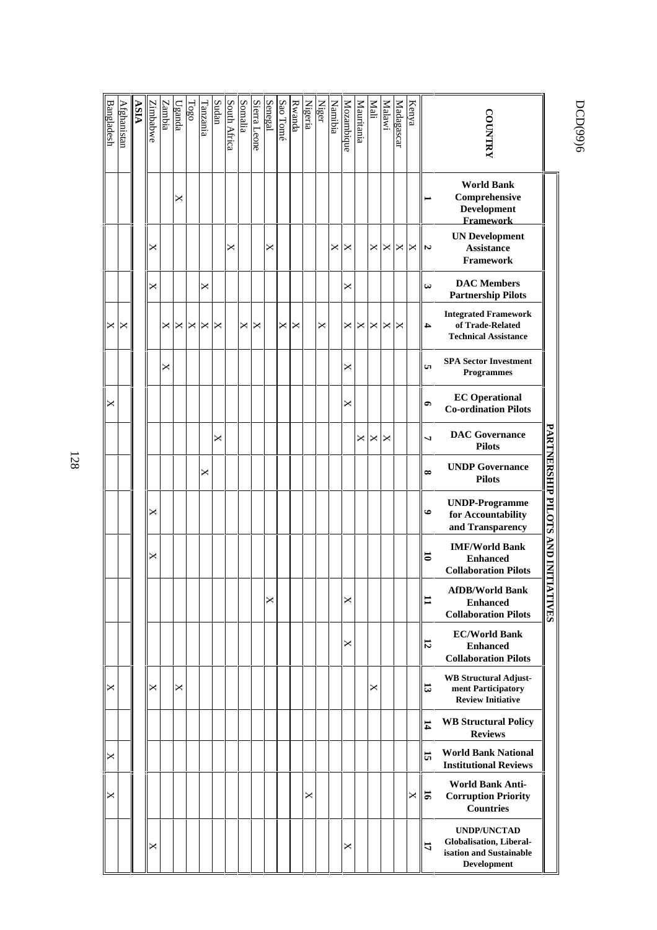|                   |                                                                              |                                                                |                                                 |                                                                                |                                                   |                                                      |                                        |                                         |                                                                 |                                                                         | PARTNERSHIP PILOTS AND INITATIVES                                        |                                                                        |                                                                                |                                               |                                                            |                                                                           |                                                                                         |
|-------------------|------------------------------------------------------------------------------|----------------------------------------------------------------|-------------------------------------------------|--------------------------------------------------------------------------------|---------------------------------------------------|------------------------------------------------------|----------------------------------------|-----------------------------------------|-----------------------------------------------------------------|-------------------------------------------------------------------------|--------------------------------------------------------------------------|------------------------------------------------------------------------|--------------------------------------------------------------------------------|-----------------------------------------------|------------------------------------------------------------|---------------------------------------------------------------------------|-----------------------------------------------------------------------------------------|
| <b>COUNTRY</b>    | <b>World Bank</b><br>Comprehensive<br><b>Development</b><br><b>Framework</b> | <b>UN Development</b><br><b>Assistance</b><br><b>Framework</b> | <b>DAC Members</b><br><b>Partnership Pilots</b> | <b>Integrated Framework</b><br>of Trade-Related<br><b>Technical Assistance</b> | <b>SPA Sector Investment</b><br><b>Programmes</b> | <b>EC</b> Operational<br><b>Co-ordination Pilots</b> | <b>DAC</b> Governance<br><b>Pilots</b> | <b>UNDP</b> Governance<br><b>Pilots</b> | <b>UNDP-Programme</b><br>for Accountability<br>and Transparency | <b>IMF/World Bank</b><br><b>Enhanced</b><br><b>Collaboration Pilots</b> | <b>AfDB/World Bank</b><br><b>Enhanced</b><br><b>Collaboration Pilots</b> | <b>EC/World Bank</b><br><b>Enhanced</b><br><b>Collaboration Pilots</b> | <b>WB Structural Adjust-</b><br>ment Participatory<br><b>Review Initiative</b> | <b>WB Structural Policy</b><br><b>Reviews</b> | <b>World Bank National</b><br><b>Institutional Reviews</b> | <b>World Bank Anti-</b><br><b>Corruption Priority</b><br><b>Countries</b> | <b>UNDP/UNCTAD</b><br>Globalisation, Liberal-<br>isation and Sustainable<br>Development |
|                   |                                                                              | Z                                                              | ىئ                                              | 4                                                                              | Ō,                                                | ۵                                                    | Ź,                                     | $\infty$                                | $\bullet$                                                       | 5                                                                       | $\overline{\phantom{0}}$                                                 | 5                                                                      | $\mathbf{a}$                                                                   | 14                                            | 5                                                          | $\overline{5}$                                                            | 17                                                                                      |
| Kenya             |                                                                              | Ι×                                                             |                                                 |                                                                                |                                                   |                                                      |                                        |                                         |                                                                 |                                                                         |                                                                          |                                                                        |                                                                                |                                               |                                                            | ×                                                                         |                                                                                         |
| Madagascar        |                                                                              |                                                                |                                                 | ×                                                                              |                                                   |                                                      |                                        |                                         |                                                                 |                                                                         |                                                                          |                                                                        |                                                                                |                                               |                                                            |                                                                           |                                                                                         |
| Malawi            |                                                                              | $\times$ $\times$                                              |                                                 | ×                                                                              |                                                   |                                                      | ×                                      |                                         |                                                                 |                                                                         |                                                                          |                                                                        |                                                                                |                                               |                                                            |                                                                           |                                                                                         |
| Mali              |                                                                              | $\times$ 1                                                     |                                                 | ×                                                                              |                                                   |                                                      | ×                                      |                                         |                                                                 |                                                                         |                                                                          |                                                                        | ×                                                                              |                                               |                                                            |                                                                           |                                                                                         |
| Mauritania        |                                                                              |                                                                |                                                 | ×                                                                              |                                                   |                                                      | ×                                      |                                         |                                                                 |                                                                         |                                                                          |                                                                        |                                                                                |                                               |                                                            |                                                                           |                                                                                         |
| Mozambique        |                                                                              | ×                                                              | ×                                               | ×                                                                              | ×                                                 | ×                                                    |                                        |                                         |                                                                 |                                                                         | ×                                                                        | ×                                                                      |                                                                                |                                               |                                                            |                                                                           | ×                                                                                       |
| Namibia           |                                                                              | ×                                                              |                                                 |                                                                                |                                                   |                                                      |                                        |                                         |                                                                 |                                                                         |                                                                          |                                                                        |                                                                                |                                               |                                                            |                                                                           |                                                                                         |
| $\rm{Niger}$      |                                                                              |                                                                |                                                 | ×                                                                              |                                                   |                                                      |                                        |                                         |                                                                 |                                                                         |                                                                          |                                                                        |                                                                                |                                               |                                                            |                                                                           |                                                                                         |
| <b>Nigeria</b>    |                                                                              |                                                                |                                                 |                                                                                |                                                   |                                                      |                                        |                                         |                                                                 |                                                                         |                                                                          |                                                                        |                                                                                |                                               |                                                            | ×                                                                         |                                                                                         |
| <b>Rwanda</b>     |                                                                              |                                                                |                                                 | ×                                                                              |                                                   |                                                      |                                        |                                         |                                                                 |                                                                         |                                                                          |                                                                        |                                                                                |                                               |                                                            |                                                                           |                                                                                         |
| Sao Tomé          |                                                                              |                                                                |                                                 | ×                                                                              |                                                   |                                                      |                                        |                                         |                                                                 |                                                                         |                                                                          |                                                                        |                                                                                |                                               |                                                            |                                                                           |                                                                                         |
| Senegal           |                                                                              | ×                                                              |                                                 |                                                                                |                                                   |                                                      |                                        |                                         |                                                                 |                                                                         | ×                                                                        |                                                                        |                                                                                |                                               |                                                            |                                                                           |                                                                                         |
| Sierra Leone      |                                                                              |                                                                |                                                 | ×                                                                              |                                                   |                                                      |                                        |                                         |                                                                 |                                                                         |                                                                          |                                                                        |                                                                                |                                               |                                                            |                                                                           |                                                                                         |
| Somalia           |                                                                              |                                                                |                                                 | ×                                                                              |                                                   |                                                      |                                        |                                         |                                                                 |                                                                         |                                                                          |                                                                        |                                                                                |                                               |                                                            |                                                                           |                                                                                         |
| South Africa      |                                                                              | ×                                                              |                                                 |                                                                                |                                                   |                                                      |                                        |                                         |                                                                 |                                                                         |                                                                          |                                                                        |                                                                                |                                               |                                                            |                                                                           |                                                                                         |
| Sudan             |                                                                              |                                                                |                                                 | ×                                                                              |                                                   |                                                      | ×                                      |                                         |                                                                 |                                                                         |                                                                          |                                                                        |                                                                                |                                               |                                                            |                                                                           |                                                                                         |
| Tanzania          |                                                                              |                                                                | ×                                               | $\times$                                                                       |                                                   |                                                      |                                        | ×                                       |                                                                 |                                                                         |                                                                          |                                                                        |                                                                                |                                               |                                                            |                                                                           |                                                                                         |
| $\rm Togo$        |                                                                              |                                                                |                                                 | ×                                                                              |                                                   |                                                      |                                        |                                         |                                                                 |                                                                         |                                                                          |                                                                        |                                                                                |                                               |                                                            |                                                                           |                                                                                         |
| Uganda            | ×                                                                            |                                                                |                                                 | ×                                                                              |                                                   |                                                      |                                        |                                         |                                                                 |                                                                         |                                                                          |                                                                        | ×                                                                              |                                               |                                                            |                                                                           |                                                                                         |
| Zambia            |                                                                              |                                                                |                                                 | ×                                                                              | ×                                                 |                                                      |                                        |                                         |                                                                 |                                                                         |                                                                          |                                                                        |                                                                                |                                               |                                                            |                                                                           |                                                                                         |
| <b>Zimbabwe</b>   |                                                                              | ×                                                              | ×                                               |                                                                                |                                                   |                                                      |                                        |                                         | ×                                                               | ×                                                                       |                                                                          |                                                                        | ×                                                                              |                                               |                                                            |                                                                           | ×                                                                                       |
| ASIA              |                                                                              |                                                                |                                                 |                                                                                |                                                   |                                                      |                                        |                                         |                                                                 |                                                                         |                                                                          |                                                                        |                                                                                |                                               |                                                            |                                                                           |                                                                                         |
| Afghanistan       |                                                                              |                                                                |                                                 | ×                                                                              |                                                   |                                                      |                                        |                                         |                                                                 |                                                                         |                                                                          |                                                                        |                                                                                |                                               |                                                            |                                                                           |                                                                                         |
| <b>Bangladesh</b> |                                                                              |                                                                |                                                 | ×                                                                              |                                                   | ×                                                    |                                        |                                         |                                                                 |                                                                         |                                                                          |                                                                        | ×                                                                              |                                               | ×                                                          | ×                                                                         |                                                                                         |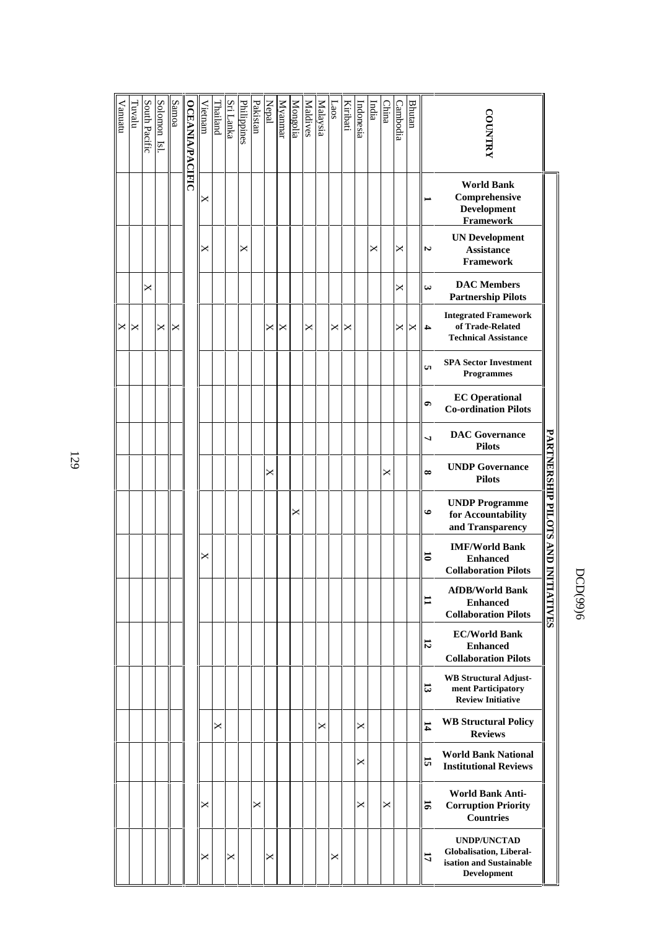| Vanuatu | Tuvalu | South Pacific | <b>Solomon</b><br>$\overline{\text{B}}$ | Samoa | <b>OCEANIA/PACIFIC</b> | Vietnam | Thailand | Sri Lanka      | Philippines | Pakistan | <b>Nepal</b> | Myannar | Mongolia | Maldives | Malaysia | Laos | Kiribati | Indonesia | India | <b>China</b> | Cambodia | <b>Bhutan</b> |                | <b>COUNTRY</b>                                                                                 |                                  |
|---------|--------|---------------|-----------------------------------------|-------|------------------------|---------|----------|----------------|-------------|----------|--------------|---------|----------|----------|----------|------|----------|-----------|-------|--------------|----------|---------------|----------------|------------------------------------------------------------------------------------------------|----------------------------------|
|         |        |               |                                         |       |                        | ×       |          |                |             |          |              |         |          |          |          |      |          |           |       |              |          |               |                | <b>World Bank</b><br>Comprehensive<br>Development<br><b>Framework</b>                          |                                  |
|         |        |               |                                         |       |                        | ×       |          |                | ×           |          |              |         |          |          |          |      |          |           | ×     |              | ×        |               | N              | <b>UN Development</b><br><b>Assistance</b><br><b>Framework</b>                                 |                                  |
|         |        | ×             |                                         |       |                        |         |          |                |             |          |              |         |          |          |          |      |          |           |       |              | ×        |               | ما             | <b>DAC Members</b><br><b>Partnership Pilots</b>                                                |                                  |
| ×       | ×      |               | ×                                       | ×     |                        |         |          |                |             |          | ×            | ×       |          | ×        |          | ×    | ×        |           |       |              | ×        | ×             | 4              | <b>Integrated Framework</b><br>of Trade-Related<br><b>Technical Assistance</b>                 |                                  |
|         |        |               |                                         |       |                        |         |          |                |             |          |              |         |          |          |          |      |          |           |       |              |          |               | <b>u</b>       | <b>SPA Sector Investment</b><br><b>Programmes</b>                                              |                                  |
|         |        |               |                                         |       |                        |         |          |                |             |          |              |         |          |          |          |      |          |           |       |              |          |               | $\bullet$      | <b>EC</b> Operational<br><b>Co-ordination Pilots</b>                                           |                                  |
|         |        |               |                                         |       |                        |         |          |                |             |          |              |         |          |          |          |      |          |           |       |              |          |               | 4              | <b>DAC</b> Governance<br><b>Pilots</b>                                                         |                                  |
|         |        |               |                                         |       |                        |         |          |                |             |          | ×            |         |          |          |          |      |          |           |       | ×            |          |               | $\infty$       | <b>UNDP</b> Governance<br><b>Pilots</b>                                                        |                                  |
|         |        |               |                                         |       |                        |         |          |                |             |          |              |         | ×        |          |          |      |          |           |       |              |          |               | $\bullet$      | <b>UNDP Programme</b><br>for Accountability<br>and Transparency                                | <b>PARINERSHEP LOTS AND LNIT</b> |
|         |        |               |                                         |       |                        | ×       |          |                |             |          |              |         |          |          |          |      |          |           |       |              |          |               | 5              | <b>IMF/World Bank</b><br><b>Enhanced</b><br><b>Collaboration Pilots</b>                        |                                  |
|         |        |               |                                         |       |                        |         |          |                |             |          |              |         |          |          |          |      |          |           |       |              |          |               | $\blacksquare$ | <b>AfDB/World Bank</b><br><b>Enhanced</b><br><b>Collaboration Pilots</b>                       | <b>IATIVES</b>                   |
|         |        |               |                                         |       |                        |         |          |                |             |          |              |         |          |          |          |      |          |           |       |              |          |               | 12             | <b>EC/World Bank</b><br><b>Enhanced</b><br><b>Collaboration Pilots</b>                         |                                  |
|         |        |               |                                         |       |                        |         |          |                |             |          |              |         |          |          |          |      |          |           |       |              |          |               | 13             | <b>WB Structural Adjust-</b><br>ment Participatory<br><b>Review Initiative</b>                 |                                  |
|         |        |               |                                         |       |                        |         | ×        |                |             |          |              |         |          |          | ×        |      |          | $\times$  |       |              |          |               | 14             | <b>WB Structural Policy</b><br><b>Reviews</b>                                                  |                                  |
|         |        |               |                                         |       |                        |         |          |                |             |          |              |         |          |          |          |      |          | ×         |       |              |          |               | 15             | <b>World Bank National</b><br><b>Institutional Reviews</b>                                     |                                  |
|         |        |               |                                         |       |                        | ×       |          |                |             | ×        |              |         |          |          |          |      |          | $\times$  |       | ×            |          |               | $\overline{5}$ | <b>World Bank Anti-</b><br><b>Corruption Priority</b><br><b>Countries</b>                      |                                  |
|         |        |               |                                         |       |                        | ×       |          | $\pmb{\times}$ |             |          | ×            |         |          |          |          | ×    |          |           |       |              |          |               | 17             | <b>UNDP/UNCTAD</b><br>Globalisation, Liberal-<br>isation and Sustainable<br><b>Development</b> |                                  |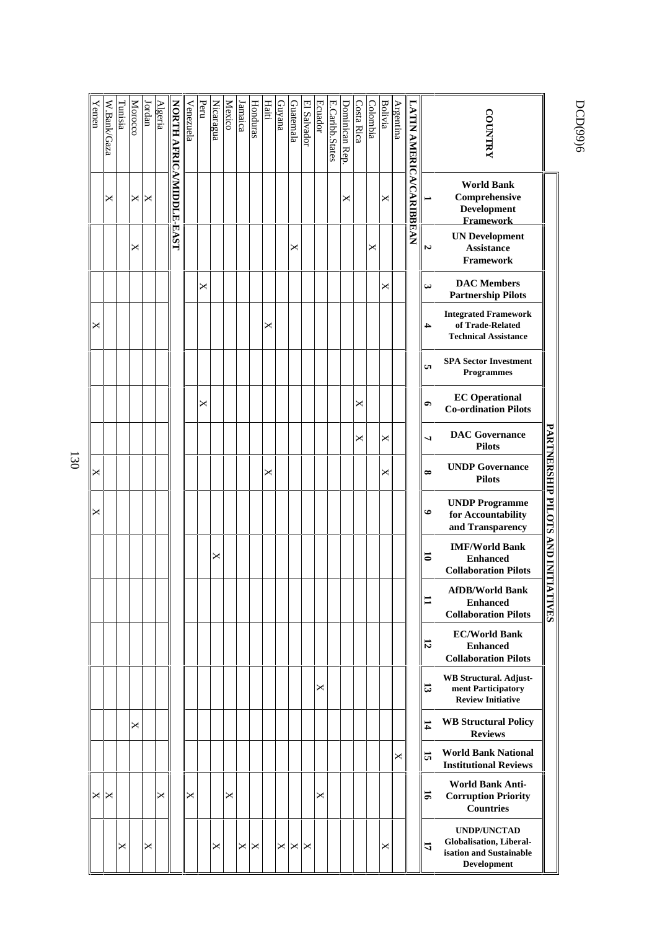|                   |             |         |         | Jordan |                |                         |           | $\rm{Peru}$ |           |        |                   |                 | Haiti |        |                   |             |                |                 |               |                   |          |                |           |                                |                          |                                                                                         |                                     |
|-------------------|-------------|---------|---------|--------|----------------|-------------------------|-----------|-------------|-----------|--------|-------------------|-----------------|-------|--------|-------------------|-------------|----------------|-----------------|---------------|-------------------|----------|----------------|-----------|--------------------------------|--------------------------|-----------------------------------------------------------------------------------------|-------------------------------------|
| Yemen             | W.Bank/Gaza | Tunisia | Morocco |        | <b>Algeria</b> | NORTH AFRICAMIDDLE-EAST | Venezuela |             | Nicaragua | Mexico | Jamaica           | <b>Honduras</b> |       | Guyana | Guatemala         | El Salvador | <b>Ecuador</b> | E.Caribb.States | Dominican Rep | <b>Costa Rica</b> | Colombia | <b>Bolivia</b> | Argentina | <b>LATIN AMERICA/CARIBBEAN</b> |                          | <b>COUNTRY</b>                                                                          |                                     |
|                   | ×           |         | ×       | ×      |                |                         |           |             |           |        |                   |                 |       |        |                   |             |                |                 | ×             |                   |          | ×              |           |                                |                          | <b>World Bank</b><br>Comprehensive<br><b>Development</b><br>Framework                   |                                     |
|                   |             |         | ×       |        |                |                         |           |             |           |        |                   |                 |       |        | ×                 |             |                |                 |               |                   | ×        |                |           |                                | N                        | <b>UN Development</b><br><b>Assistance</b><br>Framework                                 |                                     |
|                   |             |         |         |        |                |                         |           | ×           |           |        |                   |                 |       |        |                   |             |                |                 |               |                   |          | ×              |           |                                | ما                       | <b>DAC Members</b><br><b>Partnership Pilots</b>                                         |                                     |
| ×                 |             |         |         |        |                |                         |           |             |           |        |                   |                 | ×     |        |                   |             |                |                 |               |                   |          |                |           |                                | 4                        | <b>Integrated Framework</b><br>of Trade-Related<br><b>Technical Assistance</b>          |                                     |
|                   |             |         |         |        |                |                         |           |             |           |        |                   |                 |       |        |                   |             |                |                 |               |                   |          |                |           |                                | n,                       | <b>SPA Sector Investment</b><br><b>Programmes</b>                                       |                                     |
|                   |             |         |         |        |                |                         |           | ×           |           |        |                   |                 |       |        |                   |             |                |                 |               | ×                 |          |                |           |                                | $\bullet$                | <b>EC</b> Operational<br><b>Co-ordination Pilots</b>                                    |                                     |
|                   |             |         |         |        |                |                         |           |             |           |        |                   |                 |       |        |                   |             |                |                 |               | ×                 |          | ×              |           |                                | 4                        | <b>DAC</b> Governance<br><b>Pilots</b>                                                  |                                     |
| ×                 |             |         |         |        |                |                         |           |             |           |        |                   |                 | ×     |        |                   |             |                |                 |               |                   |          | ×              |           |                                | $\infty$                 | <b>UNDP Governance</b><br><b>Pilots</b>                                                 |                                     |
| ×                 |             |         |         |        |                |                         |           |             |           |        |                   |                 |       |        |                   |             |                |                 |               |                   |          |                |           |                                | $\bullet$                | <b>UNDP Programme</b><br>for Accountability<br>and Transparency                         | <b>PARTNERSHIP PILOTS AND INITI</b> |
|                   |             |         |         |        |                |                         |           |             | ×         |        |                   |                 |       |        |                   |             |                |                 |               |                   |          |                |           |                                | $\overline{\bullet}$     | <b>IMF/World Bank</b><br><b>Enhanced</b><br><b>Collaboration Pilots</b>                 |                                     |
|                   |             |         |         |        |                |                         |           |             |           |        |                   |                 |       |        |                   |             |                |                 |               |                   |          |                |           |                                | $\overline{\phantom{0}}$ | <b>AfDB/World Bank</b><br><b>Enhanced</b><br><b>Collaboration Pilots</b>                | <b>ATIVES</b>                       |
|                   |             |         |         |        |                |                         |           |             |           |        |                   |                 |       |        |                   |             |                |                 |               |                   |          |                |           |                                | $\overline{5}$           | <b>EC/World Bank</b><br><b>Enhanced</b><br><b>Collaboration Pilots</b>                  |                                     |
|                   |             |         |         |        |                |                         |           |             |           |        |                   |                 |       |        |                   |             | ×              |                 |               |                   |          |                |           |                                | 13                       | <b>WB Structural. Adjust-</b><br>ment Participatory<br><b>Review Initiative</b>         |                                     |
|                   |             |         | ×       |        |                |                         |           |             |           |        |                   |                 |       |        |                   |             |                |                 |               |                   |          |                |           |                                | 14                       | <b>WB Structural Policy</b><br><b>Reviews</b>                                           |                                     |
|                   |             |         |         |        |                |                         |           |             |           |        |                   |                 |       |        |                   |             |                |                 |               |                   |          |                | ×         |                                | <u>ն</u>                 | <b>World Bank National</b><br><b>Institutional Reviews</b>                              |                                     |
| $\times$ $\times$ |             |         |         |        | ×              |                         | $\times$  |             |           | ×      |                   |                 |       |        |                   |             | ×              |                 |               |                   |          |                |           |                                | $\overline{5}$           | <b>World Bank Anti-</b><br><b>Corruption Priority</b><br><b>Countries</b>               |                                     |
|                   |             | ×       |         | ×      |                |                         |           |             | ×         |        | $\times$ $\times$ |                 |       |        | $\times$ $\times$ |             |                |                 |               |                   |          | ×              |           |                                | 17                       | <b>UNDP/UNCTAD</b><br>Globalisation, Liberal-<br>isation and Sustainable<br>Development |                                     |

130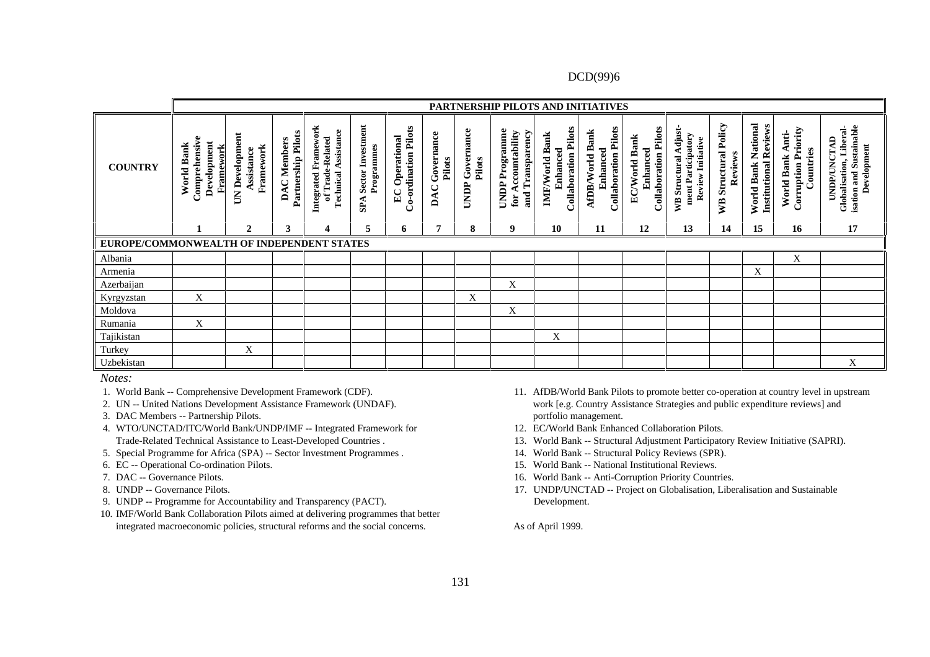|                                           |                                                         |                                                  |                                          |                                                                         |                                               |                                             |                             |                              | PARTNERSHIP PILOTS AND INITIATIVES                              |                                                           |                                                                   |                                                                |                                                                  |                                 |                                              |                                                            |                                                                                  |
|-------------------------------------------|---------------------------------------------------------|--------------------------------------------------|------------------------------------------|-------------------------------------------------------------------------|-----------------------------------------------|---------------------------------------------|-----------------------------|------------------------------|-----------------------------------------------------------------|-----------------------------------------------------------|-------------------------------------------------------------------|----------------------------------------------------------------|------------------------------------------------------------------|---------------------------------|----------------------------------------------|------------------------------------------------------------|----------------------------------------------------------------------------------|
| <b>COUNTRY</b>                            | Comprehensive<br>Development<br>World Bank<br>Framework | <b>UN</b> Development<br>Framework<br>Assistance | Partnership Pilots<br><b>DAC</b> Members | Integrated Framework<br><b>Technical Assistance</b><br>of Trade-Related | Sector Investment<br>Programmes<br><b>SPA</b> | ordination Pilots<br>Operational<br>EC<br>ċ | Governance<br>Pilots<br>DAC | Governance<br>Pilots<br>UNDP | UNDP Programme<br>ccountability<br>and Transparency<br><b>E</b> | <b>Collaboration Pilots</b><br>IMF/World Bank<br>Enhanced | <b>Collaboration Pilots</b><br><b>AfDB/World Bank</b><br>Enhanced | <b>Collaboration Pilots</b><br><b>ECWorld Bank</b><br>Enhanced | WB Structural Adjust-<br>ment Participatory<br>Review Initiative | WB Structural Policy<br>Reviews | World Bank National<br>Institutional Reviews | <b>Corruption Priority</b><br>World Bank Anti-<br>ountries | isation and Sustainable<br>Globalisation, Liberal-<br>UNDP/UNCTAD<br>Development |
|                                           |                                                         | $\mathbf{2}$                                     | 3                                        | 4                                                                       | 5                                             | 6                                           | 7                           | 8                            | 9                                                               | 10                                                        | 11                                                                | 12                                                             | 13                                                               | 14                              | 15                                           | 16                                                         | 17                                                                               |
| EUROPE/COMMONWEALTH OF INDEPENDENT STATES |                                                         |                                                  |                                          |                                                                         |                                               |                                             |                             |                              |                                                                 |                                                           |                                                                   |                                                                |                                                                  |                                 |                                              |                                                            |                                                                                  |
| Albania                                   |                                                         |                                                  |                                          |                                                                         |                                               |                                             |                             |                              |                                                                 |                                                           |                                                                   |                                                                |                                                                  |                                 |                                              | X                                                          |                                                                                  |
| Armenia                                   |                                                         |                                                  |                                          |                                                                         |                                               |                                             |                             |                              |                                                                 |                                                           |                                                                   |                                                                |                                                                  |                                 | X                                            |                                                            |                                                                                  |
| Azerbaijan                                |                                                         |                                                  |                                          |                                                                         |                                               |                                             |                             |                              | X                                                               |                                                           |                                                                   |                                                                |                                                                  |                                 |                                              |                                                            |                                                                                  |
| Kyrgyzstan                                | X                                                       |                                                  |                                          |                                                                         |                                               |                                             |                             | X                            |                                                                 |                                                           |                                                                   |                                                                |                                                                  |                                 |                                              |                                                            |                                                                                  |
| Moldova                                   |                                                         |                                                  |                                          |                                                                         |                                               |                                             |                             |                              | X                                                               |                                                           |                                                                   |                                                                |                                                                  |                                 |                                              |                                                            |                                                                                  |
| Rumania                                   | X                                                       |                                                  |                                          |                                                                         |                                               |                                             |                             |                              |                                                                 |                                                           |                                                                   |                                                                |                                                                  |                                 |                                              |                                                            |                                                                                  |
| Tajikistan                                |                                                         |                                                  |                                          |                                                                         |                                               |                                             |                             |                              |                                                                 | X                                                         |                                                                   |                                                                |                                                                  |                                 |                                              |                                                            |                                                                                  |
| Turkey                                    |                                                         | X                                                |                                          |                                                                         |                                               |                                             |                             |                              |                                                                 |                                                           |                                                                   |                                                                |                                                                  |                                 |                                              |                                                            |                                                                                  |
| Uzbekistan                                |                                                         |                                                  |                                          |                                                                         |                                               |                                             |                             |                              |                                                                 |                                                           |                                                                   |                                                                |                                                                  |                                 |                                              |                                                            | X                                                                                |

*Notes:*

- 
- 
- 3. DAC Members -- Partnership Pilots. portfolio management.
- 4. WTO/UNCTAD/ITC/World Bank/UNDP/IMF -- Integrated Framework for 12. EC/World Bank Enhanced Collaboration Pilots. Trade-Related Technical Assistance to Least-Developed Countries . 13. World Bank -- Structural Adjustment Participatory Review Initiative (SAPRI).
- 5. Special Programme for Africa (SPA) -- Sector Investment Programmes . 14. World Bank -- Structural Policy Reviews (SPR).
- 
- 
- 
- 9. UNDP -- Programme for Accountability and Transparency (PACT). Development.
- 10. IMF/World Bank Collaboration Pilots aimed at delivering programmes that better integrated macroeconomic policies, structural reforms and the social concerns. As of April 1999.
- 1. World Bank -- Comprehensive Development Framework (CDF). 11. AfDB/World Bank Pilots to promote better co-operation at country level in upstream 2. UN -- United Nations Development Assistance Framework (UNDAF). work [e.g. Country Assistance Strategies and public expenditure reviews] and
	-
	-
	-
- 6. EC -- Operational Co-ordination Pilots. 15. World Bank -- National Institutional Reviews.
- 7. DAC -- Governance Pilots. 16. World Bank -- Anti-Corruption Priority Countries.
- 8. UNDP -- Governance Pilots. 17. UNDP/UNCTAD -- Project on Globalisation, Liberalisation and Sustainable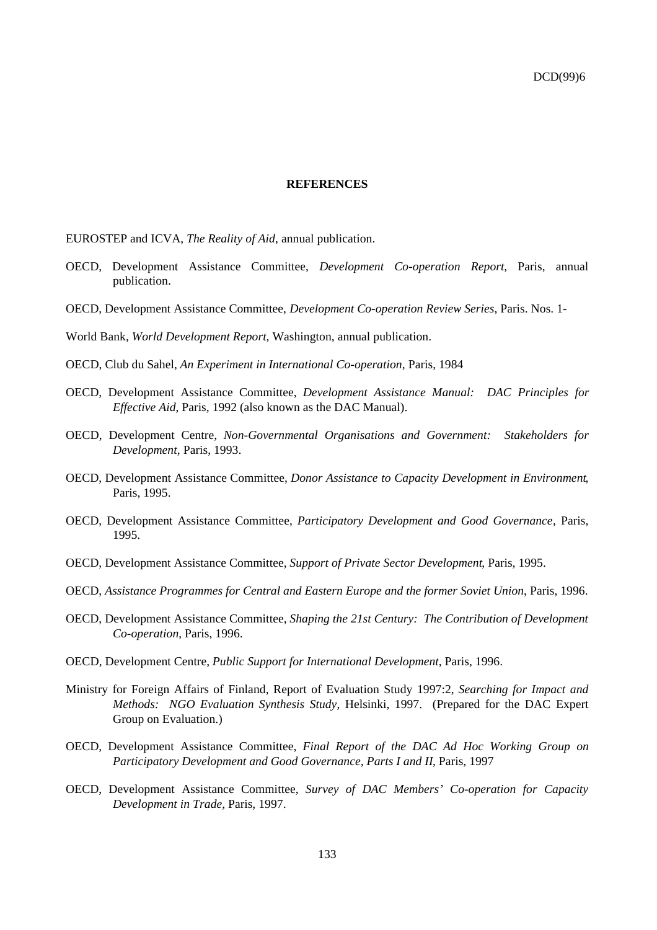#### **REFERENCES**

EUROSTEP and ICVA, *The Reality of Aid*, annual publication.

- OECD, Development Assistance Committee, *Development Co-operation Report*, Paris, annual publication.
- OECD, Development Assistance Committee, *Development Co-operation Review Series*, Paris. Nos. 1-

World Bank, *World Development Report*, Washington, annual publication.

- OECD, Club du Sahel, *An Experiment in International Co-operation*, Paris, 1984
- OECD, Development Assistance Committee, *Development Assistance Manual: DAC Principles for Effective Aid*, Paris, 1992 (also known as the DAC Manual).
- OECD, Development Centre, *Non-Governmental Organisations and Government: Stakeholders for Development*, Paris, 1993.
- OECD, Development Assistance Committee, *Donor Assistance to Capacity Development in Environment*, Paris, 1995.
- OECD, Development Assistance Committee, *Participatory Development and Good Governance*, Paris, 1995.
- OECD, Development Assistance Committee, *Support of Private Sector Development*, Paris, 1995.
- OECD, *Assistance Programmes for Central and Eastern Europe and the former Soviet Union*, Paris, 1996.
- OECD, Development Assistance Committee, *Shaping the 21st Century: The Contribution of Development Co-operation*, Paris, 1996.
- OECD, Development Centre, *Public Support for International Development*, Paris, 1996.
- Ministry for Foreign Affairs of Finland, Report of Evaluation Study 1997:2, *Searching for Impact and Methods: NGO Evaluation Synthesis Study*, Helsinki, 1997. (Prepared for the DAC Expert Group on Evaluation.)
- OECD, Development Assistance Committee, *Final Report of the DAC Ad Hoc Working Group on Participatory Development and Good Governance, Parts I and II*, Paris, 1997
- OECD, Development Assistance Committee, *Survey of DAC Members' Co-operation for Capacity Development in Trade,* Paris, 1997.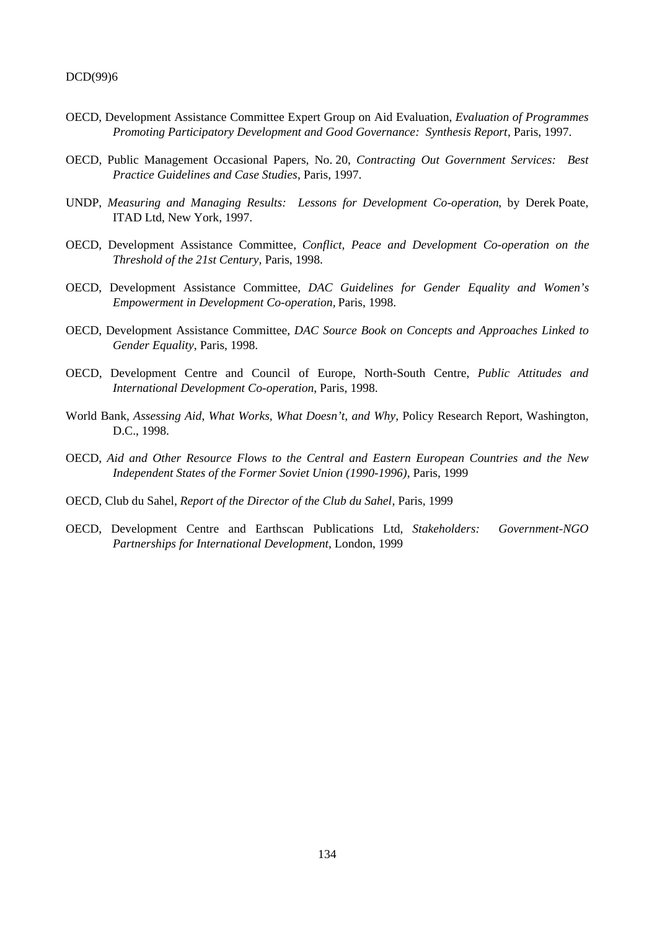- OECD, Development Assistance Committee Expert Group on Aid Evaluation, *Evaluation of Programmes Promoting Participatory Development and Good Governance: Synthesis Report*, Paris, 1997.
- OECD, Public Management Occasional Papers, No. 20, *Contracting Out Government Services: Best Practice Guidelines and Case Studies*, Paris, 1997.
- UNDP, *Measuring and Managing Results: Lessons for Development Co-operation*, by Derek Poate, ITAD Ltd, New York, 1997.
- OECD, Development Assistance Committee, *Conflict, Peace and Development Co-operation on the Threshold of the 21st Century,* Paris, 1998.
- OECD, Development Assistance Committee, *DAC Guidelines for Gender Equality and Women's Empowerment in Development Co-operation,* Paris, 1998.
- OECD, Development Assistance Committee, *DAC Source Book on Concepts and Approaches Linked to Gender Equality*, Paris, 1998.
- OECD, Development Centre and Council of Europe, North-South Centre, *Public Attitudes and International Development Co-operation*, Paris, 1998.
- World Bank, *Assessing Aid*, *What Works, What Doesn't, and Why*, Policy Research Report, Washington, D.C., 1998.
- OECD, *Aid and Other Resource Flows to the Central and Eastern European Countries and the New Independent States of the Former Soviet Union (1990-1996)*, Paris, 1999
- OECD, Club du Sahel, *Report of the Director of the Club du Sahel*, Paris, 1999
- OECD, Development Centre and Earthscan Publications Ltd, *Stakeholders: Government-NGO Partnerships for International Development*, London, 1999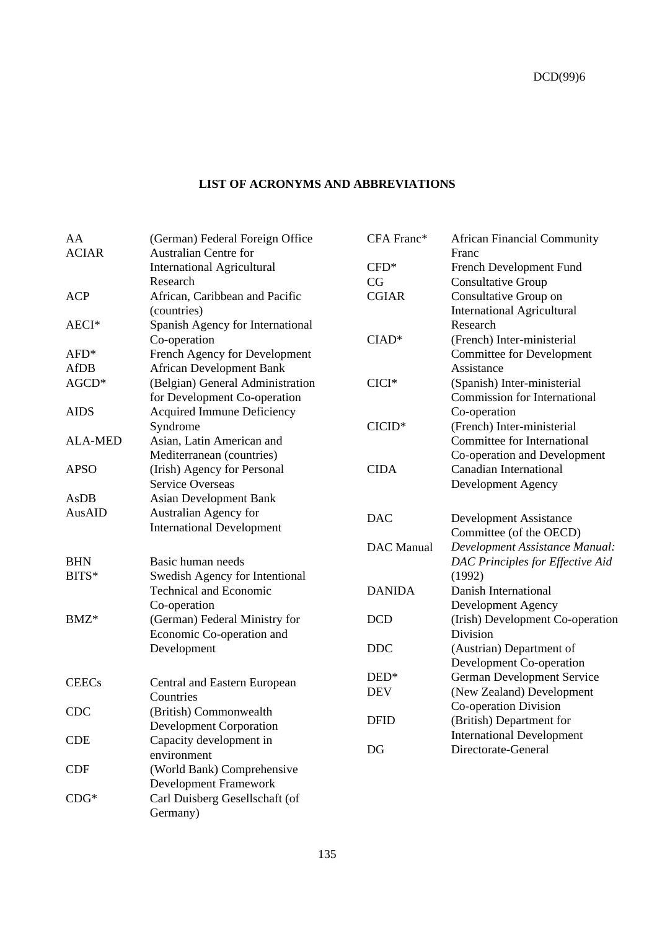## **LIST OF ACRONYMS AND ABBREVIATIONS**

| AA             | (German) Federal Foreign Office   | CFA Franc*        | <b>African Financial Community</b>  |
|----------------|-----------------------------------|-------------------|-------------------------------------|
| <b>ACIAR</b>   | <b>Australian Centre for</b>      |                   | Franc                               |
|                | <b>International Agricultural</b> | $CFD*$            | French Development Fund             |
|                | Research                          | CG                | <b>Consultative Group</b>           |
| <b>ACP</b>     | African, Caribbean and Pacific    | <b>CGIAR</b>      | Consultative Group on               |
|                | (countries)                       |                   | <b>International Agricultural</b>   |
| AECI*          | Spanish Agency for International  |                   | Research                            |
|                | Co-operation                      | $CIAD*$           | (French) Inter-ministerial          |
| $AFD*$         | French Agency for Development     |                   | <b>Committee for Development</b>    |
| <b>AfDB</b>    | <b>African Development Bank</b>   |                   | Assistance                          |
| AGCD*          | (Belgian) General Administration  | $ClCl^*$          | (Spanish) Inter-ministerial         |
|                | for Development Co-operation      |                   | <b>Commission for International</b> |
| <b>AIDS</b>    | <b>Acquired Immune Deficiency</b> |                   | Co-operation                        |
|                | Syndrome                          | $CICID*$          | (French) Inter-ministerial          |
| <b>ALA-MED</b> | Asian, Latin American and         |                   | Committee for International         |
|                | Mediterranean (countries)         |                   | Co-operation and Development        |
| <b>APSO</b>    | (Irish) Agency for Personal       | <b>CIDA</b>       | Canadian International              |
|                | <b>Service Overseas</b>           |                   | Development Agency                  |
| AsDB           | <b>Asian Development Bank</b>     |                   |                                     |
| AusAID         | Australian Agency for             | <b>DAC</b>        |                                     |
|                | <b>International Development</b>  |                   | <b>Development Assistance</b>       |
|                |                                   | <b>DAC</b> Manual | Committee (of the OECD)             |
|                |                                   |                   | Development Assistance Manual:      |
| <b>BHN</b>     | Basic human needs                 |                   | DAC Principles for Effective Aid    |
| BITS*          | Swedish Agency for Intentional    |                   | (1992)                              |
|                | <b>Technical and Economic</b>     | <b>DANIDA</b>     | Danish International                |
|                | Co-operation                      |                   | Development Agency                  |
| BMZ*           | (German) Federal Ministry for     | <b>DCD</b>        | (Irish) Development Co-operation    |
|                | Economic Co-operation and         |                   | Division                            |
|                | Development                       | <b>DDC</b>        | (Austrian) Department of            |
|                |                                   |                   | Development Co-operation            |
| <b>CEECs</b>   | Central and Eastern European      | $DED*$            | German Development Service          |
|                | Countries                         | <b>DEV</b>        | (New Zealand) Development           |
| <b>CDC</b>     | (British) Commonwealth            |                   | Co-operation Division               |
|                | <b>Development Corporation</b>    | <b>DFID</b>       | (British) Department for            |
| <b>CDE</b>     | Capacity development in           |                   | <b>International Development</b>    |
|                | environment                       | DG                | Directorate-General                 |
| <b>CDF</b>     | (World Bank) Comprehensive        |                   |                                     |
|                | <b>Development Framework</b>      |                   |                                     |
| $CDG*$         | Carl Duisberg Gesellschaft (of    |                   |                                     |
|                | Germany)                          |                   |                                     |
|                |                                   |                   |                                     |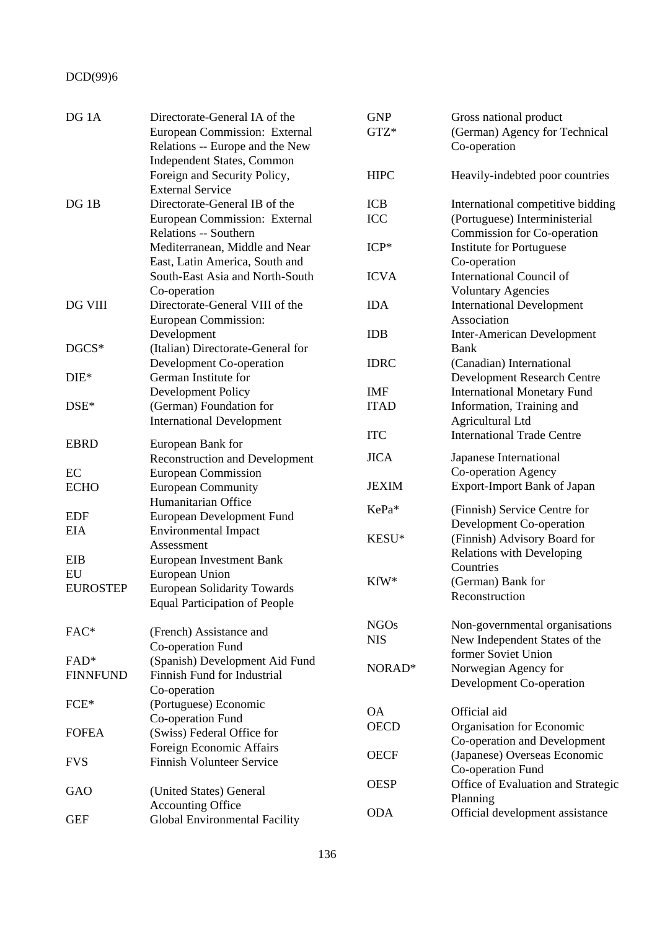| DG <sub>1</sub> A | Directorate-General IA of the         | <b>GNP</b>   | Gross national product                               |
|-------------------|---------------------------------------|--------------|------------------------------------------------------|
|                   | European Commission: External         | $GTZ^*$      | (German) Agency for Technical                        |
|                   | Relations -- Europe and the New       |              | Co-operation                                         |
|                   | Independent States, Common            |              |                                                      |
|                   | Foreign and Security Policy,          | <b>HIPC</b>  | Heavily-indebted poor countries                      |
|                   | <b>External Service</b>               |              |                                                      |
| DG 1B             | Directorate-General IB of the         | <b>ICB</b>   | International competitive bidding                    |
|                   | European Commission: External         | ICC          | (Portuguese) Interministerial                        |
|                   | Relations -- Southern                 |              | Commission for Co-operation                          |
|                   | Mediterranean, Middle and Near        | $ICP*$       | <b>Institute for Portuguese</b>                      |
|                   | East, Latin America, South and        |              | Co-operation                                         |
|                   | South-East Asia and North-South       | <b>ICVA</b>  | <b>International Council of</b>                      |
|                   | Co-operation                          |              | <b>Voluntary Agencies</b>                            |
| DG VIII           | Directorate-General VIII of the       | <b>IDA</b>   | <b>International Development</b>                     |
|                   | European Commission:                  |              | Association                                          |
|                   | Development                           | <b>IDB</b>   | <b>Inter-American Development</b>                    |
| DGCS*             | (Italian) Directorate-General for     |              | Bank                                                 |
|                   | Development Co-operation              | <b>IDRC</b>  | (Canadian) International                             |
| $DIE^*$           | German Institute for                  |              | Development Research Centre                          |
|                   | Development Policy                    | <b>IMF</b>   | <b>International Monetary Fund</b>                   |
| $DSE*$            | (German) Foundation for               | <b>ITAD</b>  | Information, Training and                            |
|                   | <b>International Development</b>      |              | Agricultural Ltd                                     |
|                   |                                       | <b>ITC</b>   | <b>International Trade Centre</b>                    |
| <b>EBRD</b>       | European Bank for                     |              |                                                      |
|                   | <b>Reconstruction and Development</b> | <b>JICA</b>  | Japanese International                               |
| EC                | <b>European Commission</b>            |              | Co-operation Agency                                  |
| <b>ECHO</b>       | <b>European Community</b>             | <b>JEXIM</b> | <b>Export-Import Bank of Japan</b>                   |
|                   | Humanitarian Office                   | KePa*        |                                                      |
| <b>EDF</b>        | European Development Fund             |              | (Finnish) Service Centre for                         |
| <b>EIA</b>        | <b>Environmental Impact</b>           | KESU*        | Development Co-operation                             |
|                   | Assessment                            |              | (Finnish) Advisory Board for                         |
| <b>EIB</b>        | <b>European Investment Bank</b>       |              | <b>Relations with Developing</b><br>Countries        |
| ${\rm EU}$        | European Union                        | KfW*         |                                                      |
| <b>EUROSTEP</b>   | <b>European Solidarity Towards</b>    |              | (German) Bank for<br>Reconstruction                  |
|                   | <b>Equal Participation of People</b>  |              |                                                      |
|                   |                                       |              |                                                      |
| FAC*              | (French) Assistance and               | <b>NGOs</b>  | Non-governmental organisations                       |
|                   | Co-operation Fund                     | <b>NIS</b>   | New Independent States of the<br>former Soviet Union |
| FAD*              | (Spanish) Development Aid Fund        |              |                                                      |
| <b>FINNFUND</b>   | Finnish Fund for Industrial           | NORAD*       | Norwegian Agency for                                 |
|                   | Co-operation                          |              | Development Co-operation                             |
| $FCE*$            | (Portuguese) Economic                 |              |                                                      |
|                   | Co-operation Fund                     | <b>OA</b>    | Official aid                                         |
| <b>FOFEA</b>      | (Swiss) Federal Office for            | <b>OECD</b>  | Organisation for Economic                            |
|                   | Foreign Economic Affairs              |              | Co-operation and Development                         |
| <b>FVS</b>        | <b>Finnish Volunteer Service</b>      | <b>OECF</b>  | (Japanese) Overseas Economic                         |
|                   |                                       |              | Co-operation Fund                                    |
| GAO               | (United States) General               | <b>OESP</b>  | Office of Evaluation and Strategic                   |
|                   | <b>Accounting Office</b>              |              | Planning                                             |
| <b>GEF</b>        | Global Environmental Facility         | <b>ODA</b>   | Official development assistance                      |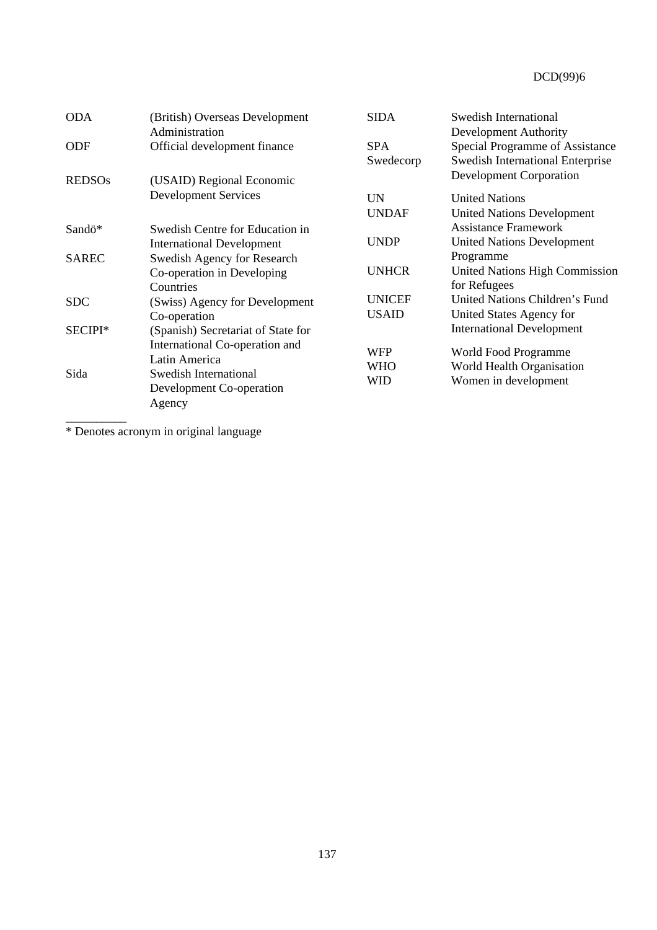| <b>ODA</b>    | (British) Overseas Development     | <b>SIDA</b>   | Swedish International                   |
|---------------|------------------------------------|---------------|-----------------------------------------|
|               | Administration                     |               | Development Authority                   |
| <b>ODF</b>    | Official development finance       | <b>SPA</b>    | Special Programme of Assistance         |
|               |                                    | Swedecorp     | <b>Swedish International Enterprise</b> |
| <b>REDSOs</b> | (USAID) Regional Economic          |               | <b>Development Corporation</b>          |
|               | <b>Development Services</b>        | <b>UN</b>     | <b>United Nations</b>                   |
|               |                                    | <b>UNDAF</b>  | <b>United Nations Development</b>       |
| Sandö*        | Swedish Centre for Education in    |               | <b>Assistance Framework</b>             |
|               | <b>International Development</b>   | <b>UNDP</b>   | <b>United Nations Development</b>       |
| <b>SAREC</b>  | Swedish Agency for Research        |               | Programme                               |
|               | Co-operation in Developing         | <b>UNHCR</b>  | <b>United Nations High Commission</b>   |
|               | Countries                          |               | for Refugees                            |
| <b>SDC</b>    | (Swiss) Agency for Development     | <b>UNICEF</b> | United Nations Children's Fund          |
|               | Co-operation                       | <b>USAID</b>  | United States Agency for                |
| SECIPI*       | (Spanish) Secretariat of State for |               | <b>International Development</b>        |
|               | International Co-operation and     |               |                                         |
|               | Latin America                      | <b>WFP</b>    | World Food Programme                    |
| Sida          | Swedish International              | <b>WHO</b>    | World Health Organisation               |
|               | Development Co-operation           | <b>WID</b>    | Women in development                    |
|               | Agency                             |               |                                         |

\* Denotes acronym in original language

\_\_\_\_\_\_\_\_\_\_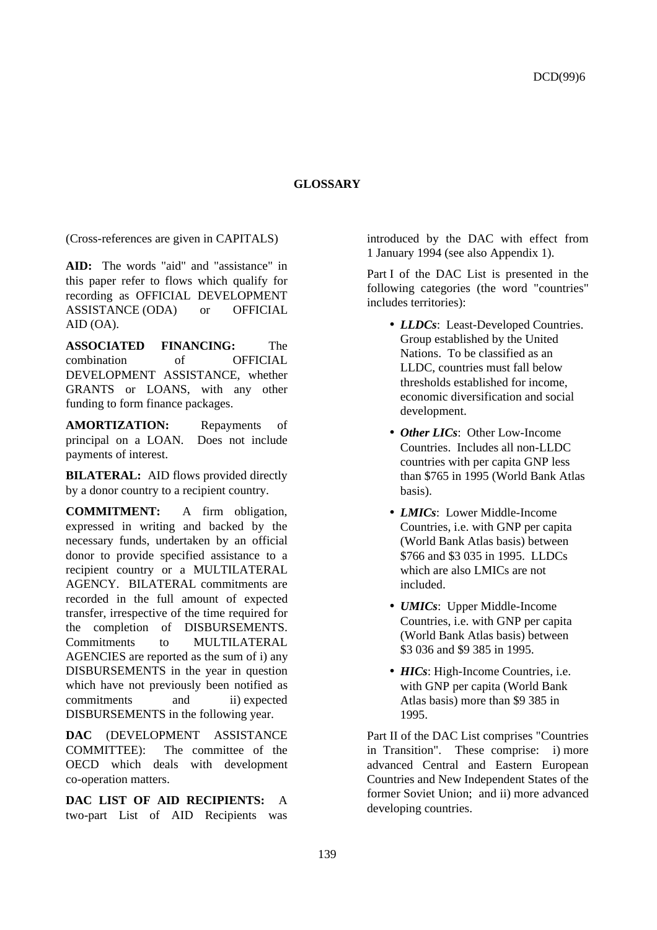#### **GLOSSARY**

(Cross-references are given in CAPITALS)

**AID:** The words "aid" and "assistance" in this paper refer to flows which qualify for recording as OFFICIAL DEVELOPMENT ASSISTANCE (ODA) or OFFICIAL  $AID$  (OA).

**ASSOCIATED FINANCING:** The combination of OFFICIAL DEVELOPMENT ASSISTANCE, whether GRANTS or LOANS, with any other funding to form finance packages.

**AMORTIZATION:** Repayments of principal on a LOAN. Does not include payments of interest.

**BILATERAL:** AID flows provided directly by a donor country to a recipient country.

**COMMITMENT:** A firm obligation, expressed in writing and backed by the necessary funds, undertaken by an official donor to provide specified assistance to a recipient country or a MULTILATERAL AGENCY. BILATERAL commitments are recorded in the full amount of expected transfer, irrespective of the time required for the completion of DISBURSEMENTS. Commitments to MULTILATERAL AGENCIES are reported as the sum of i) any DISBURSEMENTS in the year in question which have not previously been notified as commitments and ii) expected DISBURSEMENTS in the following year.

**DAC** (DEVELOPMENT ASSISTANCE COMMITTEE): The committee of the OECD which deals with development co-operation matters.

**DAC LIST OF AID RECIPIENTS:** A two-part List of AID Recipients was

introduced by the DAC with effect from 1 January 1994 (see also Appendix 1).

Part I of the DAC List is presented in the following categories (the word "countries" includes territories):

- *LLDCs*: Least-Developed Countries. Group established by the United Nations. To be classified as an LLDC, countries must fall below thresholds established for income, economic diversification and social development.
- *Other LICs*: Other Low-Income Countries. Includes all non-LLDC countries with per capita GNP less than \$765 in 1995 (World Bank Atlas basis).
- *LMICs*: Lower Middle-Income Countries, i.e. with GNP per capita (World Bank Atlas basis) between \$766 and \$3 035 in 1995. LLDCs which are also LMICs are not included.
- *UMICs*: Upper Middle-Income Countries, i.e. with GNP per capita (World Bank Atlas basis) between \$3 036 and \$9 385 in 1995.
- *HICs*: High-Income Countries, i.e. with GNP per capita (World Bank Atlas basis) more than \$9 385 in 1995.

Part II of the DAC List comprises "Countries in Transition". These comprise: i) more advanced Central and Eastern European Countries and New Independent States of the former Soviet Union; and ii) more advanced developing countries.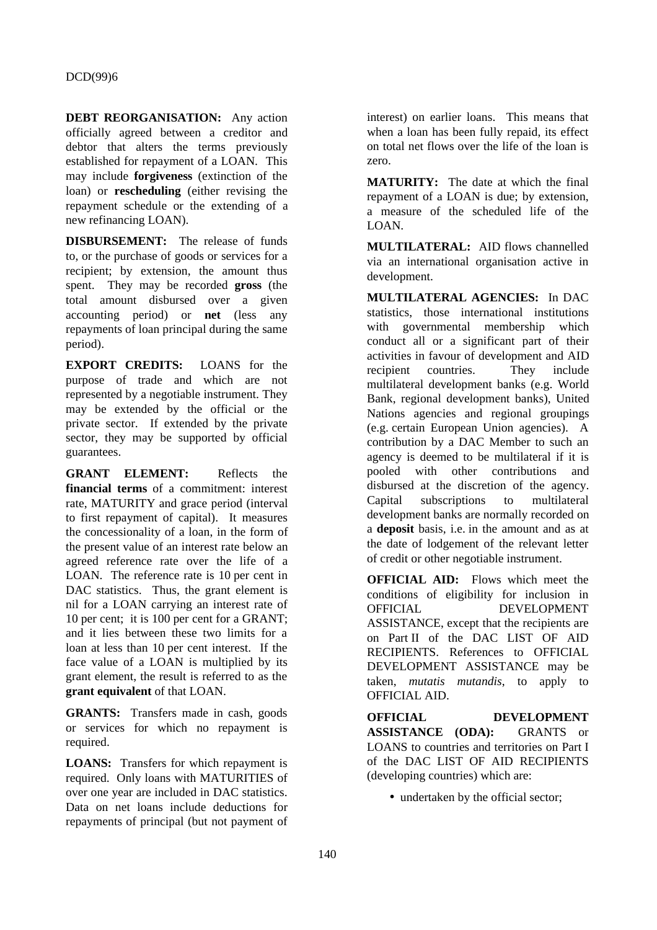**DEBT REORGANISATION:** Any action officially agreed between a creditor and debtor that alters the terms previously established for repayment of a LOAN. This may include **forgiveness** (extinction of the loan) or **rescheduling** (either revising the repayment schedule or the extending of a new refinancing LOAN).

**DISBURSEMENT:** The release of funds to, or the purchase of goods or services for a recipient; by extension, the amount thus spent. They may be recorded **gross** (the total amount disbursed over a given accounting period) or **net** (less any repayments of loan principal during the same period).

**EXPORT CREDITS:** LOANS for the purpose of trade and which are not represented by a negotiable instrument. They may be extended by the official or the private sector. If extended by the private sector, they may be supported by official guarantees.

**GRANT ELEMENT:** Reflects the **financial terms** of a commitment: interest rate, MATURITY and grace period (interval to first repayment of capital). It measures the concessionality of a loan, in the form of the present value of an interest rate below an agreed reference rate over the life of a LOAN. The reference rate is 10 per cent in DAC statistics. Thus, the grant element is nil for a LOAN carrying an interest rate of 10 per cent; it is 100 per cent for a GRANT; and it lies between these two limits for a loan at less than 10 per cent interest. If the face value of a LOAN is multiplied by its grant element, the result is referred to as the **grant equivalent** of that LOAN.

**GRANTS:** Transfers made in cash, goods or services for which no repayment is required.

**LOANS:** Transfers for which repayment is required. Only loans with MATURITIES of over one year are included in DAC statistics. Data on net loans include deductions for repayments of principal (but not payment of

interest) on earlier loans. This means that when a loan has been fully repaid, its effect on total net flows over the life of the loan is zero.

**MATURITY:** The date at which the final repayment of a LOAN is due; by extension, a measure of the scheduled life of the LOAN.

**MULTILATERAL:** AID flows channelled via an international organisation active in development.

**MULTILATERAL AGENCIES:** In DAC statistics, those international institutions with governmental membership which conduct all or a significant part of their activities in favour of development and AID recipient countries. They include multilateral development banks (e.g. World Bank, regional development banks), United Nations agencies and regional groupings (e.g. certain European Union agencies). A contribution by a DAC Member to such an agency is deemed to be multilateral if it is pooled with other contributions and disbursed at the discretion of the agency. Capital subscriptions to multilateral development banks are normally recorded on a **deposit** basis, i.e. in the amount and as at the date of lodgement of the relevant letter of credit or other negotiable instrument.

**OFFICIAL AID:** Flows which meet the conditions of eligibility for inclusion in OFFICIAL DEVELOPMENT ASSISTANCE, except that the recipients are on Part II of the DAC LIST OF AID RECIPIENTS. References to OFFICIAL DEVELOPMENT ASSISTANCE may be taken, *mutatis mutandis*, to apply to OFFICIAL AID.

**OFFICIAL DEVELOPMENT ASSISTANCE (ODA):** GRANTS or LOANS to countries and territories on Part I of the DAC LIST OF AID RECIPIENTS (developing countries) which are:

• undertaken by the official sector;